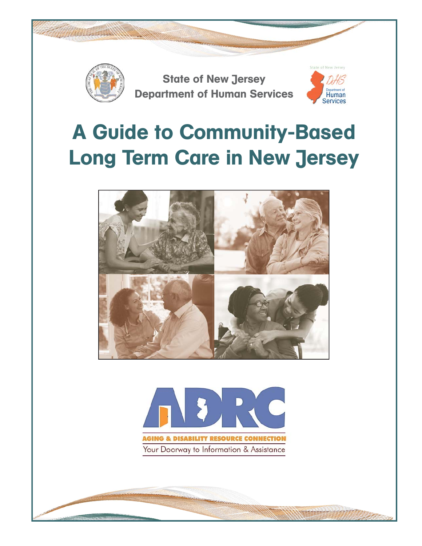

# A Guide to Community-Based Long Term Care in New Jersey



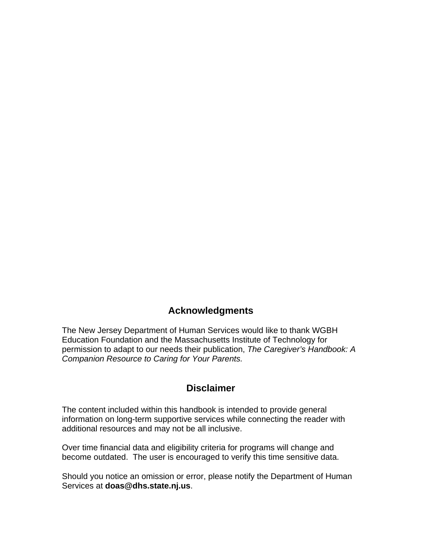# **Acknowledgments**

The New Jersey Department of Human Services would like to thank WGBH Education Foundation and the Massachusetts Institute of Technology for permission to adapt to our needs their publication, *The Caregiver's Handbook: A Companion Resource to Caring for Your Parents.*

# **Disclaimer**

The content included within this handbook is intended to provide general information on long-term supportive services while connecting the reader with additional resources and may not be all inclusive.

Over time financial data and eligibility criteria for programs will change and become outdated. The user is encouraged to verify this time sensitive data.

Should you notice an omission or error, please notify the Department of Human Services at **doas@dhs.state.nj.us**.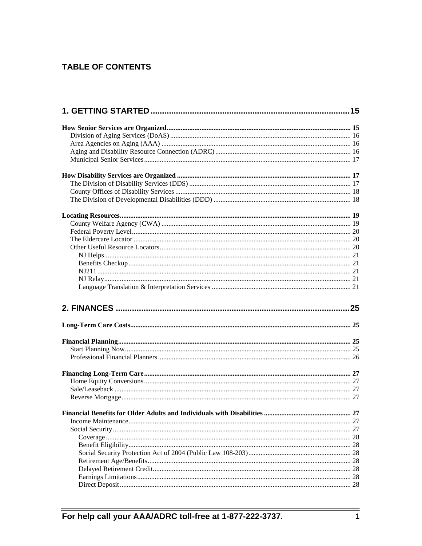# **TABLE OF CONTENTS**

| . 27 |
|------|
|      |
|      |
|      |
|      |
|      |
|      |
|      |
|      |
|      |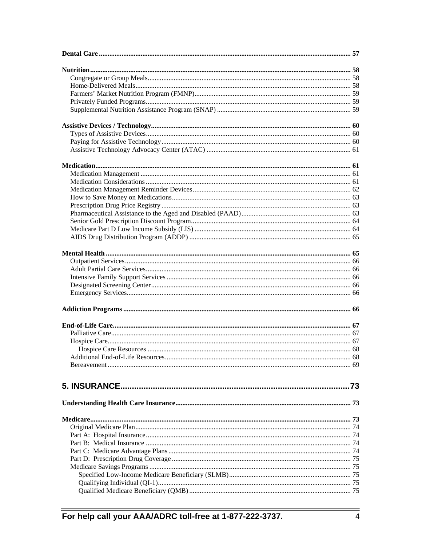| Additional End-of-Life Resources 68 |  |
|-------------------------------------|--|
|                                     |  |
|                                     |  |
|                                     |  |
|                                     |  |
|                                     |  |
|                                     |  |
|                                     |  |
|                                     |  |
|                                     |  |
|                                     |  |
|                                     |  |
|                                     |  |
|                                     |  |
|                                     |  |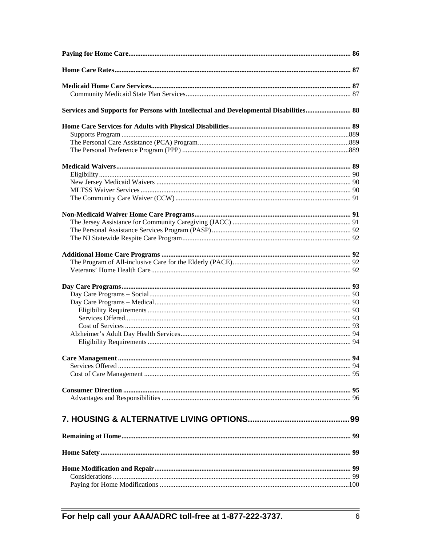| Services and Supports for Persons with Intellectual and Developmental Disabilities 88 |  |
|---------------------------------------------------------------------------------------|--|
|                                                                                       |  |
|                                                                                       |  |
|                                                                                       |  |
|                                                                                       |  |
|                                                                                       |  |
|                                                                                       |  |
|                                                                                       |  |
|                                                                                       |  |
|                                                                                       |  |
|                                                                                       |  |
|                                                                                       |  |
|                                                                                       |  |
|                                                                                       |  |
|                                                                                       |  |
|                                                                                       |  |
|                                                                                       |  |
|                                                                                       |  |
|                                                                                       |  |
|                                                                                       |  |
|                                                                                       |  |
|                                                                                       |  |
|                                                                                       |  |
|                                                                                       |  |
|                                                                                       |  |
|                                                                                       |  |
|                                                                                       |  |
|                                                                                       |  |
|                                                                                       |  |
|                                                                                       |  |
|                                                                                       |  |
|                                                                                       |  |
|                                                                                       |  |
|                                                                                       |  |
|                                                                                       |  |
|                                                                                       |  |
|                                                                                       |  |
|                                                                                       |  |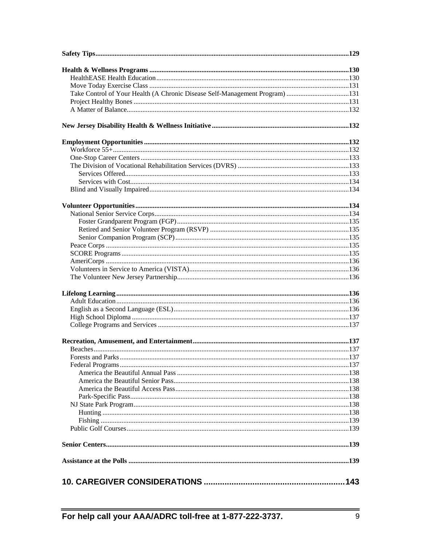| Take Control of Your Health (A Chronic Disease Self-Management Program) 131 |  |
|-----------------------------------------------------------------------------|--|
|                                                                             |  |
|                                                                             |  |
|                                                                             |  |
|                                                                             |  |
|                                                                             |  |
|                                                                             |  |
|                                                                             |  |
|                                                                             |  |
|                                                                             |  |
|                                                                             |  |
|                                                                             |  |
|                                                                             |  |
|                                                                             |  |
|                                                                             |  |
|                                                                             |  |
|                                                                             |  |
|                                                                             |  |
|                                                                             |  |
|                                                                             |  |
|                                                                             |  |
|                                                                             |  |
|                                                                             |  |
|                                                                             |  |
|                                                                             |  |
|                                                                             |  |
|                                                                             |  |
|                                                                             |  |
|                                                                             |  |
|                                                                             |  |
|                                                                             |  |
|                                                                             |  |
|                                                                             |  |
|                                                                             |  |
|                                                                             |  |
|                                                                             |  |
|                                                                             |  |
|                                                                             |  |
|                                                                             |  |
|                                                                             |  |
|                                                                             |  |
|                                                                             |  |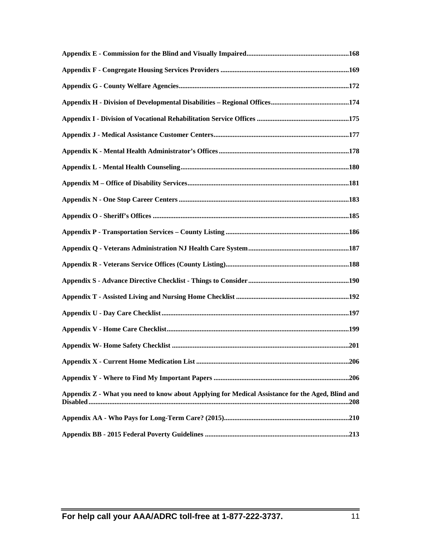| Appendix Z - What you need to know about Applying for Medical Assistance for the Aged, Blind and |  |
|--------------------------------------------------------------------------------------------------|--|
|                                                                                                  |  |
|                                                                                                  |  |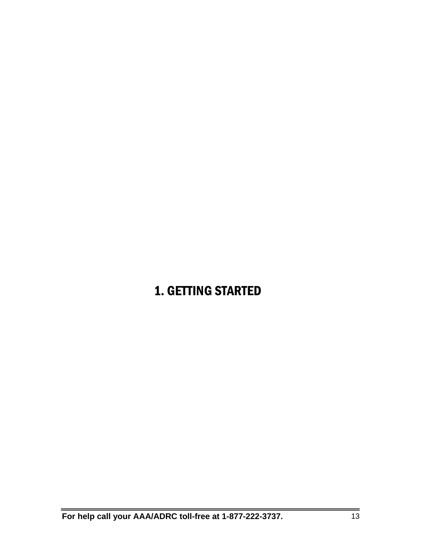# 1. GETTING STARTED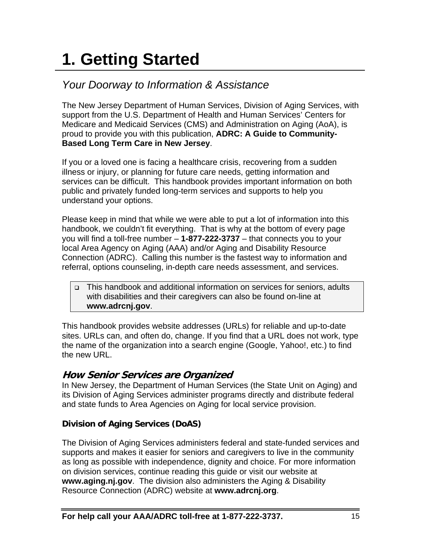# **1. Getting Started**

# *Your Doorway to Information & Assistance*

The New Jersey Department of Human Services, Division of Aging Services, with support from the U.S. Department of Health and Human Services' Centers for Medicare and Medicaid Services (CMS) and Administration on Aging (AoA), is proud to provide you with this publication, **ADRC: A Guide to Community-Based Long Term Care in New Jersey**.

If you or a loved one is facing a healthcare crisis, recovering from a sudden illness or injury, or planning for future care needs, getting information and services can be difficult. This handbook provides important information on both public and privately funded long-term services and supports to help you understand your options.

Please keep in mind that while we were able to put a lot of information into this handbook, we couldn't fit everything. That is why at the bottom of every page you will find a toll-free number – **1-877-222-3737** – that connects you to your local Area Agency on Aging (AAA) and/or Aging and Disability Resource Connection (ADRC). Calling this number is the fastest way to information and referral, options counseling, in-depth care needs assessment, and services.

 This handbook and additional information on services for seniors, adults with disabilities and their caregivers can also be found on-line at **www.adrcnj.gov**.

This handbook provides website addresses (URLs) for reliable and up-to-date sites. URLs can, and often do, change. If you find that a URL does not work, type the name of the organization into a search engine (Google, Yahoo!, etc.) to find the new URL.

# **How Senior Services are Organized**

In New Jersey, the Department of Human Services (the State Unit on Aging) and its Division of Aging Services administer programs directly and distribute federal and state funds to Area Agencies on Aging for local service provision.

# **Division of Aging Services (DoAS)**

The Division of Aging Services administers federal and state-funded services and supports and makes it easier for seniors and caregivers to live in the community as long as possible with independence, dignity and choice. For more information on division services, continue reading this guide or visit our website at **www.aging.nj.gov**. The division also administers the Aging & Disability Resource Connection (ADRC) website at **www.adrcnj.org**.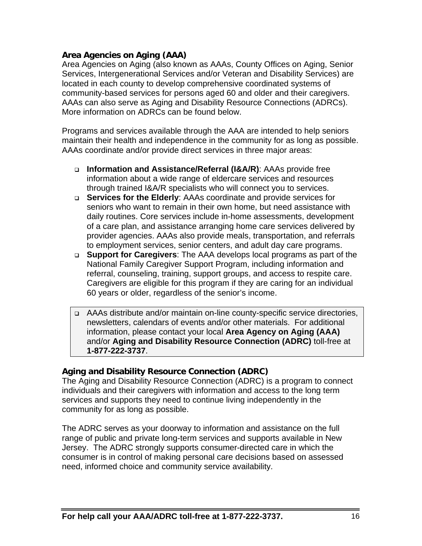#### **Area Agencies on Aging (AAA)**

Area Agencies on Aging (also known as AAAs, County Offices on Aging, Senior Services, Intergenerational Services and/or Veteran and Disability Services) are located in each county to develop comprehensive coordinated systems of community-based services for persons aged 60 and older and their caregivers. AAAs can also serve as Aging and Disability Resource Connections (ADRCs). More information on ADRCs can be found below.

Programs and services available through the AAA are intended to help seniors maintain their health and independence in the community for as long as possible. AAAs coordinate and/or provide direct services in three major areas:

- **Information and Assistance/Referral (I&A/R)**: AAAs provide free information about a wide range of eldercare services and resources through trained I&A/R specialists who will connect you to services.
- **Services for the Elderly**: AAAs coordinate and provide services for seniors who want to remain in their own home, but need assistance with daily routines. Core services include in-home assessments, development of a care plan, and assistance arranging home care services delivered by provider agencies. AAAs also provide meals, transportation, and referrals to employment services, senior centers, and adult day care programs.
- **Support for Caregivers**: The AAA develops local programs as part of the National Family Caregiver Support Program, including information and referral, counseling, training, support groups, and access to respite care. Caregivers are eligible for this program if they are caring for an individual 60 years or older, regardless of the senior's income.
- AAAs distribute and/or maintain on-line county-specific service directories, newsletters, calendars of events and/or other materials. For additional information, please contact your local **Area Agency on Aging (AAA)** and/or **Aging and Disability Resource Connection (ADRC)** toll-free at **1-877-222-3737**.

#### **Aging and Disability Resource Connection (ADRC)**

The Aging and Disability Resource Connection (ADRC) is a program to connect individuals and their caregivers with information and access to the long term services and supports they need to continue living independently in the community for as long as possible.

The ADRC serves as your doorway to information and assistance on the full range of public and private long-term services and supports available in New Jersey. The ADRC strongly supports consumer-directed care in which the consumer is in control of making personal care decisions based on assessed need, informed choice and community service availability.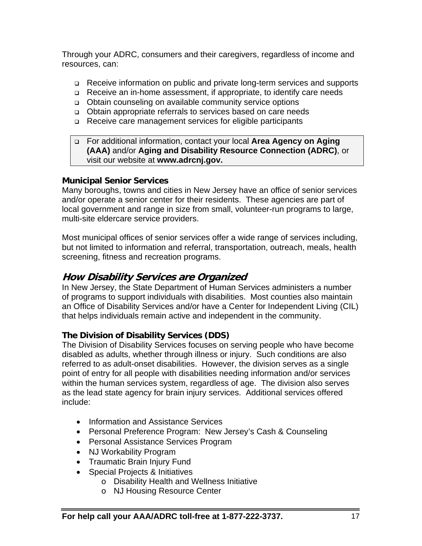Through your ADRC, consumers and their caregivers, regardless of income and resources, can:

- Receive information on public and private long-term services and supports
- Receive an in-home assessment, if appropriate, to identify care needs
- □ Obtain counseling on available community service options
- Obtain appropriate referrals to services based on care needs
- □ Receive care management services for eligible participants

#### For additional information, contact your local **Area Agency on Aging (AAA)** and/or **Aging and Disability Resource Connection (ADRC)**, or visit our website at **www.adrcnj.gov.**

#### **Municipal Senior Services**

Many boroughs, towns and cities in New Jersey have an office of senior services and/or operate a senior center for their residents. These agencies are part of local government and range in size from small, volunteer-run programs to large, multi-site eldercare service providers.

Most municipal offices of senior services offer a wide range of services including, but not limited to information and referral, transportation, outreach, meals, health screening, fitness and recreation programs.

# **How Disability Services are Organized**

In New Jersey, the State Department of Human Services administers a number of programs to support individuals with disabilities. Most counties also maintain an Office of Disability Services and/or have a Center for Independent Living (CIL) that helps individuals remain active and independent in the community.

# **The Division of Disability Services (DDS)**

The Division of Disability Services focuses on serving people who have become disabled as adults, whether through illness or injury. Such conditions are also referred to as adult-onset disabilities. However, the division serves as a single point of entry for all people with disabilities needing information and/or services within the human services system, regardless of age. The division also serves as the lead state agency for brain injury services. Additional services offered include:

- Information and Assistance Services
- Personal Preference Program: New Jersey's Cash & Counseling
- Personal Assistance Services Program
- NJ Workability Program
- Traumatic Brain Injury Fund
- Special Projects & Initiatives
	- o Disability Health and Wellness Initiative
	- o NJ Housing Resource Center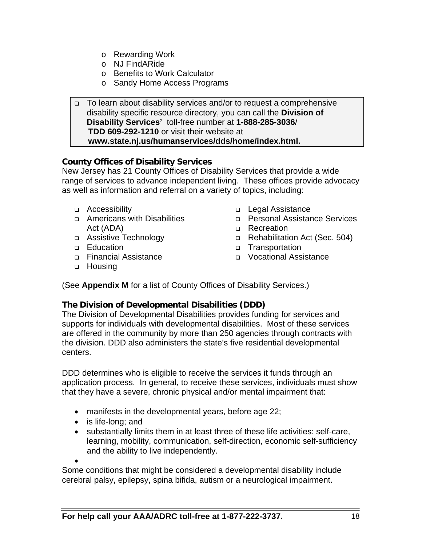- o Rewarding Work
- o NJ FindARide
- o Benefits to Work Calculator
- o Sandy Home Access Programs

 To learn about disability services and/or to request a comprehensive disability specific resource directory, you can call the **Division of Disability Services'** toll-free number at **1-888-285-3036**/ **TDD 609-292-1210** or visit their website at  **www.state.nj.us/humanservices/dds/home/index.html.** 

#### **County Offices of Disability Services**

New Jersey has 21 County Offices of Disability Services that provide a wide range of services to advance independent living. These offices provide advocacy as well as information and referral on a variety of topics, including:

- Accessibility
- □ Americans with Disabilities Act (ADA)
- Assistive Technology
- □ Education
- Financial Assistance
- □ Housing
- □ Legal Assistance
- Personal Assistance Services
- **D** Recreation
- □ Rehabilitation Act (Sec. 504)
- Transportation
- Vocational Assistance

(See **Appendix M** for a list of County Offices of Disability Services.)

#### **The Division of Developmental Disabilities (DDD)**

The Division of Developmental Disabilities provides funding for services and supports for individuals with developmental disabilities. Most of these services are offered in the community by more than 250 agencies through contracts with the division. DDD also administers the state's five residential developmental centers.

DDD determines who is eligible to receive the services it funds through an application process. In general, to receive these services, individuals must show that they have a severe, chronic physical and/or mental impairment that:

- manifests in the developmental years, before age 22;
- is life-long; and
- substantially limits them in at least three of these life activities: self-care, learning, mobility, communication, self-direction, economic self-sufficiency and the ability to live independently.

 $\bullet$ 

Some conditions that might be considered a developmental disability include cerebral palsy, epilepsy, spina bifida, autism or a neurological impairment.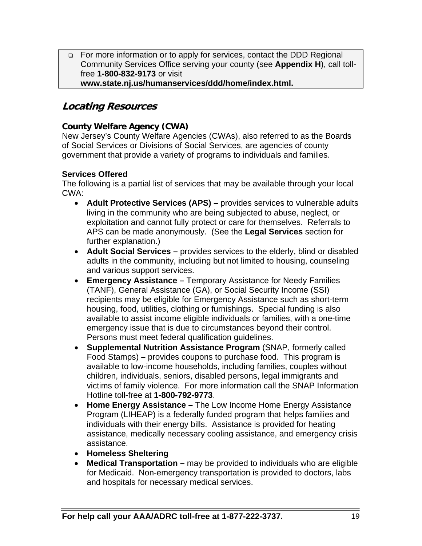□ For more information or to apply for services, contact the DDD Regional Community Services Office serving your county (see **Appendix H**), call tollfree **1-800-832-9173** or visit **www.state.nj.us/humanservices/ddd/home/index.html.** 

# **Locating Resources**

#### **County Welfare Agency (CWA)**

New Jersey's County Welfare Agencies (CWAs), also referred to as the Boards of Social Services or Divisions of Social Services, are agencies of county government that provide a variety of programs to individuals and families.

#### **Services Offered**

The following is a partial list of services that may be available through your local CWA:

- **Adult Protective Services (APS)** provides services to vulnerable adults living in the community who are being subjected to abuse, neglect, or exploitation and cannot fully protect or care for themselves. Referrals to APS can be made anonymously. (See the **Legal Services** section for further explanation.)
- **Adult Social Services –** provides services to the elderly, blind or disabled adults in the community, including but not limited to housing, counseling and various support services.
- **Emergency Assistance –** Temporary Assistance for Needy Families (TANF), General Assistance (GA), or Social Security Income (SSI) recipients may be eligible for Emergency Assistance such as short-term housing, food, utilities, clothing or furnishings. Special funding is also available to assist income eligible individuals or families, with a one-time emergency issue that is due to circumstances beyond their control. Persons must meet federal qualification guidelines.
- **Supplemental Nutrition Assistance Program** (SNAP, formerly called Food Stamps) **–** provides coupons to purchase food. This program is available to low-income households, including families, couples without children, individuals, seniors, disabled persons, legal immigrants and victims of family violence. For more information call the SNAP Information Hotline toll-free at **1-800-792-9773**.
- **Home Energy Assistance** The Low Income Home Energy Assistance Program (LIHEAP) is a federally funded program that helps families and individuals with their energy bills. Assistance is provided for heating assistance, medically necessary cooling assistance, and emergency crisis assistance.
- **Homeless Sheltering**
- **Medical Transportation –** may be provided to individuals who are eligible for Medicaid. Non-emergency transportation is provided to doctors, labs and hospitals for necessary medical services.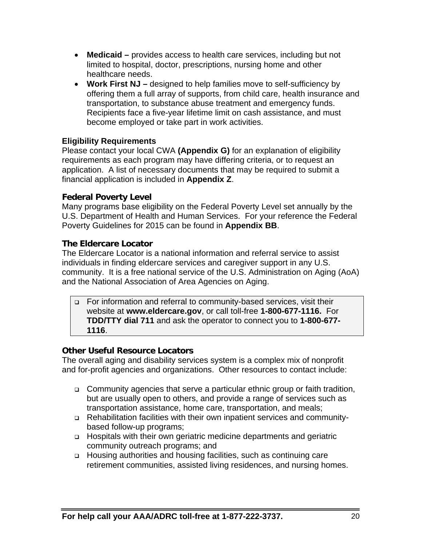- **Medicaid** provides access to health care services, including but not limited to hospital, doctor, prescriptions, nursing home and other healthcare needs.
- **Work First NJ –** designed to help families move to self-sufficiency by offering them a full array of supports, from child care, health insurance and transportation, to substance abuse treatment and emergency funds. Recipients face a five-year lifetime limit on cash assistance, and must become employed or take part in work activities.

#### **Eligibility Requirements**

Please contact your local CWA **(Appendix G)** for an explanation of eligibility requirements as each program may have differing criteria, or to request an application. A list of necessary documents that may be required to submit a financial application is included in **Appendix Z**.

#### **Federal Poverty Level**

Many programs base eligibility on the Federal Poverty Level set annually by the U.S. Department of Health and Human Services. For your reference the Federal Poverty Guidelines for 2015 can be found in **Appendix BB**.

#### **The Eldercare Locator**

The Eldercare Locator is a national information and referral service to assist individuals in finding eldercare services and caregiver support in any U.S. community. It is a free national service of the U.S. Administration on Aging (AoA) and the National Association of Area Agencies on Aging.

 For information and referral to community-based services, visit their website at **www.eldercare.gov**, or call toll-free **1-800-677-1116.** For **TDD/TTY dial 711** and ask the operator to connect you to **1-800-677- 1116**.

#### **Other Useful Resource Locators**

The overall aging and disability services system is a complex mix of nonprofit and for-profit agencies and organizations. Other resources to contact include:

- □ Community agencies that serve a particular ethnic group or faith tradition, but are usually open to others, and provide a range of services such as transportation assistance, home care, transportation, and meals;
- Rehabilitation facilities with their own inpatient services and communitybased follow-up programs;
- Hospitals with their own geriatric medicine departments and geriatric community outreach programs; and
- Housing authorities and housing facilities, such as continuing care retirement communities, assisted living residences, and nursing homes.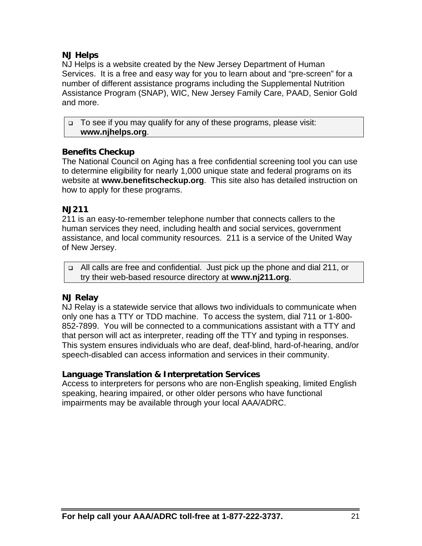#### **NJ Helps**

NJ Helps is a website created by the New Jersey Department of Human Services. It is a free and easy way for you to learn about and "pre-screen" for a number of different assistance programs including the Supplemental Nutrition Assistance Program (SNAP), WIC, New Jersey Family Care, PAAD, Senior Gold and more.

□ To see if you may qualify for any of these programs, please visit: **www.njhelps.org**.

#### **Benefits Checkup**

The National Council on Aging has a free confidential screening tool you can use to determine eligibility for nearly 1,000 unique state and federal programs on its website at **www.benefitscheckup.org**. This site also has detailed instruction on how to apply for these programs.

#### **NJ211**

211 is an easy-to-remember telephone number that connects callers to the human services they need, including health and social services, government assistance, and local community resources. 211 is a service of the United Way of New Jersey.

 All calls are free and confidential. Just pick up the phone and dial 211, or try their web-based resource directory at **www.nj211.org**.

# **NJ Relay**

NJ Relay is a statewide service that allows two individuals to communicate when only one has a TTY or TDD machine. To access the system, dial 711 or 1-800- 852-7899. You will be connected to a communications assistant with a TTY and that person will act as interpreter, reading off the TTY and typing in responses. This system ensures individuals who are deaf, deaf-blind, hard-of-hearing, and/or speech-disabled can access information and services in their community.

# **Language Translation & Interpretation Services**

Access to interpreters for persons who are non-English speaking, limited English speaking, hearing impaired, or other older persons who have functional impairments may be available through your local AAA/ADRC.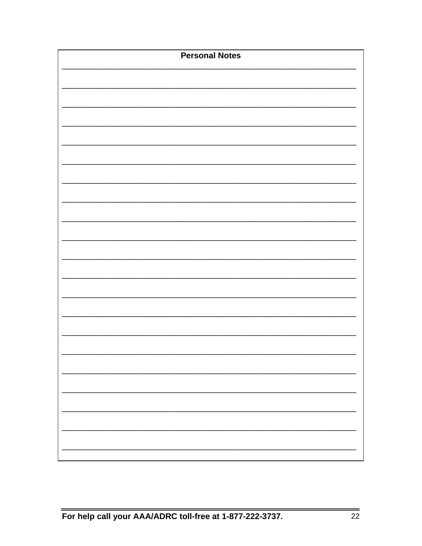| <b>Personal Notes</b> |  |
|-----------------------|--|
|                       |  |
|                       |  |
|                       |  |
|                       |  |
|                       |  |
|                       |  |
|                       |  |
|                       |  |
|                       |  |
|                       |  |
|                       |  |
|                       |  |
|                       |  |
|                       |  |
|                       |  |
|                       |  |
|                       |  |
|                       |  |
|                       |  |
|                       |  |
|                       |  |
|                       |  |
|                       |  |
|                       |  |
|                       |  |
|                       |  |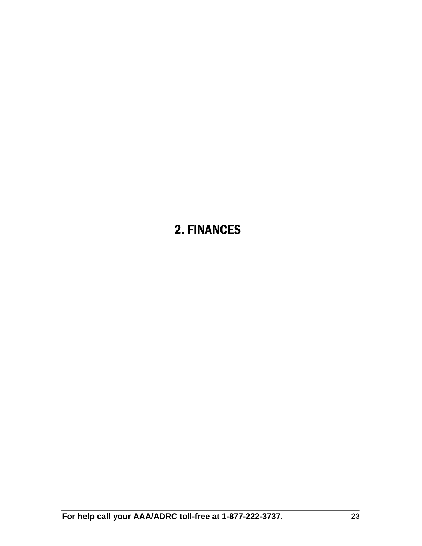# 2. FINANCES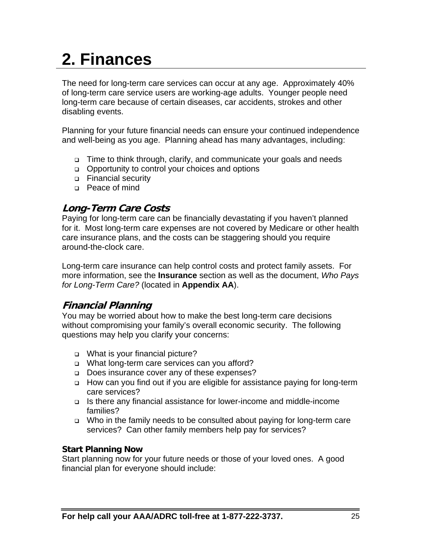# **2. Finances**

The need for long-term care services can occur at any age. Approximately 40% of long-term care service users are working-age adults. Younger people need long-term care because of certain diseases, car accidents, strokes and other disabling events.

Planning for your future financial needs can ensure your continued independence and well-being as you age. Planning ahead has many advantages, including:

- □ Time to think through, clarify, and communicate your goals and needs
- □ Opportunity to control your choices and options
- **D** Financial security
- □ Peace of mind

# **Long-Term Care Costs**

Paying for long-term care can be financially devastating if you haven't planned for it. Most long-term care expenses are not covered by Medicare or other health care insurance plans, and the costs can be staggering should you require around-the-clock care.

Long-term care insurance can help control costs and protect family assets. For more information, see the **Insurance** section as well as the document, *Who Pays for Long-Term Care?* (located in **Appendix AA**).

# **Financial Planning**

You may be worried about how to make the best long-term care decisions without compromising your family's overall economic security. The following questions may help you clarify your concerns:

- □ What is your financial picture?
- What long-term care services can you afford?
- Does insurance cover any of these expenses?
- □ How can you find out if you are eligible for assistance paying for long-term care services?
- Is there any financial assistance for lower-income and middle-income families?
- □ Who in the family needs to be consulted about paying for long-term care services? Can other family members help pay for services?

#### **Start Planning Now**

Start planning now for your future needs or those of your loved ones. A good financial plan for everyone should include: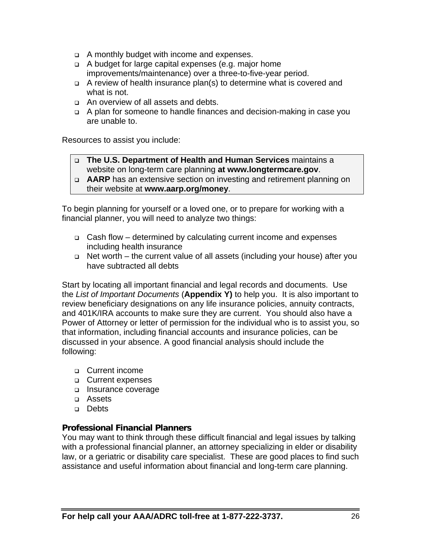- A monthly budget with income and expenses.
- A budget for large capital expenses (e.g. major home improvements/maintenance) over a three-to-five-year period.
- A review of health insurance plan(s) to determine what is covered and what is not.
- An overview of all assets and debts.
- A plan for someone to handle finances and decision-making in case you are unable to.

Resources to assist you include:

 **The U.S. Department of Health and Human Services** maintains a website on long-term care planning **at www.longtermcare.gov**.

 **AARP** has an extensive section on investing and retirement planning on their website at **www.aarp.org/money**.

To begin planning for yourself or a loved one, or to prepare for working with a financial planner, you will need to analyze two things:

- Cash flow determined by calculating current income and expenses including health insurance
- □ Net worth the current value of all assets (including your house) after you have subtracted all debts

Start by locating all important financial and legal records and documents. Use the *List of Important Documents* (**Appendix Y)** to help you. It is also important to review beneficiary designations on any life insurance policies, annuity contracts, and 401K/IRA accounts to make sure they are current. You should also have a Power of Attorney or letter of permission for the individual who is to assist you, so that information, including financial accounts and insurance policies, can be discussed in your absence. A good financial analysis should include the following:

- Current income
- **Q** Current expenses
- □ Insurance coverage
- Assets
- **Debts**

#### **Professional Financial Planners**

You may want to think through these difficult financial and legal issues by talking with a professional financial planner, an attorney specializing in elder or disability law, or a geriatric or disability care specialist. These are good places to find such assistance and useful information about financial and long-term care planning.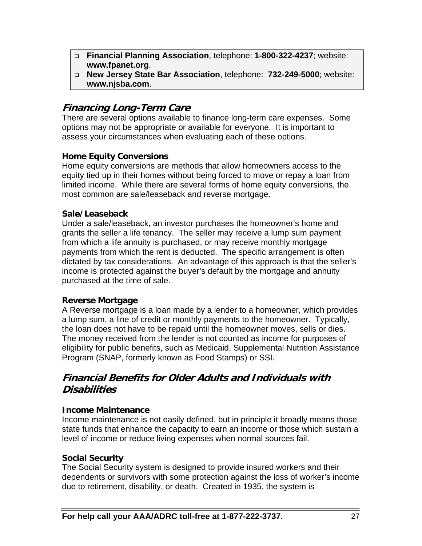- **Financial Planning Association**, telephone: **1-800-322-4237**; website: **www.fpanet.org**.
- **New Jersey State Bar Association**, telephone: **732-249-5000**; website: **www.njsba.com**.

# **Financing Long-Term Care**

There are several options available to finance long-term care expenses. Some options may not be appropriate or available for everyone. It is important to assess your circumstances when evaluating each of these options.

#### **Home Equity Conversions**

Home equity conversions are methods that allow homeowners access to the equity tied up in their homes without being forced to move or repay a loan from limited income. While there are several forms of home equity conversions, the most common are sale/leaseback and reverse mortgage.

#### **Sale/Leaseback**

Under a sale/leaseback, an investor purchases the homeowner's home and grants the seller a life tenancy. The seller may receive a lump sum payment from which a life annuity is purchased, or may receive monthly mortgage payments from which the rent is deducted. The specific arrangement is often dictated by tax considerations. An advantage of this approach is that the seller's income is protected against the buyer's default by the mortgage and annuity purchased at the time of sale.

# **Reverse Mortgage**

A Reverse mortgage is a loan made by a lender to a homeowner, which provides a lump sum, a line of credit or monthly payments to the homeowner. Typically, the loan does not have to be repaid until the homeowner moves, sells or dies. The money received from the lender is not counted as income for purposes of eligibility for public benefits, such as Medicaid, Supplemental Nutrition Assistance Program (SNAP, formerly known as Food Stamps) or SSI.

# **Financial Benefits for Older Adults and Individuals with Disabilities**

#### **Income Maintenance**

Income maintenance is not easily defined, but in principle it broadly means those state funds that enhance the capacity to earn an income or those which sustain a level of income or reduce living expenses when normal sources fail.

#### **Social Security**

The Social Security system is designed to provide insured workers and their dependents or survivors with some protection against the loss of worker's income due to retirement, disability, or death. Created in 1935, the system is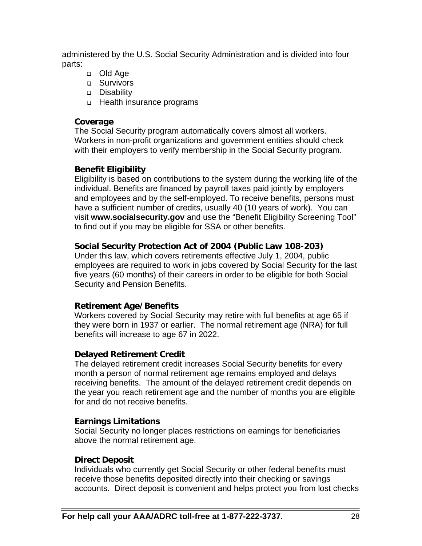administered by the U.S. Social Security Administration and is divided into four parts:

- □ Old Age
- **D** Survivors
- Disability
- □ Health insurance programs

#### **Coverage**

The Social Security program automatically covers almost all workers. Workers in non-profit organizations and government entities should check with their employers to verify membership in the Social Security program.

# **Benefit Eligibility**

Eligibility is based on contributions to the system during the working life of the individual. Benefits are financed by payroll taxes paid jointly by employers and employees and by the self-employed. To receive benefits, persons must have a sufficient number of credits, usually 40 (10 years of work). You can visit **www.socialsecurity.gov** and use the "Benefit Eligibility Screening Tool" to find out if you may be eligible for SSA or other benefits.

# **Social Security Protection Act of 2004 (Public Law 108-203)**

Under this law, which covers retirements effective July 1, 2004, public employees are required to work in jobs covered by Social Security for the last five years (60 months) of their careers in order to be eligible for both Social Security and Pension Benefits.

# **Retirement Age/Benefits**

Workers covered by Social Security may retire with full benefits at age 65 if they were born in 1937 or earlier. The normal retirement age (NRA) for full benefits will increase to age 67 in 2022.

# **Delayed Retirement Credit**

The delayed retirement credit increases Social Security benefits for every month a person of normal retirement age remains employed and delays receiving benefits. The amount of the delayed retirement credit depends on the year you reach retirement age and the number of months you are eligible for and do not receive benefits.

# **Earnings Limitations**

Social Security no longer places restrictions on earnings for beneficiaries above the normal retirement age.

# **Direct Deposit**

Individuals who currently get Social Security or other federal benefits must receive those benefits deposited directly into their checking or savings accounts. Direct deposit is convenient and helps protect you from lost checks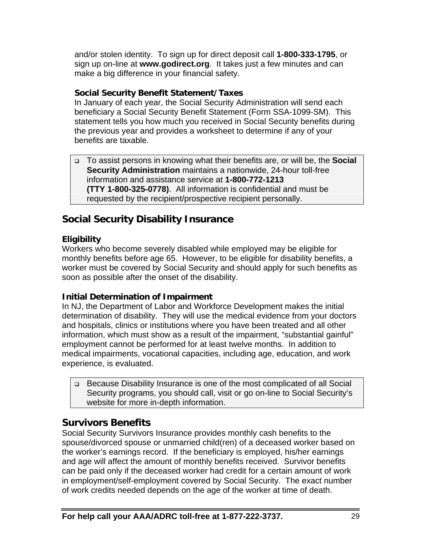and/or stolen identity. To sign up for direct deposit call **1-800-333-1795**, or sign up on-line at **www.godirect.org**. It takes just a few minutes and can make a big difference in your financial safety.

#### **Social Security Benefit Statement/Taxes**

In January of each year, the Social Security Administration will send each beneficiary a Social Security Benefit Statement (Form SSA-1099-SM). This statement tells you how much you received in Social Security benefits during the previous year and provides a worksheet to determine if any of your benefits are taxable.

 To assist persons in knowing what their benefits are, or will be, the **Social Security Administration** maintains a nationwide, 24-hour toll-free information and assistance service at **1-800-772-1213 (TTY 1-800-325-0778)**. All information is confidential and must be requested by the recipient/prospective recipient personally.

# **Social Security Disability Insurance**

#### **Eligibility**

Workers who become severely disabled while employed may be eligible for monthly benefits before age 65. However, to be eligible for disability benefits, a worker must be covered by Social Security and should apply for such benefits as soon as possible after the onset of the disability.

#### **Initial Determination of Impairment**

In NJ, the Department of Labor and Workforce Development makes the initial determination of disability. They will use the medical evidence from your doctors and hospitals, clinics or institutions where you have been treated and all other information, which must show as a result of the impairment, "substantial gainful" employment cannot be performed for at least twelve months. In addition to medical impairments, vocational capacities, including age, education, and work experience, is evaluated.

 Because Disability Insurance is one of the most complicated of all Social Security programs, you should call, visit or go on-line to Social Security's website for more in-depth information.

# **Survivors Benefits**

Social Security Survivors Insurance provides monthly cash benefits to the spouse/divorced spouse or unmarried child(ren) of a deceased worker based on the worker's earnings record. If the beneficiary is employed, his/her earnings and age will affect the amount of monthly benefits received. Survivor benefits can be paid only if the deceased worker had credit for a certain amount of work in employment/self-employment covered by Social Security. The exact number of work credits needed depends on the age of the worker at time of death.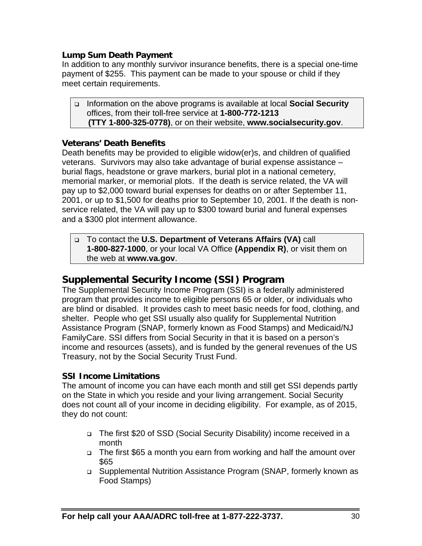#### **Lump Sum Death Payment**

In addition to any monthly survivor insurance benefits, there is a special one-time payment of \$255. This payment can be made to your spouse or child if they meet certain requirements.

 Information on the above programs is available at local **Social Security** offices, from their toll-free service at **1-800-772-1213 (TTY 1-800-325-0778)**, or on their website, **www.socialsecurity.gov**.

#### **Veterans' Death Benefits**

Death benefits may be provided to eligible widow(er)s, and children of qualified veterans. Survivors may also take advantage of burial expense assistance – burial flags, headstone or grave markers, burial plot in a national cemetery, memorial marker, or memorial plots. If the death is service related, the VA will pay up to \$2,000 toward burial expenses for deaths on or after September 11, 2001, or up to \$1,500 for deaths prior to September 10, 2001. If the death is nonservice related, the VA will pay up to \$300 toward burial and funeral expenses and a \$300 plot interment allowance.

 To contact the **U.S. Department of Veterans Affairs (VA)** call **1-800-827-1000**, or your local VA Office **(Appendix R)**, or visit them on the web at **www.va.gov**.

# **Supplemental Security Income (SSI) Program**

The Supplemental Security Income Program (SSI) is a federally administered program that provides income to eligible persons 65 or older, or individuals who are blind or disabled. It provides cash to meet basic needs for food, clothing, and shelter. People who get SSI usually also qualify for Supplemental Nutrition Assistance Program (SNAP, formerly known as Food Stamps) and Medicaid/NJ FamilyCare. SSI differs from Social Security in that it is based on a person's income and resources (assets), and is funded by the general revenues of the US Treasury, not by the Social Security Trust Fund.

#### **SSI Income Limitations**

The amount of income you can have each month and still get SSI depends partly on the State in which you reside and your living arrangement. Social Security does not count all of your income in deciding eligibility. For example, as of 2015, they do not count:

- The first \$20 of SSD (Social Security Disability) income received in a month
- The first \$65 a month you earn from working and half the amount over \$65
- Supplemental Nutrition Assistance Program (SNAP, formerly known as Food Stamps)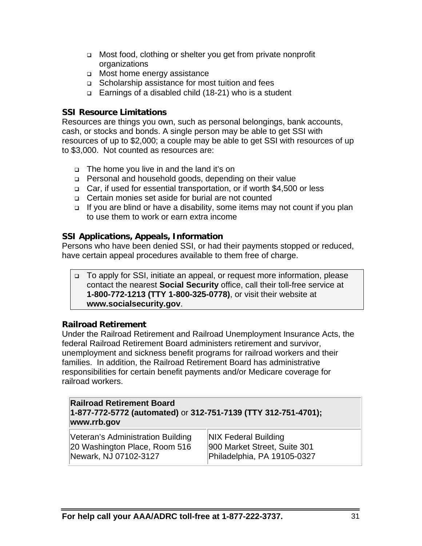- □ Most food, clothing or shelter you get from private nonprofit organizations
- □ Most home energy assistance
- Scholarship assistance for most tuition and fees
- Earnings of a disabled child (18-21) who is a student

#### **SSI Resource Limitations**

Resources are things you own, such as personal belongings, bank accounts, cash, or stocks and bonds. A single person may be able to get SSI with resources of up to \$2,000; a couple may be able to get SSI with resources of up to \$3,000. Not counted as resources are:

- The home you live in and the land it's on
- Personal and household goods, depending on their value
- □ Car, if used for essential transportation, or if worth \$4,500 or less
- Certain monies set aside for burial are not counted
- □ If you are blind or have a disability, some items may not count if you plan to use them to work or earn extra income

# **SSI Applications, Appeals, Information**

Persons who have been denied SSI, or had their payments stopped or reduced, have certain appeal procedures available to them free of charge.

□ To apply for SSI, initiate an appeal, or request more information, please contact the nearest **Social Security** office, call their toll-free service at **1-800-772-1213 (TTY 1-800-325-0778)**, or visit their website at **www.socialsecurity.gov**.

# **Railroad Retirement**

Under the Railroad Retirement and Railroad Unemployment Insurance Acts, the federal Railroad Retirement Board administers retirement and survivor, unemployment and sickness benefit programs for railroad workers and their families. In addition, the Railroad Retirement Board has administrative responsibilities for certain benefit payments and/or Medicare coverage for railroad workers.

| <b>Railroad Retirement Board</b>                               |
|----------------------------------------------------------------|
| 1-877-772-5772 (automated) or 312-751-7139 (TTY 312-751-4701); |
| www.rrb.gov                                                    |

| Veteran's Administration Building | <b>NIX Federal Building</b>  |
|-----------------------------------|------------------------------|
| 20 Washington Place, Room 516     | 900 Market Street, Suite 301 |
| Newark, NJ 07102-3127             | Philadelphia, PA 19105-0327  |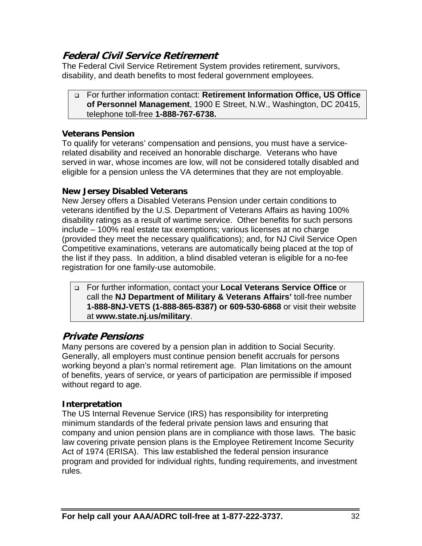# **Federal Civil Service Retirement**

The Federal Civil Service Retirement System provides retirement, survivors, disability, and death benefits to most federal government employees.

 For further information contact: **Retirement Information Office, US Office of Personnel Management**, 1900 E Street, N.W., Washington, DC 20415, telephone toll-free **1-888-767-6738.**

#### **Veterans Pension**

To qualify for veterans' compensation and pensions, you must have a servicerelated disability and received an honorable discharge. Veterans who have served in war, whose incomes are low, will not be considered totally disabled and eligible for a pension unless the VA determines that they are not employable.

#### **New Jersey Disabled Veterans**

New Jersey offers a Disabled Veterans Pension under certain conditions to veterans identified by the U.S. Department of Veterans Affairs as having 100% disability ratings as a result of wartime service. Other benefits for such persons include – 100% real estate tax exemptions; various licenses at no charge (provided they meet the necessary qualifications); and, for NJ Civil Service Open Competitive examinations, veterans are automatically being placed at the top of the list if they pass. In addition, a blind disabled veteran is eligible for a no-fee registration for one family-use automobile.

 For further information, contact your **Local Veterans Service Office** or call the **NJ Department of Military & Veterans Affairs'** toll-free number **1-888-8NJ-VETS (1-888-865-8387) or 609-530-6868** or visit their website at **www.state.nj.us/military**.

# **Private Pensions**

Many persons are covered by a pension plan in addition to Social Security. Generally, all employers must continue pension benefit accruals for persons working beyond a plan's normal retirement age. Plan limitations on the amount of benefits, years of service, or years of participation are permissible if imposed without regard to age.

#### **Interpretation**

The US Internal Revenue Service (IRS) has responsibility for interpreting minimum standards of the federal private pension laws and ensuring that company and union pension plans are in compliance with those laws. The basic law covering private pension plans is the Employee Retirement Income Security Act of 1974 (ERISA). This law established the federal pension insurance program and provided for individual rights, funding requirements, and investment rules.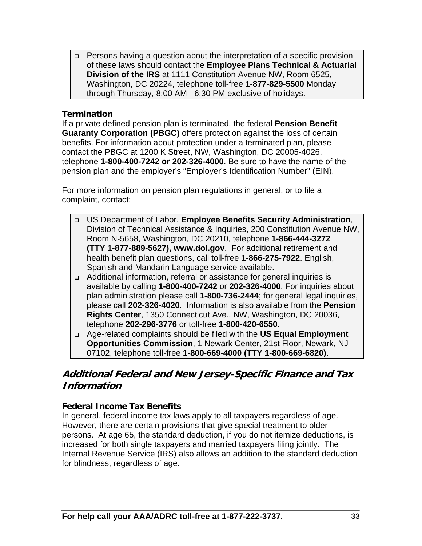□ Persons having a question about the interpretation of a specific provision of these laws should contact the **Employee Plans Technical & Actuarial Division of the IRS** at 1111 Constitution Avenue NW, Room 6525, Washington, DC 20224, telephone toll-free **1-877-829-5500** Monday through Thursday, 8:00 AM - 6:30 PM exclusive of holidays.

#### **Termination**

If a private defined pension plan is terminated, the federal **Pension Benefit Guaranty Corporation (PBGC)** offers protection against the loss of certain benefits. For information about protection under a terminated plan, please contact the PBGC at 1200 K Street, NW, Washington, DC 20005-4026, telephone **1-800-400-7242 or 202-326-4000**. Be sure to have the name of the pension plan and the employer's "Employer's Identification Number" (EIN).

For more information on pension plan regulations in general, or to file a complaint, contact:

- US Department of Labor, **Employee Benefits Security Administration**, Division of Technical Assistance & Inquiries, 200 Constitution Avenue NW, Room N-5658, Washington, DC 20210, telephone **1-866-444-3272 (TTY 1-877-889-5627), www.dol.gov**. For additional retirement and health benefit plan questions, call toll-free **1-866-275-7922**. English, Spanish and Mandarin Language service available.
- Additional information, referral or assistance for general inquiries is available by calling **1-800-400-7242** or **202-326-4000**. For inquiries about plan administration please call **1-800-736-2444**; for general legal inquiries, please call **202-326-4020**. Information is also available from the **Pension Rights Center**, 1350 Connecticut Ave., NW, Washington, DC 20036, telephone **202-296-3776** or toll-free **1-800-420-6550**.
- Age-related complaints should be filed with the **US Equal Employment Opportunities Commission**, 1 Newark Center, 21st Floor, Newark, NJ 07102, telephone toll-free **1-800-669-4000 (TTY 1-800-669-6820)**.

# **Additional Federal and New Jersey-Specific Finance and Tax Information**

#### **Federal Income Tax Benefits**

In general, federal income tax laws apply to all taxpayers regardless of age. However, there are certain provisions that give special treatment to older persons. At age 65, the standard deduction, if you do not itemize deductions, is increased for both single taxpayers and married taxpayers filing jointly. The Internal Revenue Service (IRS) also allows an addition to the standard deduction for blindness, regardless of age.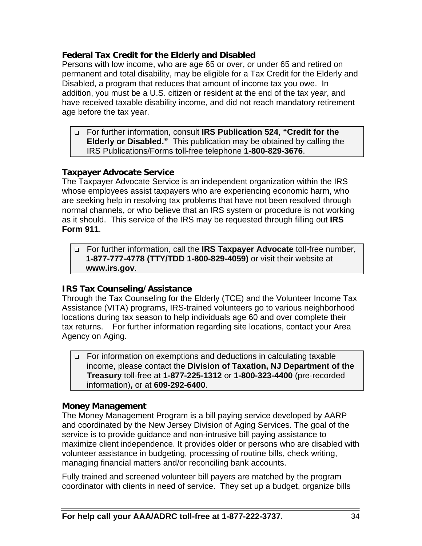#### **Federal Tax Credit for the Elderly and Disabled**

Persons with low income, who are age 65 or over, or under 65 and retired on permanent and total disability, may be eligible for a Tax Credit for the Elderly and Disabled, a program that reduces that amount of income tax you owe. In addition, you must be a U.S. citizen or resident at the end of the tax year, and have received taxable disability income, and did not reach mandatory retirement age before the tax year.

 For further information, consult **IRS Publication 524**, **"Credit for the Elderly or Disabled."** This publication may be obtained by calling the IRS Publications/Forms toll-free telephone **1-800-829-3676**.

#### **Taxpayer Advocate Service**

The Taxpayer Advocate Service is an independent organization within the IRS whose employees assist taxpayers who are experiencing economic harm, who are seeking help in resolving tax problems that have not been resolved through normal channels, or who believe that an IRS system or procedure is not working as it should. This service of the IRS may be requested through filling out **IRS Form 911**.

 For further information, call the **IRS Taxpayer Advocate** toll-free number, **1-877-777-4778 (TTY/TDD 1-800-829-4059)** or visit their website at  **www.irs.gov**.

#### **IRS Tax Counseling/Assistance**

Through the Tax Counseling for the Elderly (TCE) and the Volunteer Income Tax Assistance (VITA) programs, IRS-trained volunteers go to various neighborhood locations during tax season to help individuals age 60 and over complete their tax returns. For further information regarding site locations, contact your Area Agency on Aging.

 For information on exemptions and deductions in calculating taxable income, please contact the **Division of Taxation, NJ Department of the Treasury** toll-free at **1-877-225-1312** or **1-800-323-4400** (pre-recorded information)**,** or at **609-292-6400**.

#### **Money Management**

The Money Management Program is a bill paying service developed by AARP and coordinated by the New Jersey Division of Aging Services. The goal of the service is to provide guidance and non-intrusive bill paying assistance to maximize client independence. It provides older or persons who are disabled with volunteer assistance in budgeting, processing of routine bills, check writing, managing financial matters and/or reconciling bank accounts.

Fully trained and screened volunteer bill payers are matched by the program coordinator with clients in need of service. They set up a budget, organize bills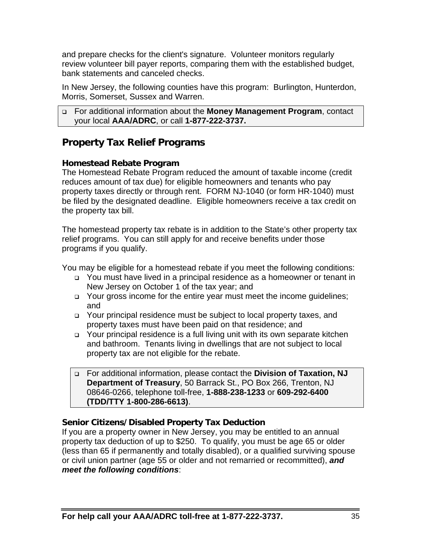and prepare checks for the client's signature. Volunteer monitors regularly review volunteer bill payer reports, comparing them with the established budget, bank statements and canceled checks.

In New Jersey, the following counties have this program: Burlington, Hunterdon, Morris, Somerset, Sussex and Warren.

```
 For additional information about the Money Management Program, contact 
your local AAA/ADRC, or call 1-877-222-3737.
```
# **Property Tax Relief Programs**

## **Homestead Rebate Program**

The Homestead Rebate Program reduced the amount of taxable income (credit reduces amount of tax due) for eligible homeowners and tenants who pay property taxes directly or through rent. FORM NJ-1040 (or form HR-1040) must be filed by the designated deadline. Eligible homeowners receive a tax credit on the property tax bill.

The homestead property tax rebate is in addition to the State's other property tax relief programs. You can still apply for and receive benefits under those programs if you qualify.

You may be eligible for a homestead rebate if you meet the following conditions:

- □ You must have lived in a principal residence as a homeowner or tenant in New Jersey on October 1 of the tax year; and
- □ Your gross income for the entire year must meet the income guidelines; and
- Your principal residence must be subject to local property taxes, and property taxes must have been paid on that residence; and
- □ Your principal residence is a full living unit with its own separate kitchen and bathroom. Tenants living in dwellings that are not subject to local property tax are not eligible for the rebate.
- For additional information, please contact the **Division of Taxation, NJ Department of Treasury**, 50 Barrack St., PO Box 266, Trenton, NJ 08646-0266, telephone toll-free, **1-888-238-1233** or **609-292-6400 (TDD/TTY 1-800-286-6613)**.

## **Senior Citizens/Disabled Property Tax Deduction**

If you are a property owner in New Jersey, you may be entitled to an annual property tax deduction of up to \$250. To qualify, you must be age 65 or older (less than 65 if permanently and totally disabled), or a qualified surviving spouse or civil union partner (age 55 or older and not remarried or recommitted), *and meet the following conditions*: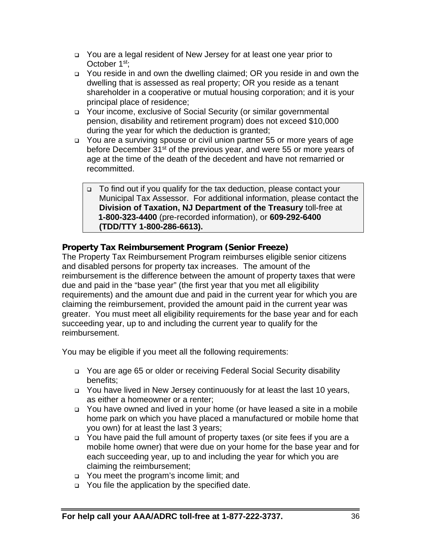- You are a legal resident of New Jersey for at least one year prior to October 1<sup>st</sup>:
- □ You reside in and own the dwelling claimed; OR you reside in and own the dwelling that is assessed as real property; OR you reside as a tenant shareholder in a cooperative or mutual housing corporation; and it is your principal place of residence;
- Your income, exclusive of Social Security (or similar governmental pension, disability and retirement program) does not exceed \$10,000 during the year for which the deduction is granted;
- You are a surviving spouse or civil union partner 55 or more years of age before December  $31^{st}$  of the previous year, and were 55 or more years of age at the time of the death of the decedent and have not remarried or recommitted.
	- □ To find out if you qualify for the tax deduction, please contact your Municipal Tax Assessor. For additional information, please contact the **Division of Taxation, NJ Department of the Treasury** toll-free at **1-800-323-4400** (pre-recorded information), or **609-292-6400 (TDD/TTY 1-800-286-6613).**

## **Property Tax Reimbursement Program (Senior Freeze)**

The Property Tax Reimbursement Program reimburses eligible senior citizens and disabled persons for property tax increases. The amount of the reimbursement is the difference between the amount of property taxes that were due and paid in the "base year" (the first year that you met all eligibility requirements) and the amount due and paid in the current year for which you are claiming the reimbursement, provided the amount paid in the current year was greater. You must meet all eligibility requirements for the base year and for each succeeding year, up to and including the current year to qualify for the reimbursement.

You may be eligible if you meet all the following requirements:

- □ You are age 65 or older or receiving Federal Social Security disability benefits;
- You have lived in New Jersey continuously for at least the last 10 years, as either a homeowner or a renter;
- You have owned and lived in your home (or have leased a site in a mobile home park on which you have placed a manufactured or mobile home that you own) for at least the last 3 years;
- You have paid the full amount of property taxes (or site fees if you are a mobile home owner) that were due on your home for the base year and for each succeeding year, up to and including the year for which you are claiming the reimbursement;
- You meet the program's income limit; and
- $\Box$  You file the application by the specified date.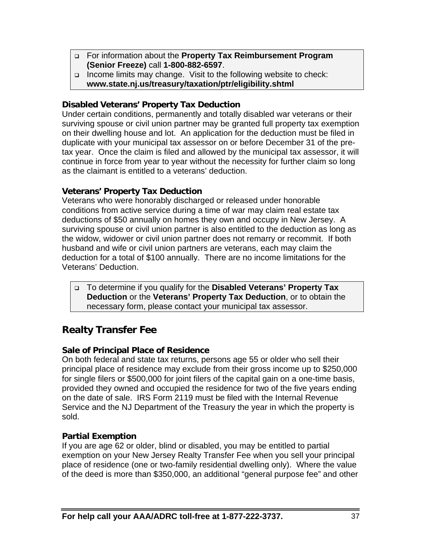- For information about the **Property Tax Reimbursement Program (Senior Freeze)** call **1-800-882-6597**.
- □ Income limits may change. Visit to the following website to check: **www.state.nj.us/treasury/taxation/ptr/eligibility.shtml**

## **Disabled Veterans' Property Tax Deduction**

Under certain conditions, permanently and totally disabled war veterans or their surviving spouse or civil union partner may be granted full property tax exemption on their dwelling house and lot. An application for the deduction must be filed in duplicate with your municipal tax assessor on or before December 31 of the pretax year. Once the claim is filed and allowed by the municipal tax assessor, it will continue in force from year to year without the necessity for further claim so long as the claimant is entitled to a veterans' deduction.

## **Veterans' Property Tax Deduction**

Veterans who were honorably discharged or released under honorable conditions from active service during a time of war may claim real estate tax deductions of \$50 annually on homes they own and occupy in New Jersey. A surviving spouse or civil union partner is also entitled to the deduction as long as the widow, widower or civil union partner does not remarry or recommit. If both husband and wife or civil union partners are veterans, each may claim the deduction for a total of \$100 annually. There are no income limitations for the Veterans' Deduction.

 To determine if you qualify for the **Disabled Veterans' Property Tax Deduction** or the **Veterans' Property Tax Deduction**, or to obtain the necessary form, please contact your municipal tax assessor.

# **Realty Transfer Fee**

## **Sale of Principal Place of Residence**

On both federal and state tax returns, persons age 55 or older who sell their principal place of residence may exclude from their gross income up to \$250,000 for single filers or \$500,000 for joint filers of the capital gain on a one-time basis, provided they owned and occupied the residence for two of the five years ending on the date of sale. IRS Form 2119 must be filed with the Internal Revenue Service and the NJ Department of the Treasury the year in which the property is sold.

## **Partial Exemption**

If you are age 62 or older, blind or disabled, you may be entitled to partial exemption on your New Jersey Realty Transfer Fee when you sell your principal place of residence (one or two-family residential dwelling only). Where the value of the deed is more than \$350,000, an additional "general purpose fee" and other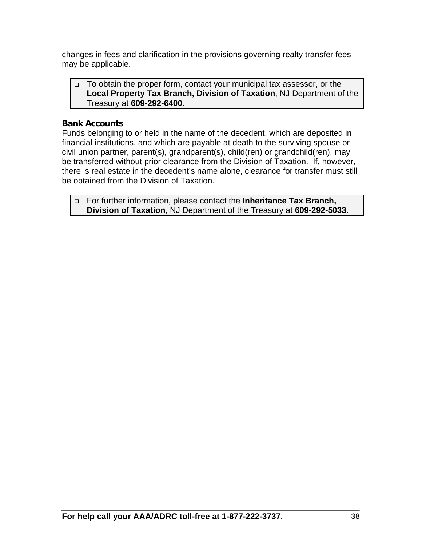changes in fees and clarification in the provisions governing realty transfer fees may be applicable.

 To obtain the proper form, contact your municipal tax assessor, or the **Local Property Tax Branch, Division of Taxation**, NJ Department of the Treasury at **609-292-6400**.

## **Bank Accounts**

Funds belonging to or held in the name of the decedent, which are deposited in financial institutions, and which are payable at death to the surviving spouse or civil union partner, parent(s), grandparent(s), child(ren) or grandchild(ren), may be transferred without prior clearance from the Division of Taxation. If, however, there is real estate in the decedent's name alone, clearance for transfer must still be obtained from the Division of Taxation.

 For further information, please contact the **Inheritance Tax Branch, Division of Taxation**, NJ Department of the Treasury at **609-292-5033**.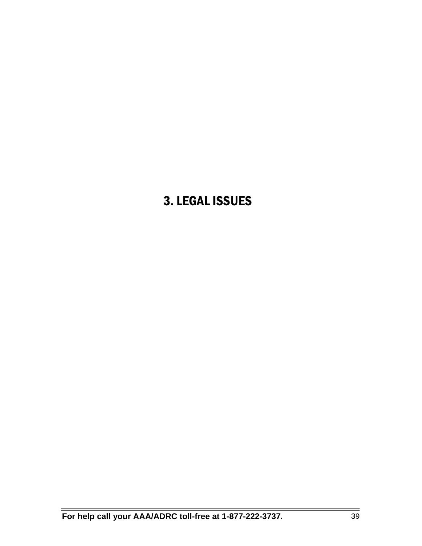# 3. LEGAL ISSUES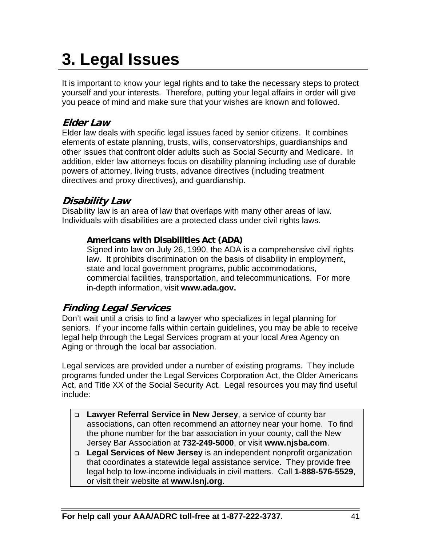# **3. Legal Issues**

It is important to know your legal rights and to take the necessary steps to protect yourself and your interests. Therefore, putting your legal affairs in order will give you peace of mind and make sure that your wishes are known and followed.

# **Elder Law**

Elder law deals with specific legal issues faced by senior citizens. It combines elements of estate planning, trusts, wills, conservatorships, guardianships and other issues that confront older adults such as Social Security and Medicare. In addition, elder law attorneys focus on disability planning including use of durable powers of attorney, living trusts, advance directives (including treatment directives and proxy directives), and guardianship.

## **Disability Law**

Disability law is an area of law that overlaps with many other areas of law. Individuals with disabilities are a protected class under civil rights laws.

## **Americans with Disabilities Act (ADA)**

Signed into law on July 26, 1990, the ADA is a comprehensive civil rights law. It prohibits discrimination on the basis of disability in employment, state and local government programs, public accommodations, commercial facilities, transportation, and telecommunications. For more in-depth information, visit **www.ada.gov.**

## **Finding Legal Services**

Don't wait until a crisis to find a lawyer who specializes in legal planning for seniors. If your income falls within certain guidelines, you may be able to receive legal help through the Legal Services program at your local Area Agency on Aging or through the local bar association.

Legal services are provided under a number of existing programs. They include programs funded under the Legal Services Corporation Act, the Older Americans Act, and Title XX of the Social Security Act. Legal resources you may find useful include:

- **Lawyer Referral Service in New Jersey**, a service of county bar associations, can often recommend an attorney near your home. To find the phone number for the bar association in your county, call the New Jersey Bar Association at **732-249-5000**, or visit **www.njsba.com**.
- **Legal Services of New Jersey** is an independent nonprofit organization that coordinates a statewide legal assistance service. They provide free legal help to low-income individuals in civil matters. Call **1-888-576-5529**, or visit their website at **www.lsnj.org**.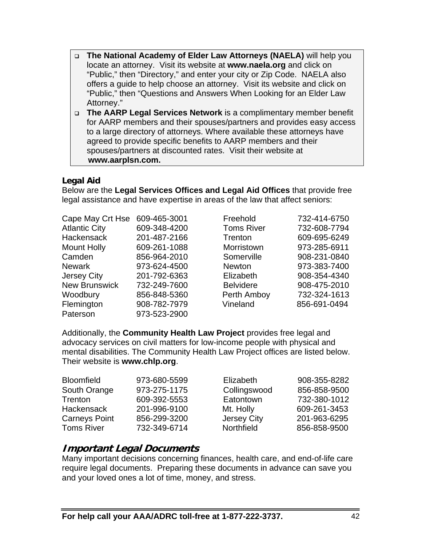- **The National Academy of Elder Law Attorneys (NAELA)** will help you locate an attorney. Visit its website at **www.naela.org** and click on "Public," then "Directory," and enter your city or Zip Code. NAELA also offers a guide to help choose an attorney. Visit its website and click on "Public," then "Questions and Answers When Looking for an Elder Law Attorney."
- **The AARP Legal Services Network** is a complimentary member benefit for AARP members and their spouses/partners and provides easy access to a large directory of attorneys. Where available these attorneys have agreed to provide specific benefits to AARP members and their spouses/partners at discounted rates. Visit their website at  **www.aarplsn.com.**

## **Legal Aid**

Below are the **Legal Services Offices and Legal Aid Offices** that provide free legal assistance and have expertise in areas of the law that affect seniors:

| Cape May Crt Hse     | 609-465-3001 | Freehold          | 732-414-6750 |
|----------------------|--------------|-------------------|--------------|
| <b>Atlantic City</b> | 609-348-4200 | <b>Toms River</b> | 732-608-7794 |
| <b>Hackensack</b>    | 201-487-2166 | Trenton           | 609-695-6249 |
| <b>Mount Holly</b>   | 609-261-1088 | Morristown        | 973-285-6911 |
| Camden               | 856-964-2010 | Somerville        | 908-231-0840 |
| <b>Newark</b>        | 973-624-4500 | <b>Newton</b>     | 973-383-7400 |
| <b>Jersey City</b>   | 201-792-6363 | Elizabeth         | 908-354-4340 |
| <b>New Brunswick</b> | 732-249-7600 | <b>Belvidere</b>  | 908-475-2010 |
| Woodbury             | 856-848-5360 | Perth Amboy       | 732-324-1613 |
| Flemington           | 908-782-7979 | Vineland          | 856-691-0494 |
| Paterson             | 973-523-2900 |                   |              |
|                      |              |                   |              |

| Freehold         | 732-414-6750 |
|------------------|--------------|
| Toms River       | 732-608-7794 |
| Trenton          | 609-695-6249 |
| Morristown       | 973-285-6911 |
| Somerville       | 908-231-0840 |
| Newton           | 973-383-7400 |
| Elizabeth        | 908-354-4340 |
| <b>Belvidere</b> | 908-475-2010 |
| Perth Amboy      | 732-324-1613 |
| Vineland         | 856-691-0494 |
|                  |              |

Additionally, the **Community Health Law Project** provides free legal and advocacy services on civil matters for low-income people with physical and mental disabilities. The Community Health Law Project offices are listed below. Their website is **www.chlp.org**.

| <b>Bloomfield</b>    | 973-680-5599 | Elizabeth          | 908-355-8282 |
|----------------------|--------------|--------------------|--------------|
| South Orange         | 973-275-1175 | Collingswood       | 856-858-9500 |
| <b>Trenton</b>       | 609-392-5553 | Eatontown          | 732-380-1012 |
| <b>Hackensack</b>    | 201-996-9100 | Mt. Holly          | 609-261-3453 |
| <b>Carneys Point</b> | 856-299-3200 | <b>Jersey City</b> | 201-963-6295 |
| <b>Toms River</b>    | 732-349-6714 | Northfield         | 856-858-9500 |

## **Important Legal Documents**

Many important decisions concerning finances, health care, and end-of-life care require legal documents. Preparing these documents in advance can save you and your loved ones a lot of time, money, and stress.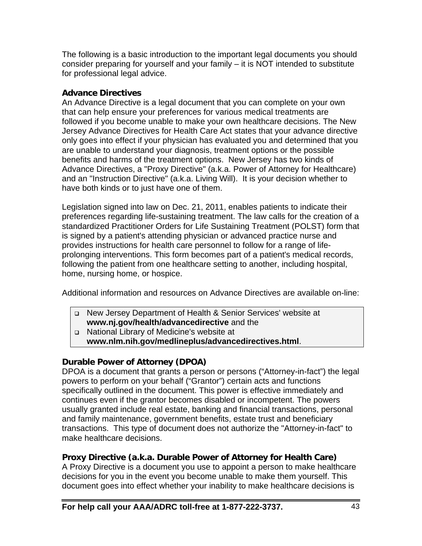The following is a basic introduction to the important legal documents you should consider preparing for yourself and your family – it is NOT intended to substitute for professional legal advice.

## **Advance Directives**

An Advance Directive is a legal document that you can complete on your own that can help ensure your preferences for various medical treatments are followed if you become unable to make your own healthcare decisions. The New Jersey Advance Directives for Health Care Act states that your advance directive only goes into effect if your physician has evaluated you and determined that you are unable to understand your diagnosis, treatment options or the possible benefits and harms of the treatment options. New Jersey has two kinds of Advance Directives, a "Proxy Directive" (a.k.a. Power of Attorney for Healthcare) and an "Instruction Directive" (a.k.a. Living Will). It is your decision whether to have both kinds or to just have one of them.

Legislation signed into law on Dec. 21, 2011, enables patients to indicate their preferences regarding life-sustaining treatment. The law calls for the creation of a standardized Practitioner Orders for Life Sustaining Treatment (POLST) form that is signed by a patient's attending physician or advanced practice nurse and provides instructions for health care personnel to follow for a range of lifeprolonging interventions. This form becomes part of a patient's medical records, following the patient from one healthcare setting to another, including hospital, home, nursing home, or hospice.

Additional information and resources on Advance Directives are available on-line:

 New Jersey Department of Health & Senior Services' website at **www.nj.gov/health/advancedirective** and the

National Library of Medicine's website at

**www.nlm.nih.gov/medlineplus/advancedirectives.html**.

## **Durable Power of Attorney (DPOA)**

DPOA is a document that grants a person or persons ("Attorney-in-fact") the legal powers to perform on your behalf ("Grantor") certain acts and functions specifically outlined in the document. This power is effective immediately and continues even if the grantor becomes disabled or incompetent. The powers usually granted include real estate, banking and financial transactions, personal and family maintenance, government benefits, estate trust and beneficiary transactions. This type of document does not authorize the "Attorney-in-fact" to make healthcare decisions.

## **Proxy Directive (a.k.a. Durable Power of Attorney for Health Care)**

A Proxy Directive is a document you use to appoint a person to make healthcare decisions for you in the event you become unable to make them yourself. This document goes into effect whether your inability to make healthcare decisions is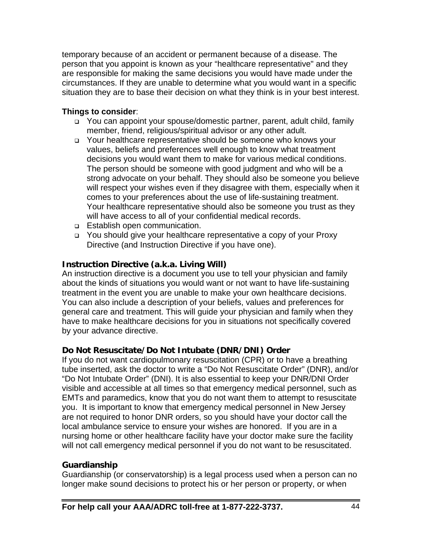temporary because of an accident or permanent because of a disease. The person that you appoint is known as your "healthcare representative" and they are responsible for making the same decisions you would have made under the circumstances. If they are unable to determine what you would want in a specific situation they are to base their decision on what they think is in your best interest.

## **Things to consider**:

- □ You can appoint your spouse/domestic partner, parent, adult child, family member, friend, religious/spiritual advisor or any other adult.
- Your healthcare representative should be someone who knows your values, beliefs and preferences well enough to know what treatment decisions you would want them to make for various medical conditions. The person should be someone with good judgment and who will be a strong advocate on your behalf. They should also be someone you believe will respect your wishes even if they disagree with them, especially when it comes to your preferences about the use of life-sustaining treatment. Your healthcare representative should also be someone you trust as they will have access to all of your confidential medical records.
- **Establish open communication.**
- You should give your healthcare representative a copy of your Proxy Directive (and Instruction Directive if you have one).

## **Instruction Directive (a.k.a. Living Will)**

An instruction directive is a document you use to tell your physician and family about the kinds of situations you would want or not want to have life-sustaining treatment in the event you are unable to make your own healthcare decisions. You can also include a description of your beliefs, values and preferences for general care and treatment. This will guide your physician and family when they have to make healthcare decisions for you in situations not specifically covered by your advance directive.

## **Do Not Resuscitate/Do Not Intubate (DNR/DNI) Order**

If you do not want cardiopulmonary resuscitation (CPR) or to have a breathing tube inserted, ask the doctor to write a "Do Not Resuscitate Order" (DNR), and/or "Do Not Intubate Order" (DNI). It is also essential to keep your DNR/DNI Order visible and accessible at all times so that emergency medical personnel, such as EMTs and paramedics, know that you do not want them to attempt to resuscitate you. It is important to know that emergency medical personnel in New Jersey are not required to honor DNR orders, so you should have your doctor call the local ambulance service to ensure your wishes are honored. If you are in a nursing home or other healthcare facility have your doctor make sure the facility will not call emergency medical personnel if you do not want to be resuscitated.

## **Guardianship**

Guardianship (or conservatorship) is a legal process used when a person can no longer make sound decisions to protect his or her person or property, or when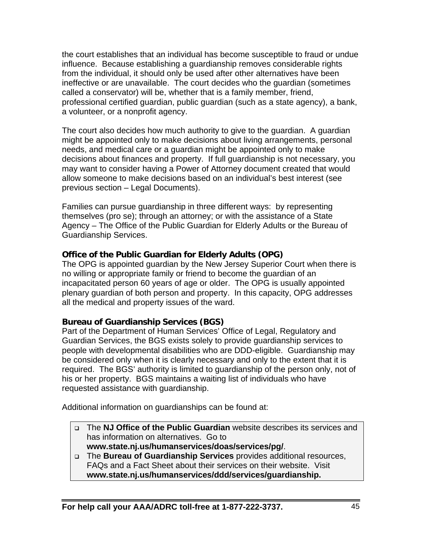the court establishes that an individual has become susceptible to fraud or undue influence. Because establishing a guardianship removes considerable rights from the individual, it should only be used after other alternatives have been ineffective or are unavailable. The court decides who the guardian (sometimes called a conservator) will be, whether that is a family member, friend, professional certified guardian, public guardian (such as a state agency), a bank, a volunteer, or a nonprofit agency.

The court also decides how much authority to give to the guardian. A guardian might be appointed only to make decisions about living arrangements, personal needs, and medical care or a guardian might be appointed only to make decisions about finances and property. If full guardianship is not necessary, you may want to consider having a Power of Attorney document created that would allow someone to make decisions based on an individual's best interest (see previous section – Legal Documents).

Families can pursue guardianship in three different ways: by representing themselves (pro se); through an attorney; or with the assistance of a State Agency – The Office of the Public Guardian for Elderly Adults or the Bureau of Guardianship Services.

## **Office of the Public Guardian for Elderly Adults (OPG)**

The OPG is appointed guardian by the New Jersey Superior Court when there is no willing or appropriate family or friend to become the guardian of an incapacitated person 60 years of age or older. The OPG is usually appointed plenary guardian of both person and property. In this capacity, OPG addresses all the medical and property issues of the ward.

## **Bureau of Guardianship Services (BGS)**

Part of the Department of Human Services' Office of Legal, Regulatory and Guardian Services, the BGS exists solely to provide guardianship services to people with developmental disabilities who are DDD-eligible. Guardianship may be considered only when it is clearly necessary and only to the extent that it is required. The BGS' authority is limited to guardianship of the person only, not of his or her property. BGS maintains a waiting list of individuals who have requested assistance with guardianship.

Additional information on guardianships can be found at:

- The **NJ Office of the Public Guardian** website describes its services and has information on alternatives. Go to **www.state.nj.us/humanservices/doas/services/pg/**.
- The **Bureau of Guardianship Services** provides additional resources, FAQs and a Fact Sheet about their services on their website. Visit **www.state.nj.us/humanservices/ddd/services/guardianship.**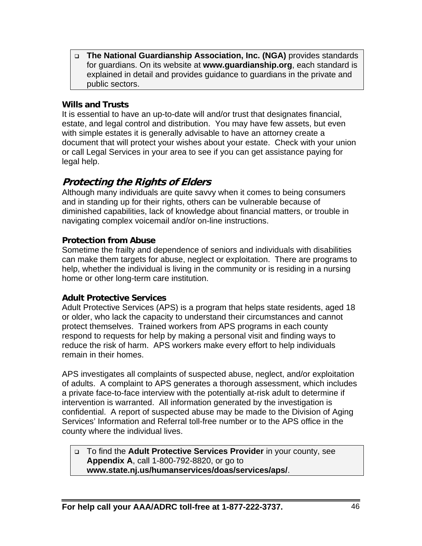**The National Guardianship Association, Inc. (NGA)** provides standards for guardians. On its website at **www.guardianship.org**, each standard is explained in detail and provides guidance to guardians in the private and public sectors.

## **Wills and Trusts**

It is essential to have an up-to-date will and/or trust that designates financial, estate, and legal control and distribution. You may have few assets, but even with simple estates it is generally advisable to have an attorney create a document that will protect your wishes about your estate. Check with your union or call Legal Services in your area to see if you can get assistance paying for legal help.

## **Protecting the Rights of Elders**

Although many individuals are quite savvy when it comes to being consumers and in standing up for their rights, others can be vulnerable because of diminished capabilities, lack of knowledge about financial matters, or trouble in navigating complex voicemail and/or on-line instructions.

## **Protection from Abuse**

Sometime the frailty and dependence of seniors and individuals with disabilities can make them targets for abuse, neglect or exploitation. There are programs to help, whether the individual is living in the community or is residing in a nursing home or other long-term care institution.

## **Adult Protective Services**

Adult Protective Services (APS) is a program that helps state residents, aged 18 or older, who lack the capacity to understand their circumstances and cannot protect themselves. Trained workers from APS programs in each county respond to requests for help by making a personal visit and finding ways to reduce the risk of harm. APS workers make every effort to help individuals remain in their homes.

APS investigates all complaints of suspected abuse, neglect, and/or exploitation of adults. A complaint to APS generates a thorough assessment, which includes a private face-to-face interview with the potentially at-risk adult to determine if intervention is warranted. All information generated by the investigation is confidential. A report of suspected abuse may be made to the Division of Aging Services' Information and Referral toll-free number or to the APS office in the county where the individual lives.

 To find the **Adult Protective Services Provider** in your county, see **Appendix A**, call 1-800-792-8820, or go to **www.state.nj.us/humanservices/doas/services/aps/**.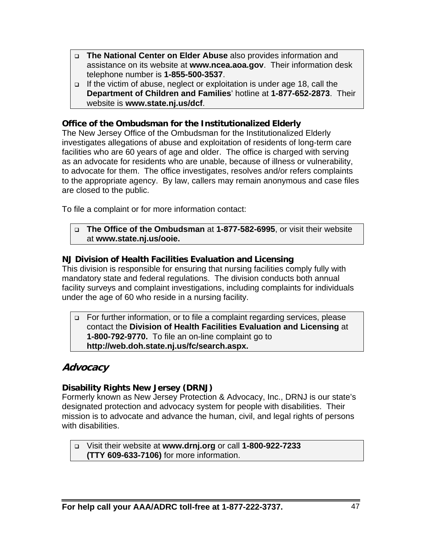- **The National Center on Elder Abuse** also provides information and assistance on its website at **www.ncea.aoa.gov**. Their information desk telephone number is **1-855-500-3537**.
- $\Box$  If the victim of abuse, neglect or exploitation is under age 18, call the **Department of Children and Families**' hotline at **1-877-652-2873**. Their website is **www.state.nj.us/dcf**.

#### **Office of the Ombudsman for the Institutionalized Elderly**

The New Jersey Office of the Ombudsman for the Institutionalized Elderly investigates allegations of abuse and exploitation of residents of long-term care facilities who are 60 years of age and older. The office is charged with serving as an advocate for residents who are unable, because of illness or vulnerability, to advocate for them. The office investigates, resolves and/or refers complaints to the appropriate agency. By law, callers may remain anonymous and case files are closed to the public.

To file a complaint or for more information contact:

#### **The Office of the Ombudsman** at **1-877-582-6995**, or visit their website at **www.state.nj.us/ooie.**

#### **NJ Division of Health Facilities Evaluation and Licensing**

This division is responsible for ensuring that nursing facilities comply fully with mandatory state and federal regulations. The division conducts both annual facility surveys and complaint investigations, including complaints for individuals under the age of 60 who reside in a nursing facility.

#### □ For further information, or to file a complaint regarding services, please contact the **Division of Health Facilities Evaluation and Licensing** at **1-800-792-9770.** To file an on-line complaint go to **http://web.doh.state.nj.us/fc/search.aspx.**

## **Advocacy**

## **Disability Rights New Jersey (DRNJ)**

Formerly known as New Jersey Protection & Advocacy, Inc., DRNJ is our state's designated protection and advocacy system for people with disabilities. Their mission is to advocate and advance the human, civil, and legal rights of persons with disabilities.

 Visit their website at **www.drnj.org** or call **1-800-922-7233 (TTY 609-633-7106)** for more information.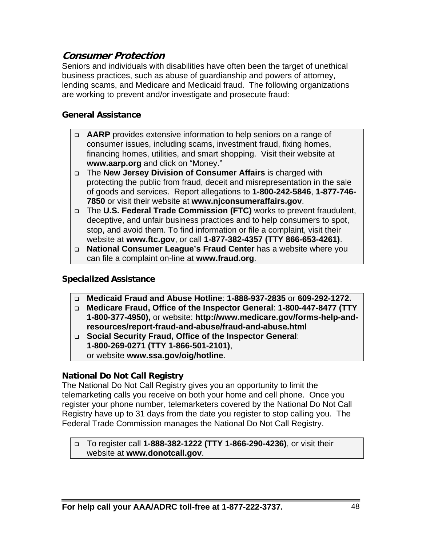## **Consumer Protection**

Seniors and individuals with disabilities have often been the target of unethical business practices, such as abuse of guardianship and powers of attorney, lending scams, and Medicare and Medicaid fraud. The following organizations are working to prevent and/or investigate and prosecute fraud:

#### **General Assistance**

- **AARP** provides extensive information to help seniors on a range of consumer issues, including scams, investment fraud, fixing homes, financing homes, utilities, and smart shopping. Visit their website at **www.aarp.org** and click on "Money."
- The **New Jersey Division of Consumer Affairs** is charged with protecting the public from fraud, deceit and misrepresentation in the sale of goods and services. Report allegations to **1-800-242-5846**, **1-877-746- 7850** or visit their website at **www.njconsumeraffairs.gov**.
- The **U.S. Federal Trade Commission (FTC)** works to prevent fraudulent, deceptive, and unfair business practices and to help consumers to spot, stop, and avoid them. To find information or file a complaint, visit their website at **www.ftc.gov**, or call **1-877-382-4357 (TTY 866-653-4261)**.
- **National Consumer League's Fraud Center** has a website where you can file a complaint on-line at **www.fraud.org**.

## **Specialized Assistance**

- **Medicaid Fraud and Abuse Hotline**: **1-888-937-2835** or **609-292-1272.**
- **Medicare Fraud, Office of the Inspector General**: **1-800-447-8477 (TTY 1-800-377-4950),** or website: **http://www.medicare.gov/forms-help-andresources/report-fraud-and-abuse/fraud-and-abuse.html**
- **Social Security Fraud, Office of the Inspector General**: **1-800-269-0271 (TTY 1-866-501-2101)**, or website **www.ssa.gov/oig/hotline**.

#### **National Do Not Call Registry**

The National Do Not Call Registry gives you an opportunity to limit the telemarketing calls you receive on both your home and cell phone. Once you register your phone number, telemarketers covered by the National Do Not Call Registry have up to 31 days from the date you register to stop calling you. The Federal Trade Commission manages the National Do Not Call Registry.

 To register call **1-888-382-1222 (TTY 1-866-290-4236)**, or visit their website at **www.donotcall.gov**.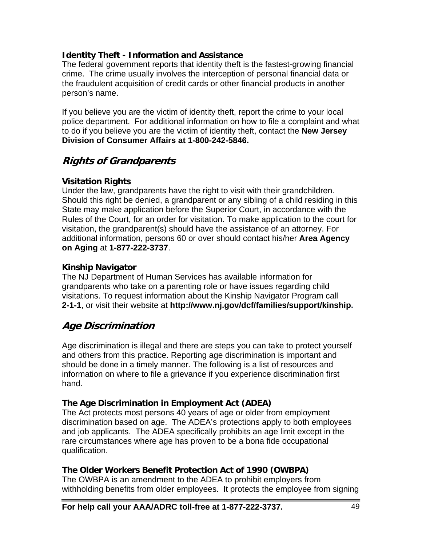## **Identity Theft - Information and Assistance**

The federal government reports that identity theft is the fastest-growing financial crime. The crime usually involves the interception of personal financial data or the fraudulent acquisition of credit cards or other financial products in another person's name.

If you believe you are the victim of identity theft, report the crime to your local police department. For additional information on how to file a complaint and what to do if you believe you are the victim of identity theft, contact the **New Jersey Division of Consumer Affairs at 1-800-242-5846.** 

# **Rights of Grandparents**

## **Visitation Rights**

Under the law, grandparents have the right to visit with their grandchildren. Should this right be denied, a grandparent or any sibling of a child residing in this State may make application before the Superior Court, in accordance with the Rules of the Court, for an order for visitation. To make application to the court for visitation, the grandparent(s) should have the assistance of an attorney. For additional information, persons 60 or over should contact his/her **Area Agency on Aging** at **1-877-222-3737**.

## **Kinship Navigator**

The NJ Department of Human Services has available information for grandparents who take on a parenting role or have issues regarding child visitations. To request information about the Kinship Navigator Program call **2-1-1**, or visit their website at **http://www.nj.gov/dcf/families/support/kinship.** 

# **Age Discrimination**

Age discrimination is illegal and there are steps you can take to protect yourself and others from this practice. Reporting age discrimination is important and should be done in a timely manner. The following is a list of resources and information on where to file a grievance if you experience discrimination first hand.

## **The Age Discrimination in Employment Act (ADEA)**

The Act protects most persons 40 years of age or older from employment discrimination based on age. The ADEA's protections apply to both employees and job applicants. The ADEA specifically prohibits an age limit except in the rare circumstances where age has proven to be a bona fide occupational qualification.

## **The Older Workers Benefit Protection Act of 1990 (OWBPA)**

The OWBPA is an amendment to the ADEA to prohibit employers from withholding benefits from older employees. It protects the employee from signing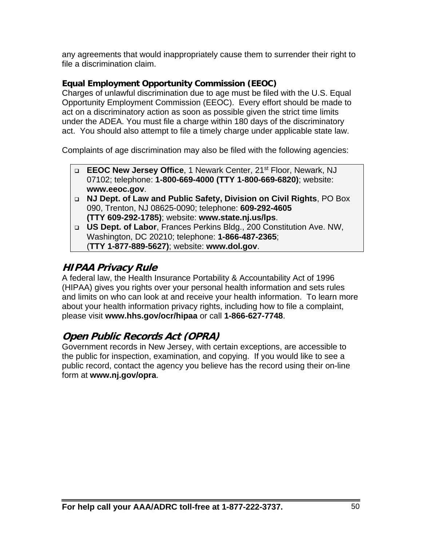any agreements that would inappropriately cause them to surrender their right to file a discrimination claim.

## **Equal Employment Opportunity Commission (EEOC)**

Charges of unlawful discrimination due to age must be filed with the U.S. Equal Opportunity Employment Commission (EEOC). Every effort should be made to act on a discriminatory action as soon as possible given the strict time limits under the ADEA. You must file a charge within 180 days of the discriminatory act. You should also attempt to file a timely charge under applicable state law.

Complaints of age discrimination may also be filed with the following agencies:

- **EEOC New Jersey Office**, 1 Newark Center, 21st Floor, Newark, NJ 07102; telephone: **1-800-669-4000 (TTY 1-800-669-6820)**; website: **www.eeoc.gov**.
- **NJ Dept. of Law and Public Safety, Division on Civil Rights**, PO Box 090, Trenton, NJ 08625-0090; telephone: **609-292-4605 (TTY 609-292-1785)**; website: **www.state.nj.us/lps**.
- **US Dept. of Labor**, Frances Perkins Bldg., 200 Constitution Ave. NW, Washington, DC 20210; telephone: **1-866-487-2365**; (**TTY 1-877-889-5627)**; website: **www.dol.gov**.

# **HIPAA Privacy Rule**

A federal law, the Health Insurance Portability & Accountability Act of 1996 (HIPAA) gives you rights over your personal health information and sets rules and limits on who can look at and receive your health information. To learn more about your health information privacy rights, including how to file a complaint, please visit **www.hhs.gov/ocr/hipaa** or call **1-866-627-7748**.

# **Open Public Records Act (OPRA)**

Government records in New Jersey, with certain exceptions, are accessible to the public for inspection, examination, and copying. If you would like to see a public record, contact the agency you believe has the record using their on-line form at **www.nj.gov/opra**.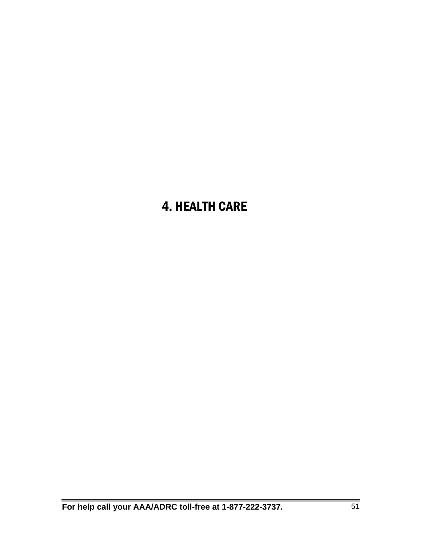# 4. HEALTH CARE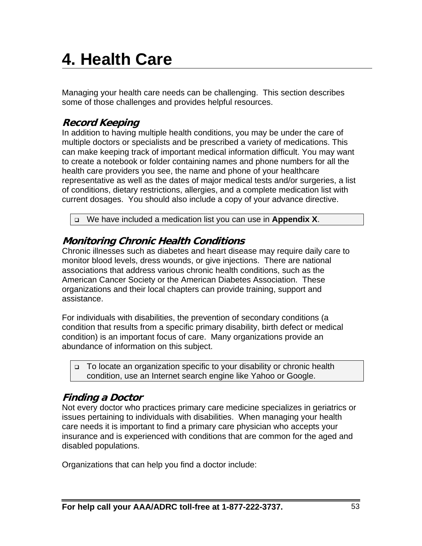# **4. Health Care**

Managing your health care needs can be challenging. This section describes some of those challenges and provides helpful resources.

# **Record Keeping**

In addition to having multiple health conditions, you may be under the care of multiple doctors or specialists and be prescribed a variety of medications. This can make keeping track of important medical information difficult. You may want to create a notebook or folder containing names and phone numbers for all the health care providers you see, the name and phone of your healthcare representative as well as the dates of major medical tests and/or surgeries, a list of conditions, dietary restrictions, allergies, and a complete medication list with current dosages. You should also include a copy of your advance directive.

We have included a medication list you can use in **Appendix X**.

# **Monitoring Chronic Health Conditions**

Chronic illnesses such as diabetes and heart disease may require daily care to monitor blood levels, dress wounds, or give injections. There are national associations that address various chronic health conditions, such as the American Cancer Society or the American Diabetes Association. These organizations and their local chapters can provide training, support and assistance.

For individuals with disabilities, the prevention of secondary conditions (a condition that results from a specific primary disability, birth defect or medical condition) is an important focus of care. Many organizations provide an abundance of information on this subject.

□ To locate an organization specific to your disability or chronic health condition, use an Internet search engine like Yahoo or Google.

# **Finding a Doctor**

Not every doctor who practices primary care medicine specializes in geriatrics or issues pertaining to individuals with disabilities. When managing your health care needs it is important to find a primary care physician who accepts your insurance and is experienced with conditions that are common for the aged and disabled populations.

Organizations that can help you find a doctor include: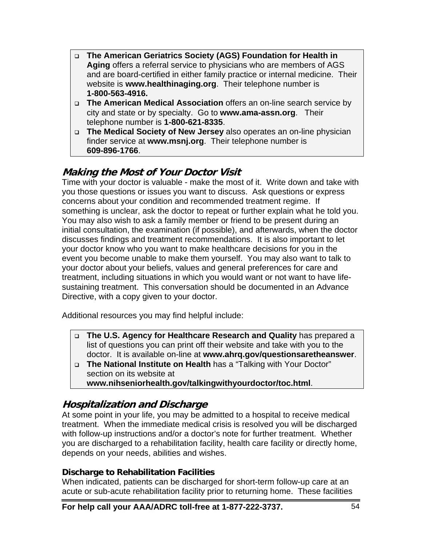- **The American Geriatrics Society (AGS) Foundation for Health in Aging** offers a referral service to physicians who are members of AGS and are board-certified in either family practice or internal medicine. Their website is **www.healthinaging.org**. Their telephone number is **1-800-563-4916.**
- **The American Medical Association** offers an on-line search service by city and state or by specialty. Go to **www.ama-assn.org**. Their telephone number is **1-800-621-8335**.
- **The Medical Society of New Jersey** also operates an on-line physician finder service at **www.msnj.org**. Their telephone number is **609-896-1766**.

# **Making the Most of Your Doctor Visit**

Time with your doctor is valuable - make the most of it. Write down and take with you those questions or issues you want to discuss. Ask questions or express concerns about your condition and recommended treatment regime. If something is unclear, ask the doctor to repeat or further explain what he told you. You may also wish to ask a family member or friend to be present during an initial consultation, the examination (if possible), and afterwards, when the doctor discusses findings and treatment recommendations. It is also important to let your doctor know who you want to make healthcare decisions for you in the event you become unable to make them yourself. You may also want to talk to your doctor about your beliefs, values and general preferences for care and treatment, including situations in which you would want or not want to have lifesustaining treatment. This conversation should be documented in an Advance Directive, with a copy given to your doctor.

Additional resources you may find helpful include:

- **The U.S. Agency for Healthcare Research and Quality** has prepared a list of questions you can print off their website and take with you to the doctor. It is available on-line at **www.ahrq.gov/questionsaretheanswer**.
- **The National Institute on Health** has a "Talking with Your Doctor" section on its website at

**www.nihseniorhealth.gov/talkingwithyourdoctor/toc.html**.

# **Hospitalization and Discharge**

At some point in your life, you may be admitted to a hospital to receive medical treatment. When the immediate medical crisis is resolved you will be discharged with follow-up instructions and/or a doctor's note for further treatment. Whether you are discharged to a rehabilitation facility, health care facility or directly home, depends on your needs, abilities and wishes.

## **Discharge to Rehabilitation Facilities**

When indicated, patients can be discharged for short-term follow-up care at an acute or sub-acute rehabilitation facility prior to returning home. These facilities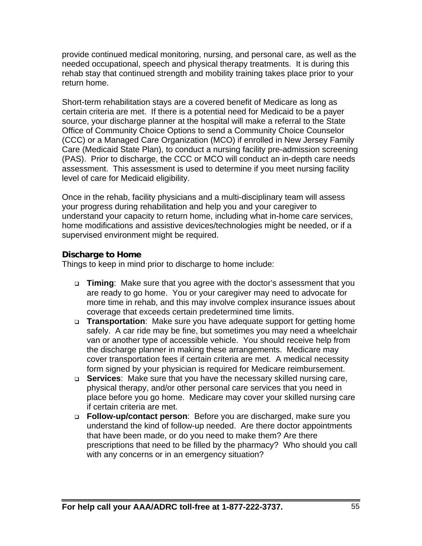provide continued medical monitoring, nursing, and personal care, as well as the needed occupational, speech and physical therapy treatments. It is during this rehab stay that continued strength and mobility training takes place prior to your return home.

Short-term rehabilitation stays are a covered benefit of Medicare as long as certain criteria are met. If there is a potential need for Medicaid to be a payer source, your discharge planner at the hospital will make a referral to the State Office of Community Choice Options to send a Community Choice Counselor (CCC) or a Managed Care Organization (MCO) if enrolled in New Jersey Family Care (Medicaid State Plan), to conduct a nursing facility pre-admission screening (PAS). Prior to discharge, the CCC or MCO will conduct an in-depth care needs assessment. This assessment is used to determine if you meet nursing facility level of care for Medicaid eligibility.

Once in the rehab, facility physicians and a multi-disciplinary team will assess your progress during rehabilitation and help you and your caregiver to understand your capacity to return home, including what in-home care services, home modifications and assistive devices/technologies might be needed, or if a supervised environment might be required.

## **Discharge to Home**

Things to keep in mind prior to discharge to home include:

- **Timing**: Make sure that you agree with the doctor's assessment that you are ready to go home. You or your caregiver may need to advocate for more time in rehab, and this may involve complex insurance issues about coverage that exceeds certain predetermined time limits.
- **Transportation**: Make sure you have adequate support for getting home safely. A car ride may be fine, but sometimes you may need a wheelchair van or another type of accessible vehicle. You should receive help from the discharge planner in making these arrangements. Medicare may cover transportation fees if certain criteria are met. A medical necessity form signed by your physician is required for Medicare reimbursement.
- **Services**: Make sure that you have the necessary skilled nursing care, physical therapy, and/or other personal care services that you need in place before you go home. Medicare may cover your skilled nursing care if certain criteria are met.
- **Follow-up/contact person**: Before you are discharged, make sure you understand the kind of follow-up needed. Are there doctor appointments that have been made, or do you need to make them? Are there prescriptions that need to be filled by the pharmacy? Who should you call with any concerns or in an emergency situation?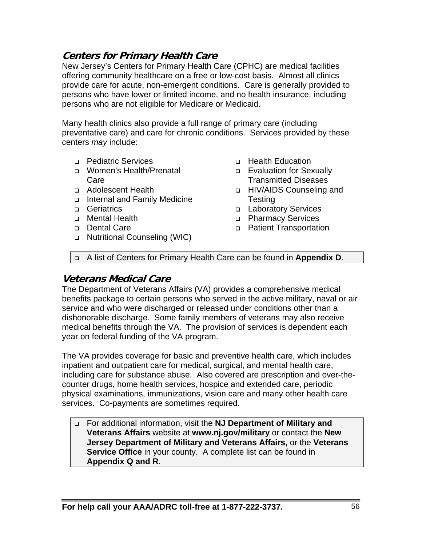## **Centers for Primary Health Care**

New Jersey's Centers for Primary Health Care (CPHC) are medical facilities offering community healthcare on a free or low-cost basis. Almost all clinics provide care for acute, non-emergent conditions. Care is generally provided to persons who have lower or limited income, and no health insurance, including persons who are not eligible for Medicare or Medicaid.

Many health clinics also provide a full range of primary care (including preventative care) and care for chronic conditions. Services provided by these centers *may* include:

- Pediatric Services
- Women's Health/Prenatal Care
- □ Adolescent Health
- Internal and Family Medicine
- **Geriatrics**
- Mental Health
- Dental Care
- □ Nutritional Counseling (WIC)
- □ Health Education
- **Evaluation for Sexually** Transmitted Diseases
- □ HIV/AIDS Counseling and **Testing**
- **Laboratory Services**
- D Pharmacy Services
- Patient Transportation

A list of Centers for Primary Health Care can be found in **Appendix D**.

## **Veterans Medical Care**

The Department of Veterans Affairs (VA) provides a comprehensive medical benefits package to certain persons who served in the active military, naval or air service and who were discharged or released under conditions other than a dishonorable discharge. Some family members of veterans may also receive medical benefits through the VA. The provision of services is dependent each year on federal funding of the VA program.

The VA provides coverage for basic and preventive health care, which includes inpatient and outpatient care for medical, surgical, and mental health care, including care for substance abuse. Also covered are prescription and over-thecounter drugs, home health services, hospice and extended care, periodic physical examinations, immunizations, vision care and many other health care services. Co-payments are sometimes required.

 For additional information, visit the **NJ Department of Military and Veterans Affairs** website at **www.nj.gov/military** or contact the **New Jersey Department of Military and Veterans Affairs,** or the **Veterans Service Office** in your county. A complete list can be found in **Appendix Q and R**.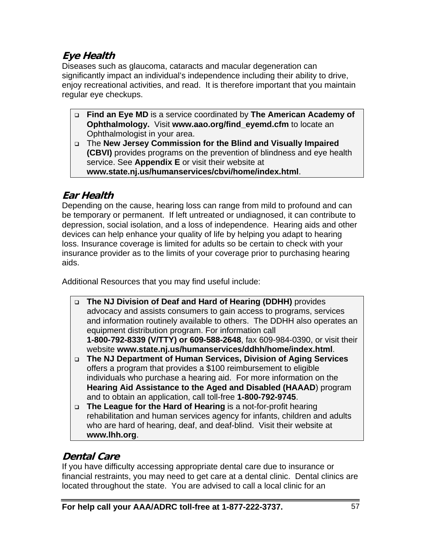# **Eye Health**

Diseases such as glaucoma, cataracts and macular degeneration can significantly impact an individual's independence including their ability to drive, enjoy recreational activities, and read. It is therefore important that you maintain regular eye checkups.

- **Find an Eye MD** is a service coordinated by **The American Academy of Ophthalmology.** Visit **www.aao.org/find\_eyemd.cfm** to locate an Ophthalmologist in your area.
- The **New Jersey Commission for the Blind and Visually Impaired (CBVI)** provides programs on the prevention of blindness and eye health service. See **Appendix E** or visit their website at **www.state.nj.us/humanservices/cbvi/home/index.html**.

# **Ear Health**

Depending on the cause, hearing loss can range from mild to profound and can be temporary or permanent. If left untreated or undiagnosed, it can contribute to depression, social isolation, and a loss of independence. Hearing aids and other devices can help enhance your quality of life by helping you adapt to hearing loss. Insurance coverage is limited for adults so be certain to check with your insurance provider as to the limits of your coverage prior to purchasing hearing aids.

Additional Resources that you may find useful include:

- **The NJ Division of Deaf and Hard of Hearing (DDHH)** provides advocacy and assists consumers to gain access to programs, services and information routinely available to others. The DDHH also operates an equipment distribution program. For information call **1-800-792-8339 (V/TTY) or 609-588-2648**, fax 609-984-0390, or visit their website **www.state.nj.us/humanservices/ddhh/home/index.html**.
- **The NJ Department of Human Services, Division of Aging Services**  offers a program that provides a \$100 reimbursement to eligible individuals who purchase a hearing aid. For more information on the **Hearing Aid Assistance to the Aged and Disabled (HAAAD**) program and to obtain an application, call toll-free **1-800-792-9745**.
- **The League for the Hard of Hearing** is a not-for-profit hearing rehabilitation and human services agency for infants, children and adults who are hard of hearing, deaf, and deaf-blind. Visit their website at **www.lhh.org**.

# **Dental Care**

If you have difficulty accessing appropriate dental care due to insurance or financial restraints, you may need to get care at a dental clinic. Dental clinics are located throughout the state. You are advised to call a local clinic for an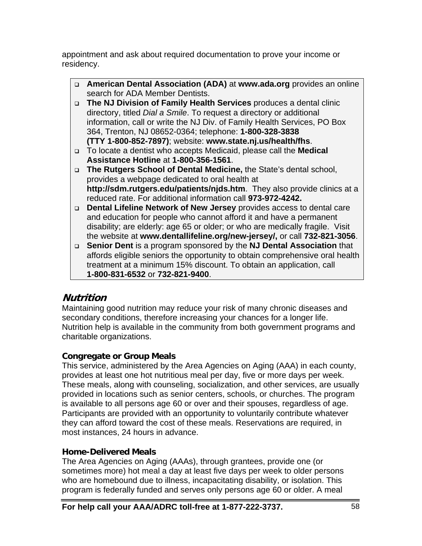appointment and ask about required documentation to prove your income or residency.

- **American Dental Association (ADA)** at **www.ada.org** provides an online search for ADA Member Dentists.
- **The NJ Division of Family Health Services** produces a dental clinic directory, titled *Dial a Smile*. To request a directory or additional information, call or write the NJ Div. of Family Health Services, PO Box 364, Trenton, NJ 08652-0364; telephone: **1-800-328-3838 (TTY 1-800-852-7897)**; website: **www.state.nj.us/health/fhs**.
- To locate a dentist who accepts Medicaid, please call the **Medical Assistance Hotline** at **1-800-356-1561**.
- **The Rutgers School of Dental Medicine,** the State's dental school, provides a webpage dedicated to oral health at **http://sdm.rutgers.edu/patients/njds.htm**. They also provide clinics at a reduced rate. For additional information call **973-972-4242.**
- **Dental Lifeline Network of New Jersey** provides access to dental care and education for people who cannot afford it and have a permanent disability; are elderly: age 65 or older; or who are medically fragile. Visit the website at **www.dentallifeline.org/new-jersey/,** or call **732-821-3056**.
- **Senior Dent** is a program sponsored by the **NJ Dental Association** that affords eligible seniors the opportunity to obtain comprehensive oral health treatment at a minimum 15% discount. To obtain an application, call **1-800-831-6532** or **732-821-9400**.

# **Nutrition**

Maintaining good nutrition may reduce your risk of many chronic diseases and secondary conditions, therefore increasing your chances for a longer life. Nutrition help is available in the community from both government programs and charitable organizations.

## **Congregate or Group Meals**

This service, administered by the Area Agencies on Aging (AAA) in each county, provides at least one hot nutritious meal per day, five or more days per week. These meals, along with counseling, socialization, and other services, are usually provided in locations such as senior centers, schools, or churches. The program is available to all persons age 60 or over and their spouses, regardless of age. Participants are provided with an opportunity to voluntarily contribute whatever they can afford toward the cost of these meals. Reservations are required, in most instances, 24 hours in advance.

## **Home-Delivered Meals**

The Area Agencies on Aging (AAAs), through grantees, provide one (or sometimes more) hot meal a day at least five days per week to older persons who are homebound due to illness, incapacitating disability, or isolation. This program is federally funded and serves only persons age 60 or older. A meal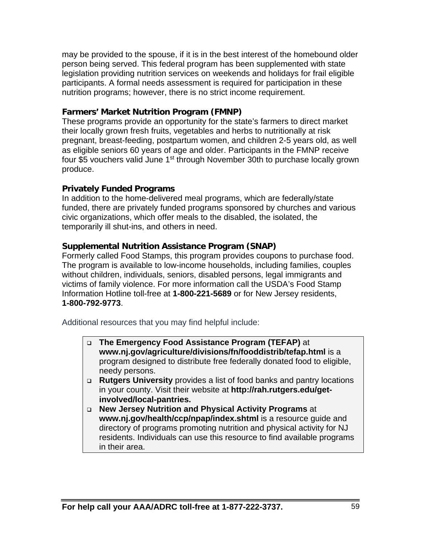may be provided to the spouse, if it is in the best interest of the homebound older person being served. This federal program has been supplemented with state legislation providing nutrition services on weekends and holidays for frail eligible participants. A formal needs assessment is required for participation in these nutrition programs; however, there is no strict income requirement.

## **Farmers' Market Nutrition Program (FMNP)**

These programs provide an opportunity for the state's farmers to direct market their locally grown fresh fruits, vegetables and herbs to nutritionally at risk pregnant, breast-feeding, postpartum women, and children 2-5 years old, as well as eligible seniors 60 years of age and older. Participants in the FMNP receive four \$5 vouchers valid June 1<sup>st</sup> through November 30th to purchase locally grown produce.

## **Privately Funded Programs**

In addition to the home-delivered meal programs, which are federally/state funded, there are privately funded programs sponsored by churches and various civic organizations, which offer meals to the disabled, the isolated, the temporarily ill shut-ins, and others in need.

## **Supplemental Nutrition Assistance Program (SNAP)**

Formerly called Food Stamps, this program provides coupons to purchase food. The program is available to low-income households, including families, couples without children, individuals, seniors, disabled persons, legal immigrants and victims of family violence. For more information call the USDA's Food Stamp Information Hotline toll-free at **1-800-221-5689** or for New Jersey residents, **1-800-792-9773**.

Additional resources that you may find helpful include:

- **The Emergency Food Assistance Program (TEFAP)** at **www.nj.gov/agriculture/divisions/fn/fooddistrib/tefap.html** is a program designed to distribute free federally donated food to eligible, needy persons.
- **Rutgers University** provides a list of food banks and pantry locations in your county. Visit their website at **http://rah.rutgers.edu/getinvolved/local-pantries.**
- **New Jersey Nutrition and Physical Activity Programs** at **www.nj.gov/health/ccp/npap/index.shtml** is a resource quide and directory of programs promoting nutrition and physical activity for NJ residents. Individuals can use this resource to find available programs in their area.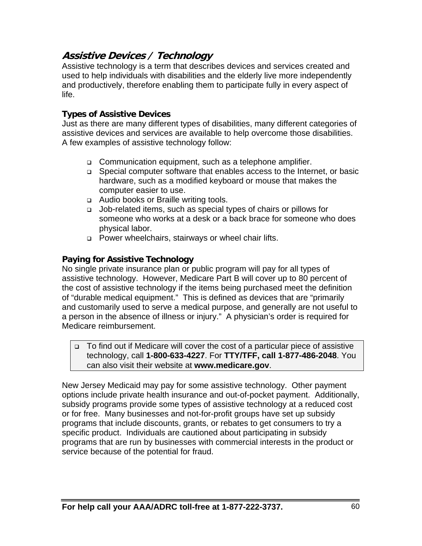# **Assistive Devices / Technology**

Assistive technology is a term that describes devices and services created and used to help individuals with disabilities and the elderly live more independently and productively, therefore enabling them to participate fully in every aspect of life.

## **Types of Assistive Devices**

Just as there are many different types of disabilities, many different categories of assistive devices and services are available to help overcome those disabilities. A few examples of assistive technology follow:

- □ Communication equipment, such as a telephone amplifier.
- □ Special computer software that enables access to the Internet, or basic hardware, such as a modified keyboard or mouse that makes the computer easier to use.
- □ Audio books or Braille writing tools.
- Job-related items, such as special types of chairs or pillows for someone who works at a desk or a back brace for someone who does physical labor.
- □ Power wheelchairs, stairways or wheel chair lifts.

## **Paying for Assistive Technology**

No single private insurance plan or public program will pay for all types of assistive technology. However, Medicare Part B will cover up to 80 percent of the cost of assistive technology if the items being purchased meet the definition of "durable medical equipment." This is defined as devices that are "primarily and customarily used to serve a medical purpose, and generally are not useful to a person in the absence of illness or injury." A physician's order is required for Medicare reimbursement.

#### To find out if Medicare will cover the cost of a particular piece of assistive technology, call **1-800-633-4227**. For **TTY/TFF, call 1-877-486-2048**. You can also visit their website at **www.medicare.gov**.

New Jersey Medicaid may pay for some assistive technology. Other payment options include private health insurance and out-of-pocket payment. Additionally, subsidy programs provide some types of assistive technology at a reduced cost or for free. Many businesses and not-for-profit groups have set up subsidy programs that include discounts, grants, or rebates to get consumers to try a specific product. Individuals are cautioned about participating in subsidy programs that are run by businesses with commercial interests in the product or service because of the potential for fraud.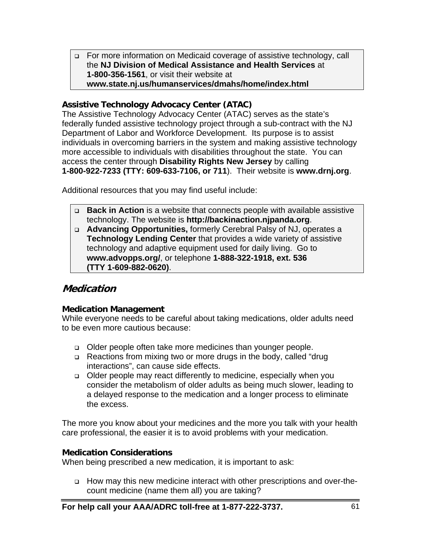For more information on Medicaid coverage of assistive technology, call the **NJ Division of Medical Assistance and Health Services** at **1-800-356-1561**, or visit their website at **www.state.nj.us/humanservices/dmahs/home/index.html** 

## **Assistive Technology Advocacy Center (ATAC)**

The Assistive Technology Advocacy Center (ATAC) serves as the state's federally funded assistive technology project through a sub-contract with the NJ Department of Labor and Workforce Development. Its purpose is to assist individuals in overcoming barriers in the system and making assistive technology more accessible to individuals with disabilities throughout the state. You can access the center through **Disability Rights New Jersey** by calling **1-800-922-7233 (TTY: 609-633-7106, or 711**). Their website is **www.drnj.org**.

Additional resources that you may find useful include:

- **Back in Action** is a website that connects people with available assistive technology. The website is **http://backinaction.njpanda.org**.
- **Advancing Opportunities,** formerly Cerebral Palsy of NJ, operates a **Technology Lending Center** that provides a wide variety of assistive technology and adaptive equipment used for daily living. Go to **www.advopps.org/**, or telephone **1-888-322-1918, ext. 536 (TTY 1-609-882-0620)**.

## **Medication**

## **Medication Management**

While everyone needs to be careful about taking medications, older adults need to be even more cautious because:

- Older people often take more medicines than younger people.
- □ Reactions from mixing two or more drugs in the body, called "drug interactions", can cause side effects.
- Older people may react differently to medicine, especially when you consider the metabolism of older adults as being much slower, leading to a delayed response to the medication and a longer process to eliminate the excess.

The more you know about your medicines and the more you talk with your health care professional, the easier it is to avoid problems with your medication.

## **Medication Considerations**

When being prescribed a new medication, it is important to ask:

 How may this new medicine interact with other prescriptions and over-thecount medicine (name them all) you are taking?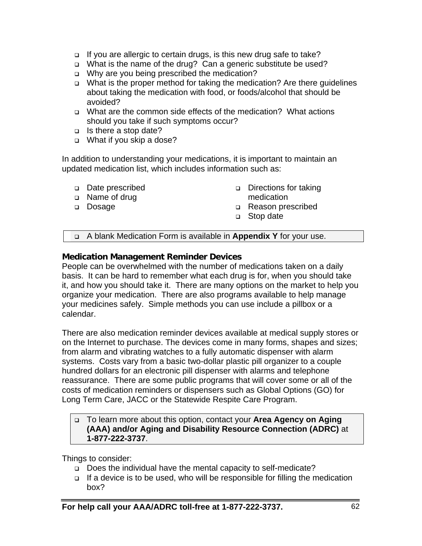- □ If you are allergic to certain drugs, is this new drug safe to take?
- □ What is the name of the drug? Can a generic substitute be used?
- □ Why are you being prescribed the medication?
- □ What is the proper method for taking the medication? Are there guidelines about taking the medication with food, or foods/alcohol that should be avoided?
- What are the common side effects of the medication? What actions should you take if such symptoms occur?
- □ Is there a stop date?
- □ What if you skip a dose?

In addition to understanding your medications, it is important to maintain an updated medication list, which includes information such as:

- Date prescribed
- □ Name of drug
- Dosage
- Directions for taking medication
- Reason prescribed
- □ Stop date

A blank Medication Form is available in **Appendix Y** for your use.

## **Medication Management Reminder Devices**

People can be overwhelmed with the number of medications taken on a daily basis. It can be hard to remember what each drug is for, when you should take it, and how you should take it. There are many options on the market to help you organize your medication. There are also programs available to help manage your medicines safely. Simple methods you can use include a pillbox or a calendar.

There are also medication reminder devices available at medical supply stores or on the Internet to purchase. The devices come in many forms, shapes and sizes; from alarm and vibrating watches to a fully automatic dispenser with alarm systems. Costs vary from a basic two-dollar plastic pill organizer to a couple hundred dollars for an electronic pill dispenser with alarms and telephone reassurance. There are some public programs that will cover some or all of the costs of medication reminders or dispensers such as Global Options (GO) for Long Term Care, JACC or the Statewide Respite Care Program.

#### To learn more about this option, contact your **Area Agency on Aging (AAA) and/or Aging and Disability Resource Connection (ADRC)** at **1-877-222-3737**.

Things to consider:

- □ Does the individual have the mental capacity to self-medicate?
- $\Box$  If a device is to be used, who will be responsible for filling the medication box?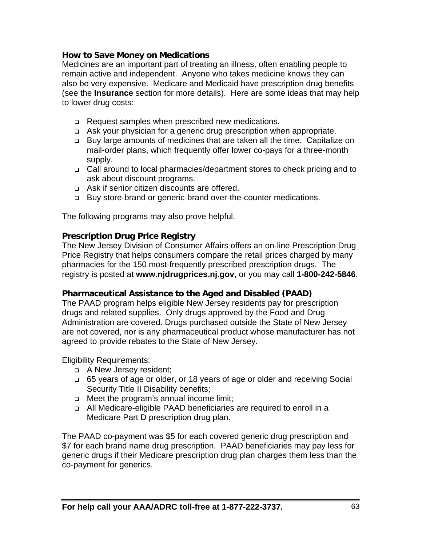## **How to Save Money on Medications**

Medicines are an important part of treating an illness, often enabling people to remain active and independent. Anyone who takes medicine knows they can also be very expensive. Medicare and Medicaid have prescription drug benefits (see the **Insurance** section for more details). Here are some ideas that may help to lower drug costs:

- □ Request samples when prescribed new medications.
- Ask your physician for a generic drug prescription when appropriate.
- Buy large amounts of medicines that are taken all the time. Capitalize on mail-order plans, which frequently offer lower co-pays for a three-month supply.
- Call around to local pharmacies/department stores to check pricing and to ask about discount programs.
- □ Ask if senior citizen discounts are offered.
- □ Buy store-brand or generic-brand over-the-counter medications.

The following programs may also prove helpful.

## **Prescription Drug Price Registry**

The New Jersey Division of Consumer Affairs offers an on-line Prescription Drug Price Registry that helps consumers compare the retail prices charged by many pharmacies for the 150 most-frequently prescribed prescription drugs. The registry is posted at **www.njdrugprices.nj.gov**, or you may call **1-800-242-5846**.

#### **Pharmaceutical Assistance to the Aged and Disabled (PAAD)**

The PAAD program helps eligible New Jersey residents pay for prescription drugs and related supplies. Only drugs approved by the Food and Drug Administration are covered. Drugs purchased outside the State of New Jersey are not covered, nor is any pharmaceutical product whose manufacturer has not agreed to provide rebates to the State of New Jersey.

Eligibility Requirements:

- A New Jersey resident;
- 65 years of age or older, or 18 years of age or older and receiving Social Security Title II Disability benefits;
- Meet the program's annual income limit;
- All Medicare-eligible PAAD beneficiaries are required to enroll in a Medicare Part D prescription drug plan.

The PAAD co-payment was \$5 for each covered generic drug prescription and \$7 for each brand name drug prescription. PAAD beneficiaries may pay less for generic drugs if their Medicare prescription drug plan charges them less than the co-payment for generics.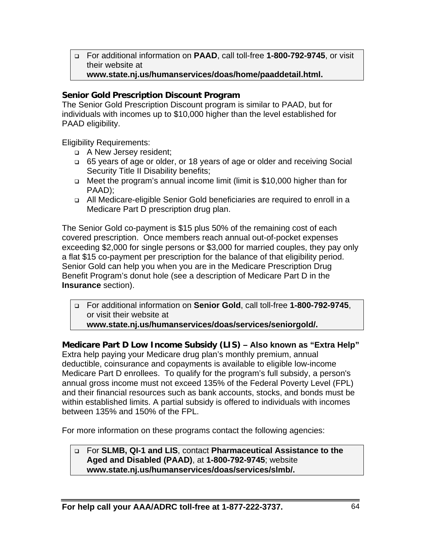For additional information on **PAAD**, call toll-free **1-800-792-9745**, or visit their website at

## **www.state.nj.us/humanservices/doas/home/paaddetail.html.**

## **Senior Gold Prescription Discount Program**

The Senior Gold Prescription Discount program is similar to PAAD, but for individuals with incomes up to \$10,000 higher than the level established for PAAD eligibility.

Eligibility Requirements:

- A New Jersey resident;
- □ 65 years of age or older, or 18 years of age or older and receiving Social Security Title II Disability benefits;
- Meet the program's annual income limit (limit is \$10,000 higher than for PAAD);
- All Medicare-eligible Senior Gold beneficiaries are required to enroll in a Medicare Part D prescription drug plan.

The Senior Gold co-payment is \$15 plus 50% of the remaining cost of each covered prescription. Once members reach annual out-of-pocket expenses exceeding \$2,000 for single persons or \$3,000 for married couples, they pay only a flat \$15 co-payment per prescription for the balance of that eligibility period. Senior Gold can help you when you are in the Medicare Prescription Drug Benefit Program's donut hole (see a description of Medicare Part D in the **Insurance** section).

 For additional information on **Senior Gold**, call toll-free **1-800-792-9745**, or visit their website at

**www.state.nj.us/humanservices/doas/services/seniorgold/.** 

**Medicare Part D Low Income Subsidy (LIS) – Also known as "Extra Help"**  Extra help paying your Medicare drug plan's monthly premium, annual deductible, coinsurance and copayments is available to eligible low-income Medicare Part D enrollees. To qualify for the program's full subsidy, a person's annual gross income must not exceed 135% of the Federal Poverty Level (FPL) and their financial resources such as bank accounts, stocks, and bonds must be within established limits. A partial subsidy is offered to individuals with incomes between 135% and 150% of the FPL.

For more information on these programs contact the following agencies:

#### For **SLMB, QI-1 and LIS**, contact **Pharmaceutical Assistance to the Aged and Disabled (PAAD)**, at **1-800-792-9745**; website **www.state.nj.us/humanservices/doas/services/slmb/.**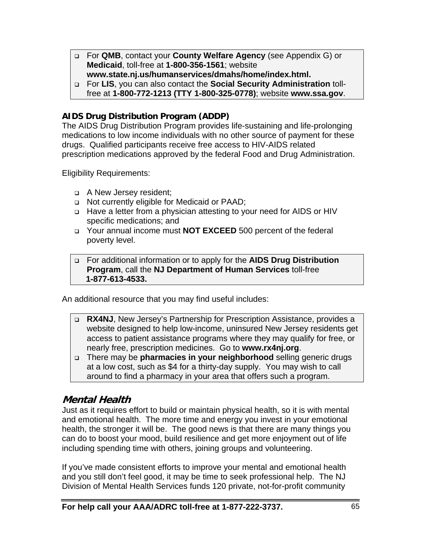- For **QMB**, contact your **County Welfare Agency** (see Appendix G) or **Medicaid**, toll-free at **1-800-356-1561**; website **www.state.nj.us/humanservices/dmahs/home/index.html.**
- For **LIS**, you can also contact the **Social Security Administration** tollfree at **1-800-772-1213 (TTY 1-800-325-0778)**; website **www.ssa.gov**.

## **AIDS Drug Distribution Program (ADDP)**

The AIDS Drug Distribution Program provides life-sustaining and life-prolonging medications to low income individuals with no other source of payment for these drugs. Qualified participants receive free access to HIV-AIDS related prescription medications approved by the federal Food and Drug Administration.

Eligibility Requirements:

- A New Jersey resident;
- □ Not currently eligible for Medicaid or PAAD;
- □ Have a letter from a physician attesting to your need for AIDS or HIV specific medications; and
- Your annual income must **NOT EXCEED** 500 percent of the federal poverty level.
- For additional information or to apply for the **AIDS Drug Distribution Program**, call the **NJ Department of Human Services** toll-free **1-877-613-4533.**

An additional resource that you may find useful includes:

- **RX4NJ**, New Jersey's Partnership for Prescription Assistance, provides a website designed to help low-income, uninsured New Jersey residents get access to patient assistance programs where they may qualify for free, or nearly free, prescription medicines. Go to **www.rx4nj.org**.
- There may be **pharmacies in your neighborhood** selling generic drugs at a low cost, such as \$4 for a thirty-day supply. You may wish to call around to find a pharmacy in your area that offers such a program.

## **Mental Health**

Just as it requires effort to build or maintain physical health, so it is with mental and emotional health. The more time and energy you invest in your emotional health, the stronger it will be. The good news is that there are many things you can do to boost your mood, build resilience and get more enjoyment out of life including spending time with others, joining groups and volunteering.

If you've made consistent efforts to improve your mental and emotional health and you still don't feel good, it may be time to seek professional help. The NJ Division of Mental Health Services funds 120 private, not-for-profit community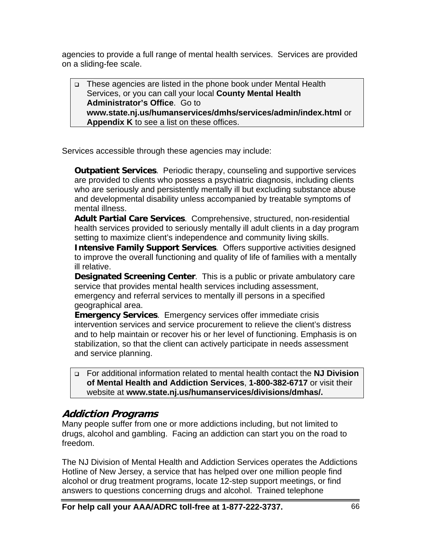agencies to provide a full range of mental health services. Services are provided on a sliding-fee scale.

□ These agencies are listed in the phone book under Mental Health Services, or you can call your local **County Mental Health Administrator's Office**. Go to **www.state.nj.us/humanservices/dmhs/services/admin/index.html** or **Appendix K** to see a list on these offices.

Services accessible through these agencies may include:

**Outpatient Services**. Periodic therapy, counseling and supportive services are provided to clients who possess a psychiatric diagnosis, including clients who are seriously and persistently mentally ill but excluding substance abuse and developmental disability unless accompanied by treatable symptoms of mental illness.

**Adult Partial Care Services**. Comprehensive, structured, non-residential health services provided to seriously mentally ill adult clients in a day program setting to maximize client's independence and community living skills.

**Intensive Family Support Services**. Offers supportive activities designed to improve the overall functioning and quality of life of families with a mentally ill relative.

**Designated Screening Center**. This is a public or private ambulatory care service that provides mental health services including assessment, emergency and referral services to mentally ill persons in a specified geographical area.

**Emergency Services**. Emergency services offer immediate crisis intervention services and service procurement to relieve the client's distress and to help maintain or recover his or her level of functioning. Emphasis is on stabilization, so that the client can actively participate in needs assessment and service planning.

 For additional information related to mental health contact the **NJ Division of Mental Health and Addiction Services**, **1-800-382-6717** or visit their website at **www.state.nj.us/humanservices/divisions/dmhas/.** 

# **Addiction Programs**

Many people suffer from one or more addictions including, but not limited to drugs, alcohol and gambling. Facing an addiction can start you on the road to freedom.

The NJ Division of Mental Health and Addiction Services operates the Addictions Hotline of New Jersey, a service that has helped over one million people find alcohol or drug treatment programs, locate 12-step support meetings, or find answers to questions concerning drugs and alcohol. Trained telephone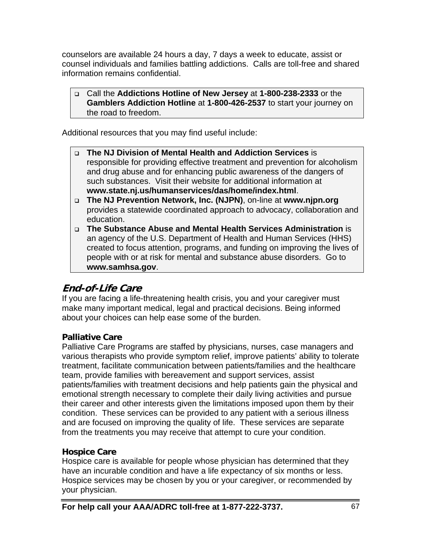counselors are available 24 hours a day, 7 days a week to educate, assist or counsel individuals and families battling addictions. Calls are toll-free and shared information remains confidential.

#### Call the **Addictions Hotline of New Jersey** at **1-800-238-2333** or the **Gamblers Addiction Hotline** at **1-800-426-2537** to start your journey on the road to freedom.

Additional resources that you may find useful include:

- **The NJ Division of Mental Health and Addiction Services** is responsible for providing effective treatment and prevention for alcoholism and drug abuse and for enhancing public awareness of the dangers of such substances. Visit their website for additional information at **www.state.nj.us/humanservices/das/home/index.html**.
- **The NJ Prevention Network, Inc. (NJPN)**, on-line at **www.njpn.org** provides a statewide coordinated approach to advocacy, collaboration and education.
- **The Substance Abuse and Mental Health Services Administration** is an agency of the U.S. Department of Health and Human Services (HHS) created to focus attention, programs, and funding on improving the lives of people with or at risk for mental and substance abuse disorders. Go to **www.samhsa.gov**.

# **End-of-Life Care**

If you are facing a life-threatening health crisis, you and your caregiver must make many important medical, legal and practical decisions. Being informed about your choices can help ease some of the burden.

## **Palliative Care**

Palliative Care Programs are staffed by physicians, nurses, case managers and various therapists who provide symptom relief, improve patients' ability to tolerate treatment, facilitate communication between patients/families and the healthcare team, provide families with bereavement and support services, assist patients/families with treatment decisions and help patients gain the physical and emotional strength necessary to complete their daily living activities and pursue their career and other interests given the limitations imposed upon them by their condition. These services can be provided to any patient with a serious illness and are focused on improving the quality of life. These services are separate from the treatments you may receive that attempt to cure your condition.

## **Hospice Care**

Hospice care is available for people whose physician has determined that they have an incurable condition and have a life expectancy of six months or less. Hospice services may be chosen by you or your caregiver, or recommended by your physician.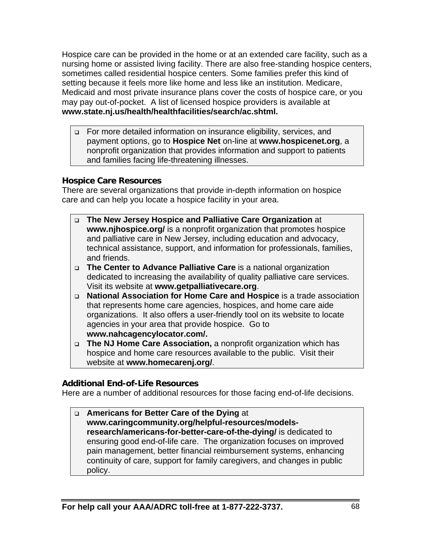Hospice care can be provided in the home or at an extended care facility, such as a nursing home or assisted living facility. There are also free-standing hospice centers, sometimes called residential hospice centers. Some families prefer this kind of setting because it feels more like home and less like an institution. Medicare, Medicaid and most private insurance plans cover the costs of hospice care, or you may pay out-of-pocket. A list of licensed hospice providers is available at **www.state.nj.us/health/healthfacilities/search/ac.shtml.** 

□ For more detailed information on insurance eligibility, services, and payment options, go to **Hospice Net** on-line at **www.hospicenet.org**, a nonprofit organization that provides information and support to patients and families facing life-threatening illnesses.

## **Hospice Care Resources**

There are several organizations that provide in-depth information on hospice care and can help you locate a hospice facility in your area.

- **The New Jersey Hospice and Palliative Care Organization** at **www.njhospice.org/** is a nonprofit organization that promotes hospice and palliative care in New Jersey, including education and advocacy, technical assistance, support, and information for professionals, families, and friends.
- **The Center to Advance Palliative Care** is a national organization dedicated to increasing the availability of quality palliative care services. Visit its website at **www.getpalliativecare.org**.
- **National Association for Home Care and Hospice** is a trade association that represents home care agencies, hospices, and home care aide organizations. It also offers a user-friendly tool on its website to locate agencies in your area that provide hospice. Go to **www.nahcagencylocator.com/.**
- **The NJ Home Care Association,** a nonprofit organization which has hospice and home care resources available to the public. Visit their website at **www.homecarenj.org/**.

## **Additional End-of-Life Resources**

Here are a number of additional resources for those facing end-of-life decisions.

 **Americans for Better Care of the Dying** at **www.caringcommunity.org/helpful-resources/modelsresearch/americans-for-better-care-of-the-dying/** is dedicated to ensuring good end-of-life care. The organization focuses on improved pain management, better financial reimbursement systems, enhancing continuity of care, support for family caregivers, and changes in public policy.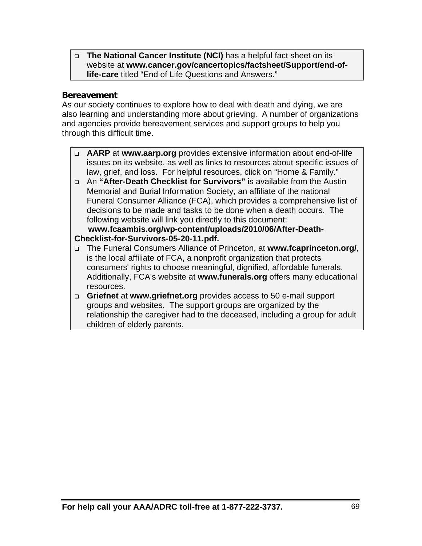**The National Cancer Institute (NCI)** has a helpful fact sheet on its website at **www.cancer.gov/cancertopics/factsheet/Support/end-oflife-care** titled "End of Life Questions and Answers."

## **Bereavement**

As our society continues to explore how to deal with death and dying, we are also learning and understanding more about grieving. A number of organizations and agencies provide bereavement services and support groups to help you through this difficult time.

- **AARP** at **www.aarp.org** provides extensive information about end-of-life issues on its website, as well as links to resources about specific issues of law, grief, and loss. For helpful resources, click on "Home & Family."
- An **"After-Death Checklist for Survivors"** is available from the Austin Memorial and Burial Information Society, an affiliate of the national Funeral Consumer Alliance (FCA), which provides a comprehensive list of decisions to be made and tasks to be done when a death occurs. The following website will link you directly to this document:

#### **www.fcaambis.org/wp-content/uploads/2010/06/After-Death-Checklist-for-Survivors-05-20-11.pdf.**

- The Funeral Consumers Alliance of Princeton, at **www.fcaprinceton.org/**, is the local affiliate of FCA, a nonprofit organization that protects consumers' rights to choose meaningful, dignified, affordable funerals. Additionally, FCA's website at **www.funerals.org** offers many educational resources.
- **Griefnet** at **www.griefnet.org** provides access to 50 e-mail support groups and websites. The support groups are organized by the relationship the caregiver had to the deceased, including a group for adult children of elderly parents.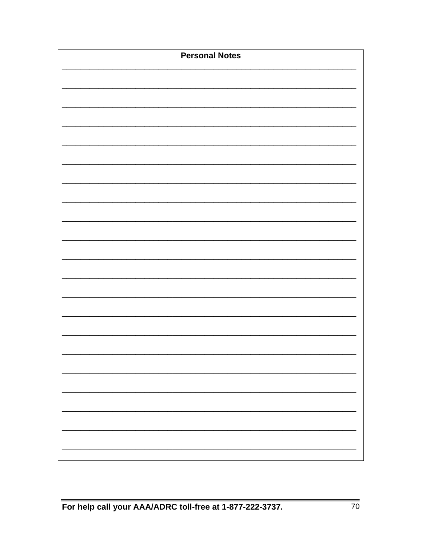| <b>Personal Notes</b> |  |  |  |  |
|-----------------------|--|--|--|--|
|                       |  |  |  |  |
|                       |  |  |  |  |
|                       |  |  |  |  |
|                       |  |  |  |  |
|                       |  |  |  |  |
|                       |  |  |  |  |
|                       |  |  |  |  |
|                       |  |  |  |  |
|                       |  |  |  |  |
|                       |  |  |  |  |
|                       |  |  |  |  |
|                       |  |  |  |  |
|                       |  |  |  |  |
|                       |  |  |  |  |
|                       |  |  |  |  |
|                       |  |  |  |  |
|                       |  |  |  |  |
|                       |  |  |  |  |
|                       |  |  |  |  |
|                       |  |  |  |  |
|                       |  |  |  |  |
|                       |  |  |  |  |
|                       |  |  |  |  |
|                       |  |  |  |  |
|                       |  |  |  |  |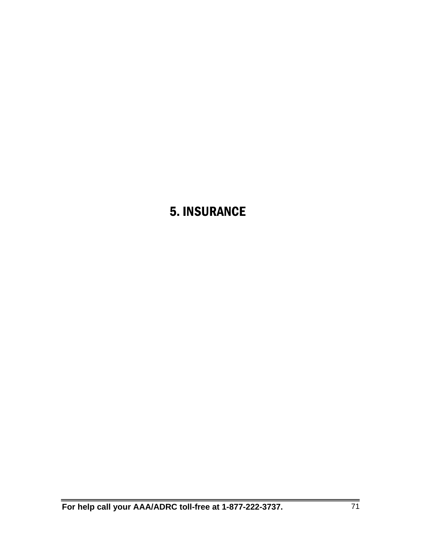## 5. INSURANCE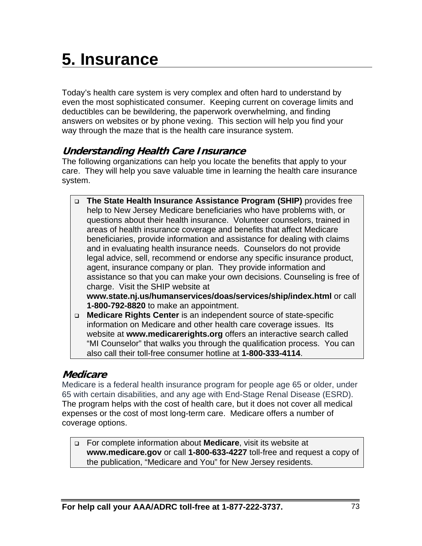# **5. Insurance**

Today's health care system is very complex and often hard to understand by even the most sophisticated consumer. Keeping current on coverage limits and deductibles can be bewildering, the paperwork overwhelming, and finding answers on websites or by phone vexing. This section will help you find your way through the maze that is the health care insurance system.

## **Understanding Health Care Insurance**

The following organizations can help you locate the benefits that apply to your care. They will help you save valuable time in learning the health care insurance system.

- **The State Health Insurance Assistance Program (SHIP)** provides free help to New Jersey Medicare beneficiaries who have problems with, or questions about their health insurance. Volunteer counselors, trained in areas of health insurance coverage and benefits that affect Medicare beneficiaries, provide information and assistance for dealing with claims and in evaluating health insurance needs. Counselors do not provide legal advice, sell, recommend or endorse any specific insurance product, agent, insurance company or plan. They provide information and assistance so that you can make your own decisions. Counseling is free of charge. Visit the SHIP website at **www.state.nj.us/humanservices/doas/services/ship/index.html** or call **1-800-792-8820** to make an appointment.
- **Medicare Rights Center** is an independent source of state-specific information on Medicare and other health care coverage issues. Its website at **www.medicarerights.org** offers an interactive search called "MI Counselor" that walks you through the qualification process. You can also call their toll-free consumer hotline at **1-800-333-4114**.

## **Medicare**

Medicare is a federal health insurance program for people age 65 or older, under 65 with certain disabilities, and any age with End-Stage Renal Disease (ESRD). The program helps with the cost of health care, but it does not cover all medical expenses or the cost of most long-term care. Medicare offers a number of coverage options.

 For complete information about **Medicare**, visit its website at **www.medicare.gov** or call **1-800-633-4227** toll-free and request a copy of the publication, "Medicare and You" for New Jersey residents.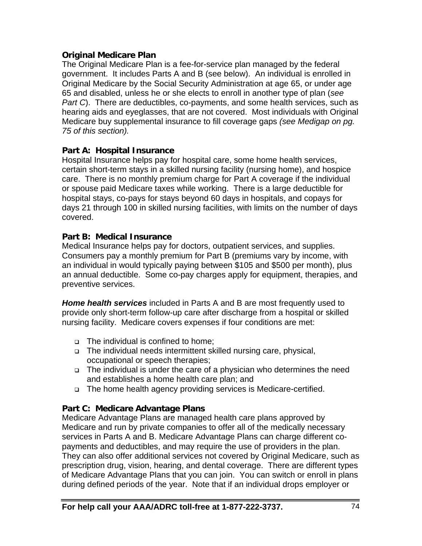#### **Original Medicare Plan**

The Original Medicare Plan is a fee-for-service plan managed by the federal government. It includes Parts A and B (see below). An individual is enrolled in Original Medicare by the Social Security Administration at age 65, or under age 65 and disabled, unless he or she elects to enroll in another type of plan (*see Part C*). There are deductibles, co-payments, and some health services, such as hearing aids and eyeglasses, that are not covered. Most individuals with Original Medicare buy supplemental insurance to fill coverage gaps *(see Medigap on pg. 75 of this section).* 

#### **Part A: Hospital Insurance**

Hospital Insurance helps pay for hospital care, some home health services, certain short-term stays in a skilled nursing facility (nursing home), and hospice care. There is no monthly premium charge for Part A coverage if the individual or spouse paid Medicare taxes while working. There is a large deductible for hospital stays, co-pays for stays beyond 60 days in hospitals, and copays for days 21 through 100 in skilled nursing facilities, with limits on the number of days covered.

#### **Part B: Medical Insurance**

Medical Insurance helps pay for doctors, outpatient services, and supplies. Consumers pay a monthly premium for Part B (premiums vary by income, with an individual in would typically paying between \$105 and \$500 per month), plus an annual deductible. Some co-pay charges apply for equipment, therapies, and preventive services.

*Home health services* included in Parts A and B are most frequently used to provide only short-term follow-up care after discharge from a hospital or skilled nursing facility. Medicare covers expenses if four conditions are met:

- □ The individual is confined to home;
- □ The individual needs intermittent skilled nursing care, physical, occupational or speech therapies;
- The individual is under the care of a physician who determines the need and establishes a home health care plan; and
- □ The home health agency providing services is Medicare-certified.

#### **Part C: Medicare Advantage Plans**

Medicare Advantage Plans are managed health care plans approved by Medicare and run by private companies to offer all of the medically necessary services in Parts A and B. Medicare Advantage Plans can charge different copayments and deductibles, and may require the use of providers in the plan. They can also offer additional services not covered by Original Medicare, such as prescription drug, vision, hearing, and dental coverage. There are different types of Medicare Advantage Plans that you can join. You can switch or enroll in plans during defined periods of the year. Note that if an individual drops employer or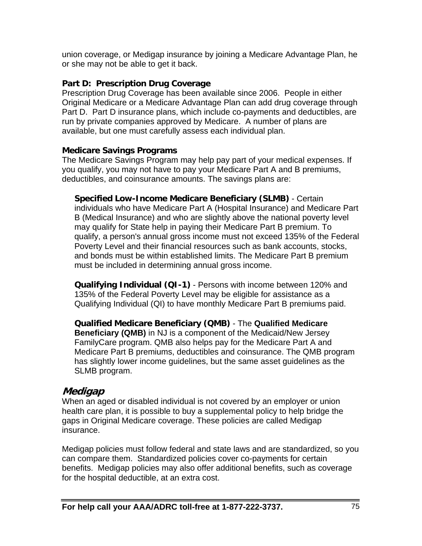union coverage, or Medigap insurance by joining a Medicare Advantage Plan, he or she may not be able to get it back.

#### **Part D: Prescription Drug Coverage**

Prescription Drug Coverage has been available since 2006. People in either Original Medicare or a Medicare Advantage Plan can add drug coverage through Part D. Part D insurance plans, which include co-payments and deductibles, are run by private companies approved by Medicare. A number of plans are available, but one must carefully assess each individual plan.

#### **Medicare Savings Programs**

The Medicare Savings Program may help pay part of your medical expenses. If you qualify, you may not have to pay your Medicare Part A and B premiums, deductibles, and coinsurance amounts. The savings plans are:

**Specified Low-Income Medicare Beneficiary (SLMB)** - Certain individuals who have Medicare Part A (Hospital Insurance) and Medicare Part B (Medical Insurance) and who are slightly above the national poverty level may qualify for State help in paying their Medicare Part B premium. To qualify, a person's annual gross income must not exceed 135% of the Federal Poverty Level and their financial resources such as bank accounts, stocks, and bonds must be within established limits. The Medicare Part B premium must be included in determining annual gross income.

**Qualifying Individual (QI-1)** - Persons with income between 120% and 135% of the Federal Poverty Level may be eligible for assistance as a Qualifying Individual (QI) to have monthly Medicare Part B premiums paid.

**Qualified Medicare Beneficiary (QMB)** - The **Qualified Medicare Beneficiary (QMB)** in NJ is a component of the Medicaid/New Jersey FamilyCare program. QMB also helps pay for the Medicare Part A and Medicare Part B premiums, deductibles and coinsurance. The QMB program has slightly lower income guidelines, but the same asset guidelines as the SLMB program.

## **Medigap**

When an aged or disabled individual is not covered by an employer or union health care plan, it is possible to buy a supplemental policy to help bridge the gaps in Original Medicare coverage. These policies are called Medigap insurance.

Medigap policies must follow federal and state laws and are standardized, so you can compare them. Standardized policies cover co-payments for certain benefits. Medigap policies may also offer additional benefits, such as coverage for the hospital deductible, at an extra cost.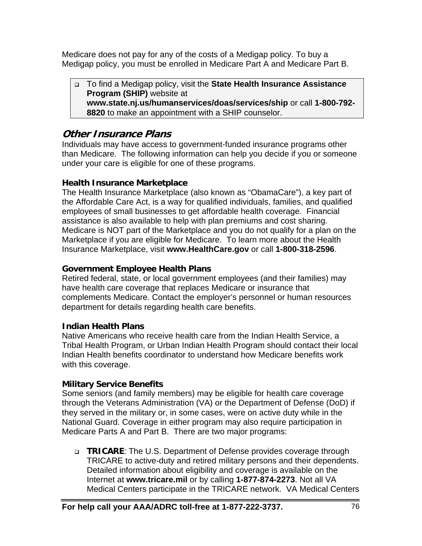Medicare does not pay for any of the costs of a Medigap policy. To buy a Medigap policy, you must be enrolled in Medicare Part A and Medicare Part B.

 To find a Medigap policy, visit the **State Health Insurance Assistance Program (SHIP)** website at **www.state.nj.us/humanservices/doas/services/ship** or call **1-800-792- 8820** to make an appointment with a SHIP counselor.

## **Other Insurance Plans**

Individuals may have access to government-funded insurance programs other than Medicare. The following information can help you decide if you or someone under your care is eligible for one of these programs.

#### **Health Insurance Marketplace**

The Health Insurance Marketplace (also known as "ObamaCare"), a key part of the Affordable Care Act, is a way for qualified individuals, families, and qualified employees of small businesses to get affordable health coverage. Financial assistance is also available to help with plan premiums and cost sharing. Medicare is NOT part of the Marketplace and you do not qualify for a plan on the Marketplace if you are eligible for Medicare. To learn more about the Health Insurance Marketplace, visit **www.HealthCare.gov** or call **1-800-318-2596**.

### **Government Employee Health Plans**

Retired federal, state, or local government employees (and their families) may have health care coverage that replaces Medicare or insurance that complements Medicare. Contact the employer's personnel or human resources department for details regarding health care benefits.

## **Indian Health Plans**

Native Americans who receive health care from the Indian Health Service, a Tribal Health Program, or Urban Indian Health Program should contact their local Indian Health benefits coordinator to understand how Medicare benefits work with this coverage.

## **Military Service Benefits**

Some seniors (and family members) may be eligible for health care coverage through the Veterans Administration (VA) or the Department of Defense (DoD) if they served in the military or, in some cases, were on active duty while in the National Guard. Coverage in either program may also require participation in Medicare Parts A and Part B. There are two major programs:

 **TRICARE**: The U.S. Department of Defense provides coverage through TRICARE to active-duty and retired military persons and their dependents. Detailed information about eligibility and coverage is available on the Internet at **www.tricare.mil** or by calling **1-877-874-2273**. Not all VA Medical Centers participate in the TRICARE network. VA Medical Centers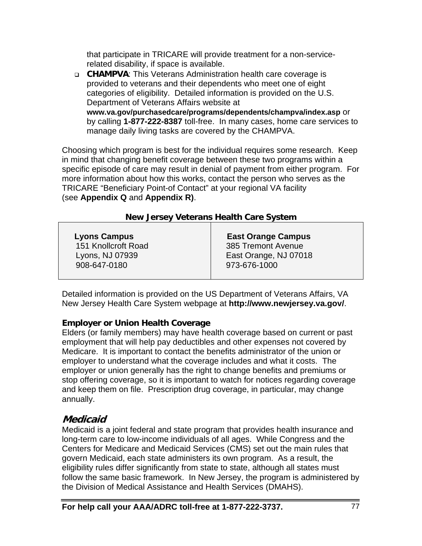that participate in TRICARE will provide treatment for a non-servicerelated disability, if space is available.

 **CHAMPVA**: This Veterans Administration health care coverage is provided to veterans and their dependents who meet one of eight categories of eligibility. Detailed information is provided on the U.S. Department of Veterans Affairs website at **www.va.gov/purchasedcare/programs/dependents/champva/index.asp** or by calling **1-877-222-8387** toll-free. In many cases, home care services to manage daily living tasks are covered by the CHAMPVA.

Choosing which program is best for the individual requires some research. Keep in mind that changing benefit coverage between these two programs within a specific episode of care may result in denial of payment from either program. For more information about how this works, contact the person who serves as the TRICARE "Beneficiary Point-of Contact" at your regional VA facility (see **Appendix Q** and **Appendix R)**.

#### **New Jersey Veterans Health Care System**

| <b>Lyons Campus</b> | <b>East Orange Campus</b> |
|---------------------|---------------------------|
| 151 Knollcroft Road | 385 Tremont Avenue        |
| Lyons, NJ 07939     | East Orange, NJ 07018     |
| 908-647-0180        | 973-676-1000              |
|                     |                           |

Detailed information is provided on the US Department of Veterans Affairs, VA New Jersey Health Care System webpage at **http://www.newjersey.va.gov/**.

#### **Employer or Union Health Coverage**

Elders (or family members) may have health coverage based on current or past employment that will help pay deductibles and other expenses not covered by Medicare. It is important to contact the benefits administrator of the union or employer to understand what the coverage includes and what it costs. The employer or union generally has the right to change benefits and premiums or stop offering coverage, so it is important to watch for notices regarding coverage and keep them on file. Prescription drug coverage, in particular, may change annually.

## **Medicaid**

Medicaid is a joint federal and state program that provides health insurance and long-term care to low-income individuals of all ages. While Congress and the Centers for Medicare and Medicaid Services (CMS) set out the main rules that govern Medicaid, each state administers its own program. As a result, the eligibility rules differ significantly from state to state, although all states must follow the same basic framework. In New Jersey, the program is administered by the Division of Medical Assistance and Health Services (DMAHS).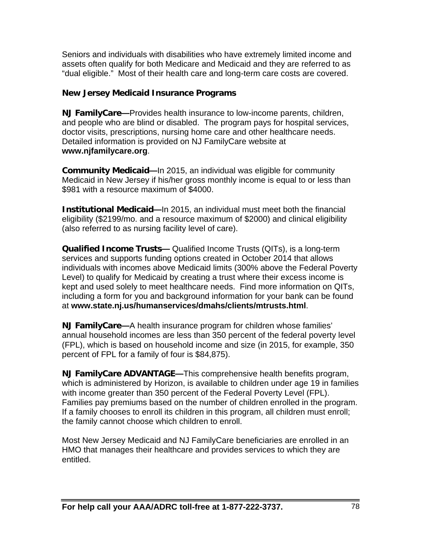Seniors and individuals with disabilities who have extremely limited income and assets often qualify for both Medicare and Medicaid and they are referred to as "dual eligible." Most of their health care and long-term care costs are covered.

#### **New Jersey Medicaid Insurance Programs**

**NJ FamilyCare—**Provides health insurance to low-income parents, children, and people who are blind or disabled. The program pays for hospital services, doctor visits, prescriptions, nursing home care and other healthcare needs. Detailed information is provided on NJ FamilyCare website at **www.njfamilycare.org**.

**Community Medicaid—**In 2015, an individual was eligible for community Medicaid in New Jersey if his/her gross monthly income is equal to or less than \$981 with a resource maximum of \$4000.

**Institutional Medicaid—**In 2015, an individual must meet both the financial eligibility (\$2199/mo. and a resource maximum of \$2000) and clinical eligibility (also referred to as nursing facility level of care).

**Qualified Income Trusts—** Qualified Income Trusts (QITs), is a long-term services and supports funding options created in October 2014 that allows individuals with incomes above Medicaid limits (300% above the Federal Poverty Level) to qualify for Medicaid by creating a trust where their excess income is kept and used solely to meet healthcare needs. Find more information on QITs, including a form for you and background information for your bank can be found at **www.state.nj.us/humanservices/dmahs/clients/mtrusts.html**.

**NJ FamilyCare—**A health insurance program for children whose families' annual household incomes are less than 350 percent of the federal poverty level (FPL), which is based on household income and size (in 2015, for example, 350 percent of FPL for a family of four is \$84,875).

**NJ FamilyCare ADVANTAGE—**This comprehensive health benefits program, which is administered by Horizon, is available to children under age 19 in families with income greater than 350 percent of the Federal Poverty Level (FPL). Families pay premiums based on the number of children enrolled in the program. If a family chooses to enroll its children in this program, all children must enroll; the family cannot choose which children to enroll.

Most New Jersey Medicaid and NJ FamilyCare beneficiaries are enrolled in an HMO that manages their healthcare and provides services to which they are entitled.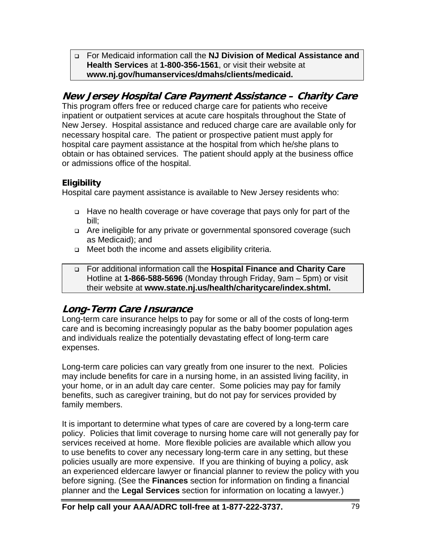For Medicaid information call the **NJ Division of Medical Assistance and Health Services** at **1-800-356-1561**, or visit their website at **www.nj.gov/humanservices/dmahs/clients/medicaid.** 

## **New Jersey Hospital Care Payment Assistance – Charity Care**

This program offers free or reduced charge care for patients who receive inpatient or outpatient services at acute care hospitals throughout the State of New Jersey. Hospital assistance and reduced charge care are available only for necessary hospital care. The patient or prospective patient must apply for hospital care payment assistance at the hospital from which he/she plans to obtain or has obtained services. The patient should apply at the business office or admissions office of the hospital.

## **Eligibility**

Hospital care payment assistance is available to New Jersey residents who:

- Have no health coverage or have coverage that pays only for part of the bill;
- Are ineligible for any private or governmental sponsored coverage (such as Medicaid); and
- □ Meet both the income and assets eligibility criteria.
- For additional information call the **Hospital Finance and Charity Care** Hotline at **1-866-588-5696** (Monday through Friday, 9am – 5pm) or visit their website at **www.state.nj.us/health/charitycare/index.shtml.**

## **Long-Term Care Insurance**

Long-term care insurance helps to pay for some or all of the costs of long-term care and is becoming increasingly popular as the baby boomer population ages and individuals realize the potentially devastating effect of long-term care expenses.

Long-term care policies can vary greatly from one insurer to the next. Policies may include benefits for care in a nursing home, in an assisted living facility, in your home, or in an adult day care center. Some policies may pay for family benefits, such as caregiver training, but do not pay for services provided by family members.

It is important to determine what types of care are covered by a long-term care policy. Policies that limit coverage to nursing home care will not generally pay for services received at home. More flexible policies are available which allow you to use benefits to cover any necessary long-term care in any setting, but these policies usually are more expensive. If you are thinking of buying a policy, ask an experienced eldercare lawyer or financial planner to review the policy with you before signing. (See the **Finances** section for information on finding a financial planner and the **Legal Services** section for information on locating a lawyer*.*)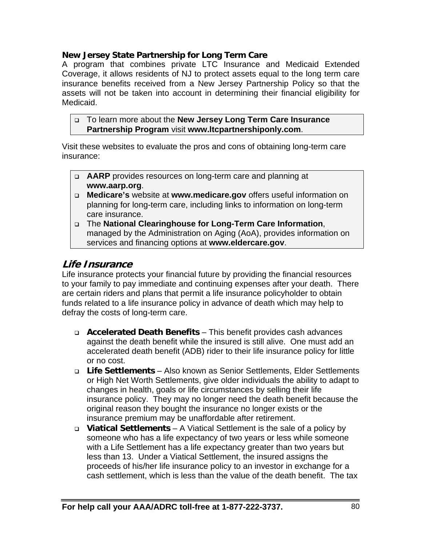#### **New Jersey State Partnership for Long Term Care**

A program that combines private LTC Insurance and Medicaid Extended Coverage, it allows residents of NJ to protect assets equal to the long term care insurance benefits received from a New Jersey Partnership Policy so that the assets will not be taken into account in determining their financial eligibility for Medicaid.

#### To learn more about the **New Jersey Long Term Care Insurance Partnership Program** visit **www.ltcpartnershiponly.com**.

Visit these websites to evaluate the pros and cons of obtaining long-term care insurance:

- **AARP** provides resources on long-term care and planning at **www.aarp.org**.
- **Medicare's** website at **www.medicare.gov** offers useful information on planning for long-term care, including links to information on long-term care insurance.
- The **National Clearinghouse for Long-Term Care Information**, managed by the Administration on Aging (AoA), provides information on services and financing options at **www.eldercare.gov**.

## **Life Insurance**

Life insurance protects your financial future by providing the financial resources to your family to pay immediate and continuing expenses after your death. There are certain riders and plans that permit a life insurance policyholder to obtain funds related to a life insurance policy in advance of death which may help to defray the costs of long-term care.

- **Accelerated Death Benefits**  This benefit provides cash advances against the death benefit while the insured is still alive. One must add an accelerated death benefit (ADB) rider to their life insurance policy for little or no cost.
- **Life Settlements**  Also known as Senior Settlements, Elder Settlements or High Net Worth Settlements, give older individuals the ability to adapt to changes in health, goals or life circumstances by selling their life insurance policy. They may no longer need the death benefit because the original reason they bought the insurance no longer exists or the insurance premium may be unaffordable after retirement.
- **Viatical Settlements**  A Viatical Settlement is the sale of a policy by someone who has a life expectancy of two years or less while someone with a Life Settlement has a life expectancy greater than two years but less than 13. Under a Viatical Settlement, the insured assigns the proceeds of his/her life insurance policy to an investor in exchange for a cash settlement, which is less than the value of the death benefit. The tax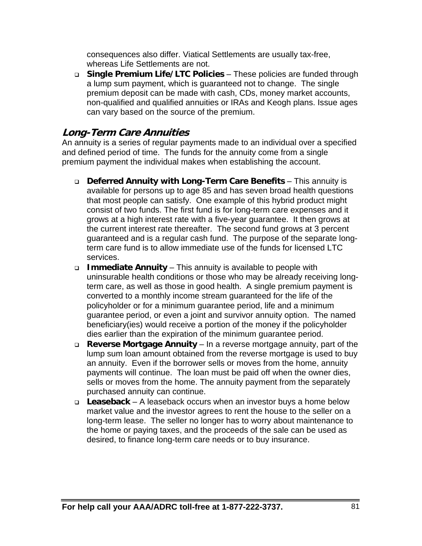consequences also differ. Viatical Settlements are usually tax-free, whereas Life Settlements are not.

 **Single Premium Life/LTC Policies** – These policies are funded through a lump sum payment, which is guaranteed not to change. The single premium deposit can be made with cash, CDs, money market accounts, non-qualified and qualified annuities or IRAs and Keogh plans. Issue ages can vary based on the source of the premium.

## **Long-Term Care Annuities**

An annuity is a series of regular payments made to an individual over a specified and defined period of time. The funds for the annuity come from a single premium payment the individual makes when establishing the account.

- **Deferred Annuity with Long-Term Care Benefits**  This annuity is available for persons up to age 85 and has seven broad health questions that most people can satisfy. One example of this hybrid product might consist of two funds. The first fund is for long-term care expenses and it grows at a high interest rate with a five-year guarantee. It then grows at the current interest rate thereafter. The second fund grows at 3 percent guaranteed and is a regular cash fund. The purpose of the separate longterm care fund is to allow immediate use of the funds for licensed LTC services.
- **Immediate Annuity**  This annuity is available to people with uninsurable health conditions or those who may be already receiving longterm care, as well as those in good health. A single premium payment is converted to a monthly income stream guaranteed for the life of the policyholder or for a minimum guarantee period, life and a minimum guarantee period, or even a joint and survivor annuity option. The named beneficiary(ies) would receive a portion of the money if the policyholder dies earlier than the expiration of the minimum guarantee period.
- **Reverse Mortgage Annuity**  In a reverse mortgage annuity, part of the lump sum loan amount obtained from the reverse mortgage is used to buy an annuity. Even if the borrower sells or moves from the home, annuity payments will continue. The loan must be paid off when the owner dies, sells or moves from the home. The annuity payment from the separately purchased annuity can continue.
- **Leaseback**  A leaseback occurs when an investor buys a home below market value and the investor agrees to rent the house to the seller on a long-term lease. The seller no longer has to worry about maintenance to the home or paying taxes, and the proceeds of the sale can be used as desired, to finance long-term care needs or to buy insurance.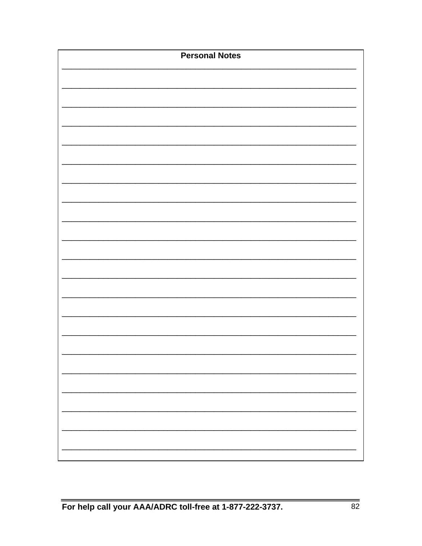| <b>Personal Notes</b> |  |
|-----------------------|--|
|                       |  |
|                       |  |
|                       |  |
|                       |  |
|                       |  |
|                       |  |
|                       |  |
|                       |  |
|                       |  |
|                       |  |
|                       |  |
|                       |  |
|                       |  |
|                       |  |
|                       |  |
|                       |  |
|                       |  |
|                       |  |
|                       |  |
|                       |  |
|                       |  |
|                       |  |
|                       |  |
|                       |  |
|                       |  |
|                       |  |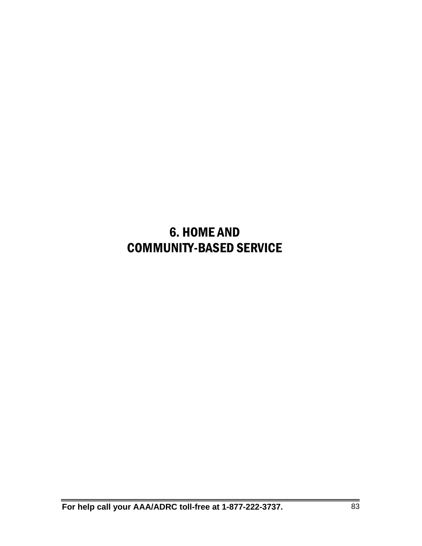## 6. HOME AND COMMUNITY-BASED SERVICE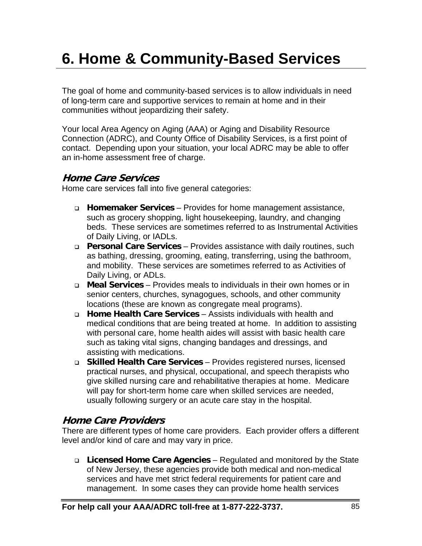# **6. Home & Community-Based Services**

The goal of home and community-based services is to allow individuals in need of long-term care and supportive services to remain at home and in their communities without jeopardizing their safety.

Your local Area Agency on Aging (AAA) or Aging and Disability Resource Connection (ADRC), and County Office of Disability Services, is a first point of contact. Depending upon your situation, your local ADRC may be able to offer an in-home assessment free of charge.

## **Home Care Services**

Home care services fall into five general categories:

- **Homemaker Services** Provides for home management assistance, such as grocery shopping, light housekeeping, laundry, and changing beds. These services are sometimes referred to as Instrumental Activities of Daily Living, or IADLs.
- **Personal Care Services** Provides assistance with daily routines, such as bathing, dressing, grooming, eating, transferring, using the bathroom, and mobility. These services are sometimes referred to as Activities of Daily Living, or ADLs.
- **Meal Services** Provides meals to individuals in their own homes or in senior centers, churches, synagogues, schools, and other community locations (these are known as congregate meal programs).
- **Home Health Care Services** Assists individuals with health and medical conditions that are being treated at home. In addition to assisting with personal care, home health aides will assist with basic health care such as taking vital signs, changing bandages and dressings, and assisting with medications.
- **Skilled Health Care Services** Provides registered nurses, licensed practical nurses, and physical, occupational, and speech therapists who give skilled nursing care and rehabilitative therapies at home. Medicare will pay for short-term home care when skilled services are needed, usually following surgery or an acute care stay in the hospital.

## **Home Care Providers**

There are different types of home care providers. Each provider offers a different level and/or kind of care and may vary in price.

 **Licensed Home Care Agencies** – Regulated and monitored by the State of New Jersey, these agencies provide both medical and non-medical services and have met strict federal requirements for patient care and management. In some cases they can provide home health services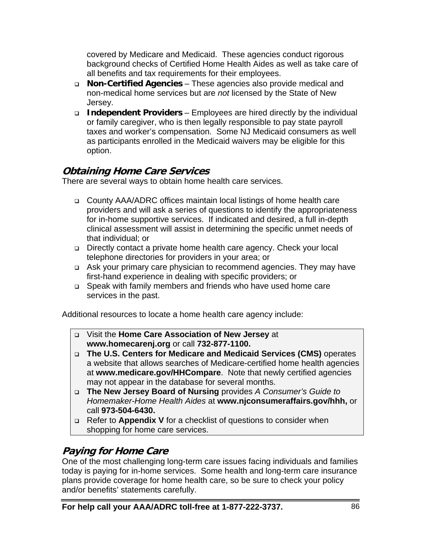covered by Medicare and Medicaid. These agencies conduct rigorous background checks of Certified Home Health Aides as well as take care of all benefits and tax requirements for their employees.

- **Non-Certified Agencies** These agencies also provide medical and non-medical home services but are *not* licensed by the State of New Jersey.
- **Independent Providers** Employees are hired directly by the individual or family caregiver, who is then legally responsible to pay state payroll taxes and worker's compensation. Some NJ Medicaid consumers as well as participants enrolled in the Medicaid waivers may be eligible for this option.

## **Obtaining Home Care Services**

There are several ways to obtain home health care services.

- County AAA/ADRC offices maintain local listings of home health care providers and will ask a series of questions to identify the appropriateness for in-home supportive services. If indicated and desired, a full in-depth clinical assessment will assist in determining the specific unmet needs of that individual; or
- □ Directly contact a private home health care agency. Check your local telephone directories for providers in your area; or
- Ask your primary care physician to recommend agencies. They may have first-hand experience in dealing with specific providers; or
- Speak with family members and friends who have used home care services in the past.

Additional resources to locate a home health care agency include:

- Visit the **Home Care Association of New Jersey** at **www.homecarenj.org** or call **732-877-1100.**
- **The U.S. Centers for Medicare and Medicaid Services (CMS)** operates a website that allows searches of Medicare-certified home health agencies at **www.medicare.gov/HHCompare**. Note that newly certified agencies may not appear in the database for several months.
- **The New Jersey Board of Nursing** provides *A Consumer's Guide to Homemaker-Home Health Aides* at **www.njconsumeraffairs.gov/hhh,** or call **973-504-6430.**
- Refer to **Appendix V** for a checklist of questions to consider when shopping for home care services.

## **Paying for Home Care**

One of the most challenging long-term care issues facing individuals and families today is paying for in-home services. Some health and long-term care insurance plans provide coverage for home health care, so be sure to check your policy and/or benefits' statements carefully.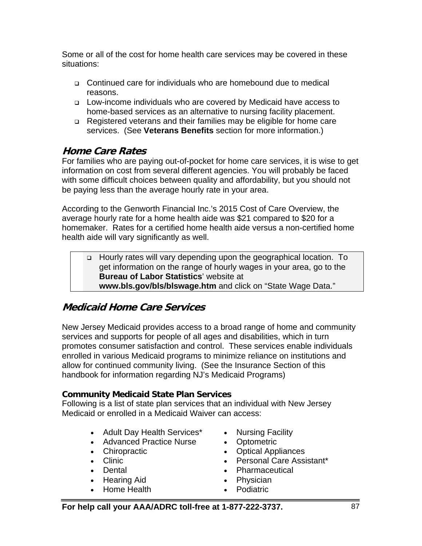Some or all of the cost for home health care services may be covered in these situations:

- Continued care for individuals who are homebound due to medical reasons.
- Low-income individuals who are covered by Medicaid have access to home-based services as an alternative to nursing facility placement.
- □ Registered veterans and their families may be eligible for home care services. (See **Veterans Benefits** section for more information.)

## **Home Care Rates**

For families who are paying out-of-pocket for home care services, it is wise to get information on cost from several different agencies. You will probably be faced with some difficult choices between quality and affordability, but you should not be paying less than the average hourly rate in your area.

According to the Genworth Financial Inc.'s 2015 Cost of Care Overview, the average hourly rate for a home health aide was \$21 compared to \$20 for a homemaker. Rates for a certified home health aide versus a non-certified home health aide will vary significantly as well.

 Hourly rates will vary depending upon the geographical location. To get information on the range of hourly wages in your area, go to the **Bureau of Labor Statistics**' website at **www.bls.gov/bls/blswage.htm** and click on "State Wage Data."

## **Medicaid Home Care Services**

New Jersey Medicaid provides access to a broad range of home and community services and supports for people of all ages and disabilities, which in turn promotes consumer satisfaction and control. These services enable individuals enrolled in various Medicaid programs to minimize reliance on institutions and allow for continued community living. (See the Insurance Section of this handbook for information regarding NJ's Medicaid Programs)

#### **Community Medicaid State Plan Services**

Following is a list of state plan services that an individual with New Jersey Medicaid or enrolled in a Medicaid Waiver can access:

- Adult Day Health Services\*
- Advanced Practice Nurse
- Chiropractic
- Clinic
- Dental
- Hearing Aid
- Home Health
- Nursing Facility
- Optometric
- Optical Appliances
- Personal Care Assistant\*
- Pharmaceutical
- Physician
- Podiatric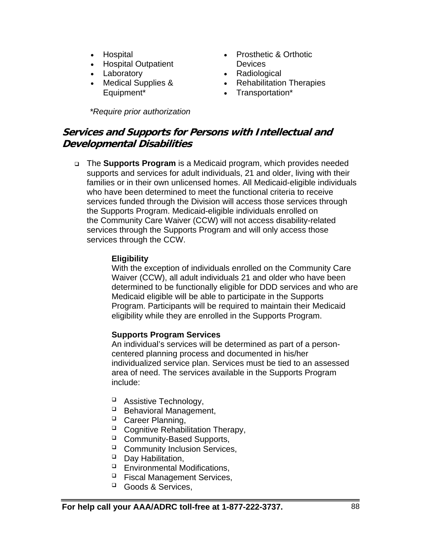- Hospital
- Hospital Outpatient
- Laboratory
- Medical Supplies & Equipment\*

*\*Require prior authorization* 

- Prosthetic & Orthotic **Devices**
- Radiological
- Rehabilitation Therapies
- Transportation\*

## **Services and Supports for Persons with Intellectual and Developmental Disabilities**

 The **Supports Program** is a Medicaid program, which provides needed supports and services for adult individuals, 21 and older, living with their families or in their own unlicensed homes. All Medicaid-eligible individuals who have been determined to meet the functional criteria to receive services funded through the Division will access those services through the Supports Program. Medicaid-eligible individuals enrolled on the Community Care Waiver (CCW) will not access disability-related services through the Supports Program and will only access those services through the CCW.

#### **Eligibility**

With the exception of individuals enrolled on the Community Care Waiver (CCW), all adult individuals 21 and older who have been determined to be functionally eligible for DDD services and who are Medicaid eligible will be able to participate in the Supports Program. Participants will be required to maintain their Medicaid eligibility while they are enrolled in the Supports Program.

#### **Supports Program Services**

An individual's services will be determined as part of a personcentered planning process and documented in his/her individualized service plan. Services must be tied to an assessed area of need. The services available in the Supports Program include:

- □ Assistive Technology,
- $\Box$  Behavioral Management.
- <sup>D</sup> Career Planning,
- <sup>D</sup> Cognitive Rehabilitation Therapy,
- <sup>D</sup> Community-Based Supports,
- □ Community Inclusion Services,
- $\Box$  Day Habilitation,
- $\Box$  Environmental Modifications,
- $\Box$  Fiscal Management Services,
- <sup>Q</sup> Goods & Services.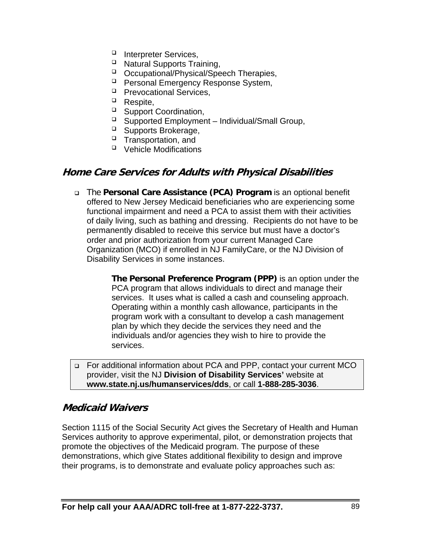- Interpreter Services,
- Natural Supports Training,
- Occupational/Physical/Speech Therapies,
- <sup>D</sup> Personal Emergency Response System,
- $\Box$  Prevocational Services,
- $\Box$  Respite,
- □ Support Coordination,
- $\Box$  Supported Employment Individual/Small Group,
- □ Supports Brokerage,
- $\Box$  Transportation, and
- $\Box$  Vehicle Modifications

## **Home Care Services for Adults with Physical Disabilities**

 The **Personal Care Assistance (PCA) Program** is an optional benefit offered to New Jersey Medicaid beneficiaries who are experiencing some functional impairment and need a PCA to assist them with their activities of daily living, such as bathing and dressing. Recipients do not have to be permanently disabled to receive this service but must have a doctor's order and prior authorization from your current Managed Care Organization (MCO) if enrolled in NJ FamilyCare, or the NJ Division of Disability Services in some instances.

> **The Personal Preference Program (PPP)** is an option under the PCA program that allows individuals to direct and manage their services. It uses what is called a cash and counseling approach. Operating within a monthly cash allowance, participants in the program work with a consultant to develop a cash management plan by which they decide the services they need and the individuals and/or agencies they wish to hire to provide the services.

 For additional information about PCA and PPP, contact your current MCO provider, visit the NJ **Division of Disability Services'** website at **www.state.nj.us/humanservices/dds**, or call **1-888-285-3036**.

#### **Medicaid Waivers**

Section 1115 of the Social Security Act gives the Secretary of Health and Human Services authority to approve experimental, pilot, or demonstration projects that promote the objectives of the Medicaid program. The purpose of these demonstrations, which give States additional flexibility to design and improve their programs, is to demonstrate and evaluate policy approaches such as: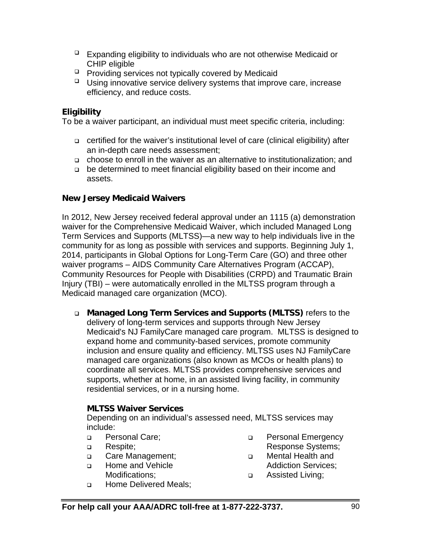- $\Box$  Expanding eligibility to individuals who are not otherwise Medicaid or CHIP eligible
- **Providing services not typically covered by Medicaid**
- $\Box$  Using innovative service delivery systems that improve care, increase efficiency, and reduce costs.

#### **Eligibility**

To be a waiver participant, an individual must meet specific criteria, including:

- certified for the waiver's institutional level of care (clinical eligibility) after an in-depth care needs assessment;
- choose to enroll in the waiver as an alternative to institutionalization; and
- be determined to meet financial eligibility based on their income and assets.

#### **New Jersey Medicaid Waivers**

In 2012, New Jersey received federal approval under an 1115 (a) demonstration waiver for the Comprehensive Medicaid Waiver, which included Managed Long Term Services and Supports (MLTSS)—a new way to help individuals live in the community for as long as possible with services and supports. Beginning July 1, 2014, participants in Global Options for Long-Term Care (GO) and three other waiver programs – AIDS Community Care Alternatives Program (ACCAP), Community Resources for People with Disabilities (CRPD) and Traumatic Brain Injury (TBI) – were automatically enrolled in the MLTSS program through a Medicaid managed care organization (MCO).

 **Managed Long Term Services and Supports (MLTSS)** refers to the delivery of long-term services and supports through New Jersey Medicaid's NJ FamilyCare managed care program. MLTSS is designed to expand home and community-based services, promote community inclusion and ensure quality and efficiency. MLTSS uses NJ FamilyCare managed care organizations (also known as MCOs or health plans) to coordinate all services. MLTSS provides comprehensive services and supports, whether at home, in an assisted living facility, in community residential services, or in a nursing home.

#### **MLTSS Waiver Services**

 Depending on an individual's assessed need, MLTSS services may include:

- □ Personal Care;
- **D** Respite:
- **Q** Care Management;
- □ Home and Vehicle Modifications;
- **Example 2** Home Delivered Meals;
- **Personal Emergency** Response Systems;
- Mental Health and Addiction Services;
- Assisted Living;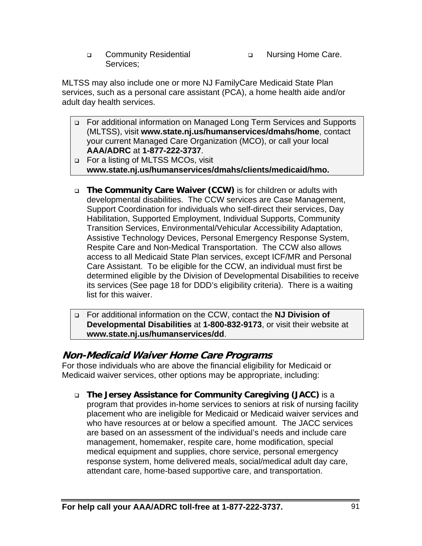- □ Community Residential Services;
- **Nursing Home Care.**

MLTSS may also include one or more NJ FamilyCare Medicaid State Plan services, such as a personal care assistant (PCA), a home health aide and/or adult day health services.

- For additional information on Managed Long Term Services and Supports (MLTSS), visit **www.state.nj.us/humanservices/dmahs/home**, contact your current Managed Care Organization (MCO), or call your local **AAA/ADRC** at **1-877-222-3737**.
- □ For a listing of MLTSS MCOs, visit **www.state.nj.us/humanservices/dmahs/clients/medicaid/hmo.**
- **The Community Care Waiver (CCW)** is for children or adults with developmental disabilities. The CCW services are Case Management, Support Coordination for individuals who self-direct their services, Day Habilitation, Supported Employment, Individual Supports, Community Transition Services, Environmental/Vehicular Accessibility Adaptation, Assistive Technology Devices, Personal Emergency Response System, Respite Care and Non-Medical Transportation. The CCW also allows access to all Medicaid State Plan services, except ICF/MR and Personal Care Assistant. To be eligible for the CCW, an individual must first be determined eligible by the Division of Developmental Disabilities to receive its services (See page 18 for DDD's eligibility criteria). There is a waiting list for this waiver.

 For additional information on the CCW, contact the **NJ Division of Developmental Disabilities** at **1-800-832-9173**, or visit their website at **www.state.nj.us/humanservices/dd**.

## **Non-Medicaid Waiver Home Care Programs**

For those individuals who are above the financial eligibility for Medicaid or Medicaid waiver services, other options may be appropriate, including:

 **The Jersey Assistance for Community Caregiving (JACC)** is a program that provides in-home services to seniors at risk of nursing facility placement who are ineligible for Medicaid or Medicaid waiver services and who have resources at or below a specified amount. The JACC services are based on an assessment of the individual's needs and include care management, homemaker, respite care, home modification, special medical equipment and supplies, chore service, personal emergency response system, home delivered meals, social/medical adult day care, attendant care, home-based supportive care, and transportation.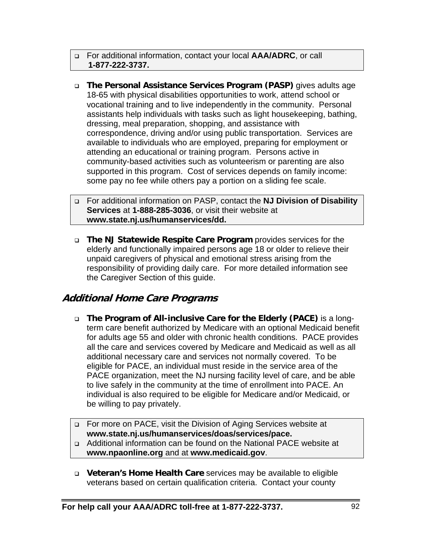#### For additional information, contact your local **AAA/ADRC**, or call **1-877-222-3737.**

 **The Personal Assistance Services Program (PASP)** gives adults age 18-65 with physical disabilities opportunities to work, attend school or vocational training and to live independently in the community. Personal assistants help individuals with tasks such as light housekeeping, bathing, dressing, meal preparation, shopping, and assistance with correspondence, driving and/or using public transportation. Services are available to individuals who are employed, preparing for employment or attending an educational or training program. Persons active in community-based activities such as volunteerism or parenting are also supported in this program. Cost of services depends on family income: some pay no fee while others pay a portion on a sliding fee scale.

 For additional information on PASP, contact the **NJ Division of Disability Services** at **1-888-285-3036**, or visit their website at **www.state.nj.us/humanservices/dd.**

 **The NJ Statewide Respite Care Program** provides services for the elderly and functionally impaired persons age 18 or older to relieve their unpaid caregivers of physical and emotional stress arising from the responsibility of providing daily care. For more detailed information see the Caregiver Section of this guide.

## **Additional Home Care Programs**

- **The Program of All-inclusive Care for the Elderly (PACE)** is a longterm care benefit authorized by Medicare with an optional Medicaid benefit for adults age 55 and older with chronic health conditions. PACE provides all the care and services covered by Medicare and Medicaid as well as all additional necessary care and services not normally covered. To be eligible for PACE, an individual must reside in the service area of the PACE organization, meet the NJ nursing facility level of care, and be able to live safely in the community at the time of enrollment into PACE. An individual is also required to be eligible for Medicare and/or Medicaid, or be willing to pay privately.
- □ For more on PACE, visit the Division of Aging Services website at **www.state.nj.us/humanservices/doas/services/pace.**
- Additional information can be found on the National PACE website at **www.npaonline.org** and at **www.medicaid.gov**.
- **Veteran's Home Health Care** services may be available to eligible veterans based on certain qualification criteria. Contact your county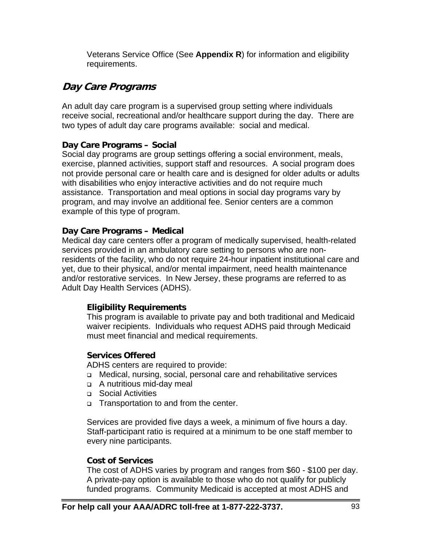Veterans Service Office (See **Appendix R**) for information and eligibility requirements.

## **Day Care Programs**

An adult day care program is a supervised group setting where individuals receive social, recreational and/or healthcare support during the day. There are two types of adult day care programs available: social and medical.

#### **Day Care Programs – Social**

Social day programs are group settings offering a social environment, meals, exercise, planned activities, support staff and resources. A social program does not provide personal care or health care and is designed for older adults or adults with disabilities who enjoy interactive activities and do not require much assistance. Transportation and meal options in social day programs vary by program, and may involve an additional fee. Senior centers are a common example of this type of program.

#### **Day Care Programs – Medical**

Medical day care centers offer a program of medically supervised, health-related services provided in an ambulatory care setting to persons who are nonresidents of the facility, who do not require 24-hour inpatient institutional care and yet, due to their physical, and/or mental impairment, need health maintenance and/or restorative services. In New Jersey, these programs are referred to as Adult Day Health Services (ADHS).

#### **Eligibility Requirements**

This program is available to private pay and both traditional and Medicaid waiver recipients. Individuals who request ADHS paid through Medicaid must meet financial and medical requirements.

#### **Services Offered**

ADHS centers are required to provide:

- Medical, nursing, social, personal care and rehabilitative services
- A nutritious mid-day meal
- □ Social Activities
- □ Transportation to and from the center.

Services are provided five days a week, a minimum of five hours a day. Staff-participant ratio is required at a minimum to be one staff member to every nine participants.

#### **Cost of Services**

The cost of ADHS varies by program and ranges from \$60 - \$100 per day. A private-pay option is available to those who do not qualify for publicly funded programs. Community Medicaid is accepted at most ADHS and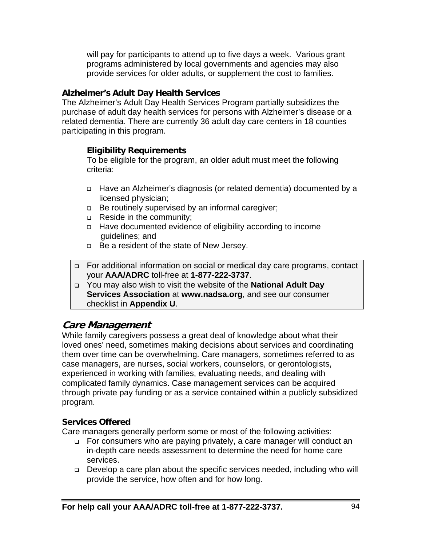will pay for participants to attend up to five days a week. Various grant programs administered by local governments and agencies may also provide services for older adults, or supplement the cost to families.

#### **Alzheimer's Adult Day Health Services**

The Alzheimer's Adult Day Health Services Program partially subsidizes the purchase of adult day health services for persons with Alzheimer's disease or a related dementia. There are currently 36 adult day care centers in 18 counties participating in this program.

#### **Eligibility Requirements**

To be eligible for the program, an older adult must meet the following criteria:

- Have an Alzheimer's diagnosis (or related dementia) documented by a licensed physician;
- □ Be routinely supervised by an informal caregiver;
- Reside in the community;
- Have documented evidence of eligibility according to income guidelines; and
- □ Be a resident of the state of New Jersey.
- For additional information on social or medical day care programs, contact your **AAA/ADRC** toll-free at **1-877-222-3737**.
- You may also wish to visit the website of the **National Adult Day Services Association** at **www.nadsa.org**, and see our consumer checklist in **Appendix U**.

## **Care Management**

While family caregivers possess a great deal of knowledge about what their loved ones' need, sometimes making decisions about services and coordinating them over time can be overwhelming. Care managers, sometimes referred to as case managers, are nurses, social workers, counselors, or gerontologists, experienced in working with families, evaluating needs, and dealing with complicated family dynamics. Case management services can be acquired through private pay funding or as a service contained within a publicly subsidized program.

#### **Services Offered**

Care managers generally perform some or most of the following activities:

- □ For consumers who are paying privately, a care manager will conduct an in-depth care needs assessment to determine the need for home care services.
- □ Develop a care plan about the specific services needed, including who will provide the service, how often and for how long.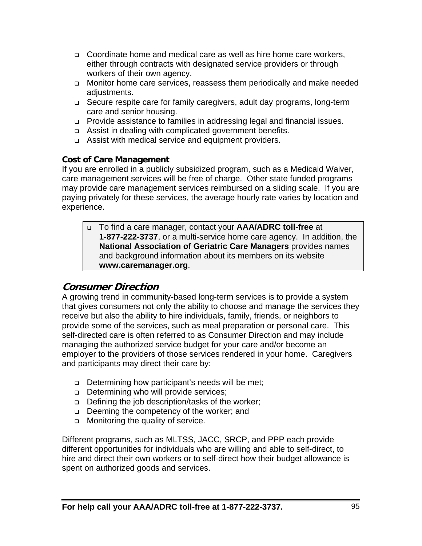- Coordinate home and medical care as well as hire home care workers, either through contracts with designated service providers or through workers of their own agency.
- Monitor home care services, reassess them periodically and make needed adiustments.
- Secure respite care for family caregivers, adult day programs, long-term care and senior housing.
- □ Provide assistance to families in addressing legal and financial issues.
- □ Assist in dealing with complicated government benefits.
- Assist with medical service and equipment providers.

#### **Cost of Care Management**

If you are enrolled in a publicly subsidized program, such as a Medicaid Waiver, care management services will be free of charge. Other state funded programs may provide care management services reimbursed on a sliding scale. If you are paying privately for these services, the average hourly rate varies by location and experience.

 To find a care manager, contact your **AAA/ADRC toll-free** at **1-877-222-3737**, or a multi-service home care agency. In addition, the **National Association of Geriatric Care Managers** provides names and background information about its members on its website **www.caremanager.org**.

## **Consumer Direction**

A growing trend in community-based long-term services is to provide a system that gives consumers not only the ability to choose and manage the services they receive but also the ability to hire individuals, family, friends, or neighbors to provide some of the services, such as meal preparation or personal care. This self-directed care is often referred to as Consumer Direction and may include managing the authorized service budget for your care and/or become an employer to the providers of those services rendered in your home. Caregivers and participants may direct their care by:

- □ Determining how participant's needs will be met;
- Determining who will provide services;
- Defining the job description/tasks of the worker;
- □ Deeming the competency of the worker; and
- **If** Monitoring the quality of service.

Different programs, such as MLTSS, JACC, SRCP, and PPP each provide different opportunities for individuals who are willing and able to self-direct, to hire and direct their own workers or to self-direct how their budget allowance is spent on authorized goods and services.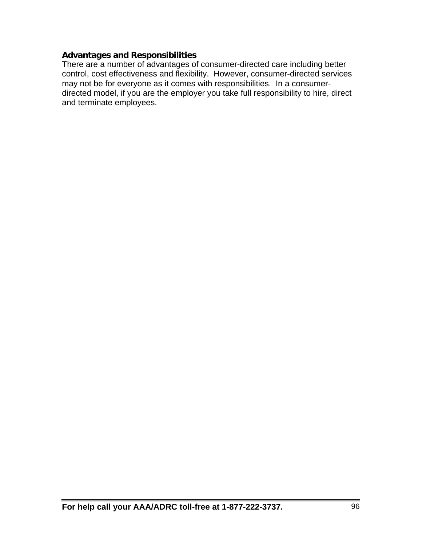#### **Advantages and Responsibilities**

There are a number of advantages of consumer-directed care including better control, cost effectiveness and flexibility. However, consumer-directed services may not be for everyone as it comes with responsibilities. In a consumerdirected model, if you are the employer you take full responsibility to hire, direct and terminate employees.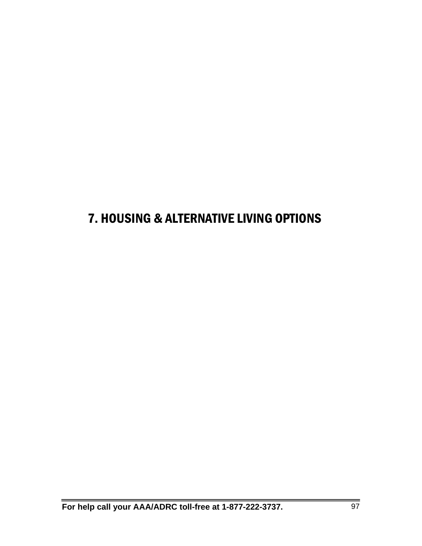## 7. HOUSING & ALTERNATIVE LIVING OPTIONS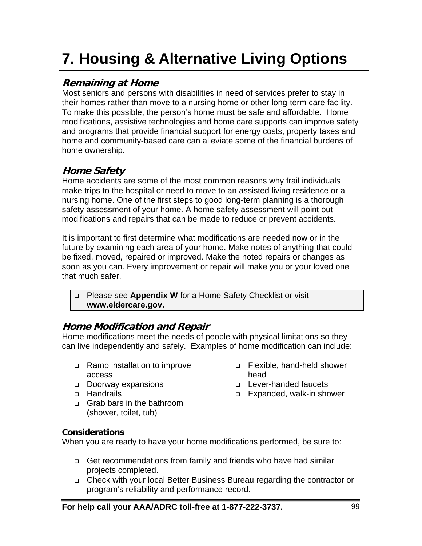# **7. Housing & Alternative Living Options**

## **Remaining at Home**

Most seniors and persons with disabilities in need of services prefer to stay in their homes rather than move to a nursing home or other long-term care facility. To make this possible, the person's home must be safe and affordable. Home modifications, assistive technologies and home care supports can improve safety and programs that provide financial support for energy costs, property taxes and home and community-based care can alleviate some of the financial burdens of home ownership.

## **Home Safety**

Home accidents are some of the most common reasons why frail individuals make trips to the hospital or need to move to an assisted living residence or a nursing home. One of the first steps to good long-term planning is a thorough safety assessment of your home. A home safety assessment will point out modifications and repairs that can be made to reduce or prevent accidents.

It is important to first determine what modifications are needed now or in the future by examining each area of your home. Make notes of anything that could be fixed, moved, repaired or improved. Make the noted repairs or changes as soon as you can. Every improvement or repair will make you or your loved one that much safer.

 Please see **Appendix W** for a Home Safety Checklist or visit **www.eldercare.gov.**

## **Home Modification and Repair**

Home modifications meet the needs of people with physical limitations so they can live independently and safely. Examples of home modification can include:

- □ Ramp installation to improve access
- Doorway expansions
- □ Handrails
- Grab bars in the bathroom (shower, toilet, tub)
- Flexible, hand-held shower head
- Lever-handed faucets
- □ Expanded, walk-in shower

#### **Considerations**

When you are ready to have your home modifications performed, be sure to:

- Get recommendations from family and friends who have had similar projects completed.
- Check with your local Better Business Bureau regarding the contractor or program's reliability and performance record.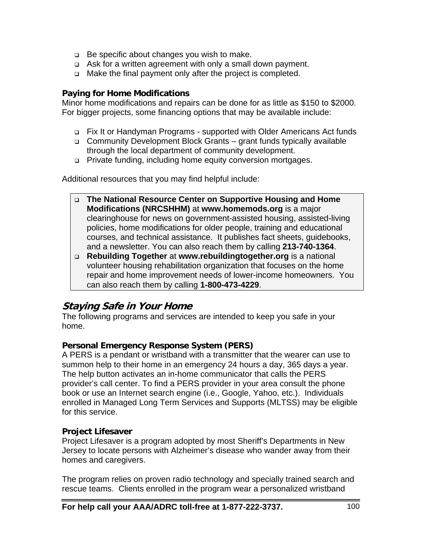- $\Box$  Be specific about changes you wish to make.
- Ask for a written agreement with only a small down payment.
- □ Make the final payment only after the project is completed.

#### **Paying for Home Modifications**

Minor home modifications and repairs can be done for as little as \$150 to \$2000. For bigger projects, some financing options that may be available include:

- Fix It or Handyman Programs supported with Older Americans Act funds
- Community Development Block Grants grant funds typically available through the local department of community development.
- Private funding, including home equity conversion mortgages.

Additional resources that you may find helpful include:

- **The National Resource Center on Supportive Housing and Home Modifications (NRCSHHM)** at **www.homemods.org** is a major clearinghouse for news on government-assisted housing, assisted-living policies, home modifications for older people, training and educational courses, and technical assistance. It publishes fact sheets, guidebooks, and a newsletter. You can also reach them by calling **213-740-1364**.
- **Rebuilding Together** at **www.rebuildingtogether.org** is a national volunteer housing rehabilitation organization that focuses on the home repair and home improvement needs of lower-income homeowners. You can also reach them by calling **1-800-473-4229**.

## **Staying Safe in Your Home**

The following programs and services are intended to keep you safe in your home.

#### **Personal Emergency Response System (PERS)**

A PERS is a pendant or wristband with a transmitter that the wearer can use to summon help to their home in an emergency 24 hours a day, 365 days a year. The help button activates an in-home communicator that calls the PERS provider's call center. To find a PERS provider in your area consult the phone book or use an Internet search engine (i.e., Google, Yahoo, etc.). Individuals enrolled in Managed Long Term Services and Supports (MLTSS) may be eligible for this service.

#### **Project Lifesaver**

Project Lifesaver is a program adopted by most Sheriff's Departments in New Jersey to locate persons with Alzheimer's disease who wander away from their homes and caregivers.

The program relies on proven radio technology and specially trained search and rescue teams. Clients enrolled in the program wear a personalized wristband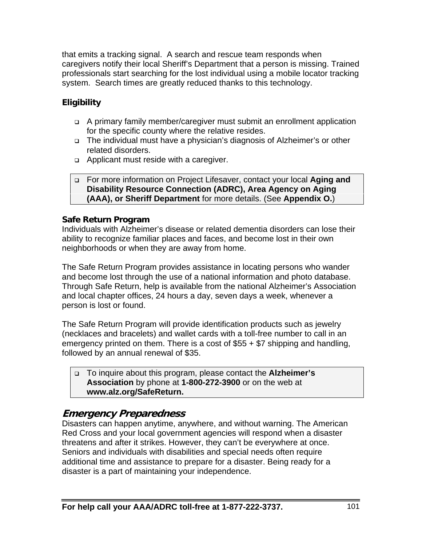that emits a tracking signal. A search and rescue team responds when caregivers notify their local Sheriff's Department that a person is missing. Trained professionals start searching for the lost individual using a mobile locator tracking system. Search times are greatly reduced thanks to this technology.

## **Eligibility**

- A primary family member/caregiver must submit an enrollment application for the specific county where the relative resides.
- The individual must have a physician's diagnosis of Alzheimer's or other related disorders.
- Applicant must reside with a caregiver.

#### For more information on Project Lifesaver, contact your local **Aging and Disability Resource Connection (ADRC), Area Agency on Aging (AAA), or Sheriff Department** for more details. (See **Appendix O.**)

#### **Safe Return Program**

Individuals with Alzheimer's disease or related dementia disorders can lose their ability to recognize familiar places and faces, and become lost in their own neighborhoods or when they are away from home.

The Safe Return Program provides assistance in locating persons who wander and become lost through the use of a national information and photo database. Through Safe Return, help is available from the national Alzheimer's Association and local chapter offices, 24 hours a day, seven days a week, whenever a person is lost or found.

The Safe Return Program will provide identification products such as jewelry (necklaces and bracelets) and wallet cards with a toll-free number to call in an emergency printed on them. There is a cost of \$55 + \$7 shipping and handling, followed by an annual renewal of \$35.

 To inquire about this program, please contact the **Alzheimer's Association** by phone at **1-800-272-3900** or on the web at **www.alz.org/SafeReturn.**

## **Emergency Preparedness**

Disasters can happen anytime, anywhere, and without warning. The American Red Cross and your local government agencies will respond when a disaster threatens and after it strikes. However, they can't be everywhere at once. Seniors and individuals with disabilities and special needs often require additional time and assistance to prepare for a disaster. Being ready for a disaster is a part of maintaining your independence.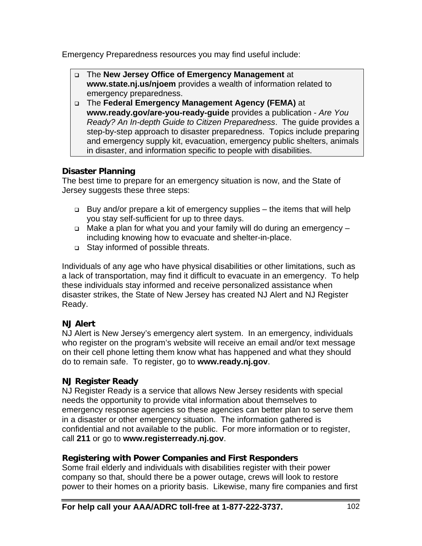Emergency Preparedness resources you may find useful include:

- The **New Jersey Office of Emergency Management** at **www.state.nj.us/njoem** provides a wealth of information related to emergency preparedness.
- The **Federal Emergency Management Agency (FEMA)** at **www.ready.gov/are-you-ready-guide** provides a publication - *Are You Ready? An In-depth Guide to Citizen Preparedness*. The guide provides a step-by-step approach to disaster preparedness. Topics include preparing and emergency supply kit, evacuation, emergency public shelters, animals in disaster, and information specific to people with disabilities.

#### **Disaster Planning**

The best time to prepare for an emergency situation is now, and the State of Jersey suggests these three steps:

- $\Box$  Buy and/or prepare a kit of emergency supplies the items that will help you stay self-sufficient for up to three days.
- $\Box$  Make a plan for what you and your family will do during an emergency including knowing how to evacuate and shelter-in-place.
- □ Stay informed of possible threats.

Individuals of any age who have physical disabilities or other limitations, such as a lack of transportation, may find it difficult to evacuate in an emergency. To help these individuals stay informed and receive personalized assistance when disaster strikes, the State of New Jersey has created NJ Alert and NJ Register Ready.

#### **NJ Alert**

NJ Alert is New Jersey's emergency alert system. In an emergency, individuals who register on the program's website will receive an email and/or text message on their cell phone letting them know what has happened and what they should do to remain safe. To register, go to **www.ready.nj.gov**.

#### **NJ Register Ready**

NJ Register Ready is a service that allows New Jersey residents with special needs the opportunity to provide vital information about themselves to emergency response agencies so these agencies can better plan to serve them in a disaster or other emergency situation. The information gathered is confidential and not available to the public. For more information or to register, call **211** or go to **www.registerready.nj.gov**.

#### **Registering with Power Companies and First Responders**

Some frail elderly and individuals with disabilities register with their power company so that, should there be a power outage, crews will look to restore power to their homes on a priority basis. Likewise, many fire companies and first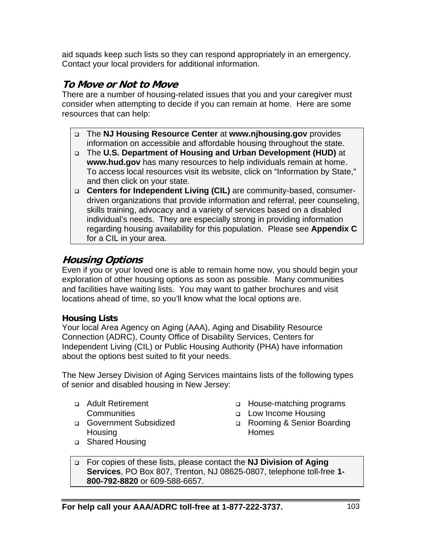aid squads keep such lists so they can respond appropriately in an emergency. Contact your local providers for additional information.

## **To Move or Not to Move**

There are a number of housing-related issues that you and your caregiver must consider when attempting to decide if you can remain at home. Here are some resources that can help:

- The **NJ Housing Resource Center** at **www.njhousing.gov** provides information on accessible and affordable housing throughout the state.
- The **U.S. Department of Housing and Urban Development (HUD)** at **www.hud.gov** has many resources to help individuals remain at home. To access local resources visit its website, click on "Information by State," and then click on your state.
- **Centers for Independent Living (CIL)** are community-based, consumerdriven organizations that provide information and referral, peer counseling, skills training, advocacy and a variety of services based on a disabled individual's needs. They are especially strong in providing information regarding housing availability for this population. Please see **Appendix C** for a CIL in your area.

## **Housing Options**

Even if you or your loved one is able to remain home now, you should begin your exploration of other housing options as soon as possible. Many communities and facilities have waiting lists. You may want to gather brochures and visit locations ahead of time, so you'll know what the local options are.

#### **Housing Lists**

Your local Area Agency on Aging (AAA), Aging and Disability Resource Connection (ADRC), County Office of Disability Services, Centers for Independent Living (CIL) or Public Housing Authority (PHA) have information about the options best suited to fit your needs.

The New Jersey Division of Aging Services maintains lists of the following types of senior and disabled housing in New Jersey:

 Adult Retirement **Communities** 

- □ House-matching programs
- □ Low Income Housing
- Rooming & Senior Boarding Homes
- Government Subsidized **Housing**
- □ Shared Housing

 For copies of these lists, please contact the **NJ Division of Aging Services**, PO Box 807, Trenton, NJ 08625-0807, telephone toll-free **1- 800-792-8820** or 609-588-6657.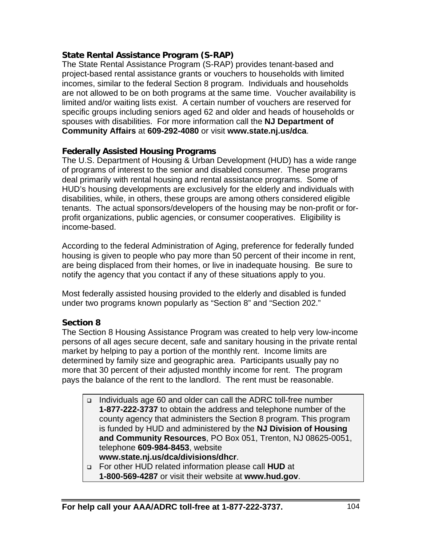#### **State Rental Assistance Program (S-RAP)**

The State Rental Assistance Program (S-RAP) provides tenant-based and project-based rental assistance grants or vouchers to households with limited incomes, similar to the federal Section 8 program. Individuals and households are not allowed to be on both programs at the same time. Voucher availability is limited and/or waiting lists exist. A certain number of vouchers are reserved for specific groups including seniors aged 62 and older and heads of households or spouses with disabilities. For more information call the **NJ Department of Community Affairs** at **609-292-4080** or visit **www.state.nj.us/dca**.

#### **Federally Assisted Housing Programs**

The U.S. Department of Housing & Urban Development (HUD) has a wide range of programs of interest to the senior and disabled consumer. These programs deal primarily with rental housing and rental assistance programs. Some of HUD's housing developments are exclusively for the elderly and individuals with disabilities, while, in others, these groups are among others considered eligible tenants. The actual sponsors/developers of the housing may be non-profit or forprofit organizations, public agencies, or consumer cooperatives. Eligibility is income-based.

According to the federal Administration of Aging, preference for federally funded housing is given to people who pay more than 50 percent of their income in rent, are being displaced from their homes, or live in inadequate housing. Be sure to notify the agency that you contact if any of these situations apply to you.

Most federally assisted housing provided to the elderly and disabled is funded under two programs known popularly as "Section 8" and "Section 202."

#### **Section 8**

The Section 8 Housing Assistance Program was created to help very low-income persons of all ages secure decent, safe and sanitary housing in the private rental market by helping to pay a portion of the monthly rent. Income limits are determined by family size and geographic area. Participants usually pay no more that 30 percent of their adjusted monthly income for rent. The program pays the balance of the rent to the landlord. The rent must be reasonable.

- Individuals age 60 and older can call the ADRC toll-free number **1-877-222-3737** to obtain the address and telephone number of the county agency that administers the Section 8 program. This program is funded by HUD and administered by the **NJ Division of Housing and Community Resources**, PO Box 051, Trenton, NJ 08625-0051, telephone **609-984-8453**, website
- **www.state.nj.us/dca/divisions/dhcr**. For other HUD related information please call **HUD** at
	- **1-800-569-4287** or visit their website at **www.hud.gov**.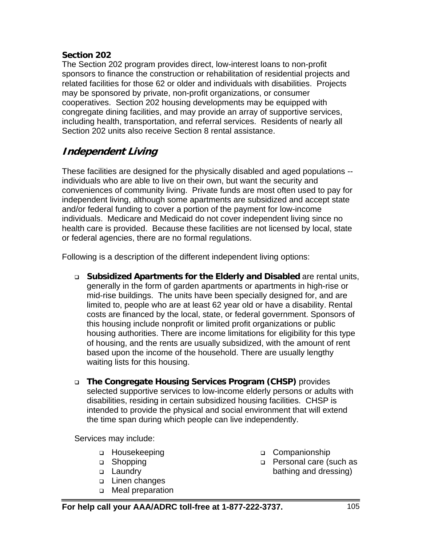#### **Section 202**

The Section 202 program provides direct, low-interest loans to non-profit sponsors to finance the construction or rehabilitation of residential projects and related facilities for those 62 or older and individuals with disabilities. Projects may be sponsored by private, non-profit organizations, or consumer cooperatives. Section 202 housing developments may be equipped with congregate dining facilities, and may provide an array of supportive services, including health, transportation, and referral services. Residents of nearly all Section 202 units also receive Section 8 rental assistance.

## **Independent Living**

These facilities are designed for the physically disabled and aged populations - individuals who are able to live on their own, but want the security and conveniences of community living. Private funds are most often used to pay for independent living, although some apartments are subsidized and accept state and/or federal funding to cover a portion of the payment for low-income individuals. Medicare and Medicaid do not cover independent living since no health care is provided. Because these facilities are not licensed by local, state or federal agencies, there are no formal regulations.

Following is a description of the different independent living options:

- **Subsidized Apartments for the Elderly and Disabled** are rental units, generally in the form of garden apartments or apartments in high-rise or mid-rise buildings. The units have been specially designed for, and are limited to, people who are at least 62 year old or have a disability. Rental costs are financed by the local, state, or federal government. Sponsors of this housing include nonprofit or limited profit organizations or public housing authorities. There are income limitations for eligibility for this type of housing, and the rents are usually subsidized, with the amount of rent based upon the income of the household. There are usually lengthy waiting lists for this housing.
- **The Congregate Housing Services Program (CHSP)** provides selected supportive services to low-income elderly persons or adults with disabilities, residing in certain subsidized housing facilities. CHSP is intended to provide the physical and social environment that will extend the time span during which people can live independently.

Services may include:

- Housekeeping
- □ Shopping
- □ Laundrv
- Linen changes
- □ Meal preparation
- □ Companionship
- □ Personal care (such as bathing and dressing)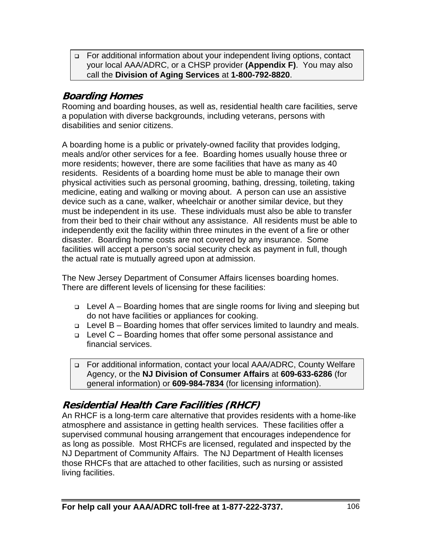For additional information about your independent living options, contact your local AAA/ADRC, or a CHSP provider **(Appendix F)**. You may also call the **Division of Aging Services** at **1-800-792-8820**.

## **Boarding Homes**

Rooming and boarding houses, as well as, residential health care facilities, serve a population with diverse backgrounds, including veterans, persons with disabilities and senior citizens.

A boarding home is a public or privately-owned facility that provides lodging, meals and/or other services for a fee. Boarding homes usually house three or more residents; however, there are some facilities that have as many as 40 residents. Residents of a boarding home must be able to manage their own physical activities such as personal grooming, bathing, dressing, toileting, taking medicine, eating and walking or moving about. A person can use an assistive device such as a cane, walker, wheelchair or another similar device, but they must be independent in its use. These individuals must also be able to transfer from their bed to their chair without any assistance. All residents must be able to independently exit the facility within three minutes in the event of a fire or other disaster. Boarding home costs are not covered by any insurance. Some facilities will accept a person's social security check as payment in full, though the actual rate is mutually agreed upon at admission.

The New Jersey Department of Consumer Affairs licenses boarding homes. There are different levels of licensing for these facilities:

- $\Box$  Level A Boarding homes that are single rooms for living and sleeping but do not have facilities or appliances for cooking.
- $\Box$  Level B Boarding homes that offer services limited to laundry and meals.
- Level C Boarding homes that offer some personal assistance and financial services.
- For additional information, contact your local AAA/ADRC, County Welfare Agency, or the **NJ Division of Consumer Affairs** at **609-633-6286** (for general information) or **609-984-7834** (for licensing information).

## **Residential Health Care Facilities (RHCF)**

An RHCF is a long-term care alternative that provides residents with a home-like atmosphere and assistance in getting health services. These facilities offer a supervised communal housing arrangement that encourages independence for as long as possible. Most RHCFs are licensed, regulated and inspected by the NJ Department of Community Affairs. The NJ Department of Health licenses those RHCFs that are attached to other facilities, such as nursing or assisted living facilities.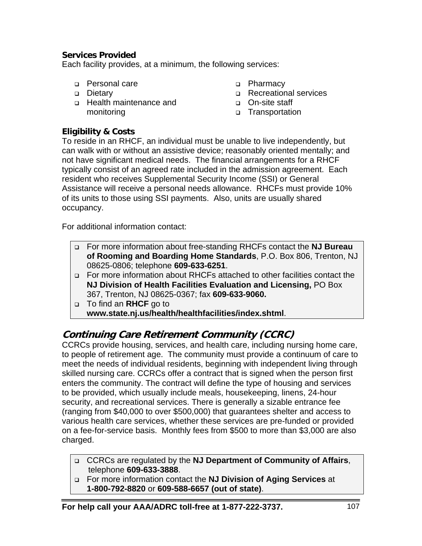#### **Services Provided**

Each facility provides, at a minimum, the following services:

- Personal care
- □ Dietary
- Health maintenance and monitoring
- □ Pharmacy
- **Recreational services**
- On-site staff
- Transportation

#### **Eligibility & Costs**

To reside in an RHCF, an individual must be unable to live independently, but can walk with or without an assistive device; reasonably oriented mentally; and not have significant medical needs. The financial arrangements for a RHCF typically consist of an agreed rate included in the admission agreement. Each resident who receives Supplemental Security Income (SSI) or General Assistance will receive a personal needs allowance. RHCFs must provide 10% of its units to those using SSI payments. Also, units are usually shared occupancy.

For additional information contact:

- For more information about free-standing RHCFs contact the **NJ Bureau of Rooming and Boarding Home Standards**, P.O. Box 806, Trenton, NJ 08625-0806; telephone **609-633-6251**.
- For more information about RHCFs attached to other facilities contact the **NJ Division of Health Facilities Evaluation and Licensing,** PO Box 367, Trenton, NJ 08625-0367; fax **609-633-9060.**
- To find an **RHCF** go to **www.state.nj.us/health/healthfacilities/index.shtml**.

## **Continuing Care Retirement Community (CCRC)**

CCRCs provide housing, services, and health care, including nursing home care, to people of retirement age. The community must provide a continuum of care to meet the needs of individual residents, beginning with independent living through skilled nursing care. CCRCs offer a contract that is signed when the person first enters the community. The contract will define the type of housing and services to be provided, which usually include meals, housekeeping, linens, 24-hour security, and recreational services. There is generally a sizable entrance fee (ranging from \$40,000 to over \$500,000) that guarantees shelter and access to various health care services, whether these services are pre-funded or provided on a fee-for-service basis. Monthly fees from \$500 to more than \$3,000 are also charged.

- CCRCs are regulated by the **NJ Department of Community of Affairs**, telephone **609-633-3888**.
- For more information contact the **NJ Division of Aging Services** at **1-800-792-8820** or **609-588-6657 (out of state)**.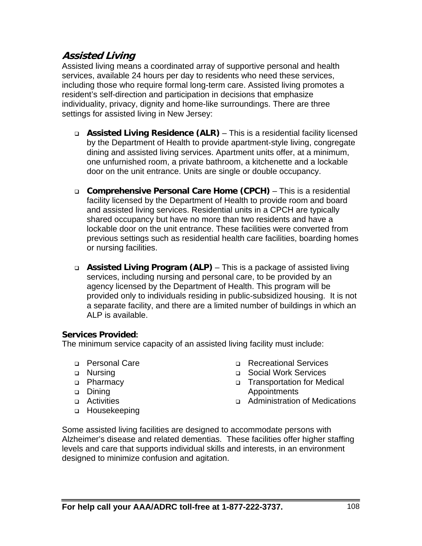## **Assisted Living**

Assisted living means a coordinated array of supportive personal and health services, available 24 hours per day to residents who need these services, including those who require formal long-term care. Assisted living promotes a resident's self-direction and participation in decisions that emphasize individuality, privacy, dignity and home-like surroundings. There are three settings for assisted living in New Jersey:

- **Assisted Living Residence (ALR)** This is a residential facility licensed by the Department of Health to provide apartment-style living, congregate dining and assisted living services. Apartment units offer, at a minimum, one unfurnished room, a private bathroom, a kitchenette and a lockable door on the unit entrance. Units are single or double occupancy.
- **Comprehensive Personal Care Home (CPCH)** This is a residential facility licensed by the Department of Health to provide room and board and assisted living services. Residential units in a CPCH are typically shared occupancy but have no more than two residents and have a lockable door on the unit entrance. These facilities were converted from previous settings such as residential health care facilities, boarding homes or nursing facilities.
- **Assisted Living Program (ALP)** This is a package of assisted living services, including nursing and personal care, to be provided by an agency licensed by the Department of Health. This program will be provided only to individuals residing in public-subsidized housing. It is not a separate facility, and there are a limited number of buildings in which an ALP is available.

#### **Services Provided:**

The minimum service capacity of an assisted living facility must include:

- Personal Care
- **D** Nursing
- D Pharmacy
- Dining
- **D** Activities
- □ Housekeeping
- **Recreational Services**
- Social Work Services
- Transportation for Medical Appointments
- Administration of Medications

Some assisted living facilities are designed to accommodate persons with Alzheimer's disease and related dementias. These facilities offer higher staffing levels and care that supports individual skills and interests, in an environment designed to minimize confusion and agitation.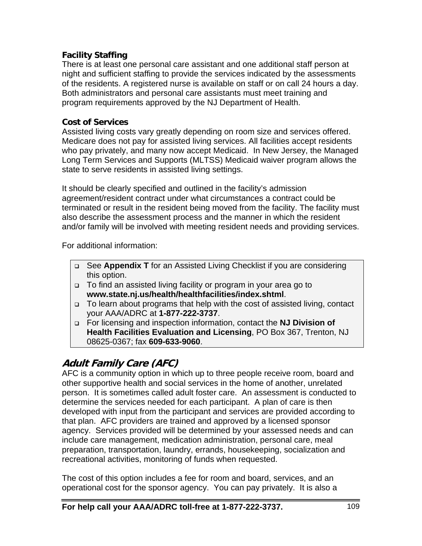#### **Facility Staffing**

There is at least one personal care assistant and one additional staff person at night and sufficient staffing to provide the services indicated by the assessments of the residents. A registered nurse is available on staff or on call 24 hours a day. Both administrators and personal care assistants must meet training and program requirements approved by the NJ Department of Health.

#### **Cost of Services**

Assisted living costs vary greatly depending on room size and services offered. Medicare does not pay for assisted living services. All facilities accept residents who pay privately, and many now accept Medicaid. In New Jersey, the Managed Long Term Services and Supports (MLTSS) Medicaid waiver program allows the state to serve residents in assisted living settings.

It should be clearly specified and outlined in the facility's admission agreement/resident contract under what circumstances a contract could be terminated or result in the resident being moved from the facility. The facility must also describe the assessment process and the manner in which the resident and/or family will be involved with meeting resident needs and providing services.

For additional information:

- See **Appendix T** for an Assisted Living Checklist if you are considering this option.
- To find an assisted living facility or program in your area go to **www.state.nj.us/health/healthfacilities/index.shtml**.
- □ To learn about programs that help with the cost of assisted living, contact your AAA/ADRC at **1-877-222-3737**.
- For licensing and inspection information, contact the **NJ Division of Health Facilities Evaluation and Licensing**, PO Box 367, Trenton, NJ 08625-0367; fax **609-633-9060**.

## **Adult Family Care (AFC)**

AFC is a community option in which up to three people receive room, board and other supportive health and social services in the home of another, unrelated person. It is sometimes called adult foster care. An assessment is conducted to determine the services needed for each participant. A plan of care is then developed with input from the participant and services are provided according to that plan. AFC providers are trained and approved by a licensed sponsor agency. Services provided will be determined by your assessed needs and can include care management, medication administration, personal care, meal preparation, transportation, laundry, errands, housekeeping, socialization and recreational activities, monitoring of funds when requested.

The cost of this option includes a fee for room and board, services, and an operational cost for the sponsor agency. You can pay privately. It is also a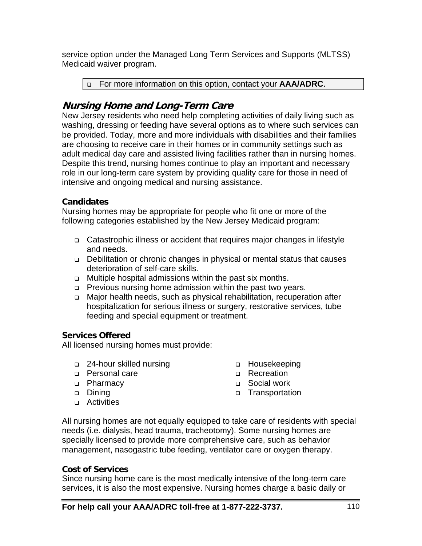service option under the Managed Long Term Services and Supports (MLTSS) Medicaid waiver program.

For more information on this option, contact your **AAA/ADRC**.

## **Nursing Home and Long-Term Care**

New Jersey residents who need help completing activities of daily living such as washing, dressing or feeding have several options as to where such services can be provided. Today, more and more individuals with disabilities and their families are choosing to receive care in their homes or in community settings such as adult medical day care and assisted living facilities rather than in nursing homes. Despite this trend, nursing homes continue to play an important and necessary role in our long-term care system by providing quality care for those in need of intensive and ongoing medical and nursing assistance.

#### **Candidates**

Nursing homes may be appropriate for people who fit one or more of the following categories established by the New Jersey Medicaid program:

- Catastrophic illness or accident that requires major changes in lifestyle and needs.
- Debilitation or chronic changes in physical or mental status that causes deterioration of self-care skills.
- □ Multiple hospital admissions within the past six months.
- □ Previous nursing home admission within the past two years.
- □ Major health needs, such as physical rehabilitation, recuperation after hospitalization for serious illness or surgery, restorative services, tube feeding and special equipment or treatment.

#### **Services Offered**

All licensed nursing homes must provide:

- □ 24-hour skilled nursing
- Personal care
- D Pharmacy
- **Dining**
- **D** Activities
- □ Housekeeping
- □ Recreation
- □ Social work
- □ Transportation

All nursing homes are not equally equipped to take care of residents with special needs (i.e. dialysis, head trauma, tracheotomy). Some nursing homes are specially licensed to provide more comprehensive care, such as behavior management, nasogastric tube feeding, ventilator care or oxygen therapy.

#### **Cost of Services**

Since nursing home care is the most medically intensive of the long-term care services, it is also the most expensive. Nursing homes charge a basic daily or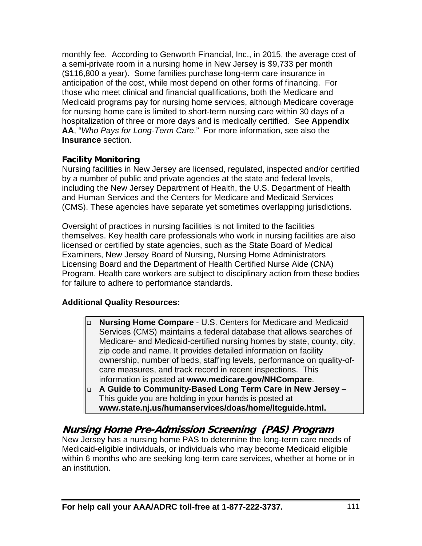monthly fee. According to Genworth Financial, Inc., in 2015, the average cost of a semi-private room in a nursing home in New Jersey is \$9,733 per month (\$116,800 a year). Some families purchase long-term care insurance in anticipation of the cost, while most depend on other forms of financing. For those who meet clinical and financial qualifications, both the Medicare and Medicaid programs pay for nursing home services, although Medicare coverage for nursing home care is limited to short-term nursing care within 30 days of a hospitalization of three or more days and is medically certified. See **Appendix AA**, "*Who Pays for Long-Term Care*." For more information, see also the **Insurance** section.

#### **Facility Monitoring**

Nursing facilities in New Jersey are licensed, regulated, inspected and/or certified by a number of public and private agencies at the state and federal levels, including the New Jersey Department of Health, the U.S. Department of Health and Human Services and the Centers for Medicare and Medicaid Services (CMS). These agencies have separate yet sometimes overlapping jurisdictions.

Oversight of practices in nursing facilities is not limited to the facilities themselves. Key health care professionals who work in nursing facilities are also licensed or certified by state agencies, such as the State Board of Medical Examiners, New Jersey Board of Nursing, Nursing Home Administrators Licensing Board and the Department of Health Certified Nurse Aide (CNA) Program. Health care workers are subject to disciplinary action from these bodies for failure to adhere to performance standards.

#### **Additional Quality Resources:**

- **Nursing Home Compare** U.S. Centers for Medicare and Medicaid Services (CMS) maintains a federal database that allows searches of Medicare- and Medicaid-certified nursing homes by state, county, city, zip code and name. It provides detailed information on facility ownership, number of beds, staffing levels, performance on quality-ofcare measures, and track record in recent inspections. This information is posted at **www.medicare.gov/NHCompare**.
- **A Guide to Community-Based Long Term Care in New Jersey** This guide you are holding in your hands is posted at **www.state.nj.us/humanservices/doas/home/ltcguide.html.**

## **Nursing Home Pre-Admission Screening (PAS) Program**

New Jersey has a nursing home PAS to determine the long-term care needs of Medicaid-eligible individuals, or individuals who may become Medicaid eligible within 6 months who are seeking long-term care services, whether at home or in an institution.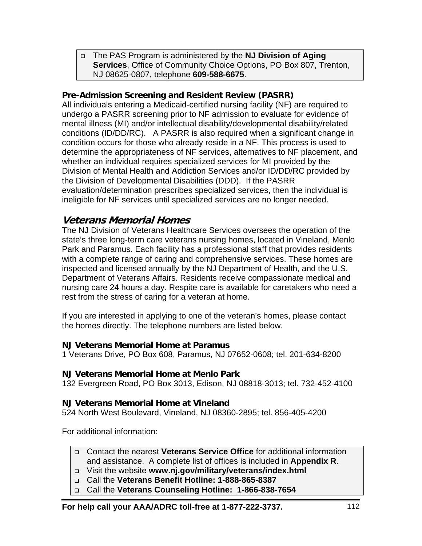The PAS Program is administered by the **NJ Division of Aging Services**, Office of Community Choice Options, PO Box 807, Trenton, NJ 08625-0807, telephone **609-588-6675**.

#### **Pre-Admission Screening and Resident Review (PASRR)**

All individuals entering a Medicaid-certified nursing facility (NF) are required to undergo a PASRR screening prior to NF admission to evaluate for evidence of mental illness (MI) and/or intellectual disability/developmental disability/related conditions (ID/DD/RC). A PASRR is also required when a significant change in condition occurs for those who already reside in a NF. This process is used to determine the appropriateness of NF services, alternatives to NF placement, and whether an individual requires specialized services for MI provided by the Division of Mental Health and Addiction Services and/or ID/DD/RC provided by the Division of Developmental Disabilities (DDD). If the PASRR evaluation/determination prescribes specialized services, then the individual is ineligible for NF services until specialized services are no longer needed.

#### **Veterans Memorial Homes**

The NJ Division of Veterans Healthcare Services oversees the operation of the state's three long-term care veterans nursing homes, located in Vineland, Menlo Park and Paramus. Each facility has a professional staff that provides residents with a complete range of caring and comprehensive services. These homes are inspected and licensed annually by the NJ Department of Health, and the U.S. Department of Veterans Affairs. Residents receive compassionate medical and nursing care 24 hours a day. Respite care is available for caretakers who need a rest from the stress of caring for a veteran at home.

If you are interested in applying to one of the veteran's homes, please contact the homes directly. The telephone numbers are listed below.

#### **NJ Veterans Memorial Home at Paramus**

1 Veterans Drive, PO Box 608, Paramus, NJ 07652-0608; tel. 201-634-8200

#### **NJ Veterans Memorial Home at Menlo Park**

132 Evergreen Road, PO Box 3013, Edison, NJ 08818-3013; tel. 732-452-4100

#### **NJ Veterans Memorial Home at Vineland**

524 North West Boulevard, Vineland, NJ 08360-2895; tel. 856-405-4200

For additional information:

- Contact the nearest **Veterans Service Office** for additional information and assistance. A complete list of offices is included in **Appendix R**.
- Visit the website **www.nj.gov/military/veterans/index.html**
- Call the **Veterans Benefit Hotline: 1-888-865-8387**
- Call the **Veterans Counseling Hotline: 1-866-838-7654**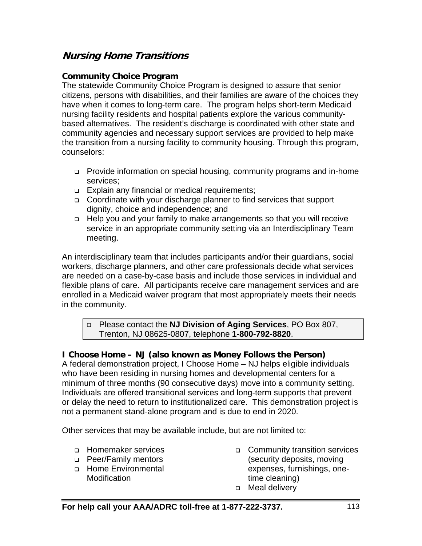## **Nursing Home Transitions**

#### **Community Choice Program**

The statewide Community Choice Program is designed to assure that senior citizens, persons with disabilities, and their families are aware of the choices they have when it comes to long-term care. The program helps short-term Medicaid nursing facility residents and hospital patients explore the various communitybased alternatives. The resident's discharge is coordinated with other state and community agencies and necessary support services are provided to help make the transition from a nursing facility to community housing. Through this program, counselors:

- Provide information on special housing, community programs and in-home services;
- Explain any financial or medical requirements;
- □ Coordinate with your discharge planner to find services that support dignity, choice and independence; and
- □ Help you and your family to make arrangements so that you will receive service in an appropriate community setting via an Interdisciplinary Team meeting.

An interdisciplinary team that includes participants and/or their guardians, social workers, discharge planners, and other care professionals decide what services are needed on a case-by-case basis and include those services in individual and flexible plans of care. All participants receive care management services and are enrolled in a Medicaid waiver program that most appropriately meets their needs in the community.

 Please contact the **NJ Division of Aging Services**, PO Box 807, Trenton, NJ 08625-0807, telephone **1-800-792-8820**.

#### **I Choose Home – NJ (also known as Money Follows the Person)**

A federal demonstration project, I Choose Home – NJ helps eligible individuals who have been residing in nursing homes and developmental centers for a minimum of three months (90 consecutive days) move into a community setting. Individuals are offered transitional services and long-term supports that prevent or delay the need to return to institutionalized care. This demonstration project is not a permanent stand-alone program and is due to end in 2020.

Other services that may be available include, but are not limited to:

- □ Homemaker services
- **Peer/Family mentors**
- **Home Environmental Modification**
- Community transition services (security deposits, moving expenses, furnishings, onetime cleaning)
- □ Meal delivery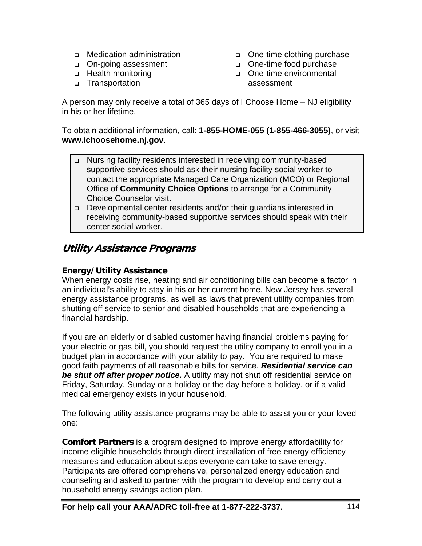- □ Medication administration
- □ On-going assessment
- □ Health monitoring
- □ Transportation
- One-time clothing purchase
- One-time food purchase
- o One-time environmental assessment

A person may only receive a total of 365 days of I Choose Home – NJ eligibility in his or her lifetime.

To obtain additional information, call: **1-855-HOME-055 (1-855-466-3055)**, or visit **www.ichoosehome.nj.gov**.

- Nursing facility residents interested in receiving community-based supportive services should ask their nursing facility social worker to contact the appropriate Managed Care Organization (MCO) or Regional Office of **Community Choice Options** to arrange for a Community Choice Counselor visit.
- Developmental center residents and/or their guardians interested in receiving community-based supportive services should speak with their center social worker.

### **Utility Assistance Programs**

#### **Energy/Utility Assistance**

When energy costs rise, heating and air conditioning bills can become a factor in an individual's ability to stay in his or her current home. New Jersey has several energy assistance programs, as well as laws that prevent utility companies from shutting off service to senior and disabled households that are experiencing a financial hardship.

If you are an elderly or disabled customer having financial problems paying for your electric or gas bill, you should request the utility company to enroll you in a budget plan in accordance with your ability to pay. You are required to make good faith payments of all reasonable bills for service. *Residential service can be shut off after proper notice.* A utility may not shut off residential service on Friday, Saturday, Sunday or a holiday or the day before a holiday, or if a valid medical emergency exists in your household.

The following utility assistance programs may be able to assist you or your loved one:

**Comfort Partners** is a program designed to improve energy affordability for income eligible households through direct installation of free energy efficiency measures and education about steps everyone can take to save energy. Participants are offered comprehensive, personalized energy education and counseling and asked to partner with the program to develop and carry out a household energy savings action plan.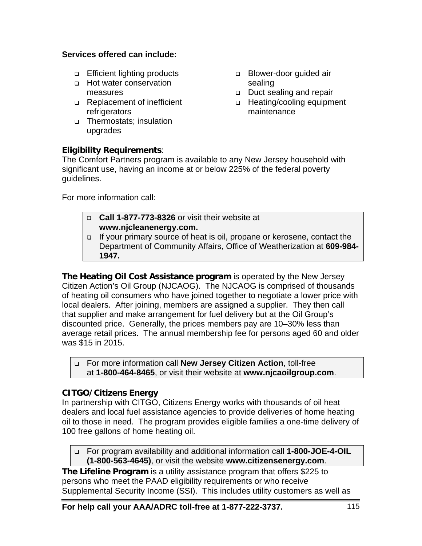#### **Services offered can include:**

- **Efficient lighting products**
- **Hot water conservation** measures
- Replacement of inefficient refrigerators
- Thermostats; insulation upgrades

#### **Eligibility Requirements**:

□ Blower-door guided air sealing

- Duct sealing and repair
- □ Heating/cooling equipment maintenance

The Comfort Partners program is available to any New Jersey household with significant use, having an income at or below 225% of the federal poverty guidelines.

For more information call:

- **Call 1-877-773-8326** or visit their website at **www.njcleanenergy.com.**
- If your primary source of heat is oil, propane or kerosene, contact the Department of Community Affairs, Office of Weatherization at **609-984- 1947.**

**The Heating Oil Cost Assistance program** is operated by the New Jersey Citizen Action's Oil Group (NJCAOG). The NJCAOG is comprised of thousands of heating oil consumers who have joined together to negotiate a lower price with local dealers. After joining, members are assigned a supplier. They then call that supplier and make arrangement for fuel delivery but at the Oil Group's discounted price. Generally, the prices members pay are 10–30% less than average retail prices. The annual membership fee for persons aged 60 and older was \$15 in 2015.

 For more information call **New Jersey Citizen Action**, toll-free at **1-800-464-8465**, or visit their website at **www.njcaoilgroup.com**.

#### **CITGO/Citizens Energy**

In partnership with CITGO, Citizens Energy works with thousands of oil heat dealers and local fuel assistance agencies to provide deliveries of home heating oil to those in need. The program provides eligible families a one-time delivery of 100 free gallons of home heating oil.

 For program availability and additional information call **1-800-JOE-4-OIL (1-800-563-4645)**, or visit the website **www.citizensenergy.com**.

**The Lifeline Program** is a utility assistance program that offers \$225 to persons who meet the PAAD eligibility requirements or who receive Supplemental Security Income (SSI). This includes utility customers as well as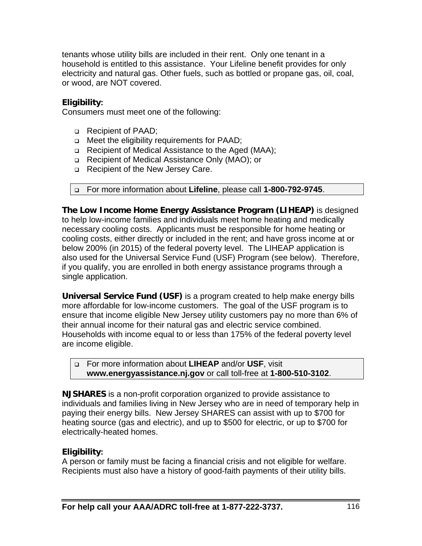tenants whose utility bills are included in their rent. Only one tenant in a household is entitled to this assistance. Your Lifeline benefit provides for only electricity and natural gas. Other fuels, such as bottled or propane gas, oil, coal, or wood, are NOT covered.

#### **Eligibility:**

Consumers must meet one of the following:

- Recipient of PAAD;
- □ Meet the eligibility requirements for PAAD;
- □ Recipient of Medical Assistance to the Aged (MAA);
- Recipient of Medical Assistance Only (MAO); or
- □ Recipient of the New Jersey Care.

#### For more information about **Lifeline**, please call **1-800-792-9745**.

**The Low Income Home Energy Assistance Program (LIHEAP)** is designed to help low-income families and individuals meet home heating and medically necessary cooling costs. Applicants must be responsible for home heating or cooling costs, either directly or included in the rent; and have gross income at or below 200% (in 2015) of the federal poverty level. The LIHEAP application is also used for the Universal Service Fund (USF) Program (see below). Therefore, if you qualify, you are enrolled in both energy assistance programs through a single application.

**Universal Service Fund (USF)** is a program created to help make energy bills more affordable for low-income customers. The goal of the USF program is to ensure that income eligible New Jersey utility customers pay no more than 6% of their annual income for their natural gas and electric service combined. Households with income equal to or less than 175% of the federal poverty level are income eligible.

 For more information about **LIHEAP** and/or **USF**, visit **www.energyassistance.nj.gov** or call toll-free at **1-800-510-3102**.

**NJSHARES** is a non-profit corporation organized to provide assistance to individuals and families living in New Jersey who are in need of temporary help in paying their energy bills. New Jersey SHARES can assist with up to \$700 for heating source (gas and electric), and up to \$500 for electric, or up to \$700 for electrically-heated homes.

#### **Eligibility:**

A person or family must be facing a financial crisis and not eligible for welfare. Recipients must also have a history of good-faith payments of their utility bills.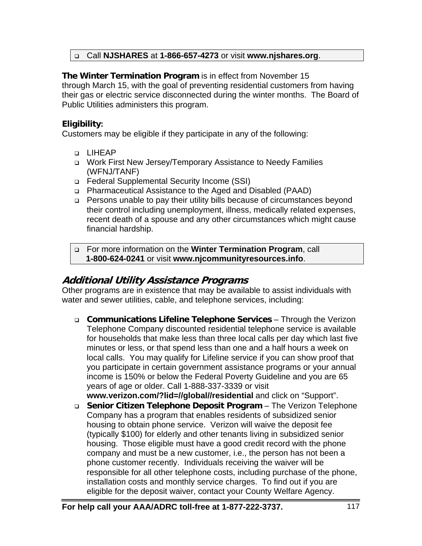#### Call **NJSHARES** at **1-866-657-4273** or visit **www.njshares.org**.

#### **The Winter Termination Program** is in effect from November 15

through March 15, with the goal of preventing residential customers from having their gas or electric service disconnected during the winter months. The Board of Public Utilities administers this program.

#### **Eligibility:**

Customers may be eligible if they participate in any of the following:

- D LIHEAP
- Work First New Jersey/Temporary Assistance to Needy Families (WFNJ/TANF)
- Federal Supplemental Security Income (SSI)
- Pharmaceutical Assistance to the Aged and Disabled (PAAD)
- □ Persons unable to pay their utility bills because of circumstances beyond their control including unemployment, illness, medically related expenses, recent death of a spouse and any other circumstances which might cause financial hardship.

 For more information on the **Winter Termination Program**, call **1-800-624-0241** or visit **www.njcommunityresources.info**.

## **Additional Utility Assistance Programs**

Other programs are in existence that may be available to assist individuals with water and sewer utilities, cable, and telephone services, including:

 **Communications Lifeline Telephone Services** – Through the Verizon Telephone Company discounted residential telephone service is available for households that make less than three local calls per day which last five minutes or less, or that spend less than one and a half hours a week on local calls. You may qualify for Lifeline service if you can show proof that you participate in certain government assistance programs or your annual income is 150% or below the Federal Poverty Guideline and you are 65 years of age or older. Call 1-888-337-3339 or visit

**www.verizon.com/?lid=//global//residential** and click on "Support". **Senior Citizen Telephone Deposit Program** – The Verizon Telephone Company has a program that enables residents of subsidized senior housing to obtain phone service. Verizon will waive the deposit fee (typically \$100) for elderly and other tenants living in subsidized senior housing. Those eligible must have a good credit record with the phone company and must be a new customer, i.e., the person has not been a phone customer recently. Individuals receiving the waiver will be responsible for all other telephone costs, including purchase of the phone, installation costs and monthly service charges. To find out if you are eligible for the deposit waiver, contact your County Welfare Agency.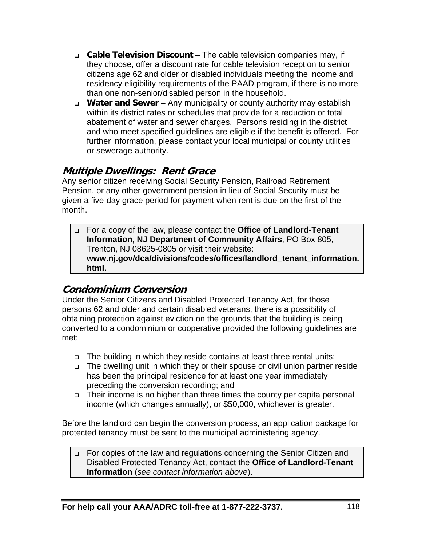- **Cable Television Discount** The cable television companies may, if they choose, offer a discount rate for cable television reception to senior citizens age 62 and older or disabled individuals meeting the income and residency eligibility requirements of the PAAD program, if there is no more than one non-senior/disabled person in the household.
- **Water and Sewer** Any municipality or county authority may establish within its district rates or schedules that provide for a reduction or total abatement of water and sewer charges. Persons residing in the district and who meet specified guidelines are eligible if the benefit is offered. For further information, please contact your local municipal or county utilities or sewerage authority.

### **Multiple Dwellings: Rent Grace**

Any senior citizen receiving Social Security Pension, Railroad Retirement Pension, or any other government pension in lieu of Social Security must be given a five-day grace period for payment when rent is due on the first of the month.

 For a copy of the law, please contact the **Office of Landlord-Tenant Information, NJ Department of Community Affairs**, PO Box 805, Trenton, NJ 08625-0805 or visit their website: **www.nj.gov/dca/divisions/codes/offices/landlord\_tenant\_information. html.** 

## **Condominium Conversion**

Under the Senior Citizens and Disabled Protected Tenancy Act, for those persons 62 and older and certain disabled veterans, there is a possibility of obtaining protection against eviction on the grounds that the building is being converted to a condominium or cooperative provided the following guidelines are met:

- □ The building in which they reside contains at least three rental units;
- The dwelling unit in which they or their spouse or civil union partner reside has been the principal residence for at least one year immediately preceding the conversion recording; and
- □ Their income is no higher than three times the county per capita personal income (which changes annually), or \$50,000, whichever is greater.

Before the landlord can begin the conversion process, an application package for protected tenancy must be sent to the municipal administering agency.

□ For copies of the law and regulations concerning the Senior Citizen and Disabled Protected Tenancy Act, contact the **Office of Landlord-Tenant Information** (*see contact information above*).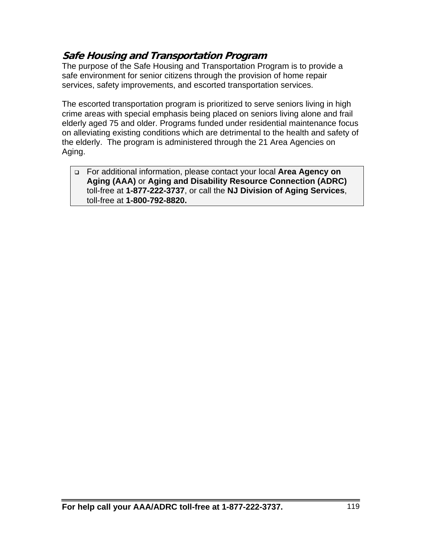## **Safe Housing and Transportation Program**

The purpose of the Safe Housing and Transportation Program is to provide a safe environment for senior citizens through the provision of home repair services, safety improvements, and escorted transportation services.

The escorted transportation program is prioritized to serve seniors living in high crime areas with special emphasis being placed on seniors living alone and frail elderly aged 75 and older. Programs funded under residential maintenance focus on alleviating existing conditions which are detrimental to the health and safety of the elderly. The program is administered through the 21 Area Agencies on Aging.

 For additional information, please contact your local **Area Agency on Aging (AAA)** or **Aging and Disability Resource Connection (ADRC)**  toll-free at **1-877-222-3737**, or call the **NJ Division of Aging Services**, toll-free at **1-800-792-8820.**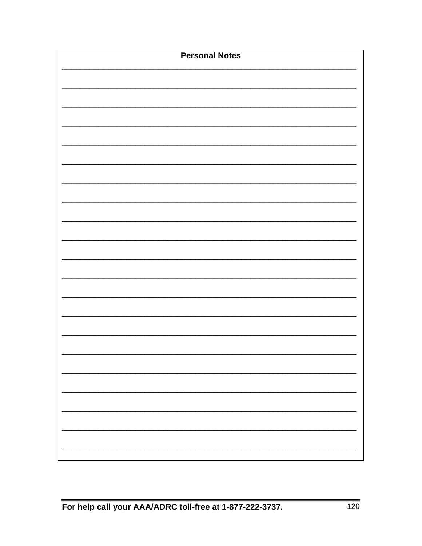| <b>Personal Notes</b> |
|-----------------------|
|                       |
|                       |
|                       |
|                       |
|                       |
|                       |
|                       |
|                       |
|                       |
|                       |
|                       |
|                       |
|                       |
|                       |
|                       |
|                       |
|                       |
|                       |
|                       |
|                       |
|                       |
|                       |
|                       |
|                       |
|                       |
|                       |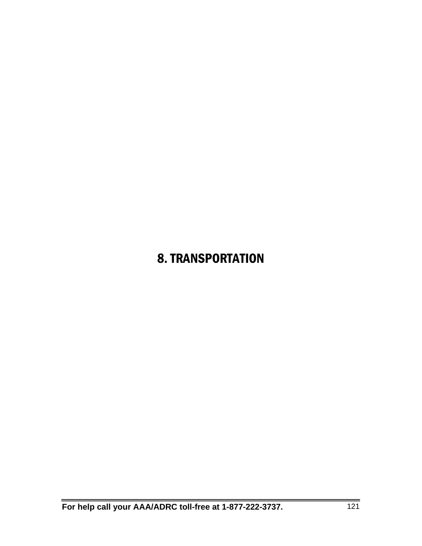## 8. TRANSPORTATION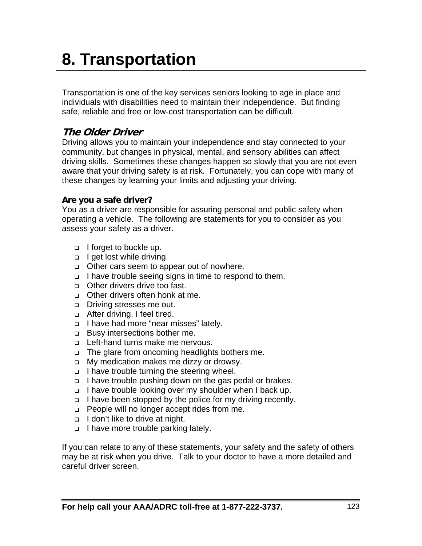# **8. Transportation**

Transportation is one of the key services seniors looking to age in place and individuals with disabilities need to maintain their independence. But finding safe, reliable and free or low-cost transportation can be difficult.

## **The Older Driver**

Driving allows you to maintain your independence and stay connected to your community, but changes in physical, mental, and sensory abilities can affect driving skills. Sometimes these changes happen so slowly that you are not even aware that your driving safety is at risk. Fortunately, you can cope with many of these changes by learning your limits and adjusting your driving.

#### **Are you a safe driver?**

You as a driver are responsible for assuring personal and public safety when operating a vehicle. The following are statements for you to consider as you assess your safety as a driver.

- $\Box$  I forget to buckle up.
- **I** get lost while driving.
- Other cars seem to appear out of nowhere.
- □ I have trouble seeing signs in time to respond to them.
- □ Other drivers drive too fast.
- □ Other drivers often honk at me.
- **Driving stresses me out.**
- □ After driving, I feel tired.
- □ I have had more "near misses" lately.
- **Busy intersections bother me.**
- □ Left-hand turns make me nervous.
- □ The glare from oncoming headlights bothers me.
- □ My medication makes me dizzy or drowsy.
- $\Box$  I have trouble turning the steering wheel.
- □ I have trouble pushing down on the gas pedal or brakes.
- □ I have trouble looking over my shoulder when I back up.
- $\Box$  I have been stopped by the police for my driving recently.
- □ People will no longer accept rides from me.
- I don't like to drive at night.
- I have more trouble parking lately.

If you can relate to any of these statements, your safety and the safety of others may be at risk when you drive. Talk to your doctor to have a more detailed and careful driver screen.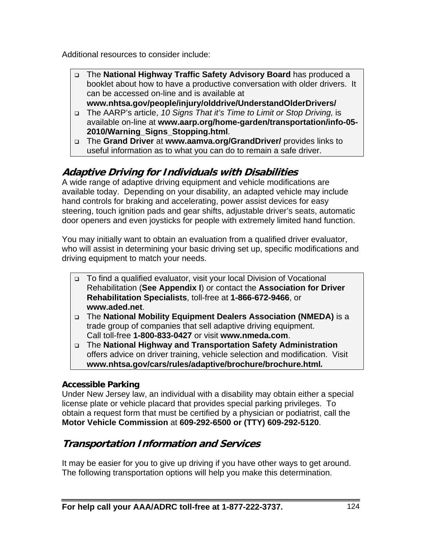Additional resources to consider include:

- The **National Highway Traffic Safety Advisory Board** has produced a booklet about how to have a productive conversation with older drivers. It can be accessed on-line and is available at **www.nhtsa.gov/people/injury/olddrive/UnderstandOlderDrivers/**
- The AARP's article, *10 Signs That it's Time to Limit or Stop Driving,* is available on-line at **www.aarp.org/home-garden/transportation/info-05- 2010/Warning\_Signs\_Stopping.html**.
- The **Grand Driver** at **www.aamva.org/GrandDriver/** provides links to useful information as to what you can do to remain a safe driver.

## **Adaptive Driving for Individuals with Disabilities**

A wide range of adaptive driving equipment and vehicle modifications are available today. Depending on your disability, an adapted vehicle may include hand controls for braking and accelerating, power assist devices for easy steering, touch ignition pads and gear shifts, adjustable driver's seats, automatic door openers and even joysticks for people with extremely limited hand function.

You may initially want to obtain an evaluation from a qualified driver evaluator, who will assist in determining your basic driving set up, specific modifications and driving equipment to match your needs.

- □ To find a qualified evaluator, visit your local Division of Vocational Rehabilitation (**See Appendix I**) or contact the **Association for Driver Rehabilitation Specialists**, toll-free at **1-866-672-9466**, or **www.aded.net**.
- The **National Mobility Equipment Dealers Association (NMEDA)** is a trade group of companies that sell adaptive driving equipment. Call toll-free **1-800-833-0427** or visit **www.nmeda.com**.
- The **National Highway and Transportation Safety Administration** offers advice on driver training, vehicle selection and modification. Visit **www.nhtsa.gov/cars/rules/adaptive/brochure/brochure.html***.*

#### **Accessible Parking**

Under New Jersey law, an individual with a disability may obtain either a special license plate or vehicle placard that provides special parking privileges. To obtain a request form that must be certified by a physician or podiatrist, call the **Motor Vehicle Commission** at **609-292-6500 or (TTY) 609-292-5120**.

## **Transportation Information and Services**

It may be easier for you to give up driving if you have other ways to get around. The following transportation options will help you make this determination.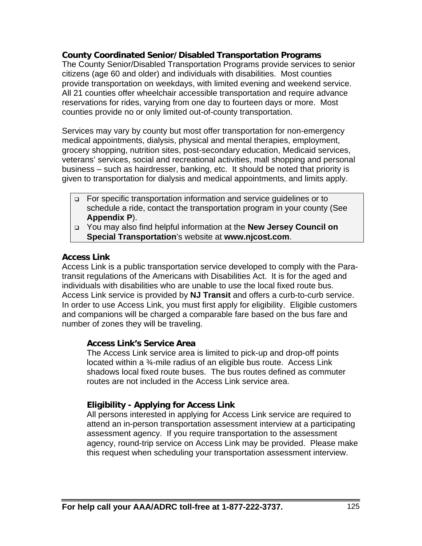#### **County Coordinated Senior/Disabled Transportation Programs**

The County Senior/Disabled Transportation Programs provide services to senior citizens (age 60 and older) and individuals with disabilities. Most counties provide transportation on weekdays, with limited evening and weekend service. All 21 counties offer wheelchair accessible transportation and require advance reservations for rides, varying from one day to fourteen days or more. Most counties provide no or only limited out-of-county transportation.

Services may vary by county but most offer transportation for non-emergency medical appointments, dialysis, physical and mental therapies, employment, grocery shopping, nutrition sites, post-secondary education, Medicaid services, veterans' services, social and recreational activities, mall shopping and personal business – such as hairdresser, banking, etc. It should be noted that priority is given to transportation for dialysis and medical appointments, and limits apply.

- For specific transportation information and service guidelines or to schedule a ride, contact the transportation program in your county (See **Appendix P**).
- You may also find helpful information at the **New Jersey Council on Special Transportation**'s website at **www.njcost.com**.

#### **Access Link**

Access Link is a public transportation service developed to comply with the Paratransit regulations of the Americans with Disabilities Act. It is for the aged and individuals with disabilities who are unable to use the local fixed route bus. Access Link service is provided by **NJ Transit** and offers a curb-to-curb service. In order to use Access Link, you must first apply for eligibility. Eligible customers and companions will be charged a comparable fare based on the bus fare and number of zones they will be traveling.

#### **Access Link's Service Area**

The Access Link service area is limited to pick-up and drop-off points located within a ¾-mile radius of an eligible bus route. Access Link shadows local fixed route buses. The bus routes defined as commuter routes are not included in the Access Link service area.

#### **Eligibility - Applying for Access Link**

All persons interested in applying for Access Link service are required to attend an in-person transportation assessment interview at a participating assessment agency. If you require transportation to the assessment agency, round-trip service on Access Link may be provided. Please make this request when scheduling your transportation assessment interview.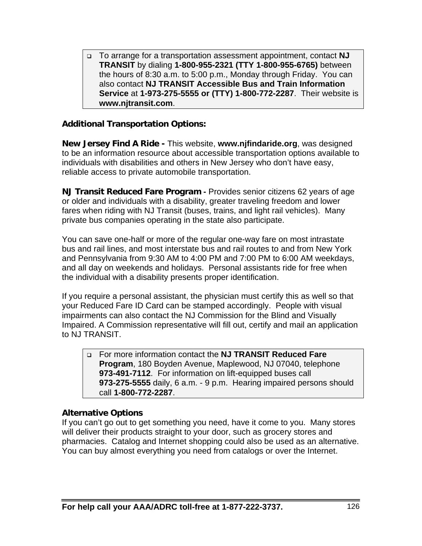To arrange for a transportation assessment appointment, contact **NJ TRANSIT** by dialing **1-800-955-2321 (TTY 1-800-955-6765)** between the hours of 8:30 a.m. to 5:00 p.m., Monday through Friday. You can also contact **NJ TRANSIT Accessible Bus and Train Information Service** at **1-973-275-5555 or (TTY) 1-800-772-2287**. Their website is **www.njtransit.com**.

#### **Additional Transportation Options:**

**New Jersey Find A Ride -** This website, **www.njfindaride.org**, was designed to be an information resource about accessible transportation options available to individuals with disabilities and others in New Jersey who don't have easy, reliable access to private automobile transportation.

**NJ Transit Reduced Fare Program -** Provides senior citizens 62 years of age or older and individuals with a disability, greater traveling freedom and lower fares when riding with NJ Transit (buses, trains, and light rail vehicles). Many private bus companies operating in the state also participate.

You can save one-half or more of the regular one-way fare on most intrastate bus and rail lines, and most interstate bus and rail routes to and from New York and Pennsylvania from 9:30 AM to 4:00 PM and 7:00 PM to 6:00 AM weekdays, and all day on weekends and holidays. Personal assistants ride for free when the individual with a disability presents proper identification.

If you require a personal assistant, the physician must certify this as well so that your Reduced Fare ID Card can be stamped accordingly. People with visual impairments can also contact the NJ Commission for the Blind and Visually Impaired. A Commission representative will fill out, certify and mail an application to NJ TRANSIT.

 For more information contact the **NJ TRANSIT Reduced Fare Program**, 180 Boyden Avenue, Maplewood, NJ 07040, telephone **973-491-7112**. For information on lift-equipped buses call **973-275-5555** daily, 6 a.m. - 9 p.m. Hearing impaired persons should call **1-800-772-2287**.

#### **Alternative Options**

If you can't go out to get something you need, have it come to you. Many stores will deliver their products straight to your door, such as grocery stores and pharmacies. Catalog and Internet shopping could also be used as an alternative. You can buy almost everything you need from catalogs or over the Internet.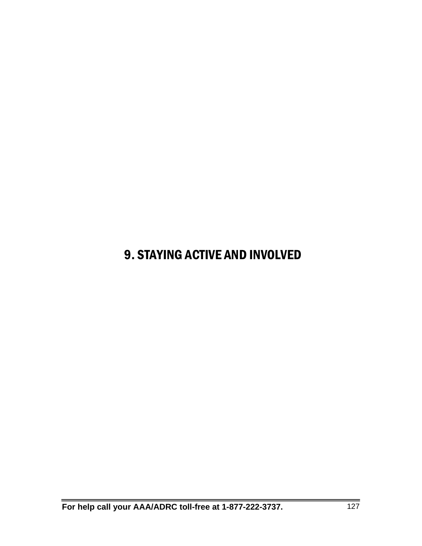## 9. STAYING ACTIVE AND INVOLVED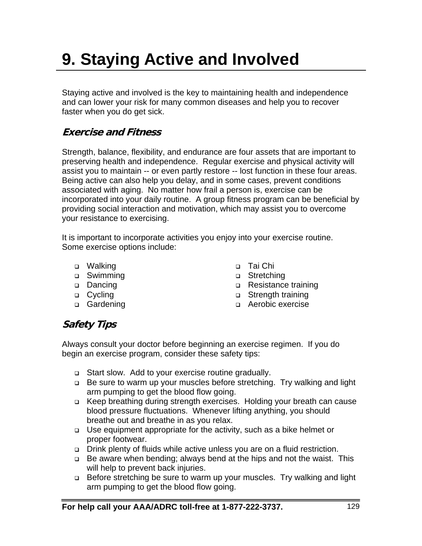# **9. Staying Active and Involved**

Staying active and involved is the key to maintaining health and independence and can lower your risk for many common diseases and help you to recover faster when you do get sick.

## **Exercise and Fitness**

Strength, balance, flexibility, and endurance are four assets that are important to preserving health and independence. Regular exercise and physical activity will assist you to maintain -- or even partly restore -- lost function in these four areas. Being active can also help you delay, and in some cases, prevent conditions associated with aging. No matter how frail a person is, exercise can be incorporated into your daily routine. A group fitness program can be beneficial by providing social interaction and motivation, which may assist you to overcome your resistance to exercising.

It is important to incorporate activities you enjoy into your exercise routine. Some exercise options include:

- □ Walking
- □ Swimming
- Dancing
- □ Cycling
- □ Gardening
- Tai Chi
- □ Stretching
- Resistance training
- □ Strength training
- Aerobic exercise

## **Safety Tips**

Always consult your doctor before beginning an exercise regimen. If you do begin an exercise program, consider these safety tips:

- Start slow. Add to your exercise routine gradually.
- □ Be sure to warm up your muscles before stretching. Try walking and light arm pumping to get the blood flow going.
- Keep breathing during strength exercises. Holding your breath can cause blood pressure fluctuations. Whenever lifting anything, you should breathe out and breathe in as you relax.
- Use equipment appropriate for the activity, such as a bike helmet or proper footwear.
- Drink plenty of fluids while active unless you are on a fluid restriction.
- □ Be aware when bending; always bend at the hips and not the waist. This will help to prevent back injuries.
- □ Before stretching be sure to warm up your muscles. Try walking and light arm pumping to get the blood flow going.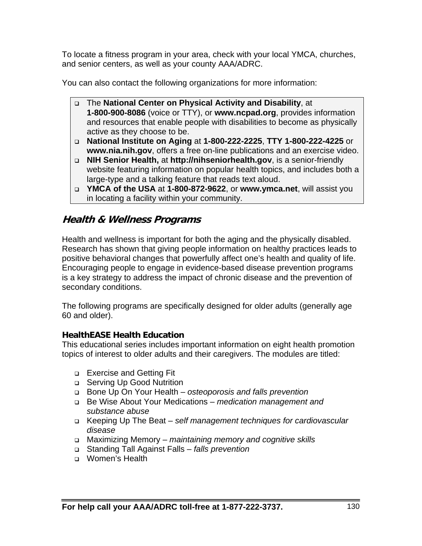To locate a fitness program in your area, check with your local YMCA, churches, and senior centers, as well as your county AAA/ADRC.

You can also contact the following organizations for more information:

- The **National Center on Physical Activity and Disability**, at **1-800-900-8086** (voice or TTY), or **www.ncpad.org**, provides information and resources that enable people with disabilities to become as physically active as they choose to be.
- **National Institute on Aging** at **1-800-222-2225**, **TTY 1-800-222-4225** or **www.nia.nih.gov**, offers a free on-line publications and an exercise video.
- **NIH Senior Health,** at **http://nihseniorhealth.gov**, is a senior-friendly website featuring information on popular health topics, and includes both a large-type and a talking feature that reads text aloud.
- **YMCA of the USA** at **1-800-872-9622**, or **www.ymca.net**, will assist you in locating a facility within your community.

## **Health & Wellness Programs**

Health and wellness is important for both the aging and the physically disabled. Research has shown that giving people information on healthy practices leads to positive behavioral changes that powerfully affect one's health and quality of life. Encouraging people to engage in evidence-based disease prevention programs is a key strategy to address the impact of chronic disease and the prevention of secondary conditions.

The following programs are specifically designed for older adults (generally age 60 and older).

#### **HealthEASE Health Education**

This educational series includes important information on eight health promotion topics of interest to older adults and their caregivers. The modules are titled:

- **Exercise and Getting Fit**
- □ Serving Up Good Nutrition
- Bone Up On Your Health *osteoporosis and falls prevention*
- Be Wise About Your Medications *medication management and substance abuse*
- Keeping Up The Beat – *self management techniques for cardiovascular disease*
- Maximizing Memory *maintaining memory and cognitive skills*
- Standing Tall Against Falls *falls prevention*
- Women's Health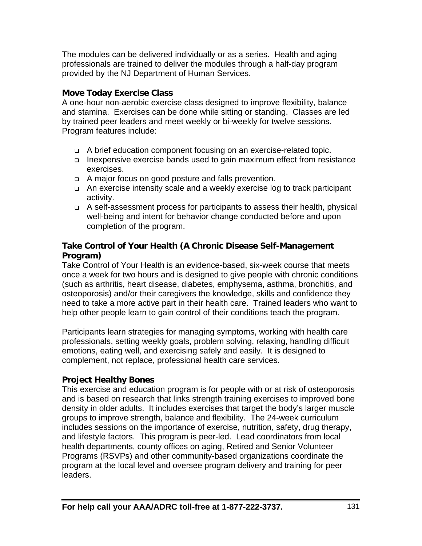The modules can be delivered individually or as a series. Health and aging professionals are trained to deliver the modules through a half-day program provided by the NJ Department of Human Services.

#### **Move Today Exercise Class**

A one-hour non-aerobic exercise class designed to improve flexibility, balance and stamina. Exercises can be done while sitting or standing. Classes are led by trained peer leaders and meet weekly or bi-weekly for twelve sessions. Program features include:

- A brief education component focusing on an exercise-related topic.
- Inexpensive exercise bands used to gain maximum effect from resistance exercises.
- A major focus on good posture and falls prevention.
- □ An exercise intensity scale and a weekly exercise log to track participant activity.
- A self-assessment process for participants to assess their health, physical well-being and intent for behavior change conducted before and upon completion of the program.

#### **Take Control of Your Health (A Chronic Disease Self-Management Program)**

Take Control of Your Health is an evidence-based, six-week course that meets once a week for two hours and is designed to give people with chronic conditions (such as arthritis, heart disease, diabetes, emphysema, asthma, bronchitis, and osteoporosis) and/or their caregivers the knowledge, skills and confidence they need to take a more active part in their health care. Trained leaders who want to help other people learn to gain control of their conditions teach the program.

Participants learn strategies for managing symptoms, working with health care professionals, setting weekly goals, problem solving, relaxing, handling difficult emotions, eating well, and exercising safely and easily. It is designed to complement, not replace, professional health care services.

#### **Project Healthy Bones**

This exercise and education program is for people with or at risk of osteoporosis and is based on research that links strength training exercises to improved bone density in older adults. It includes exercises that target the body's larger muscle groups to improve strength, balance and flexibility. The 24-week curriculum includes sessions on the importance of exercise, nutrition, safety, drug therapy, and lifestyle factors. This program is peer-led. Lead coordinators from local health departments, county offices on aging, Retired and Senior Volunteer Programs (RSVPs) and other community-based organizations coordinate the program at the local level and oversee program delivery and training for peer leaders.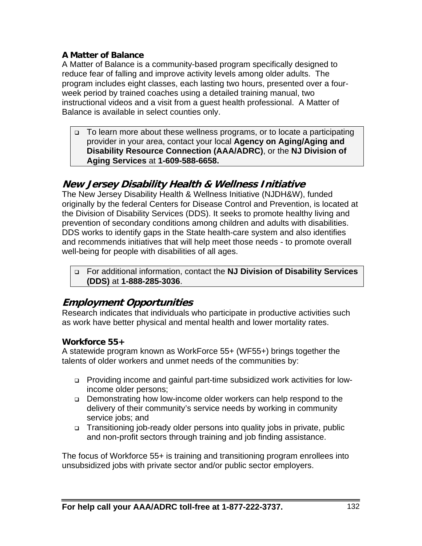#### **A Matter of Balance**

A Matter of Balance is a community-based program specifically designed to reduce fear of falling and improve activity levels among older adults. The program includes eight classes, each lasting two hours, presented over a fourweek period by trained coaches using a detailed training manual, two instructional videos and a visit from a guest health professional. A Matter of Balance is available in select counties only.

 To learn more about these wellness programs, or to locate a participating provider in your area, contact your local **Agency on Aging/Aging and Disability Resource Connection (AAA/ADRC)**, or the **NJ Division of Aging Services** at **1-609-588-6658.** 

### **New Jersey Disability Health & Wellness Initiative**

The New Jersey Disability Health & Wellness Initiative (NJDH&W), funded originally by the federal Centers for Disease Control and Prevention, is located at the Division of Disability Services (DDS). It seeks to promote healthy living and prevention of secondary conditions among children and adults with disabilities. DDS works to identify gaps in the State health-care system and also identifies and recommends initiatives that will help meet those needs - to promote overall well-being for people with disabilities of all ages.

 For additional information, contact the **NJ Division of Disability Services (DDS)** at **1-888-285-3036**.

## **Employment Opportunities**

Research indicates that individuals who participate in productive activities such as work have better physical and mental health and lower mortality rates.

#### **Workforce 55+**

A statewide program known as WorkForce 55+ (WF55+) brings together the talents of older workers and unmet needs of the communities by:

- Providing income and gainful part-time subsidized work activities for lowincome older persons;
- Demonstrating how low-income older workers can help respond to the delivery of their community's service needs by working in community service jobs; and
- □ Transitioning job-ready older persons into quality jobs in private, public and non-profit sectors through training and job finding assistance.

The focus of Workforce 55+ is training and transitioning program enrollees into unsubsidized jobs with private sector and/or public sector employers.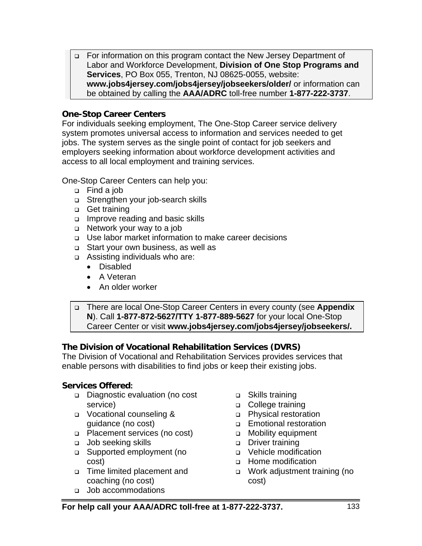For information on this program contact the New Jersey Department of Labor and Workforce Development, **Division of One Stop Programs and Services**, PO Box 055, Trenton, NJ 08625-0055, website: **www.jobs4jersey.com/jobs4jersey/jobseekers/older/** or information can be obtained by calling the **AAA/ADRC** toll-free number **1-877-222-3737**.

#### **One-Stop Career Centers**

For individuals seeking employment, The One-Stop Career service delivery system promotes universal access to information and services needed to get jobs. The system serves as the single point of contact for job seekers and employers seeking information about workforce development activities and access to all local employment and training services.

One-Stop Career Centers can help you:

- Find a job
- □ Strengthen your job-search skills
- Get training
- Improve reading and basic skills
- □ Network your way to a job
- Use labor market information to make career decisions
- Start your own business, as well as
- Assisting individuals who are:
	- Disabled
	- A Veteran
	- An older worker

 There are local One-Stop Career Centers in every county (see **Appendix N**). Call **1-877-872-5627/TTY 1-877-889-5627** for your local One-Stop Career Center or visit **www.jobs4jersey.com/jobs4jersey/jobseekers/.** 

#### **The Division of Vocational Rehabilitation Services (DVRS)**

The Division of Vocational and Rehabilitation Services provides services that enable persons with disabilities to find jobs or keep their existing jobs.

#### **Services Offered:**

- Diagnostic evaluation (no cost service)
- **D** Vocational counseling & guidance (no cost)
- □ Placement services (no cost)
- Job seeking skills
- Supported employment (no cost)
- Time limited placement and coaching (no cost)
- □ Job accommodations
- □ Skills training
- □ College training
- □ Physical restoration
- Emotional restoration
- Mobility equipment
- Driver training
- □ Vehicle modification
- Home modification
- Work adjustment training (no cost)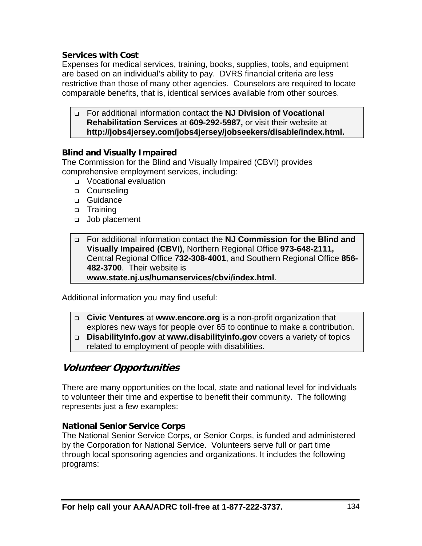#### **Services with Cost**

Expenses for medical services, training, books, supplies, tools, and equipment are based on an individual's ability to pay. DVRS financial criteria are less restrictive than those of many other agencies. Counselors are required to locate comparable benefits, that is, identical services available from other sources.

 For additional information contact the **NJ Division of Vocational Rehabilitation Services** at **609-292-5987,** or visit their website at **http://jobs4jersey.com/jobs4jersey/jobseekers/disable/index.html.**

#### **Blind and Visually Impaired**

The Commission for the Blind and Visually Impaired (CBVI) provides comprehensive employment services, including:

- Vocational evaluation
- □ Counseling
- □ Guidance
- n Training
- Job placement

#### For additional information contact the **NJ Commission for the Blind and Visually Impaired (CBVI)**, Northern Regional Office **973-648-2111,**  Central Regional Office **732-308-4001**, and Southern Regional Office **856- 482-3700**. Their website is **www.state.nj.us/humanservices/cbvi/index.html**.

Additional information you may find useful:

- **Civic Ventures** at **www.encore.org** is a non-profit organization that explores new ways for people over 65 to continue to make a contribution.
- **DisabilityInfo.gov** at **www.disabilityinfo.gov** covers a variety of topics related to employment of people with disabilities.

## **Volunteer Opportunities**

There are many opportunities on the local, state and national level for individuals to volunteer their time and expertise to benefit their community. The following represents just a few examples:

#### **National Senior Service Corps**

The National Senior Service Corps, or Senior Corps, is funded and administered by the Corporation for National Service. Volunteers serve full or part time through local sponsoring agencies and organizations. It includes the following programs: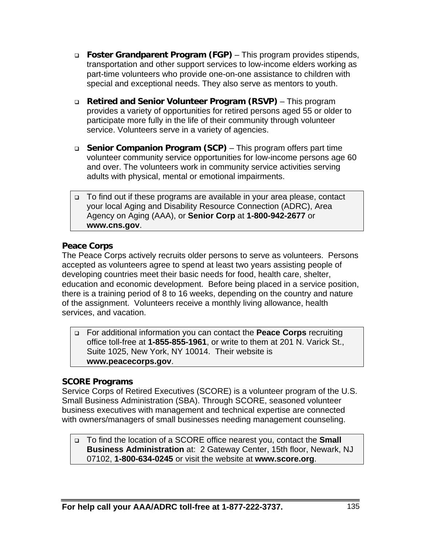- **Foster Grandparent Program (FGP)** This program provides stipends, transportation and other support services to low-income elders working as part-time volunteers who provide one-on-one assistance to children with special and exceptional needs. They also serve as mentors to youth.
- **Retired and Senior Volunteer Program (RSVP)** This program provides a variety of opportunities for retired persons aged 55 or older to participate more fully in the life of their community through volunteer service. Volunteers serve in a variety of agencies.
- **Senior Companion Program (SCP)**  This program offers part time volunteer community service opportunities for low-income persons age 60 and over. The volunteers work in community service activities serving adults with physical, mental or emotional impairments.
- □ To find out if these programs are available in your area please, contact your local Aging and Disability Resource Connection (ADRC), Area Agency on Aging (AAA), or **Senior Corp** at **1-800-942-2677** or **www.cns.gov**.

#### **Peace Corps**

The Peace Corps actively recruits older persons to serve as volunteers. Persons accepted as volunteers agree to spend at least two years assisting people of developing countries meet their basic needs for food, health care, shelter, education and economic development. Before being placed in a service position, there is a training period of 8 to 16 weeks, depending on the country and nature of the assignment. Volunteers receive a monthly living allowance, health services, and vacation.

 For additional information you can contact the **Peace Corps** recruiting office toll-free at **1-855-855-1961**, or write to them at 201 N. Varick St., Suite 1025, New York, NY 10014. Their website is **www.peacecorps.gov**.

#### **SCORE Programs**

Service Corps of Retired Executives (SCORE) is a volunteer program of the U.S. Small Business Administration (SBA). Through SCORE, seasoned volunteer business executives with management and technical expertise are connected with owners/managers of small businesses needing management counseling.

 To find the location of a SCORE office nearest you, contact the **Small Business Administration** at: 2 Gateway Center, 15th floor, Newark, NJ 07102, **1-800-634-0245** or visit the website at **www.score.org**.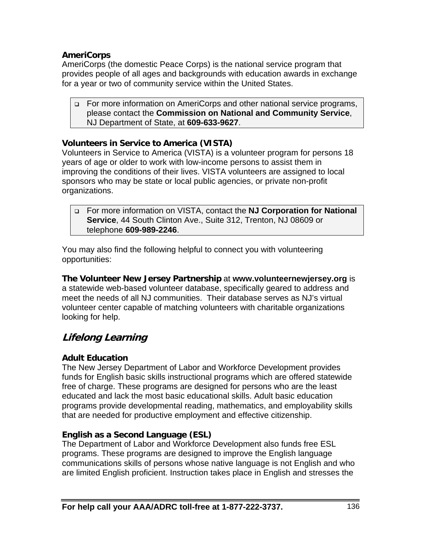#### **AmeriCorps**

AmeriCorps (the domestic Peace Corps) is the national service program that provides people of all ages and backgrounds with education awards in exchange for a year or two of community service within the United States.

 For more information on AmeriCorps and other national service programs, please contact the **Commission on National and Community Service**, NJ Department of State, at **609-633-9627**.

#### **Volunteers in Service to America (VISTA)**

Volunteers in Service to America (VISTA) is a volunteer program for persons 18 years of age or older to work with low-income persons to assist them in improving the conditions of their lives. VISTA volunteers are assigned to local sponsors who may be state or local public agencies, or private non-profit organizations.

 For more information on VISTA, contact the **NJ Corporation for National Service**, 44 South Clinton Ave., Suite 312, Trenton, NJ 08609 or telephone **609-989-2246**.

You may also find the following helpful to connect you with volunteering opportunities:

**The Volunteer New Jersey Partnership** at **www.volunteernewjersey.org** is a statewide web-based volunteer database, specifically geared to address and meet the needs of all NJ communities. Their database serves as NJ's virtual volunteer center capable of matching volunteers with charitable organizations looking for help.

## **Lifelong Learning**

#### **Adult Education**

The New Jersey Department of Labor and Workforce Development provides funds for English basic skills instructional programs which are offered statewide free of charge. These programs are designed for persons who are the least educated and lack the most basic educational skills. Adult basic education programs provide developmental reading, mathematics, and employability skills that are needed for productive employment and effective citizenship.

#### **English as a Second Language (ESL)**

The Department of Labor and Workforce Development also funds free ESL programs. These programs are designed to improve the English language communications skills of persons whose native language is not English and who are limited English proficient. Instruction takes place in English and stresses the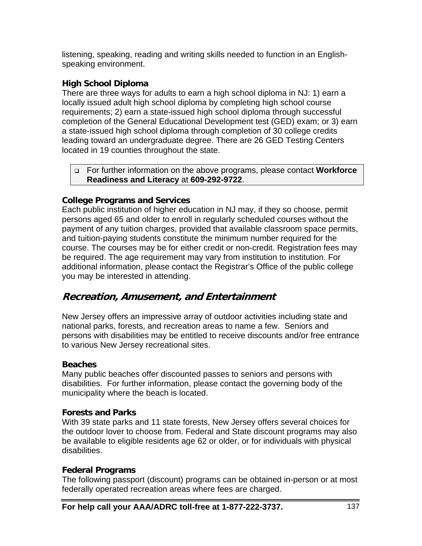listening, speaking, reading and writing skills needed to function in an Englishspeaking environment.

#### **High School Diploma**

There are three ways for adults to earn a high school diploma in NJ: 1) earn a locally issued adult high school diploma by completing high school course requirements; 2) earn a state-issued high school diploma through successful completion of the General Educational Development test (GED) exam; or 3) earn a state-issued high school diploma through completion of 30 college credits leading toward an undergraduate degree. There are 26 GED Testing Centers located in 19 counties throughout the state.

 For further information on the above programs, please contact **Workforce Readiness and Literacy** at **609-292-9722**.

#### **College Programs and Services**

Each public institution of higher education in NJ may, if they so choose, permit persons aged 65 and older to enroll in regularly scheduled courses without the payment of any tuition charges, provided that available classroom space permits, and tuition-paying students constitute the minimum number required for the course. The courses may be for either credit or non-credit. Registration fees may be required. The age requirement may vary from institution to institution. For additional information, please contact the Registrar's Office of the public college you may be interested in attending.

## **Recreation, Amusement, and Entertainment**

New Jersey offers an impressive array of outdoor activities including state and national parks, forests, and recreation areas to name a few. Seniors and persons with disabilities may be entitled to receive discounts and/or free entrance to various New Jersey recreational sites.

#### **Beaches**

Many public beaches offer discounted passes to seniors and persons with disabilities. For further information, please contact the governing body of the municipality where the beach is located.

#### **Forests and Parks**

With 39 state parks and 11 state forests, New Jersey offers several choices for the outdoor lover to choose from. Federal and State discount programs may also be available to eligible residents age 62 or older, or for individuals with physical disabilities.

#### **Federal Programs**

The following passport (discount) programs can be obtained in-person or at most federally operated recreation areas where fees are charged.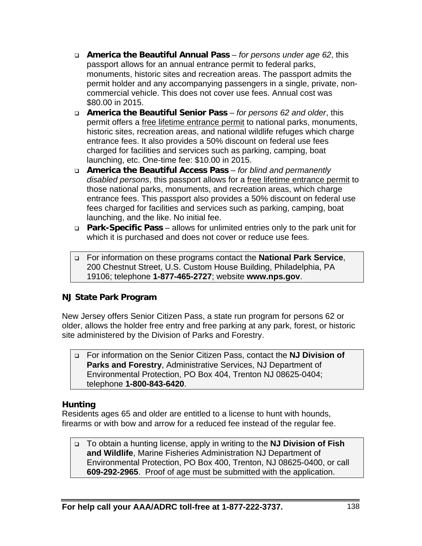- **America the Beautiful Annual Pass**  *for persons under age 62*, this passport allows for an annual entrance permit to federal parks, monuments, historic sites and recreation areas. The passport admits the permit holder and any accompanying passengers in a single, private, noncommercial vehicle. This does not cover use fees. Annual cost was \$80.00 in 2015.
- **America the Beautiful Senior Pass**  *for persons 62 and older*, this permit offers a free lifetime entrance permit to national parks, monuments, historic sites, recreation areas, and national wildlife refuges which charge entrance fees. It also provides a 50% discount on federal use fees charged for facilities and services such as parking, camping, boat launching, etc. One-time fee: \$10.00 in 2015.
- **America the Beautiful Access Pass**  *for blind and permanently disabled persons*, this passport allows for a free lifetime entrance permit to those national parks, monuments, and recreation areas, which charge entrance fees. This passport also provides a 50% discount on federal use fees charged for facilities and services such as parking, camping, boat launching, and the like. No initial fee.
- **Park-Specific Pass** allows for unlimited entries only to the park unit for which it is purchased and does not cover or reduce use fees.
- For information on these programs contact the **National Park Service**, 200 Chestnut Street, U.S. Custom House Building, Philadelphia, PA 19106; telephone **1-877-465-2727**; website **www.nps.gov**.

#### **NJ State Park Program**

New Jersey offers Senior Citizen Pass, a state run program for persons 62 or older, allows the holder free entry and free parking at any park, forest, or historic site administered by the Division of Parks and Forestry.

 For information on the Senior Citizen Pass, contact the **NJ Division of Parks and Forestry**, Administrative Services, NJ Department of Environmental Protection, PO Box 404, Trenton NJ 08625-0404; telephone **1-800-843-6420**.

#### **Hunting**

Residents ages 65 and older are entitled to a license to hunt with hounds, firearms or with bow and arrow for a reduced fee instead of the regular fee.

 To obtain a hunting license, apply in writing to the **NJ Division of Fish and Wildlife**, Marine Fisheries Administration NJ Department of Environmental Protection, PO Box 400, Trenton, NJ 08625-0400, or call **609-292-2965**. Proof of age must be submitted with the application.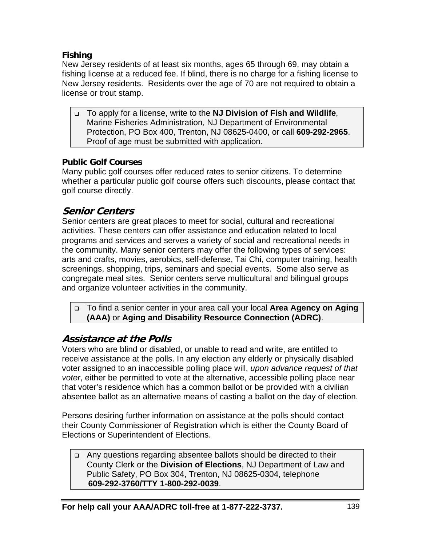#### **Fishing**

New Jersey residents of at least six months, ages 65 through 69, may obtain a fishing license at a reduced fee. If blind, there is no charge for a fishing license to New Jersey residents. Residents over the age of 70 are not required to obtain a license or trout stamp.

 To apply for a license, write to the **NJ Division of Fish and Wildlife**, Marine Fisheries Administration, NJ Department of Environmental Protection, PO Box 400, Trenton, NJ 08625-0400, or call **609-292-2965**. Proof of age must be submitted with application.

#### **Public Golf Courses**

Many public golf courses offer reduced rates to senior citizens. To determine whether a particular public golf course offers such discounts, please contact that golf course directly.

## **Senior Centers**

Senior centers are great places to meet for social, cultural and recreational activities. These centers can offer assistance and education related to local programs and services and serves a variety of social and recreational needs in the community. Many senior centers may offer the following types of services: arts and crafts, movies, aerobics, self-defense, Tai Chi, computer training, health screenings, shopping, trips, seminars and special events. Some also serve as congregate meal sites. Senior centers serve multicultural and bilingual groups and organize volunteer activities in the community.

 To find a senior center in your area call your local **Area Agency on Aging (AAA)** or **Aging and Disability Resource Connection (ADRC)**.

## **Assistance at the Polls**

Voters who are blind or disabled, or unable to read and write, are entitled to receive assistance at the polls. In any election any elderly or physically disabled voter assigned to an inaccessible polling place will, *upon advance request of that voter*, either be permitted to vote at the alternative, accessible polling place near that voter's residence which has a common ballot or be provided with a civilian absentee ballot as an alternative means of casting a ballot on the day of election.

Persons desiring further information on assistance at the polls should contact their County Commissioner of Registration which is either the County Board of Elections or Superintendent of Elections.

□ Any questions regarding absentee ballots should be directed to their County Clerk or the **Division of Elections**, NJ Department of Law and Public Safety, PO Box 304, Trenton, NJ 08625-0304, telephone **609-292-3760/TTY 1-800-292-0039**.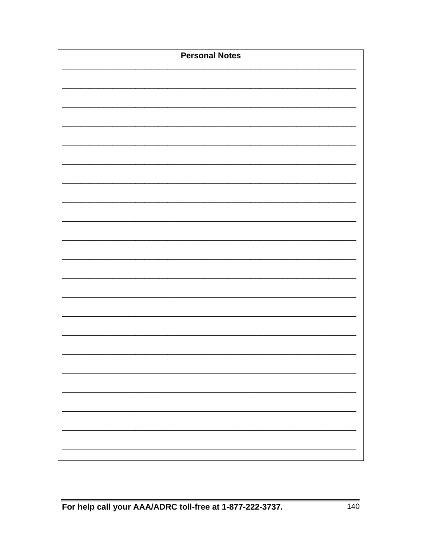| <b>Personal Notes</b> |
|-----------------------|
|                       |
|                       |
|                       |
|                       |
|                       |
|                       |
|                       |
|                       |
|                       |
|                       |
|                       |
|                       |
|                       |
|                       |
|                       |
|                       |
|                       |
|                       |
|                       |
|                       |
|                       |
|                       |
|                       |
|                       |
|                       |
|                       |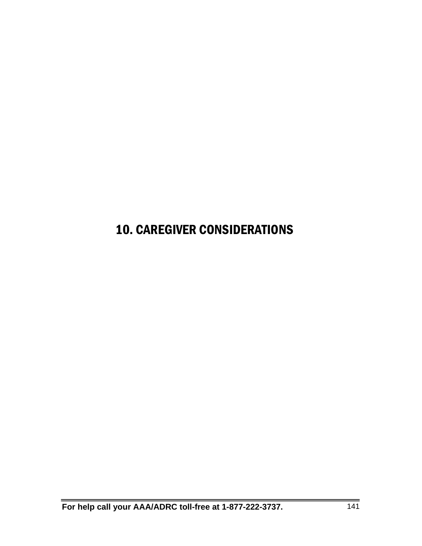## 10. CAREGIVER CONSIDERATIONS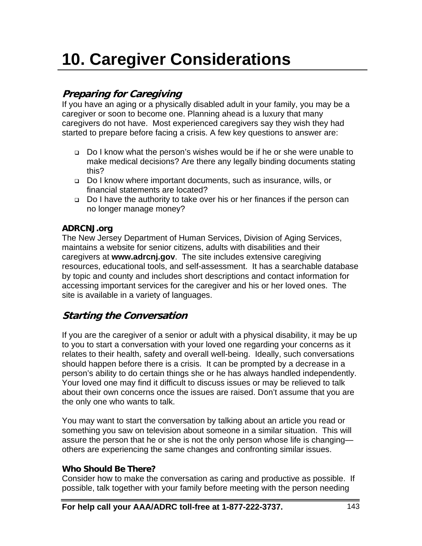# **10. Caregiver Considerations**

# **Preparing for Caregiving**

If you have an aging or a physically disabled adult in your family, you may be a caregiver or soon to become one. Planning ahead is a luxury that many caregivers do not have. Most experienced caregivers say they wish they had started to prepare before facing a crisis. A few key questions to answer are:

- Do I know what the person's wishes would be if he or she were unable to make medical decisions? Are there any legally binding documents stating this?
- Do I know where important documents, such as insurance, wills, or financial statements are located?
- Do I have the authority to take over his or her finances if the person can no longer manage money?

### **ADRCNJ.org**

The New Jersey Department of Human Services, Division of Aging Services, maintains a website for senior citizens, adults with disabilities and their caregivers at **www.adrcnj.gov**. The site includes extensive caregiving resources, educational tools, and self-assessment. It has a searchable database by topic and county and includes short descriptions and contact information for accessing important services for the caregiver and his or her loved ones. The site is available in a variety of languages.

# **Starting the Conversation**

If you are the caregiver of a senior or adult with a physical disability, it may be up to you to start a conversation with your loved one regarding your concerns as it relates to their health, safety and overall well-being. Ideally, such conversations should happen before there is a crisis. It can be prompted by a decrease in a person's ability to do certain things she or he has always handled independently. Your loved one may find it difficult to discuss issues or may be relieved to talk about their own concerns once the issues are raised. Don't assume that you are the only one who wants to talk.

You may want to start the conversation by talking about an article you read or something you saw on television about someone in a similar situation. This will assure the person that he or she is not the only person whose life is changing others are experiencing the same changes and confronting similar issues.

# **Who Should Be There?**

Consider how to make the conversation as caring and productive as possible. If possible, talk together with your family before meeting with the person needing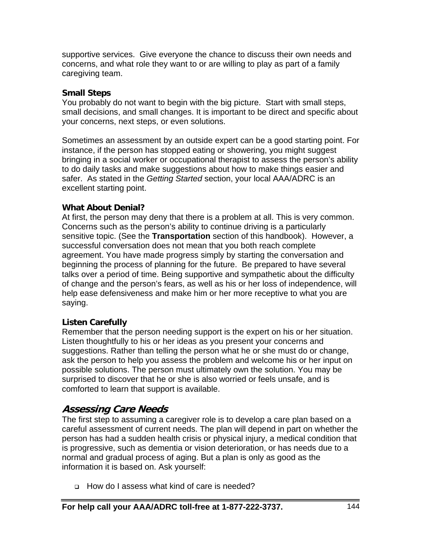supportive services. Give everyone the chance to discuss their own needs and concerns, and what role they want to or are willing to play as part of a family caregiving team.

### **Small Steps**

You probably do not want to begin with the big picture. Start with small steps, small decisions, and small changes. It is important to be direct and specific about your concerns, next steps, or even solutions.

Sometimes an assessment by an outside expert can be a good starting point. For instance, if the person has stopped eating or showering, you might suggest bringing in a social worker or occupational therapist to assess the person's ability to do daily tasks and make suggestions about how to make things easier and safer. As stated in the *Getting Started* section, your local AAA/ADRC is an excellent starting point.

### **What About Denial?**

At first, the person may deny that there is a problem at all. This is very common. Concerns such as the person's ability to continue driving is a particularly sensitive topic. (See the **Transportation** section of this handbook). However, a successful conversation does not mean that you both reach complete agreement. You have made progress simply by starting the conversation and beginning the process of planning for the future. Be prepared to have several talks over a period of time. Being supportive and sympathetic about the difficulty of change and the person's fears, as well as his or her loss of independence, will help ease defensiveness and make him or her more receptive to what you are saying.

# **Listen Carefully**

Remember that the person needing support is the expert on his or her situation. Listen thoughtfully to his or her ideas as you present your concerns and suggestions. Rather than telling the person what he or she must do or change, ask the person to help you assess the problem and welcome his or her input on possible solutions. The person must ultimately own the solution. You may be surprised to discover that he or she is also worried or feels unsafe, and is comforted to learn that support is available.

# **Assessing Care Needs**

The first step to assuming a caregiver role is to develop a care plan based on a careful assessment of current needs. The plan will depend in part on whether the person has had a sudden health crisis or physical injury, a medical condition that is progressive, such as dementia or vision deterioration, or has needs due to a normal and gradual process of aging. But a plan is only as good as the information it is based on. Ask yourself:

How do I assess what kind of care is needed?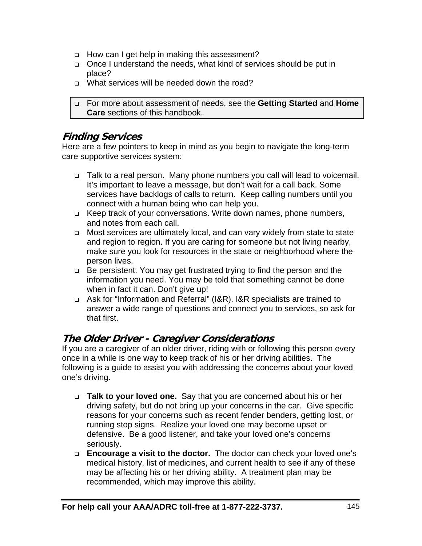- □ How can I get help in making this assessment?
- Once I understand the needs, what kind of services should be put in place?
- What services will be needed down the road?

 For more about assessment of needs, see the **Getting Started** and **Home Care** sections of this handbook.

# **Finding Services**

Here are a few pointers to keep in mind as you begin to navigate the long-term care supportive services system:

- □ Talk to a real person. Many phone numbers you call will lead to voicemail. It's important to leave a message, but don't wait for a call back. Some services have backlogs of calls to return. Keep calling numbers until you connect with a human being who can help you.
- Keep track of your conversations. Write down names, phone numbers, and notes from each call.
- □ Most services are ultimately local, and can vary widely from state to state and region to region. If you are caring for someone but not living nearby, make sure you look for resources in the state or neighborhood where the person lives.
- □ Be persistent. You may get frustrated trying to find the person and the information you need. You may be told that something cannot be done when in fact it can. Don't give up!
- □ Ask for "Information and Referral" (I&R). I&R specialists are trained to answer a wide range of questions and connect you to services, so ask for that first.

# **The Older Driver - Caregiver Considerations**

If you are a caregiver of an older driver, riding with or following this person every once in a while is one way to keep track of his or her driving abilities. The following is a guide to assist you with addressing the concerns about your loved one's driving.

- **Talk to your loved one.** Say that you are concerned about his or her driving safety, but do not bring up your concerns in the car. Give specific reasons for your concerns such as recent fender benders, getting lost, or running stop signs. Realize your loved one may become upset or defensive. Be a good listener, and take your loved one's concerns seriously.
- **Encourage a visit to the doctor.** The doctor can check your loved one's medical history, list of medicines, and current health to see if any of these may be affecting his or her driving ability. A treatment plan may be recommended, which may improve this ability.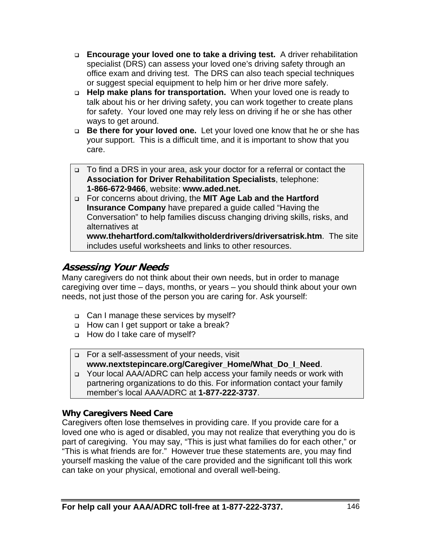- **Encourage your loved one to take a driving test.** A driver rehabilitation specialist (DRS) can assess your loved one's driving safety through an office exam and driving test. The DRS can also teach special techniques or suggest special equipment to help him or her drive more safely.
- **Help make plans for transportation.** When your loved one is ready to talk about his or her driving safety, you can work together to create plans for safety. Your loved one may rely less on driving if he or she has other ways to get around.
- **Be there for your loved one.** Let your loved one know that he or she has your support. This is a difficult time, and it is important to show that you care.
- □ To find a DRS in your area, ask your doctor for a referral or contact the **Association for Driver Rehabilitation Specialists**, telephone: **1-866-672-9466**, website: **www.aded.net.**
- For concerns about driving, the **MIT Age Lab and the Hartford Insurance Company** have prepared a guide called "Having the Conversation" to help families discuss changing driving skills, risks, and alternatives at

**www.thehartford.com/talkwitholderdrivers/driversatrisk.htm**. The site includes useful worksheets and links to other resources.

# **Assessing Your Needs**

Many caregivers do not think about their own needs, but in order to manage caregiving over time – days, months, or years – you should think about your own needs, not just those of the person you are caring for. Ask yourself:

- □ Can I manage these services by myself?
- □ How can I get support or take a break?
- □ How do I take care of myself?
- For a self-assessment of your needs, visit **www.nextstepincare.org/Caregiver\_Home/What\_Do\_I\_Need**.
- □ Your local AAA/ADRC can help access your family needs or work with partnering organizations to do this. For information contact your family member's local AAA/ADRC at **1-877-222-3737**.

# **Why Caregivers Need Care**

Caregivers often lose themselves in providing care. If you provide care for a loved one who is aged or disabled, you may not realize that everything you do is part of caregiving. You may say, "This is just what families do for each other," or "This is what friends are for." However true these statements are, you may find yourself masking the value of the care provided and the significant toll this work can take on your physical, emotional and overall well-being.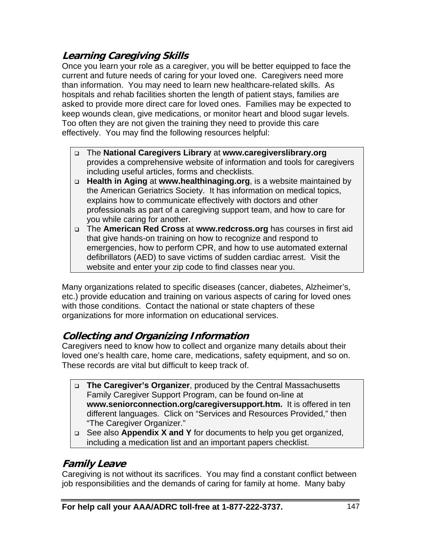# **Learning Caregiving Skills**

Once you learn your role as a caregiver, you will be better equipped to face the current and future needs of caring for your loved one. Caregivers need more than information. You may need to learn new healthcare-related skills. As hospitals and rehab facilities shorten the length of patient stays, families are asked to provide more direct care for loved ones. Families may be expected to keep wounds clean, give medications, or monitor heart and blood sugar levels. Too often they are not given the training they need to provide this care effectively. You may find the following resources helpful:

- The **National Caregivers Library** at **www.caregiverslibrary.org**  provides a comprehensive website of information and tools for caregivers including useful articles, forms and checklists.
- **Health in Aging** at **www.healthinaging.org**, is a website maintained by the American Geriatrics Society. It has information on medical topics, explains how to communicate effectively with doctors and other professionals as part of a caregiving support team, and how to care for you while caring for another.
- The **American Red Cross** at **www.redcross.org** has courses in first aid that give hands-on training on how to recognize and respond to emergencies, how to perform CPR, and how to use automated external defibrillators (AED) to save victims of sudden cardiac arrest. Visit the website and enter your zip code to find classes near you.

Many organizations related to specific diseases (cancer, diabetes, Alzheimer's, etc.) provide education and training on various aspects of caring for loved ones with those conditions. Contact the national or state chapters of these organizations for more information on educational services.

# **Collecting and Organizing Information**

Caregivers need to know how to collect and organize many details about their loved one's health care, home care, medications, safety equipment, and so on. These records are vital but difficult to keep track of.

- **The Caregiver's Organizer**, produced by the Central Massachusetts Family Caregiver Support Program, can be found on-line at **www.seniorconnection.org/caregiversupport.htm.** It is offered in ten different languages. Click on "Services and Resources Provided," then "The Caregiver Organizer."
- See also **Appendix X and Y** for documents to help you get organized, including a medication list and an important papers checklist.

# **Family Leave**

Caregiving is not without its sacrifices. You may find a constant conflict between job responsibilities and the demands of caring for family at home. Many baby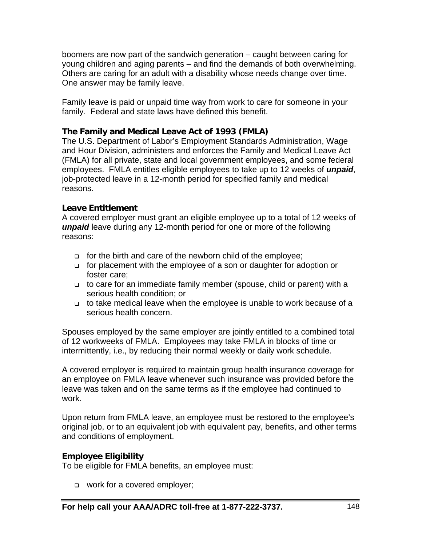boomers are now part of the sandwich generation – caught between caring for young children and aging parents – and find the demands of both overwhelming. Others are caring for an adult with a disability whose needs change over time. One answer may be family leave.

Family leave is paid or unpaid time way from work to care for someone in your family. Federal and state laws have defined this benefit.

### **The Family and Medical Leave Act of 1993 (FMLA)**

The U.S. Department of Labor's Employment Standards Administration, Wage and Hour Division, administers and enforces the Family and Medical Leave Act (FMLA) for all private, state and local government employees, and some federal employees. FMLA entitles eligible employees to take up to 12 weeks of *unpaid*, job-protected leave in a 12-month period for specified family and medical reasons.

### **Leave Entitlement**

A covered employer must grant an eligible employee up to a total of 12 weeks of *unpaid* leave during any 12-month period for one or more of the following reasons:

- $\Box$  for the birth and care of the newborn child of the employee;
- for placement with the employee of a son or daughter for adoption or foster care;
- to care for an immediate family member (spouse, child or parent) with a serious health condition; or
- to take medical leave when the employee is unable to work because of a serious health concern.

Spouses employed by the same employer are jointly entitled to a combined total of 12 workweeks of FMLA. Employees may take FMLA in blocks of time or intermittently, i.e., by reducing their normal weekly or daily work schedule.

A covered employer is required to maintain group health insurance coverage for an employee on FMLA leave whenever such insurance was provided before the leave was taken and on the same terms as if the employee had continued to work.

Upon return from FMLA leave, an employee must be restored to the employee's original job, or to an equivalent job with equivalent pay, benefits, and other terms and conditions of employment.

### **Employee Eligibility**

To be eligible for FMLA benefits, an employee must:

**work for a covered employer;**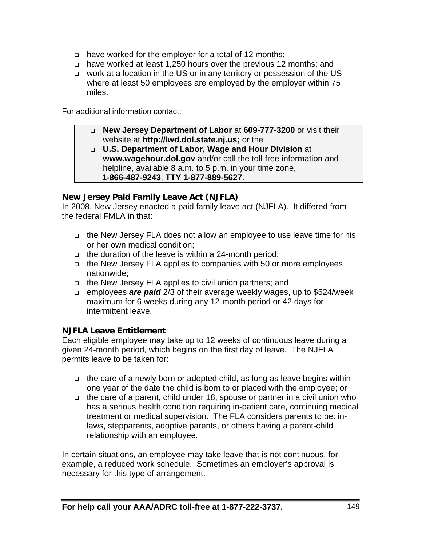- have worked for the employer for a total of 12 months;
- have worked at least 1,250 hours over the previous 12 months; and
- □ work at a location in the US or in any territory or possession of the US where at least 50 employees are employed by the employer within 75 miles.

For additional information contact:

- **New Jersey Department of Labor** at **609-777-3200** or visit their website at **http://lwd.dol.state.nj.us;** or the
- **U.S. Department of Labor, Wage and Hour Division** at **www.wagehour.dol.gov** and/or call the toll-free information and helpline, available 8 a.m. to 5 p.m. in your time zone,  **1-866-487-9243**, **TTY 1-877-889-5627**.

### **New Jersey Paid Family Leave Act (NJFLA)**

In 2008, New Jersey enacted a paid family leave act (NJFLA). It differed from the federal FMLA in that:

- □ the New Jersey FLA does not allow an employee to use leave time for his or her own medical condition;
- □ the duration of the leave is within a 24-month period;
- □ the New Jersey FLA applies to companies with 50 or more employees nationwide;
- the New Jersey FLA applies to civil union partners; and
- employees *are paid* 2/3 of their average weekly wages, up to \$524/week maximum for 6 weeks during any 12-month period or 42 days for intermittent leave.

# **NJFLA Leave Entitlement**

Each eligible employee may take up to 12 weeks of continuous leave during a given 24-month period, which begins on the first day of leave. The NJFLA permits leave to be taken for:

- $\Box$  the care of a newly born or adopted child, as long as leave begins within one year of the date the child is born to or placed with the employee; or
- the care of a parent, child under 18, spouse or partner in a civil union who has a serious health condition requiring in-patient care, continuing medical treatment or medical supervision. The FLA considers parents to be: inlaws, stepparents, adoptive parents, or others having a parent-child relationship with an employee.

In certain situations, an employee may take leave that is not continuous, for example, a reduced work schedule. Sometimes an employer's approval is necessary for this type of arrangement.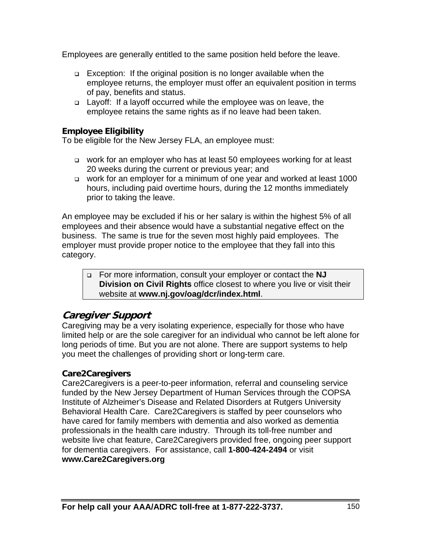Employees are generally entitled to the same position held before the leave.

- □ Exception: If the original position is no longer available when the employee returns, the employer must offer an equivalent position in terms of pay, benefits and status.
- □ Layoff: If a layoff occurred while the employee was on leave, the employee retains the same rights as if no leave had been taken.

# **Employee Eligibility**

To be eligible for the New Jersey FLA, an employee must:

- □ work for an employer who has at least 50 employees working for at least 20 weeks during the current or previous year; and
- work for an employer for a minimum of one year and worked at least 1000 hours, including paid overtime hours, during the 12 months immediately prior to taking the leave.

An employee may be excluded if his or her salary is within the highest 5% of all employees and their absence would have a substantial negative effect on the business. The same is true for the seven most highly paid employees. The employer must provide proper notice to the employee that they fall into this category.

 For more information, consult your employer or contact the **NJ Division on Civil Rights** office closest to where you live or visit their website at **www.nj.gov/oag/dcr/index.html**.

# **Caregiver Support**

Caregiving may be a very isolating experience, especially for those who have limited help or are the sole caregiver for an individual who cannot be left alone for long periods of time. But you are not alone. There are support systems to help you meet the challenges of providing short or long-term care.

### **Care2Caregivers**

Care2Caregivers is a peer-to-peer information, referral and counseling service funded by the New Jersey Department of Human Services through the COPSA Institute of Alzheimer's Disease and Related Disorders at Rutgers University Behavioral Health Care. Care2Caregivers is staffed by peer counselors who have cared for family members with dementia and also worked as dementia professionals in the health care industry. Through its toll-free number and website live chat feature, Care2Caregivers provided free, ongoing peer support for dementia caregivers. For assistance, call **1-800-424-2494** or visit **www.Care2Caregivers.org**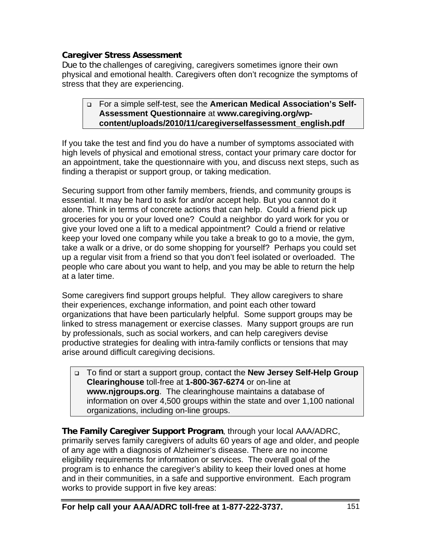### **Caregiver Stress Assessment**

Due to the challenges of caregiving, caregivers sometimes ignore their own physical and emotional health. Caregivers often don't recognize the symptoms of stress that they are experiencing.

### For a simple self-test, see the **American Medical Association's Self-Assessment Questionnaire** at **www.caregiving.org/wpcontent/uploads/2010/11/caregiverselfassessment\_english.pdf**

If you take the test and find you do have a number of symptoms associated with high levels of physical and emotional stress, contact your primary care doctor for an appointment, take the questionnaire with you, and discuss next steps, such as finding a therapist or support group, or taking medication.

Securing support from other family members, friends, and community groups is essential. It may be hard to ask for and/or accept help. But you cannot do it alone. Think in terms of concrete actions that can help. Could a friend pick up groceries for you or your loved one? Could a neighbor do yard work for you or give your loved one a lift to a medical appointment? Could a friend or relative keep your loved one company while you take a break to go to a movie, the gym, take a walk or a drive, or do some shopping for yourself? Perhaps you could set up a regular visit from a friend so that you don't feel isolated or overloaded. The people who care about you want to help, and you may be able to return the help at a later time.

Some caregivers find support groups helpful. They allow caregivers to share their experiences, exchange information, and point each other toward organizations that have been particularly helpful. Some support groups may be linked to stress management or exercise classes. Many support groups are run by professionals, such as social workers, and can help caregivers devise productive strategies for dealing with intra-family conflicts or tensions that may arise around difficult caregiving decisions.

 To find or start a support group, contact the **New Jersey Self-Help Group Clearinghouse** toll-free at **1-800-367-6274** or on-line at **www.njgroups.org**. The clearinghouse maintains a database of information on over 4,500 groups within the state and over 1,100 national organizations, including on-line groups.

**The Family Caregiver Support Program**, through your local AAA/ADRC, primarily serves family caregivers of adults 60 years of age and older, and people of any age with a diagnosis of Alzheimer's disease. There are no income eligibility requirements for information or services. The overall goal of the program is to enhance the caregiver's ability to keep their loved ones at home and in their communities, in a safe and supportive environment. Each program works to provide support in five key areas: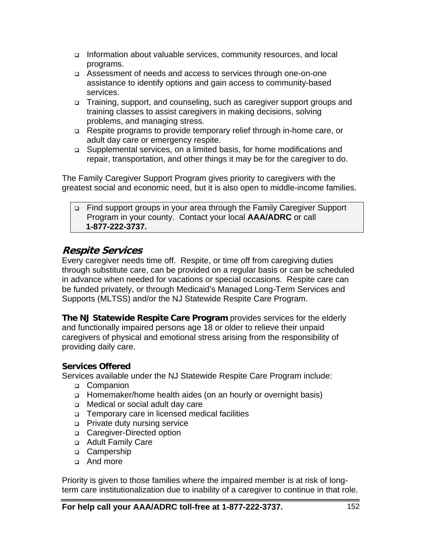- Information about valuable services, community resources, and local programs.
- Assessment of needs and access to services through one-on-one assistance to identify options and gain access to community-based services.
- □ Training, support, and counseling, such as caregiver support groups and training classes to assist caregivers in making decisions, solving problems, and managing stress.
- Respite programs to provide temporary relief through in-home care, or adult day care or emergency respite.
- □ Supplemental services, on a limited basis, for home modifications and repair, transportation, and other things it may be for the caregiver to do.

The Family Caregiver Support Program gives priority to caregivers with the greatest social and economic need, but it is also open to middle-income families.

 Find support groups in your area through the Family Caregiver Support Program in your county. Contact your local **AAA/ADRC** or call **1-877-222-3737.**

# **Respite Services**

Every caregiver needs time off. Respite, or time off from caregiving duties through substitute care, can be provided on a regular basis or can be scheduled in advance when needed for vacations or special occasions. Respite care can be funded privately, or through Medicaid's Managed Long-Term Services and Supports (MLTSS) and/or the NJ Statewide Respite Care Program.

**The NJ Statewide Respite Care Program** provides services for the elderly and functionally impaired persons age 18 or older to relieve their unpaid caregivers of physical and emotional stress arising from the responsibility of providing daily care.

### **Services Offered**

Services available under the NJ Statewide Respite Care Program include:

- □ Companion
- Homemaker/home health aides (on an hourly or overnight basis)
- □ Medical or social adult day care
- □ Temporary care in licensed medical facilities
- **Private duty nursing service**
- □ Caregiver-Directed option
- Adult Family Care
- □ Campership
- And more

Priority is given to those families where the impaired member is at risk of longterm care institutionalization due to inability of a caregiver to continue in that role.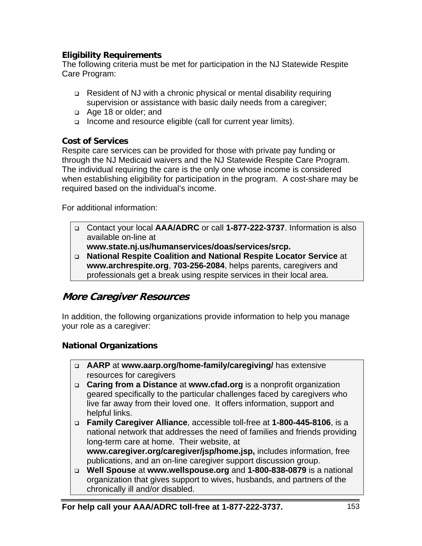## **Eligibility Requirements**

The following criteria must be met for participation in the NJ Statewide Respite Care Program:

- Resident of NJ with a chronic physical or mental disability requiring supervision or assistance with basic daily needs from a caregiver;
- Age 18 or older; and
- □ Income and resource eligible (call for current year limits).

### **Cost of Services**

Respite care services can be provided for those with private pay funding or through the NJ Medicaid waivers and the NJ Statewide Respite Care Program. The individual requiring the care is the only one whose income is considered when establishing eligibility for participation in the program. A cost-share may be required based on the individual's income.

For additional information:

- Contact your local **AAA/ADRC** or call **1-877-222-3737**. Information is also available on-line at
	- **www.state.nj.us/humanservices/doas/services/srcp.**
- **National Respite Coalition and National Respite Locator Service** at **www.archrespite.org**, **703-256-2084**, helps parents, caregivers and professionals get a break using respite services in their local area.

# **More Caregiver Resources**

In addition, the following organizations provide information to help you manage your role as a caregiver:

# **National Organizations**

- **AARP** at **www.aarp.org/home-family/caregiving/** has extensive resources for caregivers
- **Caring from a Distance** at **www.cfad.org** is a nonprofit organization geared specifically to the particular challenges faced by caregivers who live far away from their loved one. It offers information, support and helpful links.
- **Family Caregiver Alliance**, accessible toll-free at **1-800-445-8106**, is a national network that addresses the need of families and friends providing long-term care at home. Their website, at

**www.caregiver.org/caregiver/jsp/home.jsp,** includes information, free publications, and an on-line caregiver support discussion group.

 **Well Spouse** at **www.wellspouse.org** and **1-800-838-0879** is a national organization that gives support to wives, husbands, and partners of the chronically ill and/or disabled.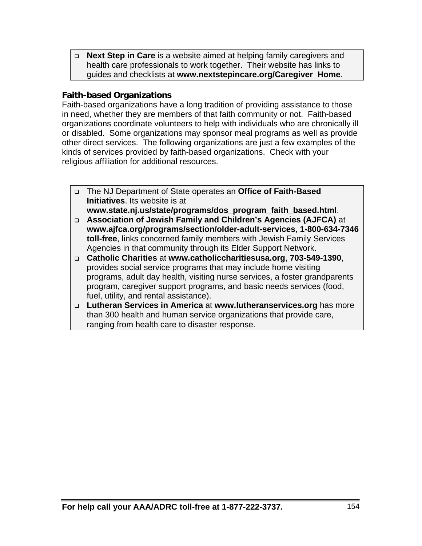**Next Step in Care** is a website aimed at helping family caregivers and health care professionals to work together. Their website has links to guides and checklists at **www.nextstepincare.org/Caregiver\_Home**.

### **Faith-based Organizations**

Faith-based organizations have a long tradition of providing assistance to those in need, whether they are members of that faith community or not. Faith-based organizations coordinate volunteers to help with individuals who are chronically ill or disabled. Some organizations may sponsor meal programs as well as provide other direct services. The following organizations are just a few examples of the kinds of services provided by faith-based organizations. Check with your religious affiliation for additional resources.

 The NJ Department of State operates an **Office of Faith-Based Initiatives**. Its website is at

**www.state.nj.us/state/programs/dos\_program\_faith\_based.html**.

- **Association of Jewish Family and Children's Agencies (AJFCA)** at **www.ajfca.org/programs/section/older-adult-services**, **1-800-634-7346 toll-free**, links concerned family members with Jewish Family Services Agencies in that community through its Elder Support Network.
- **Catholic Charities** at **www.catholiccharitiesusa.org**, **703-549-1390**, provides social service programs that may include home visiting programs, adult day health, visiting nurse services, a foster grandparents program, caregiver support programs, and basic needs services (food, fuel, utility, and rental assistance).
- **Lutheran Services in America** at **www.lutheranservices.org** has more than 300 health and human service organizations that provide care, ranging from health care to disaster response.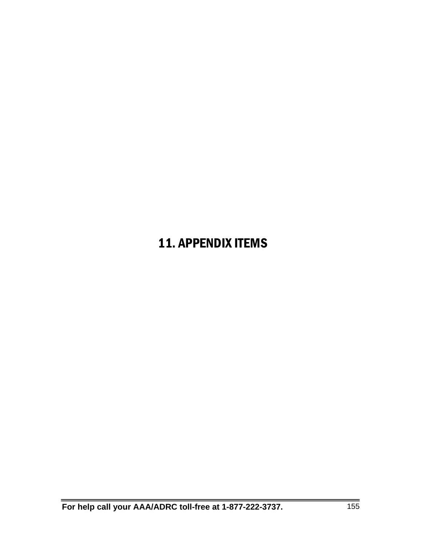# 11. APPENDIX ITEMS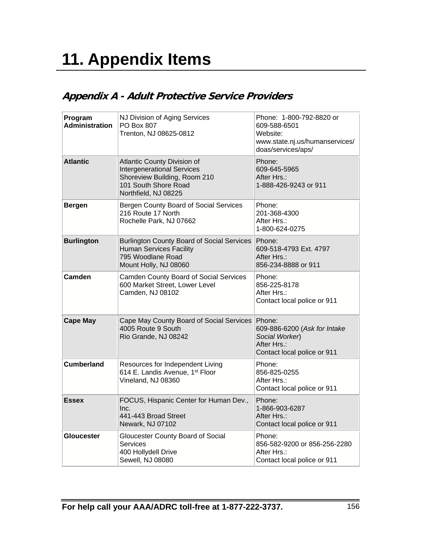# **11. Appendix Items**

# **Appendix A - Adult Protective Service Providers**

| Program<br><b>Administration</b> | NJ Division of Aging Services<br>PO Box 807<br>Trenton, NJ 08625-0812                                                                            | Phone: 1-800-792-8820 or<br>609-588-6501<br>Website:<br>www.state.nj.us/humanservices/<br>doas/services/aps/ |
|----------------------------------|--------------------------------------------------------------------------------------------------------------------------------------------------|--------------------------------------------------------------------------------------------------------------|
| <b>Atlantic</b>                  | Atlantic County Division of<br><b>Intergenerational Services</b><br>Shoreview Building, Room 210<br>101 South Shore Road<br>Northfield, NJ 08225 | Phone:<br>609-645-5965<br>After Hrs.:<br>1-888-426-9243 or 911                                               |
| <b>Bergen</b>                    | Bergen County Board of Social Services<br>216 Route 17 North<br>Rochelle Park, NJ 07662                                                          | Phone:<br>201-368-4300<br>After Hrs.:<br>1-800-624-0275                                                      |
| <b>Burlington</b>                | <b>Burlington County Board of Social Services</b><br><b>Human Services Facility</b><br>795 Woodlane Road<br>Mount Holly, NJ 08060                | Phone:<br>609-518-4793 Ext. 4797<br>After Hrs.:<br>856-234-8888 or 911                                       |
| <b>Camden</b>                    | Camden County Board of Social Services<br>600 Market Street, Lower Level<br>Camden, NJ 08102                                                     | Phone:<br>856-225-8178<br>After Hrs.:<br>Contact local police or 911                                         |
| <b>Cape May</b>                  | Cape May County Board of Social Services<br>4005 Route 9 South<br>Rio Grande, NJ 08242                                                           | Phone:<br>609-886-6200 (Ask for Intake<br>Social Worker)<br>After Hrs.:<br>Contact local police or 911       |
| <b>Cumberland</b>                | Resources for Independent Living<br>614 E. Landis Avenue, 1 <sup>st</sup> Floor<br>Vineland, NJ 08360                                            | Phone:<br>856-825-0255<br>After Hrs.:<br>Contact local police or 911                                         |
| <b>Essex</b>                     | FOCUS, Hispanic Center for Human Dev.,<br>Inc.<br>441-443 Broad Street<br>Newark, NJ 07102                                                       | Phone:<br>1-866-903-6287<br>After Hrs.:<br>Contact local police or 911                                       |
| <b>Gloucester</b>                | Gloucester County Board of Social<br><b>Services</b><br>400 Hollydell Drive<br>Sewell, NJ 08080                                                  | Phone:<br>856-582-9200 or 856-256-2280<br>After Hrs.:<br>Contact local police or 911                         |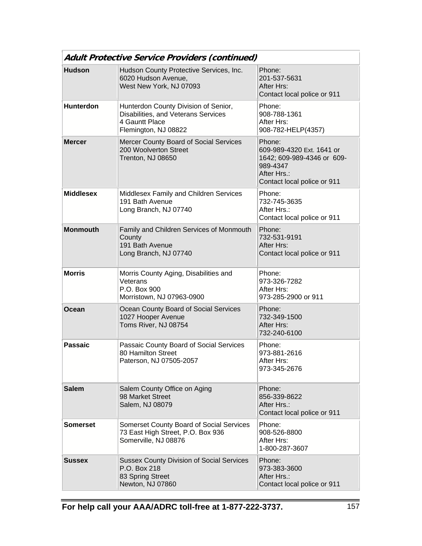| <b>Adult Protective Service Providers (continued)</b> |                                                                                                                       |                                                                                                                             |  |
|-------------------------------------------------------|-----------------------------------------------------------------------------------------------------------------------|-----------------------------------------------------------------------------------------------------------------------------|--|
| <b>Hudson</b>                                         | Hudson County Protective Services, Inc.<br>6020 Hudson Avenue,<br>West New York, NJ 07093                             | Phone:<br>201-537-5631<br>After Hrs:<br>Contact local police or 911                                                         |  |
| <b>Hunterdon</b>                                      | Hunterdon County Division of Senior,<br>Disabilities, and Veterans Services<br>4 Gauntt Place<br>Flemington, NJ 08822 | Phone:<br>908-788-1361<br>After Hrs:<br>908-782-HELP(4357)                                                                  |  |
| <b>Mercer</b>                                         | Mercer County Board of Social Services<br>200 Woolverton Street<br>Trenton, NJ 08650                                  | Phone:<br>609-989-4320 Ext. 1641 or<br>1642; 609-989-4346 or 609-<br>989-4347<br>After Hrs.:<br>Contact local police or 911 |  |
| <b>Middlesex</b>                                      | Middlesex Family and Children Services<br>191 Bath Avenue<br>Long Branch, NJ 07740                                    | Phone:<br>732-745-3635<br>After Hrs.:<br>Contact local police or 911                                                        |  |
| <b>Monmouth</b>                                       | Family and Children Services of Monmouth<br>County<br>191 Bath Avenue<br>Long Branch, NJ 07740                        | Phone:<br>732-531-9191<br>After Hrs:<br>Contact local police or 911                                                         |  |
| <b>Morris</b>                                         | Morris County Aging, Disabilities and<br>Veterans<br>P.O. Box 900<br>Morristown, NJ 07963-0900                        | Phone:<br>973-326-7282<br>After Hrs:<br>973-285-2900 or 911                                                                 |  |
| <b>Ocean</b>                                          | Ocean County Board of Social Services<br>1027 Hooper Avenue<br>Toms River, NJ 08754                                   | Phone:<br>732-349-1500<br>After Hrs:<br>732-240-6100                                                                        |  |
| <b>Passaic</b>                                        | Passaic County Board of Social Services<br>80 Hamilton Street<br>Paterson, NJ 07505-2057                              | Phone:<br>973-881-2616<br>After Hrs:<br>973-345-2676                                                                        |  |
| <b>Salem</b>                                          | Salem County Office on Aging<br>98 Market Street<br>Salem, NJ 08079                                                   | Phone:<br>856-339-8622<br>After Hrs.:<br>Contact local police or 911                                                        |  |
| <b>Somerset</b>                                       | Somerset County Board of Social Services<br>73 East High Street, P.O. Box 936<br>Somerville, NJ 08876                 | Phone:<br>908-526-8800<br>After Hrs:<br>1-800-287-3607                                                                      |  |
| <b>Sussex</b>                                         | <b>Sussex County Division of Social Services</b><br>P.O. Box 218<br>83 Spring Street<br>Newton, NJ 07860              | Phone:<br>973-383-3600<br>After Hrs.:<br>Contact local police or 911                                                        |  |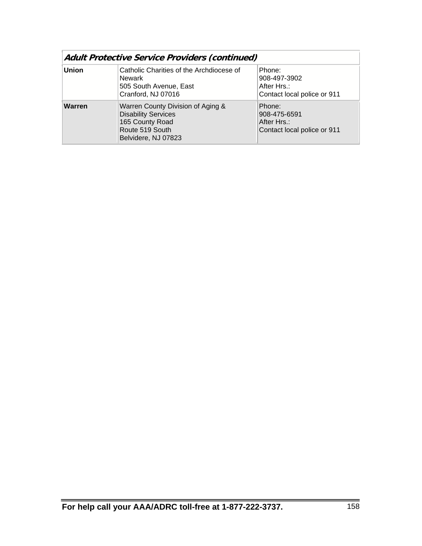| <b>Adult Protective Service Providers (continued)</b> |                                                                                                                              |                                                                      |
|-------------------------------------------------------|------------------------------------------------------------------------------------------------------------------------------|----------------------------------------------------------------------|
| <b>Union</b>                                          | Catholic Charities of the Archdiocese of<br>Newark<br>505 South Avenue, East<br>Cranford, NJ 07016                           | Phone:<br>908-497-3902<br>After Hrs.:<br>Contact local police or 911 |
| Warren                                                | Warren County Division of Aging &<br><b>Disability Services</b><br>165 County Road<br>Route 519 South<br>Belvidere, NJ 07823 | Phone:<br>908-475-6591<br>After Hrs.:<br>Contact local police or 911 |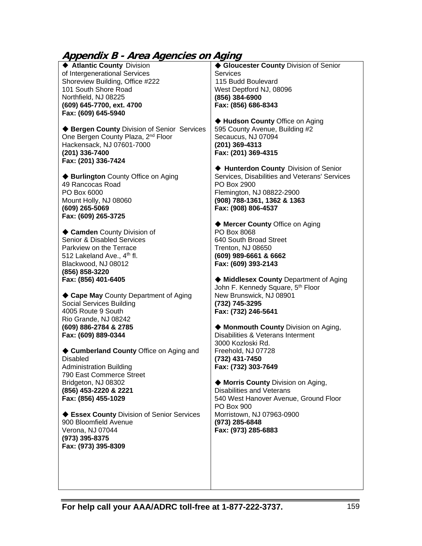# **Appendix B - Area Agencies on Aging**

| Appenaix B - Area Agencies on Aging<br>♦ Atlantic County Division<br>of Intergenerational Services<br>Shoreview Building, Office #222<br>101 South Shore Road<br>Northfield, NJ 08225<br>(609) 645-7700, ext. 4700<br>Fax: (609) 645-5940<br>♦ Bergen County Division of Senior Services<br>One Bergen County Plaza, 2 <sup>nd</sup> Floor<br>Hackensack, NJ 07601-7000<br>(201) 336-7400<br>Fax: (201) 336-7424<br>◆ Burlington County Office on Aging<br>49 Rancocas Road<br>PO Box 6000<br>Mount Holly, NJ 08060<br>(609) 265-5069<br>Fax: (609) 265-3725<br>♦ Camden County Division of<br><b>Senior &amp; Disabled Services</b> | ♦ Gloucester County Division of Senior<br>Services<br>115 Budd Boulevard<br>West Deptford NJ, 08096<br>(856) 384-6900<br>Fax: (856) 686-8343<br>◆ Hudson County Office on Aging<br>595 County Avenue, Building #2<br>Secaucus, NJ 07094<br>(201) 369-4313<br>Fax: (201) 369-4315<br>♦ Hunterdon County Division of Senior<br>Services, Disabilities and Veterans' Services<br>PO Box 2900<br>Flemington, NJ 08822-2900<br>(908) 788-1361, 1362 & 1363<br>Fax: (908) 806-4537<br>◆ Mercer County Office on Aging<br>PO Box 8068<br>640 South Broad Street |
|--------------------------------------------------------------------------------------------------------------------------------------------------------------------------------------------------------------------------------------------------------------------------------------------------------------------------------------------------------------------------------------------------------------------------------------------------------------------------------------------------------------------------------------------------------------------------------------------------------------------------------------|----------------------------------------------------------------------------------------------------------------------------------------------------------------------------------------------------------------------------------------------------------------------------------------------------------------------------------------------------------------------------------------------------------------------------------------------------------------------------------------------------------------------------------------------------------|
|                                                                                                                                                                                                                                                                                                                                                                                                                                                                                                                                                                                                                                      |                                                                                                                                                                                                                                                                                                                                                                                                                                                                                                                                                          |
| Parkview on the Terrace<br>512 Lakeland Ave., 4th fl.                                                                                                                                                                                                                                                                                                                                                                                                                                                                                                                                                                                | Trenton, NJ 08650<br>(609) 989-6661 & 6662                                                                                                                                                                                                                                                                                                                                                                                                                                                                                                               |
| Blackwood, NJ 08012                                                                                                                                                                                                                                                                                                                                                                                                                                                                                                                                                                                                                  | Fax: (609) 393-2143                                                                                                                                                                                                                                                                                                                                                                                                                                                                                                                                      |
| (856) 858-3220                                                                                                                                                                                                                                                                                                                                                                                                                                                                                                                                                                                                                       |                                                                                                                                                                                                                                                                                                                                                                                                                                                                                                                                                          |
| Fax: (856) 401-6405                                                                                                                                                                                                                                                                                                                                                                                                                                                                                                                                                                                                                  | ♦ Middlesex County Department of Aging                                                                                                                                                                                                                                                                                                                                                                                                                                                                                                                   |
| ◆ Cape May County Department of Aging                                                                                                                                                                                                                                                                                                                                                                                                                                                                                                                                                                                                | John F. Kennedy Square, 5th Floor<br>New Brunswick, NJ 08901                                                                                                                                                                                                                                                                                                                                                                                                                                                                                             |
| Social Services Building                                                                                                                                                                                                                                                                                                                                                                                                                                                                                                                                                                                                             | (732) 745-3295                                                                                                                                                                                                                                                                                                                                                                                                                                                                                                                                           |
| 4005 Route 9 South                                                                                                                                                                                                                                                                                                                                                                                                                                                                                                                                                                                                                   | Fax: (732) 246-5641                                                                                                                                                                                                                                                                                                                                                                                                                                                                                                                                      |
| Rio Grande, NJ 08242                                                                                                                                                                                                                                                                                                                                                                                                                                                                                                                                                                                                                 |                                                                                                                                                                                                                                                                                                                                                                                                                                                                                                                                                          |
| (609) 886-2784 & 2785<br>Fax: (609) 889-0344                                                                                                                                                                                                                                                                                                                                                                                                                                                                                                                                                                                         | ♦ Monmouth County Division on Aging,<br>Disabilities & Veterans Interment                                                                                                                                                                                                                                                                                                                                                                                                                                                                                |
|                                                                                                                                                                                                                                                                                                                                                                                                                                                                                                                                                                                                                                      | 3000 Kozloski Rd.                                                                                                                                                                                                                                                                                                                                                                                                                                                                                                                                        |
| ♦ Cumberland County Office on Aging and                                                                                                                                                                                                                                                                                                                                                                                                                                                                                                                                                                                              | Freehold, NJ 07728                                                                                                                                                                                                                                                                                                                                                                                                                                                                                                                                       |
| <b>Disabled</b>                                                                                                                                                                                                                                                                                                                                                                                                                                                                                                                                                                                                                      | (732) 431-7450                                                                                                                                                                                                                                                                                                                                                                                                                                                                                                                                           |
| <b>Administration Building</b>                                                                                                                                                                                                                                                                                                                                                                                                                                                                                                                                                                                                       | Fax: (732) 303-7649                                                                                                                                                                                                                                                                                                                                                                                                                                                                                                                                      |
| 790 East Commerce Street<br>Bridgeton, NJ 08302                                                                                                                                                                                                                                                                                                                                                                                                                                                                                                                                                                                      | ◆ Morris County Division on Aging,                                                                                                                                                                                                                                                                                                                                                                                                                                                                                                                       |
| (856) 453-2220 & 2221                                                                                                                                                                                                                                                                                                                                                                                                                                                                                                                                                                                                                | Disabilities and Veterans                                                                                                                                                                                                                                                                                                                                                                                                                                                                                                                                |
| Fax: (856) 455-1029                                                                                                                                                                                                                                                                                                                                                                                                                                                                                                                                                                                                                  | 540 West Hanover Avenue, Ground Floor                                                                                                                                                                                                                                                                                                                                                                                                                                                                                                                    |
|                                                                                                                                                                                                                                                                                                                                                                                                                                                                                                                                                                                                                                      | PO Box 900                                                                                                                                                                                                                                                                                                                                                                                                                                                                                                                                               |
| ♦ Essex County Division of Senior Services                                                                                                                                                                                                                                                                                                                                                                                                                                                                                                                                                                                           | Morristown, NJ 07963-0900                                                                                                                                                                                                                                                                                                                                                                                                                                                                                                                                |
| 900 Bloomfield Avenue<br>Verona, NJ 07044                                                                                                                                                                                                                                                                                                                                                                                                                                                                                                                                                                                            | (973) 285-6848<br>Fax: (973) 285-6883                                                                                                                                                                                                                                                                                                                                                                                                                                                                                                                    |
| (973) 395-8375                                                                                                                                                                                                                                                                                                                                                                                                                                                                                                                                                                                                                       |                                                                                                                                                                                                                                                                                                                                                                                                                                                                                                                                                          |
| Fax: (973) 395-8309                                                                                                                                                                                                                                                                                                                                                                                                                                                                                                                                                                                                                  |                                                                                                                                                                                                                                                                                                                                                                                                                                                                                                                                                          |
|                                                                                                                                                                                                                                                                                                                                                                                                                                                                                                                                                                                                                                      |                                                                                                                                                                                                                                                                                                                                                                                                                                                                                                                                                          |
|                                                                                                                                                                                                                                                                                                                                                                                                                                                                                                                                                                                                                                      |                                                                                                                                                                                                                                                                                                                                                                                                                                                                                                                                                          |

**For help call your AAA/ADRC toll-free at 1-877-222-3737.** 159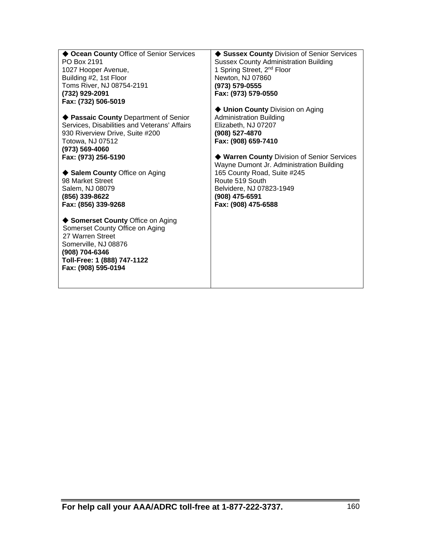| ♦ Ocean County Office of Senior Services<br>PO Box 2191<br>1027 Hooper Avenue,<br>Building #2, 1st Floor<br>Toms River, NJ 08754-2191<br>(732) 929-2091<br>Fax: (732) 506-5019<br>◆ Passaic County Department of Senior<br>Services, Disabilities and Veterans' Affairs<br>930 Riverview Drive, Suite #200<br>Totowa, NJ 07512<br>(973) 569-4060<br>Fax: (973) 256-5190<br>◆ Salem County Office on Aging<br>98 Market Street<br>Salem, NJ 08079<br>(856) 339-8622<br>Fax: (856) 339-9268<br>◆ Somerset County Office on Aging<br>Somerset County Office on Aging<br>27 Warren Street<br>Somerville, NJ 08876<br>(908) 704-6346<br>Toll-Free: 1 (888) 747-1122<br>Fax: (908) 595-0194 | ◆ Sussex County Division of Senior Services<br><b>Sussex County Administration Building</b><br>1 Spring Street, 2 <sup>nd</sup> Floor<br>Newton, NJ 07860<br>(973) 579-0555<br>Fax: (973) 579-0550<br>♦ Union County Division on Aging<br><b>Administration Building</b><br>Elizabeth, NJ 07207<br>(908) 527-4870<br>Fax: (908) 659-7410<br>◆ Warren County Division of Senior Services<br>Wayne Dumont Jr. Administration Building<br>165 County Road, Suite #245<br>Route 519 South<br>Belvidere, NJ 07823-1949<br>(908) 475-6591<br>Fax: (908) 475-6588 |
|---------------------------------------------------------------------------------------------------------------------------------------------------------------------------------------------------------------------------------------------------------------------------------------------------------------------------------------------------------------------------------------------------------------------------------------------------------------------------------------------------------------------------------------------------------------------------------------------------------------------------------------------------------------------------------------|------------------------------------------------------------------------------------------------------------------------------------------------------------------------------------------------------------------------------------------------------------------------------------------------------------------------------------------------------------------------------------------------------------------------------------------------------------------------------------------------------------------------------------------------------------|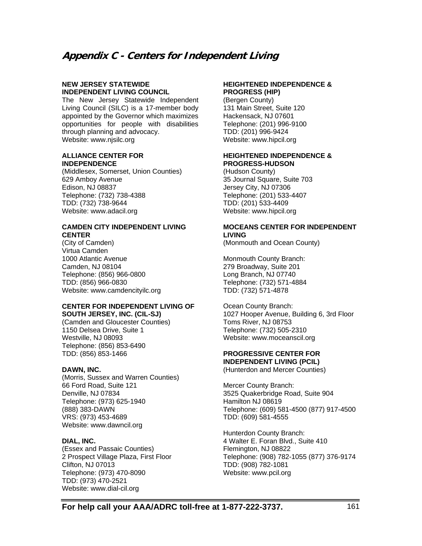# **Appendix C - Centers for Independent Living**

#### **NEW JERSEY STATEWIDE INDEPENDENT LIVING COUNCIL**

The New Jersey Statewide Independent Living Council (SILC) is a 17-member body appointed by the Governor which maximizes opportunities for people with disabilities through planning and advocacy. Website: www.njsilc.org

#### **ALLIANCE CENTER FOR INDEPENDENCE**

(Middlesex, Somerset, Union Counties) 629 Amboy Avenue Edison, NJ 08837 Telephone: (732) 738-4388 TDD: (732) 738-9644 Website: www.adacil.org

#### **CAMDEN CITY INDEPENDENT LIVING CENTER**

(City of Camden) Virtua Camden 1000 Atlantic Avenue Camden, NJ 08104 Telephone: (856) 966-0800 TDD: (856) 966-0830 Website: www.camdencityilc.org

#### **CENTER FOR INDEPENDENT LIVING OF SOUTH JERSEY, INC. (CIL-SJ)**

(Camden and Gloucester Counties) 1150 Delsea Drive, Suite 1 Westville, NJ 08093 Telephone: (856) 853-6490 TDD: (856) 853-1466

#### **DAWN, INC.**

(Morris, Sussex and Warren Counties) 66 Ford Road, Suite 121 Denville, NJ 07834 Telephone: (973) 625-1940 (888) 383-DAWN VRS: (973) 453-4689 Website: www.dawncil.org

#### **DIAL, INC.**

(Essex and Passaic Counties) 2 Prospect Village Plaza, First Floor Clifton, NJ 07013 Telephone: (973) 470-8090 TDD: (973) 470-2521 Website: www.dial-cil.org

#### **HEIGHTENED INDEPENDENCE & PROGRESS (HIP)**

(Bergen County) 131 Main Street, Suite 120 Hackensack, NJ 07601 Telephone: (201) 996-9100 TDD: (201) 996-9424 Website: www.hipcil.org

#### **HEIGHTENED INDEPENDENCE & PROGRESS-HUDSON**

(Hudson County) 35 Journal Square, Suite 703 Jersey City, NJ 07306 Telephone: (201) 533-4407 TDD: (201) 533-4409 Website: www.hipcil.org

#### **MOCEANS CENTER FOR INDEPENDENT LIVING**

(Monmouth and Ocean County)

Monmouth County Branch: 279 Broadway, Suite 201 Long Branch, NJ 07740 Telephone: (732) 571-4884 TDD: (732) 571-4878

Ocean County Branch: 1027 Hooper Avenue, Building 6, 3rd Floor Toms River, NJ 08753 Telephone: (732) 505-2310 Website: www.moceanscil.org

#### **PROGRESSIVE CENTER FOR INDEPENDENT LIVING (PCIL)**

(Hunterdon and Mercer Counties)

Mercer County Branch: 3525 Quakerbridge Road, Suite 904 Hamilton NJ 08619 Telephone: (609) 581-4500 (877) 917-4500 TDD: (609) 581-4555

Hunterdon County Branch: 4 Walter E. Foran Blvd., Suite 410 Flemington, NJ 08822 Telephone: (908) 782-1055 (877) 376-9174 TDD: (908) 782-1081 Website: www.pcil.org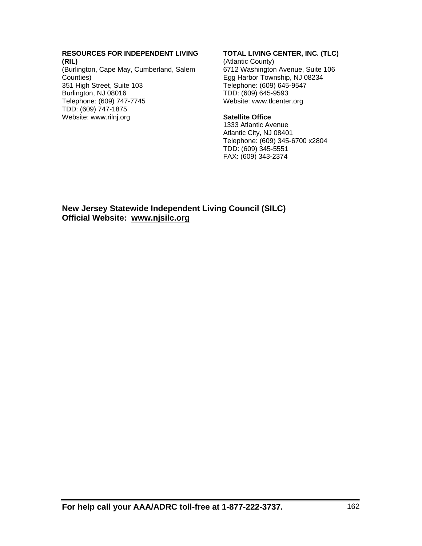#### **RESOURCES FOR INDEPENDENT LIVING (RIL)**

(Burlington, Cape May, Cumberland, Salem Counties) 351 High Street, Suite 103 Burlington, NJ 08016 Telephone: (609) 747-7745 TDD: (609) 747-1875 Website: www.rilnj.org

#### **TOTAL LIVING CENTER, INC. (TLC)**

(Atlantic County) 6712 Washington Avenue, Suite 106 Egg Harbor Township, NJ 08234 Telephone: (609) 645-9547 TDD: (609) 645-9593 Website: www.tlcenter.org

#### **Satellite Office**

1333 Atlantic Avenue Atlantic City, NJ 08401 Telephone: (609) 345-6700 x2804 TDD: (609) 345-5551 FAX: (609) 343-2374

**New Jersey Statewide Independent Living Council (SILC) Official Website: www.njsilc.org**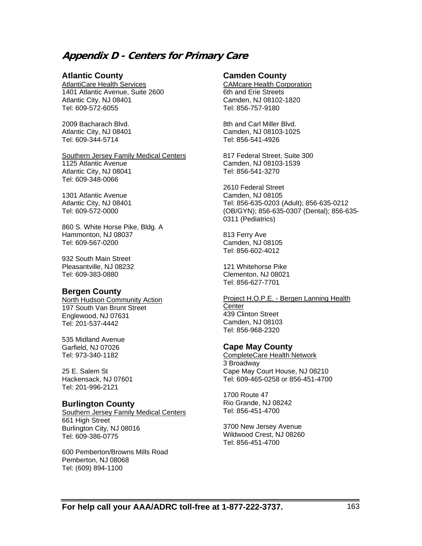# **Appendix D - Centers for Primary Care**

#### **Atlantic County**

AtlantiCare Health Services 1401 Atlantic Avenue, Suite 2600 Atlantic City, NJ 08401 Tel: 609-572-6055

2009 Bacharach Blvd. Atlantic City, NJ 08401 Tel: 609-344-5714

**Southern Jersey Family Medical Centers** 1125 Atlantic Avenue Atlantic City, NJ 08041 Tel: 609-348-0066

1301 Atlantic Avenue Atlantic City, NJ 08401 Tel: 609-572-0000

860 S. White Horse Pike, Bldg. A Hammonton, NJ 08037 Tel: 609-567-0200

932 South Main Street Pleasantville, NJ 08232 Tel: 609-383-0880

#### **Bergen County**

North Hudson Community Action 197 South Van Brunt Street Englewood, NJ 07631 Tel: 201-537-4442

535 Midland Avenue Garfield, NJ 07026 Tel: 973-340-1182

25 E. Salem St Hackensack, NJ 07601 Tel: 201-996-2121

#### **Burlington County**

Southern Jersey Family Medical Centers 661 High Street Burlington City, NJ 08016 Tel: 609-386-0775

600 Pemberton/Browns Mills Road Pemberton, NJ 08068 Tel: (609) 894-1100

#### **Camden County**

CAMcare Health Corporation 6th and Erie Streets Camden, NJ 08102-1820 Tel: 856-757-9180

8th and Carl Miller Blvd. Camden, NJ 08103-1025 Tel: 856-541-4926

817 Federal Street, Suite 300 Camden, NJ 08103-1539 Tel: 856-541-3270

2610 Federal Street Camden, NJ 08105 Tel: 856-635-0203 (Adult); 856-635-0212 (OB/GYN); 856-635-0307 (Dental); 856-635- 0311 (Pediatrics)

813 Ferry Ave Camden, NJ 08105 Tel: 856-602-4012

121 Whitehorse Pike Clementon, NJ 08021 Tel: 856-627-7701

Project H.O.P.E. - Bergen Lanning Health **Center** 439 Clinton Street Camden, NJ 08103 Tel: 856-968-2320

#### **Cape May County**

CompleteCare Health Network 3 Broadway Cape May Court House, NJ 08210 Tel: 609-465-0258 or 856-451-4700

1700 Route 47 Rio Grande, NJ 08242 Tel: 856-451-4700

3700 New Jersey Avenue Wildwood Crest, NJ 08260 Tel: 856-451-4700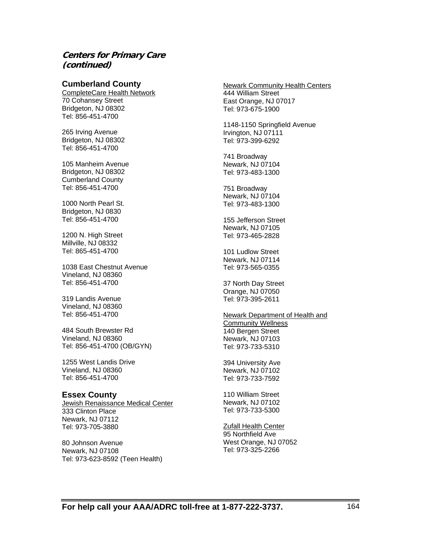#### **Cumberland County**

CompleteCare Health Network 70 Cohansey Street Bridgeton, NJ 08302 Tel: 856-451-4700

265 Irving Avenue Bridgeton, NJ 08302 Tel: 856-451-4700

105 Manheim Avenue Bridgeton, NJ 08302 Cumberland County Tel: 856-451-4700

1000 North Pearl St. Bridgeton, NJ 0830 Tel: 856-451-4700

1200 N. High Street Millville, NJ 08332 Tel: 865-451-4700

1038 East Chestnut Avenue Vineland, NJ 08360 Tel: 856-451-4700

319 Landis Avenue Vineland, NJ 08360 Tel: 856-451-4700

484 South Brewster Rd Vineland, NJ 08360 Tel: 856-451-4700 (OB/GYN)

1255 West Landis Drive Vineland, NJ 08360 Tel: 856-451-4700

#### **Essex County**

Jewish Renaissance Medical Center 333 Clinton Place Newark, NJ 07112 Tel: 973-705-3880

80 Johnson Avenue Newark, NJ 07108 Tel: 973-623-8592 (Teen Health) Newark Community Health Centers 444 William Street East Orange, NJ 07017 Tel: 973-675-1900

1148-1150 Springfield Avenue Irvington, NJ 07111 Tel: 973-399-6292

741 Broadway Newark, NJ 07104 Tel: 973-483-1300

751 Broadway Newark, NJ 07104 Tel: 973-483-1300

155 Jefferson Street Newark, NJ 07105 Tel: 973-465-2828

101 Ludlow Street Newark, NJ 07114 Tel: 973-565-0355

37 North Day Street Orange, NJ 07050 Tel: 973-395-2611

#### Newark Department of Health and Community Wellness 140 Bergen Street

Newark, NJ 07103 Tel: 973-733-5310

394 University Ave Newark, NJ 07102 Tel: 973-733-7592

110 William Street Newark, NJ 07102 Tel: 973-733-5300

Zufall Health Center 95 Northfield Ave West Orange, NJ 07052 Tel: 973-325-2266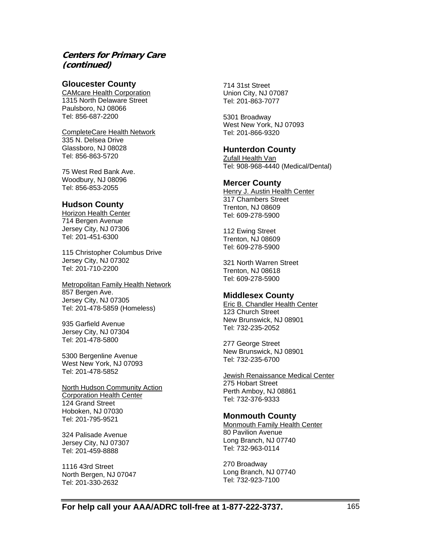#### **Gloucester County**

CAMcare Health Corporation 1315 North Delaware Street Paulsboro, NJ 08066 Tel: 856-687-2200

CompleteCare Health Network 335 N. Delsea Drive Glassboro, NJ 08028 Tel: 856-863-5720

75 West Red Bank Ave. Woodbury, NJ 08096 Tel: 856-853-2055

#### **Hudson County**

Horizon Health Center 714 Bergen Avenue Jersey City, NJ 07306 Tel: 201-451-6300

115 Christopher Columbus Drive Jersey City, NJ 07302 Tel: 201-710-2200

Metropolitan Family Health Network 857 Bergen Ave. Jersey City, NJ 07305 Tel: 201-478-5859 (Homeless)

935 Garfield Avenue Jersey City, NJ 07304 Tel: 201-478-5800

5300 Bergenline Avenue West New York, NJ 07093 Tel: 201-478-5852

North Hudson Community Action Corporation Health Center 124 Grand Street Hoboken, NJ 07030 Tel: 201-795-9521

324 Palisade Avenue Jersey City, NJ 07307 Tel: 201-459-8888

1116 43rd Street North Bergen, NJ 07047 Tel: 201-330-2632

714 31st Street Union City, NJ 07087 Tel: 201-863-7077

5301 Broadway West New York, NJ 07093 Tel: 201-866-9320

#### **Hunterdon County**

Zufall Health Van Tel: 908-968-4440 (Medical/Dental)

#### **Mercer County**

Henry J. Austin Health Center 317 Chambers Street Trenton, NJ 08609 Tel: 609-278-5900

112 Ewing Street Trenton, NJ 08609 Tel: 609-278-5900

321 North Warren Street Trenton, NJ 08618 Tel: 609-278-5900

#### **Middlesex County**

Eric B. Chandler Health Center 123 Church Street New Brunswick, NJ 08901 Tel: 732-235-2052

277 George Street New Brunswick, NJ 08901 Tel: 732-235-6700

**Jewish Renaissance Medical Center** 275 Hobart Street Perth Amboy, NJ 08861 Tel: 732-376-9333

#### **Monmouth County**

Monmouth Family Health Center 80 Pavilion Avenue Long Branch, NJ 07740 Tel: 732-963-0114

270 Broadway Long Branch, NJ 07740 Tel: 732-923-7100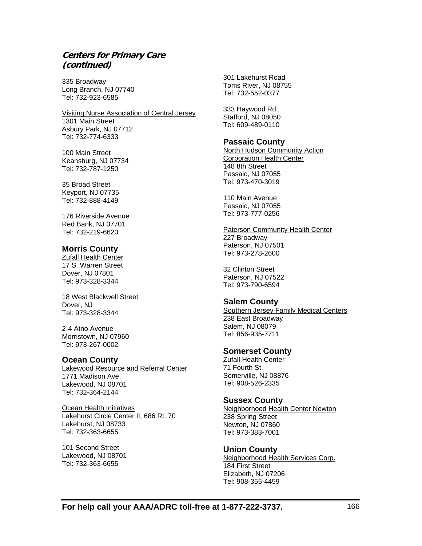335 Broadway Long Branch, NJ 07740 Tel: 732-923-6585

Visiting Nurse Association of Central Jersey 1301 Main Street Asbury Park, NJ 07712 Tel: 732-774-6333

100 Main Street Keansburg, NJ 07734 Tel: 732-787-1250

35 Broad Street Keyport, NJ 07735 Tel: 732-888-4149

176 Riverside Avenue Red Bank, NJ 07701 Tel: 732-219-6620

#### **Morris County**

Zufall Health Center 17 S. Warren Street Dover, NJ 07801 Tel: 973-328-3344

18 West Blackwell Street Dover, NJ Tel: 973-328-3344

2-4 Atno Avenue Morristown, NJ 07960 Tel: 973-267-0002

#### **Ocean County**

Lakewood Resource and Referral Center 1771 Madison Ave. Lakewood, NJ 08701 Tel: 732-364-2144

Ocean Health Initiatives Lakehurst Circle Center II, 686 Rt. 70 Lakehurst, NJ 08733 Tel: 732-363-6655

101 Second Street Lakewood, NJ 08701 Tel: 732-363-6655

301 Lakehurst Road Toms River, NJ 08755 Tel: 732-552-0377

333 Haywood Rd Stafford, NJ 08050 Tel: 609-489-0110

#### **Passaic County**

North Hudson Community Action Corporation Health Center 148 8th Street Passaic, NJ 07055 Tel: 973-470-3019

110 Main Avenue Passaic, NJ 07055 Tel: 973-777-0256

Paterson Community Health Center 227 Broadway Paterson, NJ 07501 Tel: 973-278-2600

32 Clinton Street Paterson, NJ 07522 Tel: 973-790-6594

#### **Salem County**

Southern Jersey Family Medical Centers 238 East Broadway Salem, NJ 08079 Tel: 856-935-7711

#### **Somerset County**

Zufall Health Center 71 Fourth St. Somerville, NJ 08876 Tel: 908-526-2335

#### **Sussex County**

Neighborhood Health Center Newton 238 Spring Street Newton, NJ 07860 Tel: 973-383-7001

#### **Union County**

Neighborhood Health Services Corp. 184 First Street Elizabeth, NJ 07206 Tel: 908-355-4459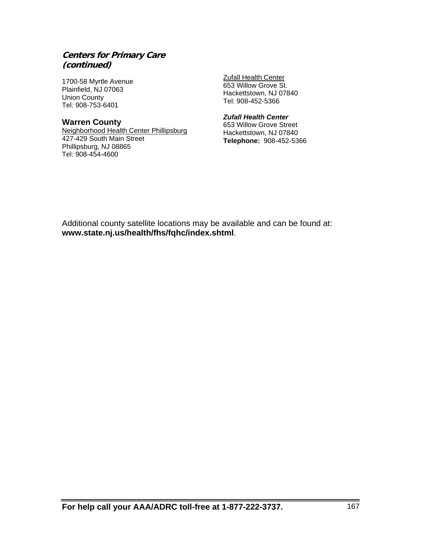1700-58 Myrtle Avenue Plainfield, NJ 07063 Union County Tel: 908-753-6401

#### **Warren County**

Neighborhood Health Center Phillipsburg 427-429 South Main Street Phillipsburg, NJ 08865 Tel: 908-454-4600

**Zufall Health Center** 653 Willow Grove St. Hackettstown, NJ 07840 Tel: 908-452-5366

#### *Zufall Health Center*

653 Willow Grove Street Hackettstown, NJ 07840 **Telephone:** 908-452-5366

Additional county satellite locations may be available and can be found at: **www.state.nj.us/health/fhs/fqhc/index.shtml**.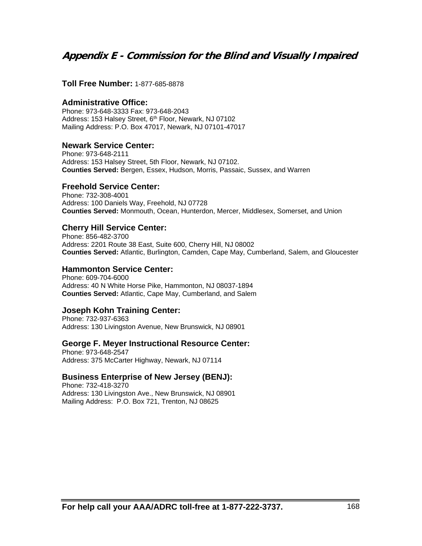# **Appendix E - Commission for the Blind and Visually Impaired**

#### **Toll Free Number:** 1-877-685-8878

#### **Administrative Office:**

Phone: 973-648-3333 Fax: 973-648-2043 Address: 153 Halsey Street, 6<sup>th</sup> Floor, Newark, NJ 07102 Mailing Address: P.O. Box 47017, Newark, NJ 07101-47017

#### **Newark Service Center:**

Phone: 973-648-2111 Address: 153 Halsey Street, 5th Floor, Newark, NJ 07102. **Counties Served:** Bergen, Essex, Hudson, Morris, Passaic, Sussex, and Warren

#### **Freehold Service Center:**

Phone: 732-308-4001 Address: 100 Daniels Way, Freehold, NJ 07728 **Counties Served:** Monmouth, Ocean, Hunterdon, Mercer, Middlesex, Somerset, and Union

#### **Cherry Hill Service Center:**

Phone: 856-482-3700 Address: 2201 Route 38 East, Suite 600, Cherry Hill, NJ 08002 **Counties Served:** Atlantic, Burlington, Camden, Cape May, Cumberland, Salem, and Gloucester

#### **Hammonton Service Center:**

Phone: 609-704-6000 Address: 40 N White Horse Pike, Hammonton, NJ 08037-1894 **Counties Served:** Atlantic, Cape May, Cumberland, and Salem

#### **Joseph Kohn Training Center:**

Phone: 732-937-6363 Address: 130 Livingston Avenue, New Brunswick, NJ 08901

#### **George F. Meyer Instructional Resource Center:**

Phone: 973-648-2547 Address: 375 McCarter Highway, Newark, NJ 07114

#### **Business Enterprise of New Jersey (BENJ):**

Phone: 732-418-3270 Address: 130 Livingston Ave., New Brunswick, NJ 08901 Mailing Address: P.O. Box 721, Trenton, NJ 08625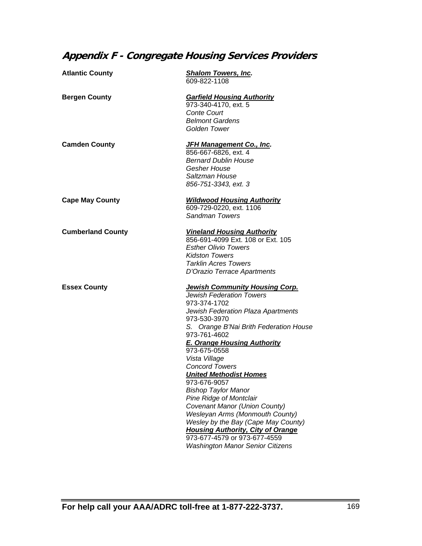# **Appendix F - Congregate Housing Services Providers**

| <b>Atlantic County</b>   | <b>Shalom Towers, Inc.</b><br>609-822-1108                                                                                                                                                                                                                                                                                                                                                                                                                                                                                                                                                                                                                         |
|--------------------------|--------------------------------------------------------------------------------------------------------------------------------------------------------------------------------------------------------------------------------------------------------------------------------------------------------------------------------------------------------------------------------------------------------------------------------------------------------------------------------------------------------------------------------------------------------------------------------------------------------------------------------------------------------------------|
| <b>Bergen County</b>     | <b>Garfield Housing Authority</b><br>973-340-4170, ext. 5<br><b>Conte Court</b><br><b>Belmont Gardens</b><br>Golden Tower                                                                                                                                                                                                                                                                                                                                                                                                                                                                                                                                          |
| <b>Camden County</b>     | <b>JFH Management Co., Inc.</b><br>856-667-6826, ext. 4<br><b>Bernard Dublin House</b><br>Gesher House<br>Saltzman House<br>856-751-3343, ext. 3                                                                                                                                                                                                                                                                                                                                                                                                                                                                                                                   |
| <b>Cape May County</b>   | <b>Wildwood Housing Authority</b><br>609-729-0220, ext. 1106<br><b>Sandman Towers</b>                                                                                                                                                                                                                                                                                                                                                                                                                                                                                                                                                                              |
| <b>Cumberland County</b> | <b>Vineland Housing Authority</b><br>856-691-4099 Ext. 108 or Ext. 105<br><b>Esther Olivio Towers</b><br><b>Kidston Towers</b><br><b>Tarklin Acres Towers</b><br>D'Orazio Terrace Apartments                                                                                                                                                                                                                                                                                                                                                                                                                                                                       |
| <b>Essex County</b>      | <b>Jewish Community Housing Corp.</b><br><b>Jewish Federation Towers</b><br>973-374-1702<br>Jewish Federation Plaza Apartments<br>973-530-3970<br>S. Orange B'Nai Brith Federation House<br>973-761-4602<br><b>E. Orange Housing Authority</b><br>973-675-0558<br>Vista Village<br><b>Concord Towers</b><br><b>United Methodist Homes</b><br>973-676-9057<br><b>Bishop Taylor Manor</b><br><b>Pine Ridge of Montclair</b><br>Covenant Manor (Union County)<br><b>Wesleyan Arms (Monmouth County)</b><br>Wesley by the Bay (Cape May County)<br><b>Housing Authority, City of Orange</b><br>973-677-4579 or 973-677-4559<br><b>Washington Manor Senior Citizens</b> |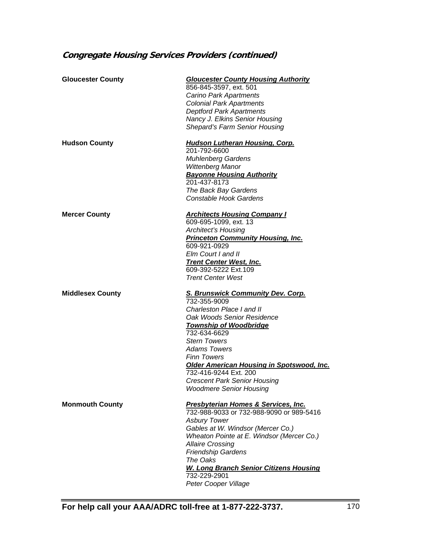# **Congregate Housing Services Providers (continued)**

| <b>Gloucester County</b> | <b>Gloucester County Housing Authority</b><br>856-845-3597, ext. 501<br>Carino Park Apartments<br><b>Colonial Park Apartments</b><br><b>Deptford Park Apartments</b><br>Nancy J. Elkins Senior Housing<br><b>Shepard's Farm Senior Housing</b>                                                                                                                                          |
|--------------------------|-----------------------------------------------------------------------------------------------------------------------------------------------------------------------------------------------------------------------------------------------------------------------------------------------------------------------------------------------------------------------------------------|
| <b>Hudson County</b>     | <b>Hudson Lutheran Housing, Corp.</b><br>201-792-6600<br><b>Muhlenberg Gardens</b><br>Wittenberg Manor<br><b>Bayonne Housing Authority</b><br>201-437-8173<br>The Back Bay Gardens<br><b>Constable Hook Gardens</b>                                                                                                                                                                     |
| <b>Mercer County</b>     | <b>Architects Housing Company I</b><br>609-695-1099, ext. 13<br><b>Architect's Housing</b><br><b>Princeton Community Housing, Inc.</b><br>609-921-0929<br>Elm Court I and II<br><b>Trent Center West, Inc.</b><br>609-392-5222 Ext.109<br><b>Trent Center West</b>                                                                                                                      |
| <b>Middlesex County</b>  | <b>S. Brunswick Community Dev. Corp.</b><br>732-355-9009<br>Charleston Place I and II<br>Oak Woods Senior Residence<br><u>Township of Woodbridge</u><br>732-634-6629<br><b>Stern Towers</b><br><b>Adams Towers</b><br><b>Finn Towers</b><br>Older American Housing in Spotswood, Inc.<br>732-416-9244 Ext. 200<br><b>Crescent Park Senior Housing</b><br><b>Woodmere Senior Housing</b> |
| <b>Monmouth County</b>   | <b>Presbyterian Homes &amp; Services, Inc.</b><br>732-988-9033 or 732-988-9090 or 989-5416<br><b>Asbury Tower</b><br>Gables at W. Windsor (Mercer Co.)<br>Wheaton Pointe at E. Windsor (Mercer Co.)<br><b>Allaire Crossing</b><br><b>Friendship Gardens</b><br>The Oaks<br><b>W. Long Branch Senior Citizens Housing</b><br>732-229-2901<br>Peter Cooper Village                        |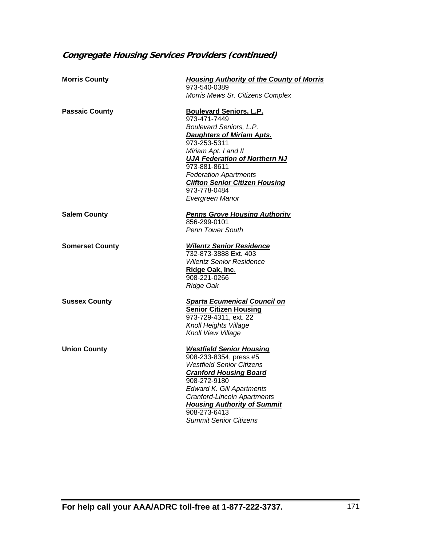# **Congregate Housing Services Providers (continued)**

| <b>Morris County</b>   | <b>Housing Authority of the County of Morris</b><br>973-540-0389                                                                                                                                                                                                                                                          |
|------------------------|---------------------------------------------------------------------------------------------------------------------------------------------------------------------------------------------------------------------------------------------------------------------------------------------------------------------------|
|                        | Morris Mews Sr. Citizens Complex                                                                                                                                                                                                                                                                                          |
| <b>Passaic County</b>  | <b>Boulevard Seniors, L.P.</b><br>973-471-7449<br>Boulevard Seniors, L.P.<br><b>Daughters of Miriam Apts.</b><br>973-253-5311<br>Miriam Apt. I and II<br><b>UJA Federation of Northern NJ</b><br>973-881-8611<br><b>Federation Apartments</b><br><b>Clifton Senior Citizen Housing</b><br>973-778-0484<br>Evergreen Manor |
| <b>Salem County</b>    | <b>Penns Grove Housing Authority</b><br>856-299-0101<br><b>Penn Tower South</b>                                                                                                                                                                                                                                           |
| <b>Somerset County</b> | <b>Wilentz Senior Residence</b><br>732-873-3888 Ext. 403<br><b>Wilentz Senior Residence</b><br>Ridge Oak, Inc.<br>908-221-0266<br>Ridge Oak                                                                                                                                                                               |
| <b>Sussex County</b>   | <b>Sparta Ecumenical Council on</b><br><b>Senior Citizen Housing</b><br>973-729-4311, ext. 22<br>Knoll Heights Village<br>Knoll View Village                                                                                                                                                                              |
| <b>Union County</b>    | <b>Westfield Senior Housing</b><br>908-233-8354, press #5<br><b>Westfield Senior Citizens</b><br><b>Cranford Housing Board</b><br>908-272-9180<br><b>Edward K. Gill Apartments</b><br>Cranford-Lincoln Apartments<br><b>Housing Authority of Summit</b><br>908-273-6413<br><b>Summit Senior Citizens</b>                  |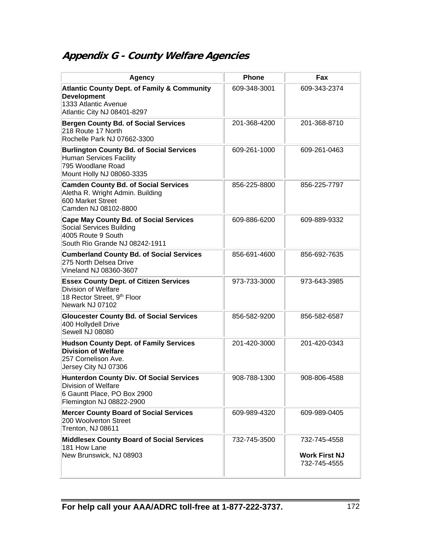# **Appendix G - County Welfare Agencies**

| <b>Agency</b>                                                                                                                            | <b>Phone</b> | <b>Fax</b>                                           |
|------------------------------------------------------------------------------------------------------------------------------------------|--------------|------------------------------------------------------|
| <b>Atlantic County Dept. of Family &amp; Community</b><br><b>Development</b><br>1333 Atlantic Avenue<br>Atlantic City NJ 08401-8297      | 609-348-3001 | 609-343-2374                                         |
| <b>Bergen County Bd. of Social Services</b><br>218 Route 17 North<br>Rochelle Park NJ 07662-3300                                         | 201-368-4200 | 201-368-8710                                         |
| <b>Burlington County Bd. of Social Services</b><br><b>Human Services Facility</b><br>795 Woodlane Road<br>Mount Holly NJ 08060-3335      | 609-261-1000 | 609-261-0463                                         |
| <b>Camden County Bd. of Social Services</b><br>Aletha R. Wright Admin. Building<br>600 Market Street<br>Camden NJ 08102-8800             | 856-225-8800 | 856-225-7797                                         |
| <b>Cape May County Bd. of Social Services</b><br>Social Services Building<br>4005 Route 9 South<br>South Rio Grande NJ 08242-1911        | 609-886-6200 | 609-889-9332                                         |
| <b>Cumberland County Bd. of Social Services</b><br>275 North Delsea Drive<br>Vineland NJ 08360-3607                                      | 856-691-4600 | 856-692-7635                                         |
| <b>Essex County Dept. of Citizen Services</b><br><b>Division of Welfare</b><br>18 Rector Street, 9th Floor<br>Newark NJ 07102            | 973-733-3000 | 973-643-3985                                         |
| <b>Gloucester County Bd. of Social Services</b><br>400 Hollydell Drive<br>Sewell NJ 08080                                                | 856-582-9200 | 856-582-6587                                         |
| <b>Hudson County Dept. of Family Services</b><br><b>Division of Welfare</b><br>257 Cornelison Ave.<br>Jersey City NJ 07306               | 201-420-3000 | 201-420-0343                                         |
| <b>Hunterdon County Div. Of Social Services</b><br><b>Division of Welfare</b><br>6 Gauntt Place, PO Box 2900<br>Flemington NJ 08822-2900 | 908-788-1300 | 908-806-4588                                         |
| <b>Mercer County Board of Social Services</b><br>200 Woolverton Street<br>Trenton, NJ 08611                                              | 609-989-4320 | 609-989-0405                                         |
| <b>Middlesex County Board of Social Services</b><br>181 How Lane<br>New Brunswick, NJ 08903                                              | 732-745-3500 | 732-745-4558<br><b>Work First NJ</b><br>732-745-4555 |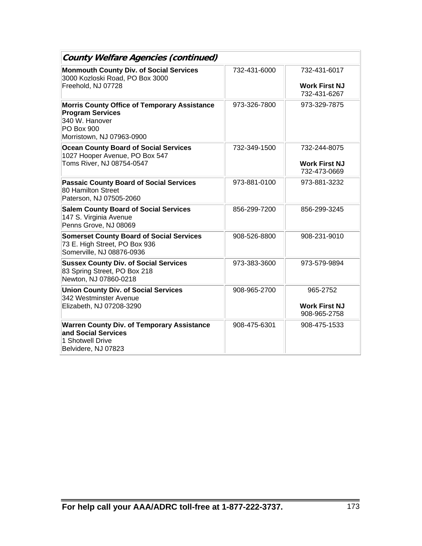| <b>County Welfare Agencies (continued)</b>                                                                                                  |              |                                                      |
|---------------------------------------------------------------------------------------------------------------------------------------------|--------------|------------------------------------------------------|
| <b>Monmouth County Div. of Social Services</b><br>3000 Kozloski Road, PO Box 3000<br>Freehold, NJ 07728                                     | 732-431-6000 | 732-431-6017<br><b>Work First NJ</b><br>732-431-6267 |
| <b>Morris County Office of Temporary Assistance</b><br><b>Program Services</b><br>340 W. Hanover<br>PO Box 900<br>Morristown, NJ 07963-0900 | 973-326-7800 | 973-329-7875                                         |
| <b>Ocean County Board of Social Services</b><br>1027 Hooper Avenue, PO Box 547<br>Toms River, NJ 08754-0547                                 | 732-349-1500 | 732-244-8075<br><b>Work First NJ</b><br>732-473-0669 |
| <b>Passaic County Board of Social Services</b><br>80 Hamilton Street<br>Paterson, NJ 07505-2060                                             | 973-881-0100 | 973-881-3232                                         |
| <b>Salem County Board of Social Services</b><br>147 S. Virginia Avenue<br>Penns Grove, NJ 08069                                             | 856-299-7200 | 856-299-3245                                         |
| <b>Somerset County Board of Social Services</b><br>73 E. High Street, PO Box 936<br>Somerville, NJ 08876-0936                               | 908-526-8800 | 908-231-9010                                         |
| <b>Sussex County Div. of Social Services</b><br>83 Spring Street, PO Box 218<br>Newton, NJ 07860-0218                                       | 973-383-3600 | 973-579-9894                                         |
| <b>Union County Div. of Social Services</b><br>342 Westminster Avenue<br>Elizabeth, NJ 07208-3290                                           | 908-965-2700 | 965-2752<br><b>Work First NJ</b><br>908-965-2758     |
| <b>Warren County Div. of Temporary Assistance</b><br>and Social Services<br>1 Shotwell Drive<br>Belvidere, NJ 07823                         | 908-475-6301 | 908-475-1533                                         |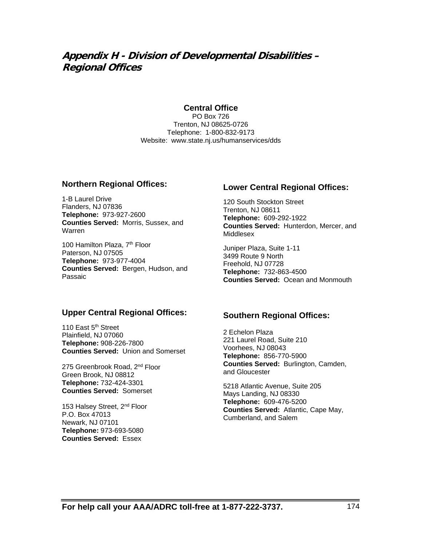# **Appendix H - Division of Developmental Disabilities – Regional Offices**

#### **Central Office**

PO Box 726 Trenton, NJ 08625-0726 Telephone: 1-800-832-9173 Website: www.state.nj.us/humanservices/dds

#### **Northern Regional Offices:**

1-B Laurel Drive Flanders, NJ 07836 **Telephone:** 973-927-2600 **Counties Served:** Morris, Sussex, and Warren

100 Hamilton Plaza, 7<sup>th</sup> Floor Paterson, NJ 07505 **Telephone:** 973-977-4004 **Counties Served:** Bergen, Hudson, and Passaic

#### **Upper Central Regional Offices:**

110 East 5<sup>th</sup> Street Plainfield, NJ 07060 **Telephone:** 908-226-7800 **Counties Served:** Union and Somerset

275 Greenbrook Road, 2nd Floor Green Brook, NJ 08812 **Telephone:** 732-424-3301 **Counties Served:** Somerset

153 Halsey Street, 2<sup>nd</sup> Floor P.O. Box 47013 Newark, NJ 07101 **Telephone:** 973-693-5080 **Counties Served:** Essex

### **Lower Central Regional Offices:**

120 South Stockton Street Trenton, NJ 08611 **Telephone:** 609-292-1922 **Counties Served:** Hunterdon, Mercer, and Middlesex

Juniper Plaza, Suite 1-11 3499 Route 9 North Freehold, NJ 07728 **Telephone:** 732-863-4500 **Counties Served:** Ocean and Monmouth

#### **Southern Regional Offices:**

2 Echelon Plaza 221 Laurel Road, Suite 210 Voorhees, NJ 08043 **Telephone:** 856-770-5900 **Counties Served:** Burlington, Camden, and Gloucester

5218 Atlantic Avenue, Suite 205 Mays Landing, NJ 08330 **Telephone:** 609-476-5200 **Counties Served:** Atlantic, Cape May, Cumberland, and Salem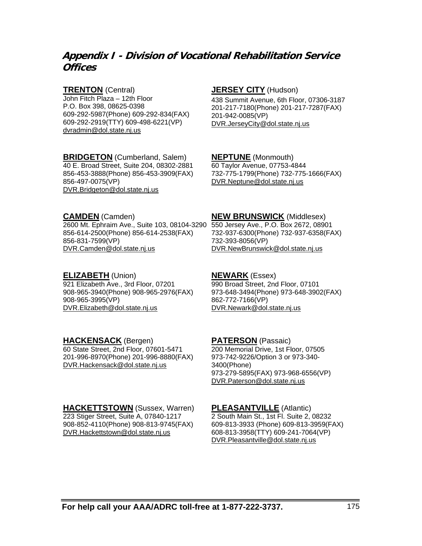# **Appendix I - Division of Vocational Rehabilitation Service Offices**

#### **TRENTON** (Central)

John Fitch Plaza – 12th Floor P.O. Box 398, 08625-0398 609-292-5987(Phone) 609-292-834(FAX) 609-292-2919(TTY) 609-498-6221(VP) dvradmin@dol.state.nj.us

### **BRIDGETON** (Cumberland, Salem)

40 E. Broad Street, Suite 204, 08302-2881 856-453-3888(Phone) 856-453-3909(FAX) 856-497-0075(VP) DVR.Bridgeton@dol.state.nj.us

#### **JERSEY CITY** (Hudson)

438 Summit Avenue, 6th Floor, 07306-3187 201-217-7180(Phone) 201-217-7287(FAX) 201-942-0085(VP) DVR.JerseyCity@dol.state.nj.us

#### **NEPTUNE** (Monmouth)

60 Taylor Avenue, 07753-4844 732-775-1799(Phone) 732-775-1666(FAX) DVR.Neptune@dol.state.nj.us

**NEW BRUNSWICK** (Middlesex)

DVR.NewBrunswick@dol.state.nj.us

732-937-6300(Phone) 732-937-6358(FAX)

#### **CAMDEN** (Camden)

2600 Mt. Ephraim Ave., Suite 103, 08104-3290 550 Jersey Ave., P.O. Box 2672, 08901 856-614-2500(Phone) 856-614-2538(FAX) 856-831-7599(VP) DVR.Camden@dol.state.nj.us

#### **ELIZABETH** (Union)

921 Elizabeth Ave., 3rd Floor, 07201 908-965-3940(Phone) 908-965-2976(FAX) 908-965-3995(VP) DVR.Elizabeth@dol.state.nj.us

## **NEWARK** (Essex)

732-393-8056(VP)

990 Broad Street, 2nd Floor, 07101 973-648-3494(Phone) 973-648-3902(FAX) 862-772-7166(VP) DVR.Newark@dol.state.nj.us

#### **HACKENSACK** (Bergen)

60 State Street, 2nd Floor, 07601-5471 201-996-8970(Phone) 201-996-8880(FAX) DVR.Hackensack@dol.state.nj.us

# **PATERSON** (Passaic)

200 Memorial Drive, 1st Floor, 07505 973-742-9226/Option 3 or 973-340- 3400(Phone) 973-279-5895(FAX) 973-968-6556(VP) DVR.Paterson@dol.state.nj.us

#### **HACKETTSTOWN** (Sussex, Warren) 223 Stiger Street, Suite A, 07840-1217 908-852-4110(Phone) 908-813-9745(FAX) DVR.Hackettstown@dol.state.nj.us

**PLEASANTVILLE** (Atlantic) 2 South Main St., 1st Fl. Suite 2, 08232 609-813-3933 (Phone) 609-813-3959(FAX) 608-813-3958(TTY) 609-241-7064(VP) DVR.Pleasantville@dol.state.nj.us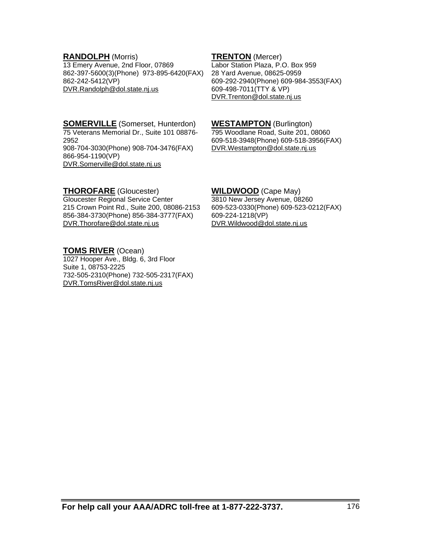#### **RANDOLPH** (Morris)

13 Emery Avenue, 2nd Floor, 07869 862-397-5600(3)(Phone) 973-895-6420(FAX) 862-242-5412(VP) DVR.Randolph@dol.state.nj.us

**TRENTON** (Mercer) Labor Station Plaza, P.O. Box 959 28 Yard Avenue, 08625-0959 609-292-2940(Phone) 609-984-3553(FAX) 609-498-7011(TTY & VP) DVR.Trenton@dol.state.nj.us

**SOMERVILLE** (Somerset, Hunterdon) 75 Veterans Memorial Dr., Suite 101 08876- 2952 908-704-3030(Phone) 908-704-3476(FAX) 866-954-1190(VP) DVR.Somerville@dol.state.nj.us

### 795 Woodlane Road, Suite 201, 08060 609-518-3948(Phone) 609-518-3956(FAX) DVR.Westampton@dol.state.nj.us

**WESTAMPTON** (Burlington)

#### **THOROFARE** (Gloucester)

Gloucester Regional Service Center 215 Crown Point Rd., Suite 200, 08086-2153 856-384-3730(Phone) 856-384-3777(FAX) DVR.Thorofare@dol.state.nj.us

#### **TOMS RIVER** (Ocean)

1027 Hooper Ave., Bldg. 6, 3rd Floor Suite 1, 08753-2225 732-505-2310(Phone) 732-505-2317(FAX) DVR.TomsRiver@dol.state.nj.us

#### **WILDWOOD** (Cape May)

3810 New Jersey Avenue, 08260 609-523-0330(Phone) 609-523-0212(FAX) 609-224-1218(VP) DVR.Wildwood@dol.state.nj.us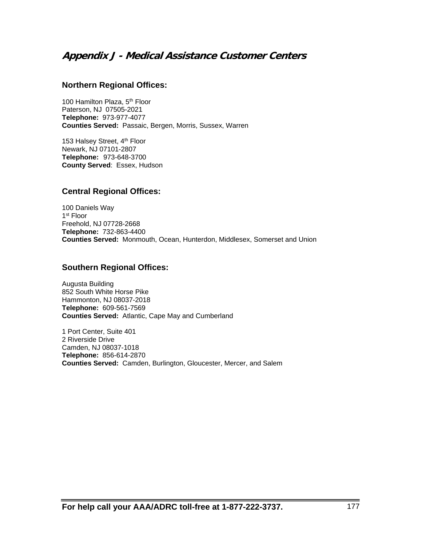# **Appendix J - Medical Assistance Customer Centers**

#### **Northern Regional Offices:**

100 Hamilton Plaza, 5<sup>th</sup> Floor Paterson, NJ 07505-2021 **Telephone:** 973-977-4077 **Counties Served:** Passaic, Bergen, Morris, Sussex, Warren

153 Halsey Street, 4<sup>th</sup> Floor Newark, NJ 07101-2807 **Telephone:** 973-648-3700 **County Served**: Essex, Hudson

#### **Central Regional Offices:**

100 Daniels Way 1<sup>st</sup> Floor Freehold, NJ 07728-2668 **Telephone:** 732-863-4400 **Counties Served:** Monmouth, Ocean, Hunterdon, Middlesex, Somerset and Union

#### **Southern Regional Offices:**

Augusta Building 852 South White Horse Pike Hammonton, NJ 08037-2018 **Telephone:** 609-561-7569 **Counties Served:** Atlantic, Cape May and Cumberland

1 Port Center, Suite 401 2 Riverside Drive Camden, NJ 08037-1018 **Telephone:** 856-614-2870 **Counties Served:** Camden, Burlington, Gloucester, Mercer, and Salem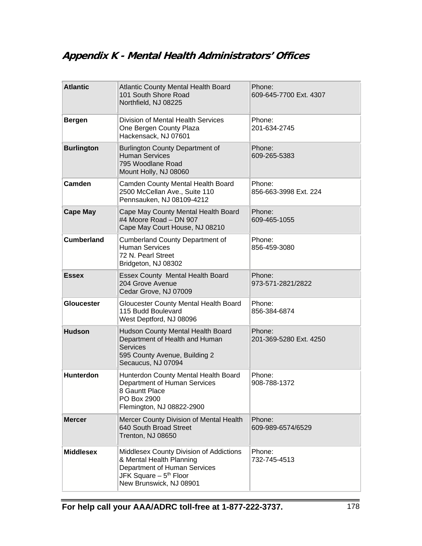# **Appendix K - Mental Health Administrators' Offices**

| <b>Atlantic</b>   | <b>Atlantic County Mental Health Board</b><br>101 South Shore Road<br>Northfield, NJ 08225                                                                           | Phone:<br>609-645-7700 Ext. 4307 |
|-------------------|----------------------------------------------------------------------------------------------------------------------------------------------------------------------|----------------------------------|
| <b>Bergen</b>     | Division of Mental Health Services<br>One Bergen County Plaza<br>Hackensack, NJ 07601                                                                                | Phone:<br>201-634-2745           |
| <b>Burlington</b> | <b>Burlington County Department of</b><br><b>Human Services</b><br>795 Woodlane Road<br>Mount Holly, NJ 08060                                                        | Phone:<br>609-265-5383           |
| Camden            | Camden County Mental Health Board<br>2500 McCellan Ave., Suite 110<br>Pennsauken, NJ 08109-4212                                                                      | Phone:<br>856-663-3998 Ext. 224  |
| <b>Cape May</b>   | Cape May County Mental Health Board<br>#4 Moore Road - DN 907<br>Cape May Court House, NJ 08210                                                                      | Phone:<br>609-465-1055           |
| <b>Cumberland</b> | <b>Cumberland County Department of</b><br><b>Human Services</b><br>72 N. Pearl Street<br>Bridgeton, NJ 08302                                                         | Phone:<br>856-459-3080           |
| <b>Essex</b>      | Essex County Mental Health Board<br>204 Grove Avenue<br>Cedar Grove, NJ 07009                                                                                        | Phone:<br>973-571-2821/2822      |
| <b>Gloucester</b> | Gloucester County Mental Health Board<br>115 Budd Boulevard<br>West Deptford, NJ 08096                                                                               | Phone:<br>856-384-6874           |
| <b>Hudson</b>     | Hudson County Mental Health Board<br>Department of Health and Human<br><b>Services</b><br>595 County Avenue, Building 2<br>Secaucus, NJ 07094                        | Phone:<br>201-369-5280 Ext. 4250 |
| <b>Hunterdon</b>  | Hunterdon County Mental Health Board<br>Department of Human Services<br>8 Gauntt Place<br>PO Box 2900<br>Flemington, NJ 08822-2900                                   | Phone:<br>908-788-1372           |
| <b>Mercer</b>     | Mercer County Division of Mental Health<br>640 South Broad Street<br>Trenton, NJ 08650                                                                               | Phone:<br>609-989-6574/6529      |
| <b>Middlesex</b>  | Middlesex County Division of Addictions<br>& Mental Health Planning<br>Department of Human Services<br>JFK Square - 5 <sup>th</sup> Floor<br>New Brunswick, NJ 08901 | Phone:<br>732-745-4513           |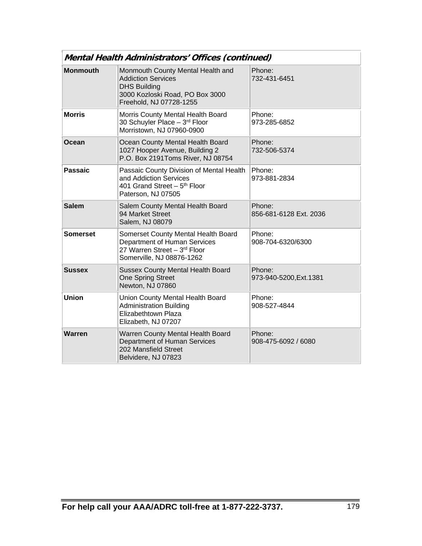| Mental Health Administrators' Offices (continued) |                                                                                                                                                                |                                   |  |  |  |  |
|---------------------------------------------------|----------------------------------------------------------------------------------------------------------------------------------------------------------------|-----------------------------------|--|--|--|--|
| <b>Monmouth</b>                                   | Monmouth County Mental Health and<br><b>Addiction Services</b><br><b>DHS Building</b><br>3000 Kozloski Road, PO Box 3000<br>Freehold, NJ 07728-1255            | Phone:<br>732-431-6451            |  |  |  |  |
| <b>Morris</b>                                     | Morris County Mental Health Board<br>30 Schuyler Place - 3rd Floor<br>Morristown, NJ 07960-0900                                                                | Phone:<br>973-285-6852            |  |  |  |  |
| Ocean                                             | Ocean County Mental Health Board<br>1027 Hooper Avenue, Building 2<br>P.O. Box 2191Toms River, NJ 08754                                                        | Phone:<br>732-506-5374            |  |  |  |  |
| <b>Passaic</b>                                    | Passaic County Division of Mental Health<br>Phone:<br>and Addiction Services<br>973-881-2834<br>401 Grand Street - 5 <sup>th</sup> Floor<br>Paterson, NJ 07505 |                                   |  |  |  |  |
| <b>Salem</b>                                      | Salem County Mental Health Board<br>94 Market Street<br>Salem, NJ 08079                                                                                        | Phone:<br>856-681-6128 Ext. 2036  |  |  |  |  |
| <b>Somerset</b>                                   | Somerset County Mental Health Board<br>Department of Human Services<br>27 Warren Street - 3rd Floor<br>Somerville, NJ 08876-1262                               | Phone:<br>908-704-6320/6300       |  |  |  |  |
| <b>Sussex</b>                                     | <b>Sussex County Mental Health Board</b><br><b>One Spring Street</b><br>Newton, NJ 07860                                                                       | Phone:<br>973-940-5200, Ext. 1381 |  |  |  |  |
| <b>Union</b>                                      | Union County Mental Health Board<br><b>Administration Building</b><br>Elizabethtown Plaza<br>Elizabeth, NJ 07207                                               | Phone:<br>908-527-4844            |  |  |  |  |
| Warren                                            | Warren County Mental Health Board<br>Department of Human Services<br>202 Mansfield Street<br>Belvidere, NJ 07823                                               | Phone:<br>908-475-6092 / 6080     |  |  |  |  |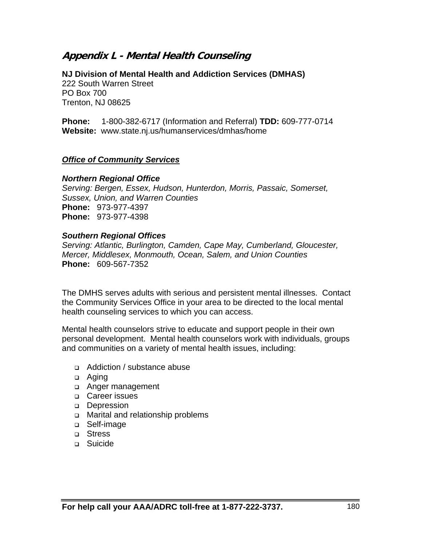# **Appendix L - Mental Health Counseling**

**NJ Division of Mental Health and Addiction Services (DMHAS)**  222 South Warren Street PO Box 700 Trenton, NJ 08625

**Phone:** 1-800-382-6717 (Information and Referral) **TDD:** 609-777-0714 **Website:** www.state.nj.us/humanservices/dmhas/home

#### *Office of Community Services*

#### *Northern Regional Office*

*Serving: Bergen, Essex, Hudson, Hunterdon, Morris, Passaic, Somerset, Sussex, Union, and Warren Counties* **Phone:** 973-977-4397 **Phone:** 973-977-4398

## *Southern Regional Offices*

*Serving: Atlantic, Burlington, Camden, Cape May, Cumberland, Gloucester, Mercer, Middlesex, Monmouth, Ocean, Salem, and Union Counties*  **Phone:** 609-567-7352

The DMHS serves adults with serious and persistent mental illnesses. Contact the Community Services Office in your area to be directed to the local mental health counseling services to which you can access.

Mental health counselors strive to educate and support people in their own personal development. Mental health counselors work with individuals, groups and communities on a variety of mental health issues, including:

- Addiction / substance abuse
- □ Aging
- Anger management
- **Q** Career issues
- Depression
- Marital and relationship problems
- □ Self-image
- □ Stress
- **D** Suicide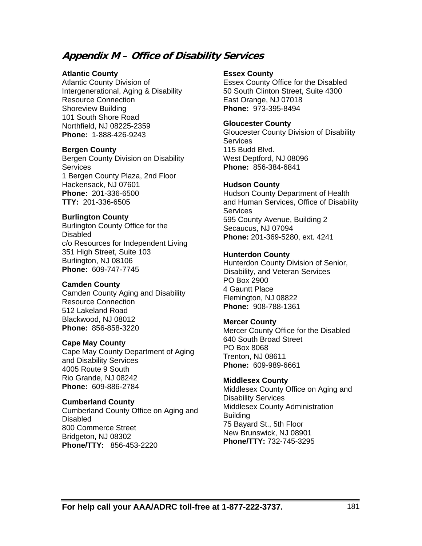# **Appendix M – Office of Disability Services**

#### **Atlantic County**

Atlantic County Division of Intergenerational, Aging & Disability Resource Connection Shoreview Building 101 South Shore Road Northfield, NJ 08225-2359 **Phone:** 1-888-426-9243

#### **Bergen County**

Bergen County Division on Disability **Services** 1 Bergen County Plaza, 2nd Floor Hackensack, NJ 07601 **Phone:** 201-336-6500 **TTY:** 201-336-6505

#### **Burlington County**

Burlington County Office for the Disabled c/o Resources for Independent Living 351 High Street, Suite 103 Burlington, NJ 08106 **Phone:** 609-747-7745

#### **Camden County**

Camden County Aging and Disability Resource Connection 512 Lakeland Road Blackwood, NJ 08012 **Phone:** 856-858-3220

#### **Cape May County**

Cape May County Department of Aging and Disability Services 4005 Route 9 South Rio Grande, NJ 08242 **Phone:** 609-886-2784

#### **Cumberland County**

Cumberland County Office on Aging and Disabled 800 Commerce Street Bridgeton, NJ 08302 **Phone/TTY:** 856-453-2220

#### **Essex County**

Essex County Office for the Disabled 50 South Clinton Street, Suite 4300 East Orange, NJ 07018 **Phone:** 973-395-8494

#### **Gloucester County**

Gloucester County Division of Disability **Services** 115 Budd Blvd. West Deptford, NJ 08096 **Phone:** 856-384-6841

#### **Hudson County**

Hudson County Department of Health and Human Services, Office of Disability **Services** 595 County Avenue, Building 2 Secaucus, NJ 07094 **Phone:** 201-369-5280, ext. 4241

#### **Hunterdon County**

Hunterdon County Division of Senior, Disability, and Veteran Services PO Box 2900 4 Gauntt Place Flemington, NJ 08822 **Phone:** 908-788-1361

#### **Mercer County**

Mercer County Office for the Disabled 640 South Broad Street PO Box 8068 Trenton, NJ 08611 **Phone:** 609-989-6661

#### **Middlesex County**

Middlesex County Office on Aging and Disability Services Middlesex County Administration Building 75 Bayard St., 5th Floor New Brunswick, NJ 08901 **Phone/TTY:** 732-745-3295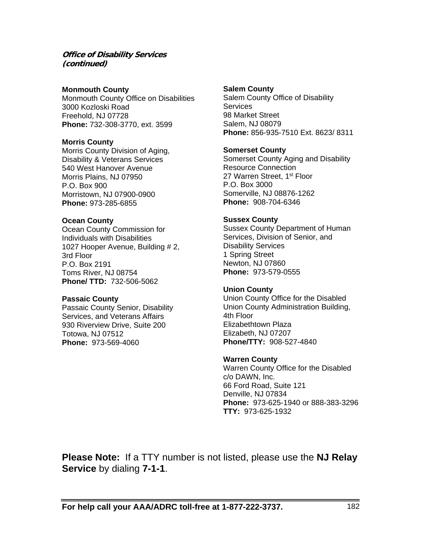#### **Office of Disability Services (continued)**

#### **Monmouth County**

Monmouth County Office on Disabilities 3000 Kozloski Road Freehold, NJ 07728 **Phone:** 732-308-3770, ext. 3599

#### **Morris County**

Morris County Division of Aging, Disability & Veterans Services 540 West Hanover Avenue Morris Plains, NJ 07950 P.O. Box 900 Morristown, NJ 07900-0900 **Phone:** 973-285-6855

#### **Ocean County**

Ocean County Commission for Individuals with Disabilities 1027 Hooper Avenue, Building # 2, 3rd Floor P.O. Box 2191 Toms River, NJ 08754 **Phone/ TTD:** 732-506-5062

#### **Passaic County**

Passaic County Senior, Disability Services, and Veterans Affairs 930 Riverview Drive, Suite 200 Totowa, NJ 07512 **Phone:** 973-569-4060

#### **Salem County**

Salem County Office of Disability **Services** 98 Market Street Salem, NJ 08079 **Phone:** 856-935-7510 Ext. 8623/ 8311

#### **Somerset County**

Somerset County Aging and Disability Resource Connection 27 Warren Street, 1<sup>st</sup> Floor P.O. Box 3000 Somerville, NJ 08876-1262 **Phone:** 908-704-6346

#### **Sussex County**

Sussex County Department of Human Services, Division of Senior, and Disability Services 1 Spring Street Newton, NJ 07860 **Phone:** 973-579-0555

#### **Union County**

Union County Office for the Disabled Union County Administration Building, 4th Floor Elizabethtown Plaza Elizabeth, NJ 07207 **Phone/TTY:** 908-527-4840

#### **Warren County**

Warren County Office for the Disabled c/o DAWN, Inc. 66 Ford Road, Suite 121 Denville, NJ 07834 **Phone:** 973-625-1940 or 888-383-3296 **TTY:** 973-625-1932

**Please Note:** If a TTY number is not listed, please use the **NJ Relay Service** by dialing **7-1-1**.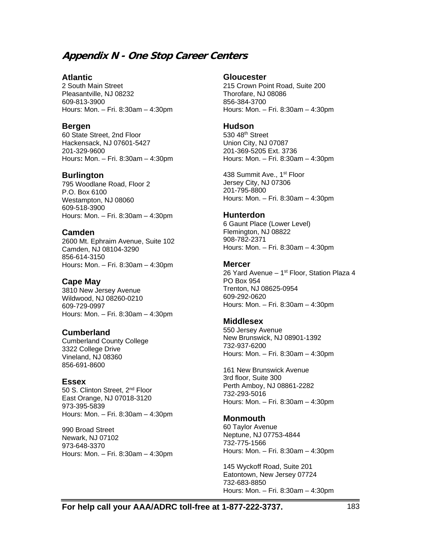# **Appendix N - One Stop Career Centers**

#### **Atlantic**

2 South Main Street Pleasantville, NJ 08232 609-813-3900 Hours: Mon. – Fri. 8:30am – 4:30pm

#### **Bergen**

60 State Street, 2nd Floor Hackensack, NJ 07601-5427 201-329-9600 Hours**:** Mon. – Fri. 8:30am – 4:30pm

#### **Burlington**

795 Woodlane Road, Floor 2 P.O. Box 6100 Westampton, NJ 08060 609-518-3900 Hours: Mon. – Fri. 8:30am – 4:30pm

#### **Camden**

2600 Mt. Ephraim Avenue, Suite 102 Camden, NJ 08104-3290 856-614-3150 Hours**:** Mon. – Fri. 8:30am – 4:30pm

#### **Cape May**

3810 New Jersey Avenue Wildwood, NJ 08260-0210 609-729-0997 Hours: Mon. – Fri. 8:30am – 4:30pm

#### **Cumberland**

Cumberland County College 3322 College Drive Vineland, NJ 08360 856-691-8600

#### **Essex**

50 S. Clinton Street, 2<sup>nd</sup> Floor East Orange, NJ 07018-3120 973-395-5839 Hours: Mon. – Fri. 8:30am – 4:30pm

990 Broad Street Newark, NJ 07102 973-648-3370 Hours: Mon. – Fri. 8:30am – 4:30pm

#### **Gloucester**

215 Crown Point Road, Suite 200 Thorofare, NJ 08086 856-384-3700 Hours: Mon. – Fri. 8:30am – 4:30pm

#### **Hudson**

 $530.48$ <sup>th</sup> Street Union City, NJ 07087 201-369-5205 Ext. 3736 Hours: Mon. – Fri. 8:30am – 4:30pm

438 Summit Ave., 1<sup>st</sup> Floor Jersey City, NJ 07306 201-795-8800 Hours: Mon. – Fri. 8:30am – 4:30pm

#### **Hunterdon**

6 Gaunt Place (Lower Level) Flemington, NJ 08822 908-782-2371 Hours: Mon. – Fri. 8:30am – 4:30pm

#### **Mercer**

26 Yard Avenue - 1<sup>st</sup> Floor, Station Plaza 4 PO Box 954 Trenton, NJ 08625-0954 609-292-0620 Hours: Mon. – Fri. 8:30am – 4:30pm

#### **Middlesex**

550 Jersey Avenue New Brunswick, NJ 08901-1392 732-937-6200 Hours: Mon. – Fri. 8:30am – 4:30pm

161 New Brunswick Avenue 3rd floor, Suite 300 Perth Amboy, NJ 08861-2282 732-293-5016 Hours: Mon. – Fri. 8:30am – 4:30pm

#### **Monmouth**

60 Taylor Avenue Neptune, NJ 07753-4844 732-775-1566 Hours: Mon. – Fri. 8:30am – 4:30pm

145 Wyckoff Road, Suite 201 Eatontown, New Jersey 07724 732-683-8850 Hours: Mon. – Fri. 8:30am – 4:30pm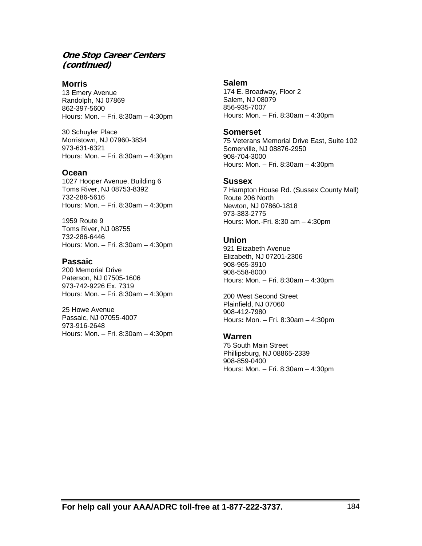#### **One Stop Career Centers (continued)**

**Morris** 13 Emery Avenue Randolph, NJ 07869 862-397-5600 Hours: Mon. – Fri. 8:30am – 4:30pm

30 Schuyler Place Morristown, NJ 07960-3834 973-631-6321 Hours: Mon. – Fri. 8:30am – 4:30pm

#### **Ocean**

1027 Hooper Avenue, Building 6 Toms River, NJ 08753-8392 732-286-5616 Hours: Mon. – Fri. 8:30am – 4:30pm

1959 Route 9 Toms River, NJ 08755 732-286-6446 Hours: Mon. – Fri. 8:30am – 4:30pm

#### **Passaic**

200 Memorial Drive Paterson, NJ 07505-1606 973-742-9226 Ex. 7319 Hours: Mon. – Fri. 8:30am – 4:30pm

25 Howe Avenue Passaic, NJ 07055-4007 973-916-2648 Hours: Mon. – Fri. 8:30am – 4:30pm

#### **Salem**

174 E. Broadway, Floor 2 Salem, NJ 08079 856-935-7007 Hours: Mon. – Fri. 8:30am – 4:30pm

#### **Somerset**

75 Veterans Memorial Drive East, Suite 102 Somerville, NJ 08876-2950 908-704-3000 Hours: Mon. – Fri. 8:30am – 4:30pm

#### **Sussex**

7 Hampton House Rd. (Sussex County Mall) Route 206 North Newton, NJ 07860-1818 973-383-2775 Hours: Mon.-Fri. 8:30 am – 4:30pm

#### **Union**

921 Elizabeth Avenue Elizabeth, NJ 07201-2306 908-965-3910 908-558-8000 Hours: Mon. – Fri. 8:30am – 4:30pm

200 West Second Street Plainfield, NJ 07060 908-412-7980 Hours**:** Mon. – Fri. 8:30am – 4:30pm

#### **Warren**

75 South Main Street Phillipsburg, NJ 08865-2339 908-859-0400 Hours: Mon. – Fri. 8:30am – 4:30pm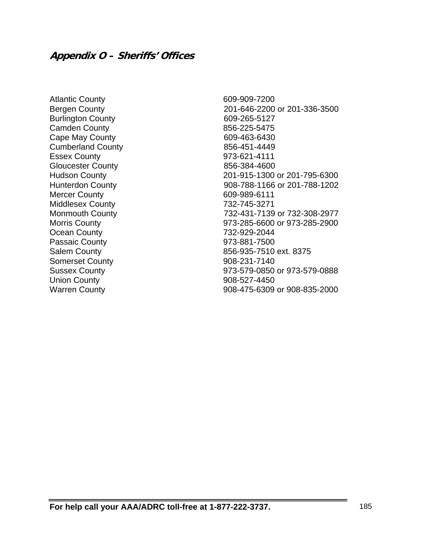Atlantic County 609-909-7200 Burlington County 609-265-5127 Camden County 2008 2012 2020 2020 2021 Cape May County 609-463-6430 Cumberland County **856-451-4449** Essex County 973-621-4111 Gloucester County 856-384-4600 Mercer County 609-989-6111 Middlesex County 732-745-3271 Ocean County 732-929-2044 Passaic County **973-881-7500** Somerset County 608-231-7140 Union County **908-527-4450** 

Bergen County 201-646-2200 or 201-336-3500 Hudson County 201-915-1300 or 201-795-6300 Hunterdon County 908-788-1166 or 201-788-1202 Monmouth County 732-431-7139 or 732-308-2977 Morris County 973-285-6600 or 973-285-2900 Salem County 856-935-7510 ext. 8375 Sussex County 973-579-0850 or 973-579-0888 Warren County 908-475-6309 or 908-835-2000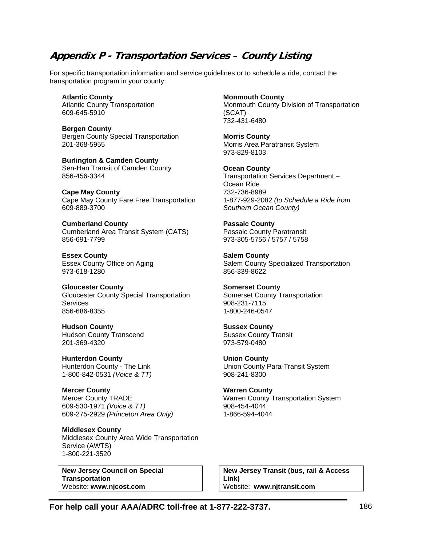# **Appendix P - Transportation Services – County Listing**

For specific transportation information and service guidelines or to schedule a ride, contact the transportation program in your county:

**Atlantic County**  Atlantic County Transportation 609-645-5910

**Bergen County**  Bergen County Special Transportation 201-368-5955

**Burlington & Camden County**  Sen-Han Transit of Camden County 856-456-3344

**Cape May County**  Cape May County Fare Free Transportation 609-889-3700

**Cumberland County**  Cumberland Area Transit System (CATS) 856-691-7799

**Essex County**  Essex County Office on Aging 973-618-1280

**Gloucester County**  Gloucester County Special Transportation **Services** 856-686-8355

**Hudson County**  Hudson County Transcend 201-369-4320

**Hunterdon County**  Hunterdon County - The Link 1-800-842-0531 *(Voice & TT)*

**Mercer County**  Mercer County TRADE 609-530-1971 *(Voice & TT)* 609-275-2929 *(Princeton Area Only)*

**Middlesex County**  Middlesex County Area Wide Transportation Service (AWTS) 1-800-221-3520

**New Jersey Council on Special Transportation**  Website: **www.njcost.com**

**Monmouth County** 

Monmouth County Division of Transportation (SCAT) 732-431-6480

**Morris County**  Morris Area Paratransit System 973-829-8103

**Ocean County**  Transportation Services Department – Ocean Ride 732-736-8989 1-877-929-2082 *(to Schedule a Ride from Southern Ocean County)*

**Passaic County**  Passaic County Paratransit 973-305-5756 / 5757 / 5758

**Salem County**  Salem County Specialized Transportation 856-339-8622

**Somerset County**  Somerset County Transportation 908-231-7115 1-800-246-0547

**Sussex County**  Sussex County Transit 973-579-0480

**Union County**  Union County Para-Transit System 908-241-8300

**Warren County**  Warren County Transportation System 908-454-4044 1-866-594-4044

**New Jersey Transit (bus, rail & Access Link)**  Website: **www.njtransit.com**

**For help call your AAA/ADRC toll-free at 1-877-222-3737.** 186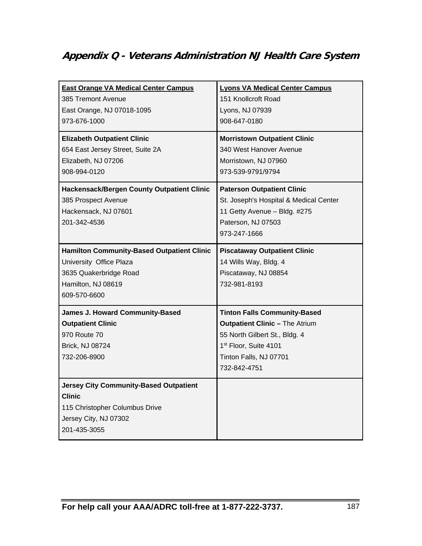# **Appendix Q - Veterans Administration NJ Health Care System**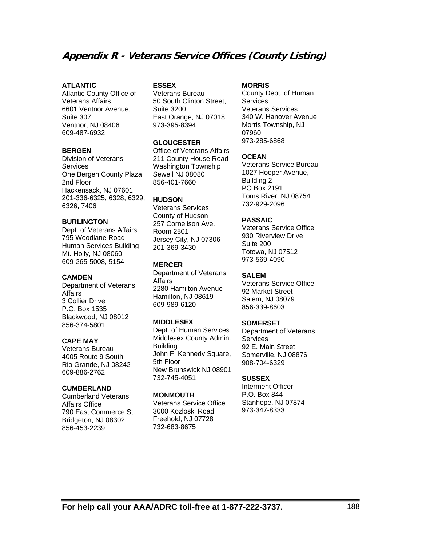# **Appendix R - Veterans Service Offices (County Listing)**

#### **ATLANTIC**

Atlantic County Office of Veterans Affairs 6601 Ventnor Avenue, Suite 307 Ventnor, NJ 08406 609-487-6932

#### **BERGEN**

Division of Veterans **Services** One Bergen County Plaza, 2nd Floor Hackensack, NJ 07601 201-336-6325, 6328, 6329, 6326, 7406

#### **BURLINGTON**

Dept. of Veterans Affairs 795 Woodlane Road Human Services Building Mt. Holly, NJ 08060 609-265-5008, 5154

#### **CAMDEN**

Department of Veterans **Affairs** 3 Collier Drive P.O. Box 1535 Blackwood, NJ 08012 856-374-5801

#### **CAPE MAY**

Veterans Bureau 4005 Route 9 South Rio Grande, NJ 08242 609-886-2762

#### **CUMBERLAND**

Cumberland Veterans Affairs Office 790 East Commerce St. Bridgeton, NJ 08302 856-453-2239

#### **ESSEX**

Veterans Bureau 50 South Clinton Street, Suite 3200 East Orange, NJ 07018 973-395-8394

#### **GLOUCESTER**

Office of Veterans Affairs 211 County House Road Washington Township Sewell NJ 08080 856-401-7660

#### **HUDSON**

Veterans Services County of Hudson 257 Cornelison Ave. Room 2501 Jersey City, NJ 07306 201-369-3430

#### **MERCER**

Department of Veterans **Affairs** 2280 Hamilton Avenue Hamilton, NJ 08619 609-989-6120

#### **MIDDLESEX**

Dept. of Human Services Middlesex County Admin. **Building** John F. Kennedy Square, 5th Floor New Brunswick NJ 08901 732-745-4051

#### **MONMOUTH**

Veterans Service Office 3000 Kozloski Road Freehold, NJ 07728 732-683-8675

#### **MORRIS**

County Dept. of Human **Services** Veterans Services 340 W. Hanover Avenue Morris Township, NJ 07960 973-285-6868

#### **OCEAN**

Veterans Service Bureau 1027 Hooper Avenue, Building 2 PO Box 2191 Toms River, NJ 08754 732-929-2096

#### **PASSAIC**

Veterans Service Office 930 Riverview Drive Suite 200 Totowa, NJ 07512 973-569-4090

#### **SALEM**

Veterans Service Office 92 Market Street Salem, NJ 08079 856-339-8603

#### **SOMERSET**

Department of Veterans **Services** 92 E. Main Street Somerville, NJ 08876 908-704-6329

#### **SUSSEX**

Interment Officer P.O. Box 844 Stanhope, NJ 07874 973-347-8333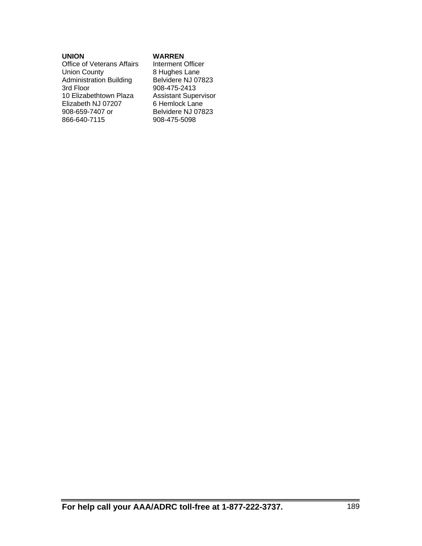#### **UNION**

Office of Veterans Affairs Union County Administration Building 3rd Floor 10 Elizabethtown Plaza Elizabeth NJ 07207 908-659-7407 or 866-640-7115

#### **WARREN**

Interment Officer 8 Hughes Lane Belvidere NJ 07823 908-475-2413 Assistant Supervisor 6 Hemlock Lane Belvidere NJ 07823 908-475-5098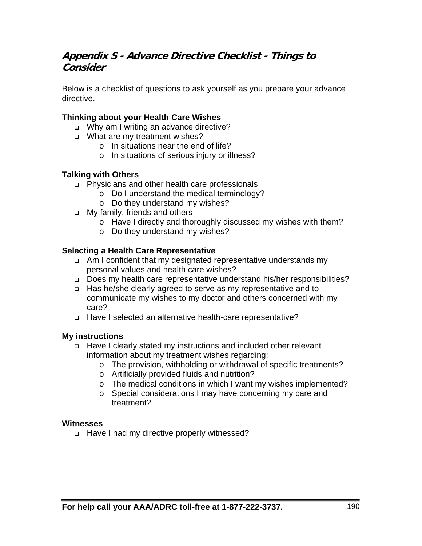# **Appendix S - Advance Directive Checklist - Things to Consider**

Below is a checklist of questions to ask yourself as you prepare your advance directive.

## **Thinking about your Health Care Wishes**

- o Why am I writing an advance directive?
- □ What are my treatment wishes?
	- o In situations near the end of life?
	- o In situations of serious injury or illness?

## **Talking with Others**

- Physicians and other health care professionals
	- o Do I understand the medical terminology?
	- o Do they understand my wishes?
- □ My family, friends and others
	- o Have I directly and thoroughly discussed my wishes with them?
	- o Do they understand my wishes?

## **Selecting a Health Care Representative**

- Am I confident that my designated representative understands my personal values and health care wishes?
- □ Does my health care representative understand his/her responsibilities?
- Has he/she clearly agreed to serve as my representative and to communicate my wishes to my doctor and others concerned with my care?
- Have I selected an alternative health-care representative?

#### **My instructions**

- Have I clearly stated my instructions and included other relevant information about my treatment wishes regarding:
	- o The provision, withholding or withdrawal of specific treatments?
	- o Artificially provided fluids and nutrition?
	- o The medical conditions in which I want my wishes implemented?
	- o Special considerations I may have concerning my care and treatment?

#### **Witnesses**

□ Have I had my directive properly witnessed?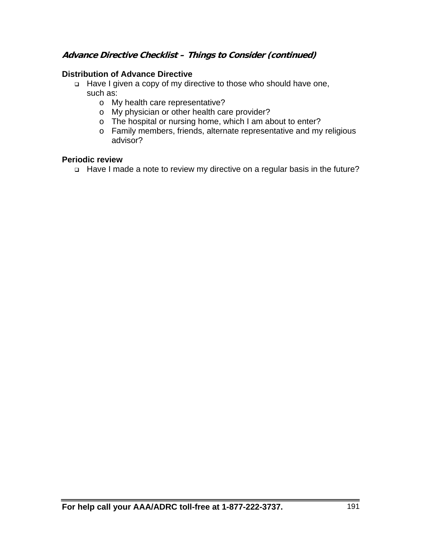## **Advance Directive Checklist – Things to Consider (continued)**

## **Distribution of Advance Directive**

- Have I given a copy of my directive to those who should have one, such as:
	- o My health care representative?
	- o My physician or other health care provider?
	- o The hospital or nursing home, which I am about to enter?
	- o Family members, friends, alternate representative and my religious advisor?

## **Periodic review**

□ Have I made a note to review my directive on a regular basis in the future?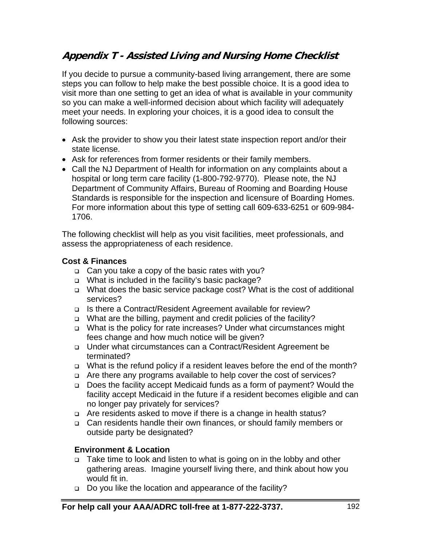# **Appendix T - Assisted Living and Nursing Home Checklist**

If you decide to pursue a community-based living arrangement, there are some steps you can follow to help make the best possible choice. It is a good idea to visit more than one setting to get an idea of what is available in your community so you can make a well-informed decision about which facility will adequately meet your needs. In exploring your choices, it is a good idea to consult the following sources:

- Ask the provider to show you their latest state inspection report and/or their state license.
- Ask for references from former residents or their family members.
- Call the NJ Department of Health for information on any complaints about a hospital or long term care facility (1-800-792-9770). Please note, the NJ Department of Community Affairs, Bureau of Rooming and Boarding House Standards is responsible for the inspection and licensure of Boarding Homes. For more information about this type of setting call 609-633-6251 or 609-984- 1706.

The following checklist will help as you visit facilities, meet professionals, and assess the appropriateness of each residence.

## **Cost & Finances**

- Can you take a copy of the basic rates with you?
- □ What is included in the facility's basic package?
- What does the basic service package cost? What is the cost of additional services?
- □ Is there a Contract/Resident Agreement available for review?
- □ What are the billing, payment and credit policies of the facility?
- What is the policy for rate increases? Under what circumstances might fees change and how much notice will be given?
- Under what circumstances can a Contract/Resident Agreement be terminated?
- What is the refund policy if a resident leaves before the end of the month?
- Are there any programs available to help cover the cost of services?
- Does the facility accept Medicaid funds as a form of payment? Would the facility accept Medicaid in the future if a resident becomes eligible and can no longer pay privately for services?
- Are residents asked to move if there is a change in health status?
- Can residents handle their own finances, or should family members or outside party be designated?

## **Environment & Location**

- □ Take time to look and listen to what is going on in the lobby and other gathering areas. Imagine yourself living there, and think about how you would fit in.
- □ Do you like the location and appearance of the facility?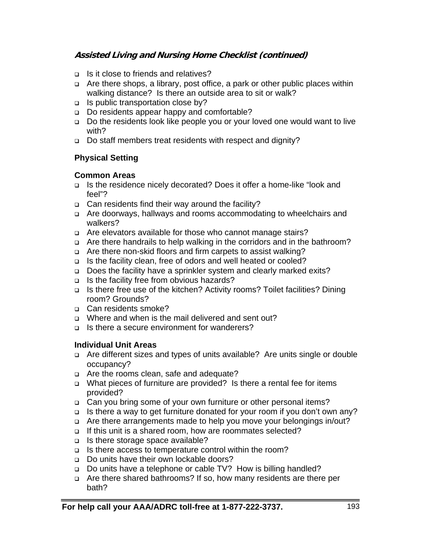- □ Is it close to friends and relatives?
- Are there shops, a library, post office, a park or other public places within walking distance? Is there an outside area to sit or walk?
- $\Box$  Is public transportation close by?
- □ Do residents appear happy and comfortable?
- □ Do the residents look like people you or your loved one would want to live with?
- □ Do staff members treat residents with respect and dignity?

## **Physical Setting**

## **Common Areas**

- □ Is the residence nicely decorated? Does it offer a home-like "look and feel"?
- □ Can residents find their way around the facility?
- Are doorways, hallways and rooms accommodating to wheelchairs and walkers?
- Are elevators available for those who cannot manage stairs?
- □ Are there handrails to help walking in the corridors and in the bathroom?
- □ Are there non-skid floors and firm carpets to assist walking?
- □ Is the facility clean, free of odors and well heated or cooled?
- □ Does the facility have a sprinkler system and clearly marked exits?
- $\Box$  Is the facility free from obvious hazards?
- Is there free use of the kitchen? Activity rooms? Toilet facilities? Dining room? Grounds?
- □ Can residents smoke?
- □ Where and when is the mail delivered and sent out?
- $\Box$  Is there a secure environment for wanderers?

## **Individual Unit Areas**

- □ Are different sizes and types of units available? Are units single or double occupancy?
- □ Are the rooms clean, safe and adequate?
- What pieces of furniture are provided? Is there a rental fee for items provided?
- Can you bring some of your own furniture or other personal items?
- $\Box$  Is there a way to get furniture donated for your room if you don't own any?
- Are there arrangements made to help you move your belongings in/out?
- If this unit is a shared room, how are roommates selected?
- □ Is there storage space available?
- Is there access to temperature control within the room?
- □ Do units have their own lockable doors?
- □ Do units have a telephone or cable TV? How is billing handled?
- Are there shared bathrooms? If so, how many residents are there per bath?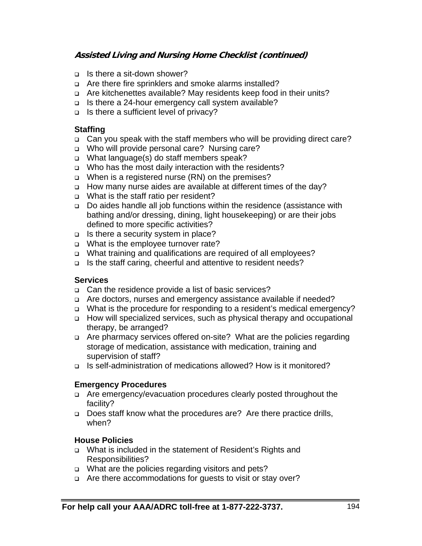- $\Box$  Is there a sit-down shower?
- □ Are there fire sprinklers and smoke alarms installed?
- □ Are kitchenettes available? May residents keep food in their units?
- □ Is there a 24-hour emergency call system available?
- □ Is there a sufficient level of privacy?

## **Staffing**

- □ Can you speak with the staff members who will be providing direct care?
- Who will provide personal care? Nursing care?
- What language(s) do staff members speak?
- □ Who has the most daily interaction with the residents?
- □ When is a registered nurse (RN) on the premises?
- How many nurse aides are available at different times of the day?
- □ What is the staff ratio per resident?
- Do aides handle all job functions within the residence (assistance with bathing and/or dressing, dining, light housekeeping) or are their jobs defined to more specific activities?
- $\Box$  Is there a security system in place?
- □ What is the employee turnover rate?
- □ What training and qualifications are required of all employees?
- □ Is the staff caring, cheerful and attentive to resident needs?

## **Services**

- Can the residence provide a list of basic services?
- □ Are doctors, nurses and emergency assistance available if needed?
- What is the procedure for responding to a resident's medical emergency?
- How will specialized services, such as physical therapy and occupational therapy, be arranged?
- □ Are pharmacy services offered on-site? What are the policies regarding storage of medication, assistance with medication, training and supervision of staff?
- □ Is self-administration of medications allowed? How is it monitored?

## **Emergency Procedures**

- Are emergency/evacuation procedures clearly posted throughout the facility?
- □ Does staff know what the procedures are? Are there practice drills, when?

## **House Policies**

- □ What is included in the statement of Resident's Rights and Responsibilities?
- □ What are the policies regarding visitors and pets?
- □ Are there accommodations for quests to visit or stay over?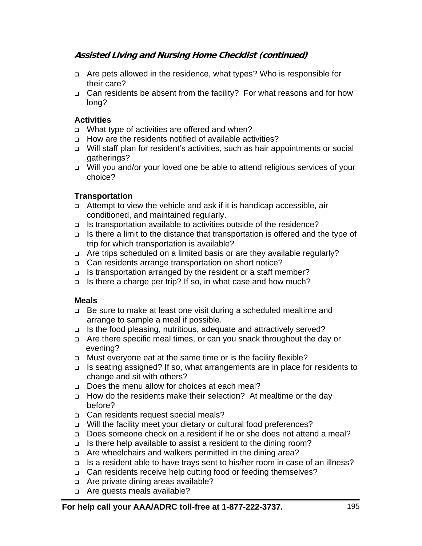- □ Are pets allowed in the residence, what types? Who is responsible for their care?
- Can residents be absent from the facility? For what reasons and for how long?

## **Activities**

- □ What type of activities are offered and when?
- □ How are the residents notified of available activities?
- Will staff plan for resident's activities, such as hair appointments or social gatherings?
- Will you and/or your loved one be able to attend religious services of your choice?

## **Transportation**

- Attempt to view the vehicle and ask if it is handicap accessible, air conditioned, and maintained regularly.
- $\Box$  Is transportation available to activities outside of the residence?
- □ Is there a limit to the distance that transportation is offered and the type of trip for which transportation is available?
- Are trips scheduled on a limited basis or are they available regularly?
- □ Can residents arrange transportation on short notice?
- Is transportation arranged by the resident or a staff member?
- □ Is there a charge per trip? If so, in what case and how much?

## **Meals**

- □ Be sure to make at least one visit during a scheduled mealtime and arrange to sample a meal if possible.
- $\Box$  Is the food pleasing, nutritious, adequate and attractively served?
- □ Are there specific meal times, or can you snack throughout the day or evening?
- □ Must everyone eat at the same time or is the facility flexible?
- Is seating assigned? If so, what arrangements are in place for residents to change and sit with others?
- Does the menu allow for choices at each meal?
- How do the residents make their selection? At mealtime or the day before?
- □ Can residents request special meals?
- □ Will the facility meet your dietary or cultural food preferences?
- Does someone check on a resident if he or she does not attend a meal?
- □ Is there help available to assist a resident to the dining room?
- □ Are wheelchairs and walkers permitted in the dining area?
- □ Is a resident able to have trays sent to his/her room in case of an illness?
- □ Can residents receive help cutting food or feeding themselves?
- □ Are private dining areas available?
- □ Are quests meals available?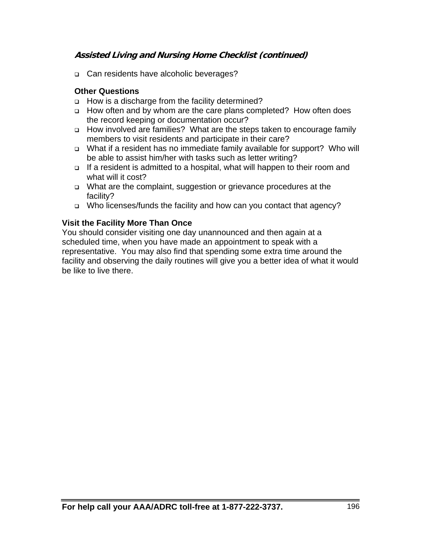c Can residents have alcoholic beverages?

## **Other Questions**

- □ How is a discharge from the facility determined?
- How often and by whom are the care plans completed? How often does the record keeping or documentation occur?
- How involved are families? What are the steps taken to encourage family members to visit residents and participate in their care?
- What if a resident has no immediate family available for support? Who will be able to assist him/her with tasks such as letter writing?
- □ If a resident is admitted to a hospital, what will happen to their room and what will it cost?
- What are the complaint, suggestion or grievance procedures at the facility?
- □ Who licenses/funds the facility and how can you contact that agency?

## **Visit the Facility More Than Once**

You should consider visiting one day unannounced and then again at a scheduled time, when you have made an appointment to speak with a representative. You may also find that spending some extra time around the facility and observing the daily routines will give you a better idea of what it would be like to live there.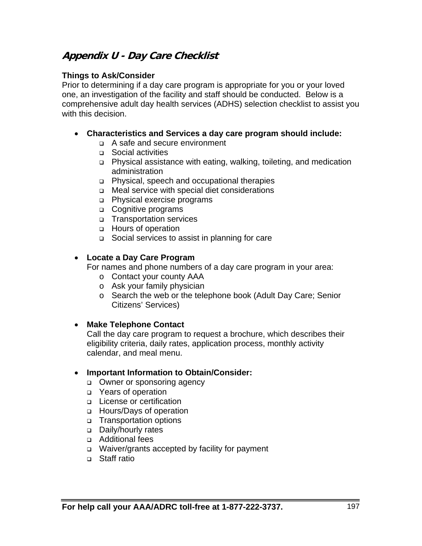# **Appendix U - Day Care Checklist**

## **Things to Ask/Consider**

Prior to determining if a day care program is appropriate for you or your loved one, an investigation of the facility and staff should be conducted. Below is a comprehensive adult day health services (ADHS) selection checklist to assist you with this decision.

- **Characteristics and Services a day care program should include:** 
	- A safe and secure environment
	- □ Social activities
	- Physical assistance with eating, walking, toileting, and medication administration
	- Physical, speech and occupational therapies
	- □ Meal service with special diet considerations
	- Physical exercise programs
	- □ Cognitive programs
	- Transportation services
	- Hours of operation
	- Social services to assist in planning for care

## **Locate a Day Care Program**

For names and phone numbers of a day care program in your area:

- o Contact your county AAA
- o Ask your family physician
- o Search the web or the telephone book (Adult Day Care; Senior Citizens' Services)

#### **Make Telephone Contact**

Call the day care program to request a brochure, which describes their eligibility criteria, daily rates, application process, monthly activity calendar, and meal menu.

#### **Important Information to Obtain/Consider:**

- **Owner or sponsoring agency**
- □ Years of operation
- □ License or certification
- □ Hours/Days of operation
- Transportation options
- Daily/hourly rates
- Additional fees
- □ Waiver/grants accepted by facility for payment
- □ Staff ratio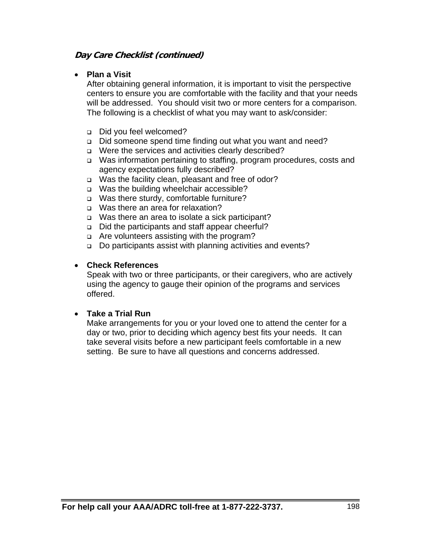## **Day Care Checklist (continued)**

## **Plan a Visit**

After obtaining general information, it is important to visit the perspective centers to ensure you are comfortable with the facility and that your needs will be addressed. You should visit two or more centers for a comparison. The following is a checklist of what you may want to ask/consider:

- Did you feel welcomed?
- Did someone spend time finding out what you want and need?
- □ Were the services and activities clearly described?
- □ Was information pertaining to staffing, program procedures, costs and agency expectations fully described?
- □ Was the facility clean, pleasant and free of odor?
- □ Was the building wheelchair accessible?
- □ Was there sturdy, comfortable furniture?
- Was there an area for relaxation?
- □ Was there an area to isolate a sick participant?
- Did the participants and staff appear cheerful?
- □ Are volunteers assisting with the program?
- □ Do participants assist with planning activities and events?

## **Check References**

Speak with two or three participants, or their caregivers, who are actively using the agency to gauge their opinion of the programs and services offered.

## **Take a Trial Run**

Make arrangements for you or your loved one to attend the center for a day or two, prior to deciding which agency best fits your needs. It can take several visits before a new participant feels comfortable in a new setting. Be sure to have all questions and concerns addressed.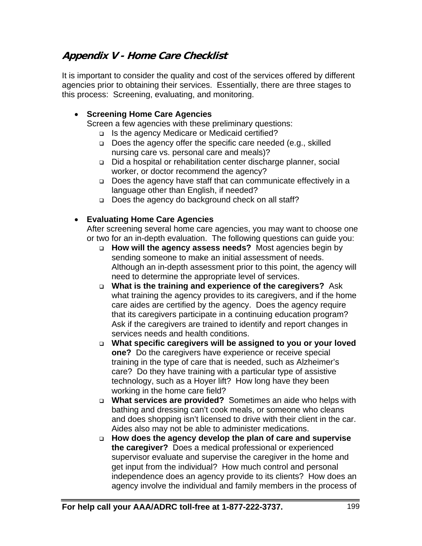# **Appendix V - Home Care Checklist**

It is important to consider the quality and cost of the services offered by different agencies prior to obtaining their services. Essentially, there are three stages to this process: Screening, evaluating, and monitoring.

## **Screening Home Care Agencies**

Screen a few agencies with these preliminary questions:

- □ Is the agency Medicare or Medicaid certified?
- □ Does the agency offer the specific care needed (e.g., skilled nursing care vs. personal care and meals)?
- Did a hospital or rehabilitation center discharge planner, social worker, or doctor recommend the agency?
- Does the agency have staff that can communicate effectively in a language other than English, if needed?
- Does the agency do background check on all staff?

## **Evaluating Home Care Agencies**

After screening several home care agencies, you may want to choose one or two for an in-depth evaluation. The following questions can guide you:

- **How will the agency assess needs?** Most agencies begin by sending someone to make an initial assessment of needs. Although an in-depth assessment prior to this point, the agency will need to determine the appropriate level of services.
- **What is the training and experience of the caregivers?** Ask what training the agency provides to its caregivers, and if the home care aides are certified by the agency. Does the agency require that its caregivers participate in a continuing education program? Ask if the caregivers are trained to identify and report changes in services needs and health conditions.
- **What specific caregivers will be assigned to you or your loved one?** Do the caregivers have experience or receive special training in the type of care that is needed, such as Alzheimer's care? Do they have training with a particular type of assistive technology, such as a Hoyer lift? How long have they been working in the home care field?
- **What services are provided?** Sometimes an aide who helps with bathing and dressing can't cook meals, or someone who cleans and does shopping isn't licensed to drive with their client in the car. Aides also may not be able to administer medications.
- **How does the agency develop the plan of care and supervise the caregiver?** Does a medical professional or experienced supervisor evaluate and supervise the caregiver in the home and get input from the individual? How much control and personal independence does an agency provide to its clients? How does an agency involve the individual and family members in the process of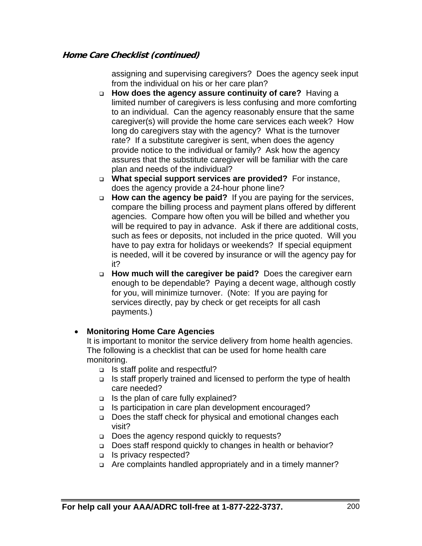assigning and supervising caregivers? Does the agency seek input from the individual on his or her care plan?

- **How does the agency assure continuity of care?** Having a limited number of caregivers is less confusing and more comforting to an individual. Can the agency reasonably ensure that the same caregiver(s) will provide the home care services each week? How long do caregivers stay with the agency? What is the turnover rate? If a substitute caregiver is sent, when does the agency provide notice to the individual or family? Ask how the agency assures that the substitute caregiver will be familiar with the care plan and needs of the individual?
- **What special support services are provided?** For instance, does the agency provide a 24-hour phone line?
- **How can the agency be paid?** If you are paying for the services, compare the billing process and payment plans offered by different agencies. Compare how often you will be billed and whether you will be required to pay in advance. Ask if there are additional costs, such as fees or deposits, not included in the price quoted. Will you have to pay extra for holidays or weekends? If special equipment is needed, will it be covered by insurance or will the agency pay for it?
- **How much will the caregiver be paid?** Does the caregiver earn enough to be dependable? Paying a decent wage, although costly for you, will minimize turnover. (Note: If you are paying for services directly, pay by check or get receipts for all cash payments.)

## **Monitoring Home Care Agencies**

It is important to monitor the service delivery from home health agencies. The following is a checklist that can be used for home health care monitoring.

- $\Box$  Is staff polite and respectful?
- $\Box$  Is staff properly trained and licensed to perform the type of health care needed?
- $\Box$  Is the plan of care fully explained?
- □ Is participation in care plan development encouraged?
- □ Does the staff check for physical and emotional changes each visit?
- □ Does the agency respond quickly to requests?
- □ Does staff respond quickly to changes in health or behavior?
- □ Is privacy respected?
- □ Are complaints handled appropriately and in a timely manner?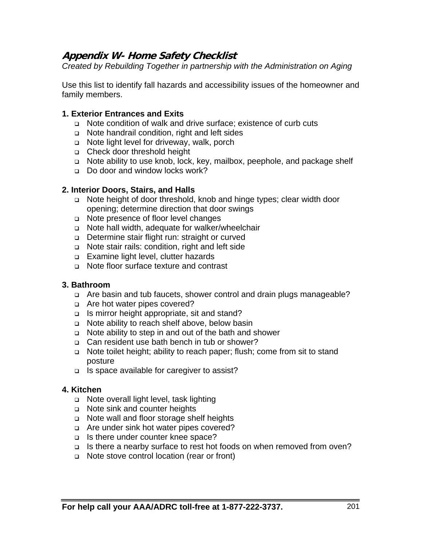# **Appendix W- Home Safety Checklist**

*Created by Rebuilding Together in partnership with the Administration on Aging* 

Use this list to identify fall hazards and accessibility issues of the homeowner and family members.

#### **1. Exterior Entrances and Exits**

- Note condition of walk and drive surface; existence of curb cuts
- □ Note handrail condition, right and left sides
- □ Note light level for driveway, walk, porch
- Check door threshold height
- Note ability to use knob, lock, key, mailbox, peephole, and package shelf
- □ Do door and window locks work?

## **2. Interior Doors, Stairs, and Halls**

- Note height of door threshold, knob and hinge types; clear width door opening; determine direction that door swings
- □ Note presence of floor level changes
- Note hall width, adequate for walker/wheelchair
- □ Determine stair flight run: straight or curved
- □ Note stair rails: condition, right and left side
- Examine light level, clutter hazards
- Note floor surface texture and contrast

#### **3. Bathroom**

- Are basin and tub faucets, shower control and drain plugs manageable?
- □ Are hot water pipes covered?
- $\Box$  Is mirror height appropriate, sit and stand?
- □ Note ability to reach shelf above, below basin
- Note ability to step in and out of the bath and shower
- Can resident use bath bench in tub or shower?
- □ Note toilet height; ability to reach paper; flush; come from sit to stand posture
- $\Box$  Is space available for caregiver to assist?

#### **4. Kitchen**

- □ Note overall light level, task lighting
- □ Note sink and counter heights
- □ Note wall and floor storage shelf heights
- □ Are under sink hot water pipes covered?
- □ Is there under counter knee space?
- □ Is there a nearby surface to rest hot foods on when removed from oven?
- □ Note stove control location (rear or front)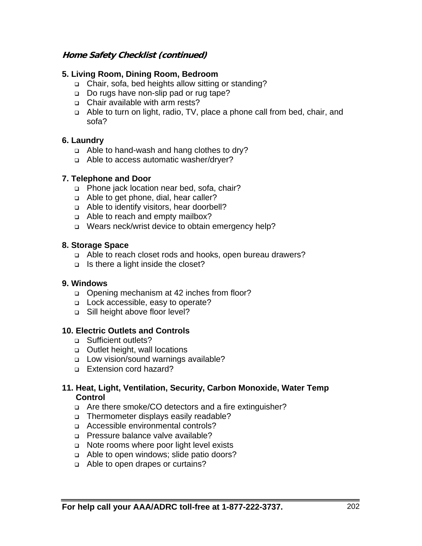## **5. Living Room, Dining Room, Bedroom**

- Chair, sofa, bed heights allow sitting or standing?
- Do rugs have non-slip pad or rug tape?
- Chair available with arm rests?
- Able to turn on light, radio, TV, place a phone call from bed, chair, and sofa?

## **6. Laundry**

- Able to hand-wash and hang clothes to dry?
- a Able to access automatic washer/dryer?

## **7. Telephone and Door**

- □ Phone jack location near bed, sofa, chair?
- a Able to get phone, dial, hear caller?
- Able to identify visitors, hear doorbell?
- a Able to reach and empty mailbox?
- □ Wears neck/wrist device to obtain emergency help?

## **8. Storage Space**

- Able to reach closet rods and hooks, open bureau drawers?
- $\Box$  Is there a light inside the closet?

#### **9. Windows**

- □ Opening mechanism at 42 inches from floor?
- □ Lock accessible, easy to operate?
- □ Sill height above floor level?

#### **10. Electric Outlets and Controls**

- □ Sufficient outlets?
- **Qutlet height, wall locations**
- □ Low vision/sound warnings available?
- □ Extension cord hazard?

#### **11. Heat, Light, Ventilation, Security, Carbon Monoxide, Water Temp Control**

- Are there smoke/CO detectors and a fire extinguisher?
- □ Thermometer displays easily readable?
- □ Accessible environmental controls?
- □ Pressure balance valve available?
- □ Note rooms where poor light level exists
- □ Able to open windows; slide patio doors?
- Able to open drapes or curtains?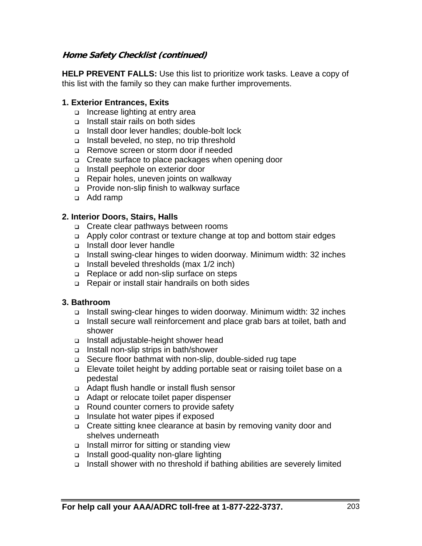**HELP PREVENT FALLS:** Use this list to prioritize work tasks. Leave a copy of this list with the family so they can make further improvements.

#### **1. Exterior Entrances, Exits**

- □ Increase lighting at entry area
- Install stair rails on both sides
- □ Install door lever handles: double-bolt lock
- Install beveled, no step, no trip threshold
- Remove screen or storm door if needed
- □ Create surface to place packages when opening door
- □ Install peephole on exterior door
- □ Repair holes, uneven joints on walkway
- Provide non-slip finish to walkway surface
- Add ramp

## **2. Interior Doors, Stairs, Halls**

- Create clear pathways between rooms
- Apply color contrast or texture change at top and bottom stair edges
- Install door lever handle
- Install swing-clear hinges to widen doorway. Minimum width: 32 inches
- □ Install beveled thresholds (max 1/2 inch)
- □ Replace or add non-slip surface on steps
- Repair or install stair handrails on both sides

#### **3. Bathroom**

- Install swing-clear hinges to widen doorway. Minimum width: 32 inches
- Install secure wall reinforcement and place grab bars at toilet, bath and shower
- Install adjustable-height shower head
- Install non-slip strips in bath/shower
- □ Secure floor bathmat with non-slip, double-sided rug tape
- □ Elevate toilet height by adding portable seat or raising toilet base on a pedestal
- Adapt flush handle or install flush sensor
- Adapt or relocate toilet paper dispenser
- Round counter corners to provide safety
- $\Box$  Insulate hot water pipes if exposed
- □ Create sitting knee clearance at basin by removing vanity door and shelves underneath
- $\Box$  Install mirror for sitting or standing view
- Install good-quality non-glare lighting
- Install shower with no threshold if bathing abilities are severely limited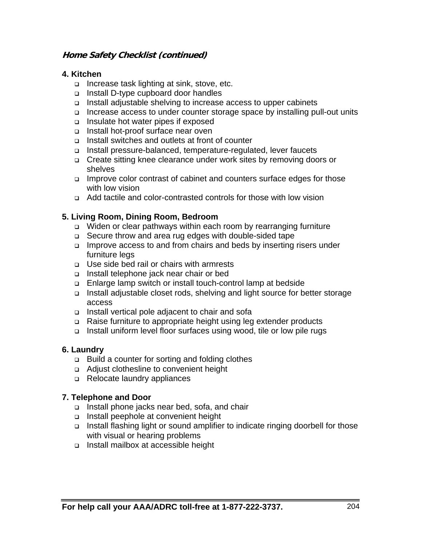#### **4. Kitchen**

- □ Increase task lighting at sink, stove, etc.
- □ Install D-type cupboard door handles
- □ Install adjustable shelving to increase access to upper cabinets
- □ Increase access to under counter storage space by installing pull-out units
- □ Insulate hot water pipes if exposed
- Install hot-proof surface near oven
- Install switches and outlets at front of counter
- Install pressure-balanced, temperature-regulated, lever faucets
- □ Create sitting knee clearance under work sites by removing doors or shelves
- □ Improve color contrast of cabinet and counters surface edges for those with low vision
- Add tactile and color-contrasted controls for those with low vision

## **5. Living Room, Dining Room, Bedroom**

- Widen or clear pathways within each room by rearranging furniture
- □ Secure throw and area rug edges with double-sided tape
- □ Improve access to and from chairs and beds by inserting risers under furniture legs
- □ Use side bed rail or chairs with armrests
- Install telephone jack near chair or bed
- Enlarge lamp switch or install touch-control lamp at bedside
- □ Install adjustable closet rods, shelving and light source for better storage access
- Install vertical pole adjacent to chair and sofa
- Raise furniture to appropriate height using leg extender products
- Install uniform level floor surfaces using wood, tile or low pile rugs

## **6. Laundry**

- □ Build a counter for sorting and folding clothes
- Adjust clothesline to convenient height
- □ Relocate laundry appliances

## **7. Telephone and Door**

- Install phone jacks near bed, sofa, and chair
- Install peephole at convenient height
- Install flashing light or sound amplifier to indicate ringing doorbell for those with visual or hearing problems
- Install mailbox at accessible height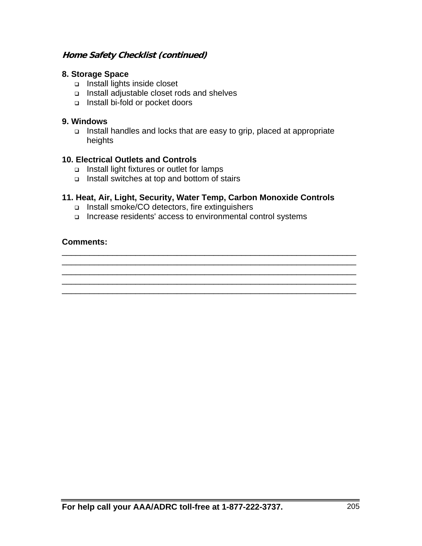#### **8. Storage Space**

- Install lights inside closet
- Install adjustable closet rods and shelves
- □ Install bi-fold or pocket doors

#### **9. Windows**

□ Install handles and locks that are easy to grip, placed at appropriate heights

#### **10. Electrical Outlets and Controls**

- Install light fixtures or outlet for lamps
- □ Install switches at top and bottom of stairs

## **11. Heat, Air, Light, Security, Water Temp, Carbon Monoxide Controls**

\_\_\_\_\_\_\_\_\_\_\_\_\_\_\_\_\_\_\_\_\_\_\_\_\_\_\_\_\_\_\_\_\_\_\_\_\_\_\_\_\_\_\_\_\_\_\_\_\_\_\_\_\_\_\_\_\_\_\_\_\_\_\_\_ \_\_\_\_\_\_\_\_\_\_\_\_\_\_\_\_\_\_\_\_\_\_\_\_\_\_\_\_\_\_\_\_\_\_\_\_\_\_\_\_\_\_\_\_\_\_\_\_\_\_\_\_\_\_\_\_\_\_\_\_\_\_\_\_ \_\_\_\_\_\_\_\_\_\_\_\_\_\_\_\_\_\_\_\_\_\_\_\_\_\_\_\_\_\_\_\_\_\_\_\_\_\_\_\_\_\_\_\_\_\_\_\_\_\_\_\_\_\_\_\_\_\_\_\_\_\_\_\_ \_\_\_\_\_\_\_\_\_\_\_\_\_\_\_\_\_\_\_\_\_\_\_\_\_\_\_\_\_\_\_\_\_\_\_\_\_\_\_\_\_\_\_\_\_\_\_\_\_\_\_\_\_\_\_\_\_\_\_\_\_\_\_\_ \_\_\_\_\_\_\_\_\_\_\_\_\_\_\_\_\_\_\_\_\_\_\_\_\_\_\_\_\_\_\_\_\_\_\_\_\_\_\_\_\_\_\_\_\_\_\_\_\_\_\_\_\_\_\_\_\_\_\_\_\_\_\_\_

- □ Install smoke/CO detectors, fire extinguishers
- Increase residents' access to environmental control systems

## **Comments:**

**For help call your AAA/ADRC toll-free at 1-877-222-3737.** 205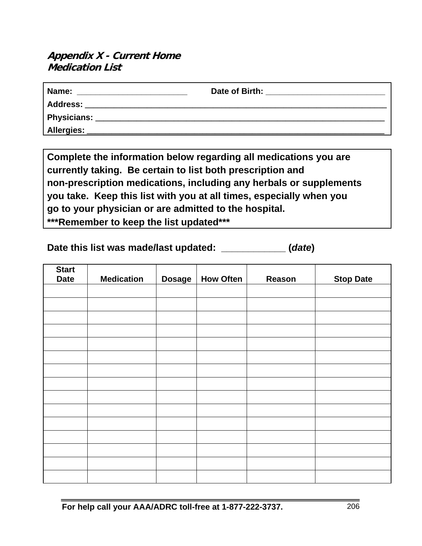# **Appendix X - Current Home Medication List**

| Name:              | Date of Birth: |
|--------------------|----------------|
| <b>Address:</b>    |                |
| <b>Physicians:</b> |                |
| Allergies:         |                |

**Complete the information below regarding all medications you are currently taking. Be certain to list both prescription and non-prescription medications, including any herbals or supplements you take. Keep this list with you at all times, especially when you go to your physician or are admitted to the hospital. \*\*\*Remember to keep the list updated\*\*\*** 

**Date this list was made/last updated: \_\_\_\_\_\_\_\_\_\_\_\_ (***date***)** 

| <b>Start</b><br><b>Date</b> | <b>Medication</b> | <b>Dosage</b> | <b>How Often</b> | Reason | <b>Stop Date</b> |
|-----------------------------|-------------------|---------------|------------------|--------|------------------|
|                             |                   |               |                  |        |                  |
|                             |                   |               |                  |        |                  |
|                             |                   |               |                  |        |                  |
|                             |                   |               |                  |        |                  |
|                             |                   |               |                  |        |                  |
|                             |                   |               |                  |        |                  |
|                             |                   |               |                  |        |                  |
|                             |                   |               |                  |        |                  |
|                             |                   |               |                  |        |                  |
|                             |                   |               |                  |        |                  |
|                             |                   |               |                  |        |                  |
|                             |                   |               |                  |        |                  |
|                             |                   |               |                  |        |                  |
|                             |                   |               |                  |        |                  |
|                             |                   |               |                  |        |                  |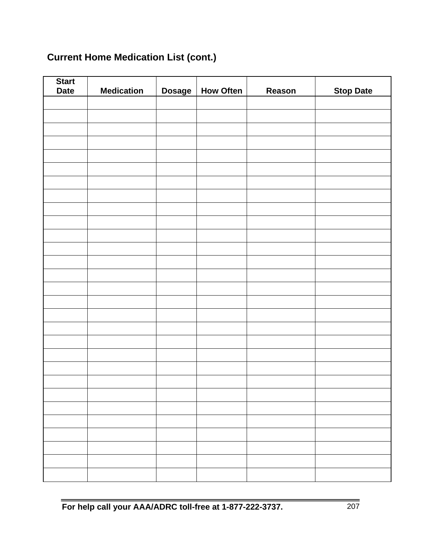# **Current Home Medication List (cont.)**

| <b>Start</b><br><b>Date</b> | <b>Medication</b> | <b>Dosage</b> | <b>How Often</b> | Reason | <b>Stop Date</b> |
|-----------------------------|-------------------|---------------|------------------|--------|------------------|
|                             |                   |               |                  |        |                  |
|                             |                   |               |                  |        |                  |
|                             |                   |               |                  |        |                  |
|                             |                   |               |                  |        |                  |
|                             |                   |               |                  |        |                  |
|                             |                   |               |                  |        |                  |
|                             |                   |               |                  |        |                  |
|                             |                   |               |                  |        |                  |
|                             |                   |               |                  |        |                  |
|                             |                   |               |                  |        |                  |
|                             |                   |               |                  |        |                  |
|                             |                   |               |                  |        |                  |
|                             |                   |               |                  |        |                  |
|                             |                   |               |                  |        |                  |
|                             |                   |               |                  |        |                  |
|                             |                   |               |                  |        |                  |
|                             |                   |               |                  |        |                  |
|                             |                   |               |                  |        |                  |
|                             |                   |               |                  |        |                  |
|                             |                   |               |                  |        |                  |
|                             |                   |               |                  |        |                  |
|                             |                   |               |                  |        |                  |
|                             |                   |               |                  |        |                  |
|                             |                   |               |                  |        |                  |
|                             |                   |               |                  |        |                  |
|                             |                   |               |                  |        |                  |
|                             |                   |               |                  |        |                  |
|                             |                   |               |                  |        |                  |
|                             |                   |               |                  |        |                  |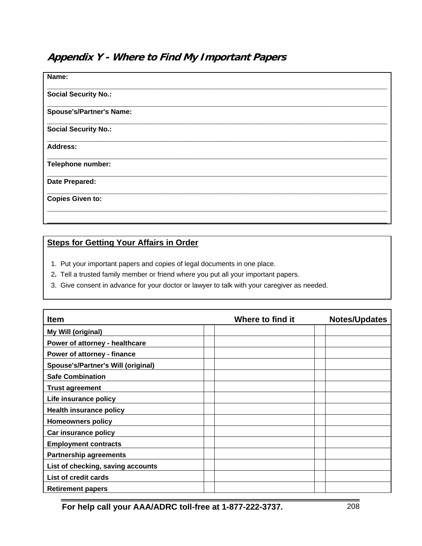# **Appendix Y - Where to Find My Important Papers**

| Name:                           |  |
|---------------------------------|--|
| <b>Social Security No.:</b>     |  |
| <b>Spouse's/Partner's Name:</b> |  |
| <b>Social Security No.:</b>     |  |
| <b>Address:</b>                 |  |
| Telephone number:               |  |
| Date Prepared:                  |  |
| <b>Copies Given to:</b>         |  |
|                                 |  |

## **Steps for Getting Your Affairs in Order**

- 1. Put your important papers and copies of legal documents in one place.
- 2**.** Tell a trusted family member or friend where you put all your important papers.
- 3. Give consent in advance for your doctor or lawyer to talk with your caregiver as needed.

| <b>Item</b>                        | Where to find it | <b>Notes/Updates</b> |
|------------------------------------|------------------|----------------------|
| My Will (original)                 |                  |                      |
| Power of attorney - healthcare     |                  |                      |
| Power of attorney - finance        |                  |                      |
| Spouse's/Partner's Will (original) |                  |                      |
| <b>Safe Combination</b>            |                  |                      |
| <b>Trust agreement</b>             |                  |                      |
| Life insurance policy              |                  |                      |
| <b>Health insurance policy</b>     |                  |                      |
| <b>Homeowners policy</b>           |                  |                      |
| Car insurance policy               |                  |                      |
| <b>Employment contracts</b>        |                  |                      |
| <b>Partnership agreements</b>      |                  |                      |
| List of checking, saving accounts  |                  |                      |
| List of credit cards               |                  |                      |
| <b>Retirement papers</b>           |                  |                      |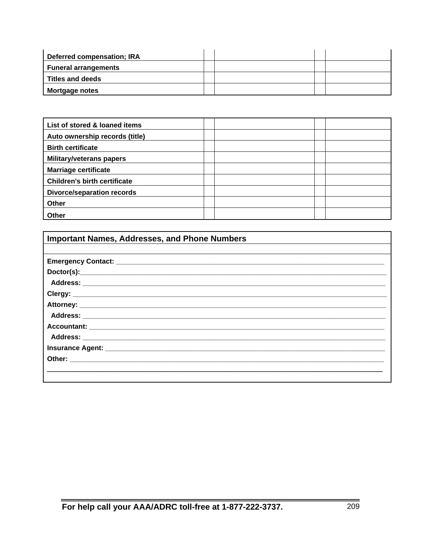| Deferred compensation; IRA  |  |  |
|-----------------------------|--|--|
| <b>Funeral arrangements</b> |  |  |
| <b>Titles and deeds</b>     |  |  |
| Mortgage notes              |  |  |

| List of stored & loaned items       |  |  |
|-------------------------------------|--|--|
| Auto ownership records (title)      |  |  |
| <b>Birth certificate</b>            |  |  |
| <b>Military/veterans papers</b>     |  |  |
| <b>Marriage certificate</b>         |  |  |
| <b>Children's birth certificate</b> |  |  |
| <b>Divorce/separation records</b>   |  |  |
| Other                               |  |  |
| Other                               |  |  |

| <b>Important Names, Addresses, and Phone Numbers</b> |  |  |  |
|------------------------------------------------------|--|--|--|
|                                                      |  |  |  |
|                                                      |  |  |  |
|                                                      |  |  |  |
|                                                      |  |  |  |
|                                                      |  |  |  |
|                                                      |  |  |  |
|                                                      |  |  |  |
|                                                      |  |  |  |
|                                                      |  |  |  |
|                                                      |  |  |  |
|                                                      |  |  |  |
|                                                      |  |  |  |
|                                                      |  |  |  |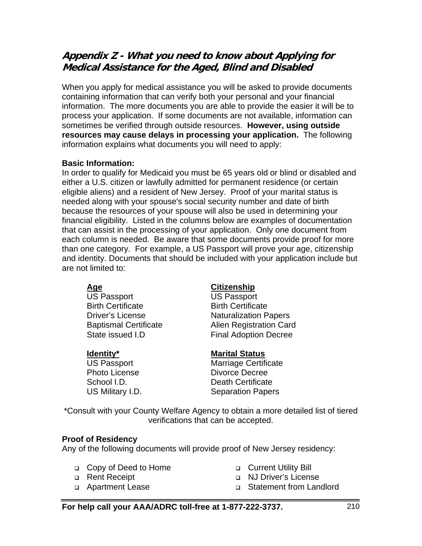# **Appendix Z - What you need to know about Applying for Medical Assistance for the Aged, Blind and Disabled**

When you apply for medical assistance you will be asked to provide documents containing information that can verify both your personal and your financial information. The more documents you are able to provide the easier it will be to process your application. If some documents are not available, information can sometimes be verified through outside resources. **However, using outside resources may cause delays in processing your application.** The following information explains what documents you will need to apply:

## **Basic Information:**

In order to qualify for Medicaid you must be 65 years old or blind or disabled and either a U.S. citizen or lawfully admitted for permanent residence (or certain eligible aliens) and a resident of New Jersey. Proof of your marital status is needed along with your spouse's social security number and date of birth because the resources of your spouse will also be used in determining your financial eligibility. Listed in the columns below are examples of documentation that can assist in the processing of your application. Only one document from each column is needed. Be aware that some documents provide proof for more than one category. For example, a US Passport will prove your age, citizenship and identity. Documents that should be included with your application include but are not limited to:

US Passport US Passport **Birth Certificate Birth Certificate** 

## <u>Age Citizenship</u>

**Driver's License** Naturalization Papers Baptismal Certificate **Alien Registration Card** State issued I.D Final Adoption Decree

## **Identity\*** Marital Status

US Passport Marriage Certificate Photo License **Divorce** Decree School I.D. **Death Certificate** US Military I.D. Separation Papers

\*Consult with your County Welfare Agency to obtain a more detailed list of tiered verifications that can be accepted.

## **Proof of Residency**

Any of the following documents will provide proof of New Jersey residency:

- Copy of Deed to Home
- □ Rent Receipt
- Apartment Lease
- **Current Utility Bill**
- NJ Driver's License
- Statement from Landlord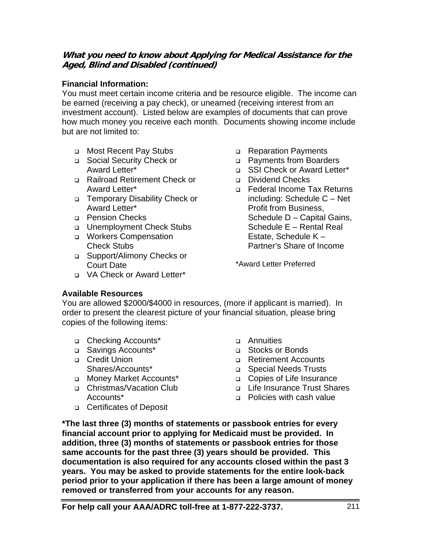## **What you need to know about Applying for Medical Assistance for the Aged, Blind and Disabled (continued)**

## **Financial Information:**

You must meet certain income criteria and be resource eligible. The income can be earned (receiving a pay check), or unearned (receiving interest from an investment account). Listed below are examples of documents that can prove how much money you receive each month. Documents showing income include but are not limited to:

- Most Recent Pay Stubs
- Social Security Check or Award Letter\*
- Railroad Retirement Check or Award Letter\*
- Temporary Disability Check or Award Letter\*
- **Pension Checks**
- □ Unemployment Check Stubs
- □ Workers Compensation Check Stubs
- Support/Alimony Checks or Court Date
- VA Check or Award Letter\*
- Reparation Payments
- Payments from Boarders
- □ SSI Check or Award Letter\*
- Dividend Checks
- Federal Income Tax Returns including: Schedule C – Net Profit from Business, Schedule D – Capital Gains, Schedule E – Rental Real Estate, Schedule K – Partner's Share of Income

\*Award Letter Preferred

## **Available Resources**

You are allowed \$2000/\$4000 in resources, (more if applicant is married). In order to present the clearest picture of your financial situation, please bring copies of the following items:

- □ Checking Accounts\*
- □ Savings Accounts<sup>\*</sup>
- □ Credit Union Shares/Accounts\*
- □ Money Market Accounts\*
- □ Christmas/Vacation Club Accounts\*
- □ Certificates of Deposit
- Annuities
- □ Stocks or Bonds
- Retirement Accounts
- Special Needs Trusts
- □ Copies of Life Insurance
- Life Insurance Trust Shares
- **Policies with cash value**

**\*The last three (3) months of statements or passbook entries for every financial account prior to applying for Medicaid must be provided. In addition, three (3) months of statements or passbook entries for those same accounts for the past three (3) years should be provided. This documentation is also required for any accounts closed within the past 3 years. You may be asked to provide statements for the entire look-back period prior to your application if there has been a large amount of money removed or transferred from your accounts for any reason.**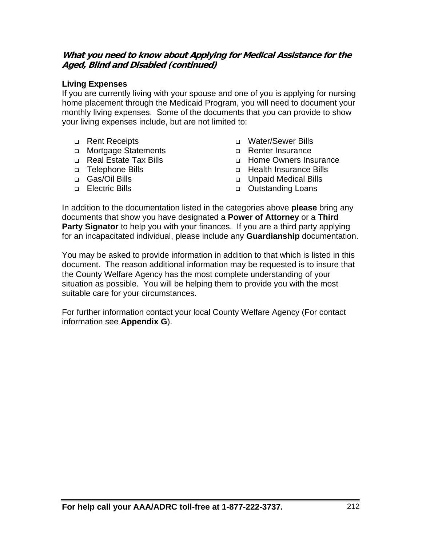## **What you need to know about Applying for Medical Assistance for the Aged, Blind and Disabled (continued)**

## **Living Expenses**

If you are currently living with your spouse and one of you is applying for nursing home placement through the Medicaid Program, you will need to document your monthly living expenses. Some of the documents that you can provide to show your living expenses include, but are not limited to:

- **Rent Receipts**
- Mortgage Statements
- □ Real Estate Tax Bills
- □ Telephone Bills
- Gas/Oil Bills
- **Electric Bills**
- Water/Sewer Bills
- □ Renter Insurance
- Home Owners Insurance
- Health Insurance Bills
- Unpaid Medical Bills
- **D** Outstanding Loans

In addition to the documentation listed in the categories above **please** bring any documents that show you have designated a **Power of Attorney** or a **Third Party Signator** to help you with your finances. If you are a third party applying for an incapacitated individual, please include any **Guardianship** documentation.

You may be asked to provide information in addition to that which is listed in this document. The reason additional information may be requested is to insure that the County Welfare Agency has the most complete understanding of your situation as possible. You will be helping them to provide you with the most suitable care for your circumstances.

For further information contact your local County Welfare Agency (For contact information see **Appendix G**).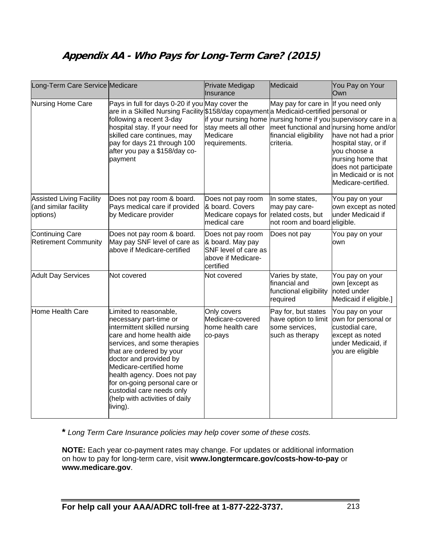# **Appendix AA - Who Pays for Long-Term Care? (2015)**

| Long-Term Care Service Medicare                                      |                                                                                                                                                                                                                                                                                                                                                                           | Private Medigap<br>Insurance                                                                     | Medicaid                                                                               | You Pay on Your<br>Own                                                                                                                                                                                                                            |
|----------------------------------------------------------------------|---------------------------------------------------------------------------------------------------------------------------------------------------------------------------------------------------------------------------------------------------------------------------------------------------------------------------------------------------------------------------|--------------------------------------------------------------------------------------------------|----------------------------------------------------------------------------------------|---------------------------------------------------------------------------------------------------------------------------------------------------------------------------------------------------------------------------------------------------|
| <b>Nursing Home Care</b>                                             | Pays in full for days 0-20 if you May cover the<br>are in a Skilled Nursing Facility \$158/day copayment a Medicaid-certified personal or<br>following a recent 3-day<br>hospital stay. If your need for<br>skilled care continues, may<br>pay for days 21 through 100<br>after you pay a \$158/day co-<br>payment                                                        | if your nursing home<br>stay meets all other<br>Medicare<br>requirements.                        | May pay for care in If you need only<br>financial eligibility<br>criteria.             | nursing home if you supervisory care in a<br>meet functional and nursing home and/or<br>have not had a prior<br>hospital stay, or if<br>you choose a<br>nursing home that<br>does not participate<br>in Medicaid or is not<br>Medicare-certified. |
| <b>Assisted Living Facility</b><br>(and similar facility<br>options) | Does not pay room & board.<br>Pays medical care if provided<br>by Medicare provider                                                                                                                                                                                                                                                                                       | Does not pay room<br>& board. Covers<br>Medicare copays for<br>medical care                      | In some states,<br>may pay care-<br>related costs, but<br>not room and board eligible. | You pay on your<br>own except as noted<br>under Medicaid if                                                                                                                                                                                       |
| <b>Continuing Care</b><br><b>Retirement Community</b>                | Does not pay room & board.<br>May pay SNF level of care as<br>above if Medicare-certified                                                                                                                                                                                                                                                                                 | Does not pay room<br>& board. May pay<br>SNF level of care as<br>above if Medicare-<br>certified | Does not pay                                                                           | You pay on your<br>own                                                                                                                                                                                                                            |
| <b>Adult Day Services</b>                                            | Not covered                                                                                                                                                                                                                                                                                                                                                               | Not covered                                                                                      | Varies by state,<br>financial and<br>functional eligibility<br>required                | You pay on your<br>own [except as<br>noted under<br>Medicaid if eligible.]                                                                                                                                                                        |
| Home Health Care                                                     | Limited to reasonable,<br>necessary part-time or<br>intermittent skilled nursing<br>care and home health aide<br>services, and some therapies<br>that are ordered by your<br>doctor and provided by<br>Medicare-certified home<br>health agency. Does not pay<br>for on-going personal care or<br>custodial care needs only<br>(help with activities of daily<br>living). | Only covers<br>Medicare-covered<br>home health care<br>co-pays                                   | Pay for, but states<br>have option to limit<br>some services,<br>such as therapy       | You pay on your<br>own for personal or<br>custodial care,<br>except as noted<br>under Medicaid, if<br>you are eligible                                                                                                                            |

**\*** *Long Term Care Insurance policies may help cover some of these costs.* 

**NOTE:** Each year co-payment rates may change. For updates or additional information on how to pay for long-term care, visit **www.longtermcare.gov/costs-how-to-pay** or **www.medicare.gov**.